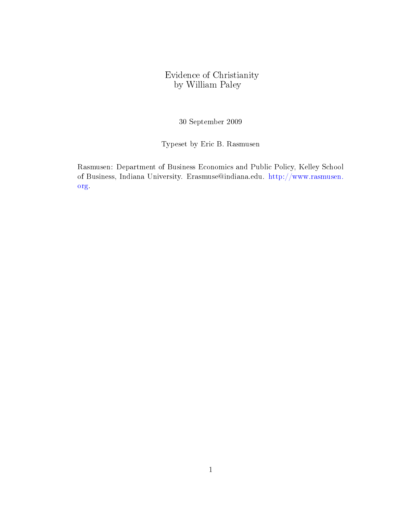# Evidence of Christianity by William Paley

30 September 2009

Typeset by Eric B. Rasmusen

Rasmusen: Department of Business Economics and Public Policy, Kelley School of Business, Indiana University. Erasmuse@indiana.edu. [http://www.rasmusen.](http://www.rasmusen.org) [org.](http://www.rasmusen.org)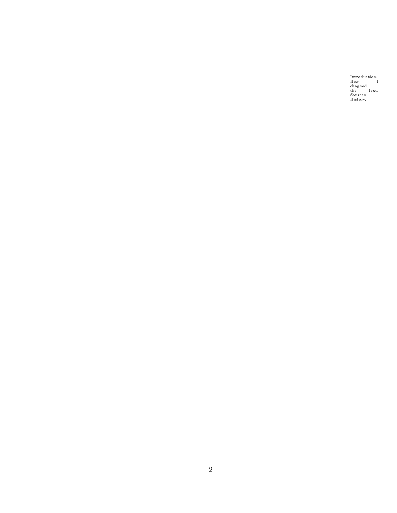Introduction. How I chagned the text. Sources. History.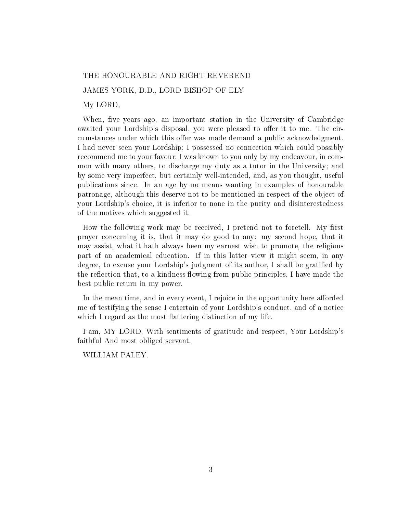### THE HONOURABLE AND RIGHT REVEREND

JAMES YORK, D.D., LORD BISHOP OF ELY

My LORD,

When, five years ago, an important station in the University of Cambridge awaited your Lordship's disposal, you were pleased to offer it to me. The circumstances under which this offer was made demand a public acknowledgment. I had never seen your Lordship; I possessed no connection which could possibly recommend me to your favour; I was known to you only by my endeavour, in common with many others, to discharge my duty as a tutor in the University; and by some very imperfect, but certainly well-intended, and, as you thought, useful publications since. In an age by no means wanting in examples of honourable patronage, although this deserve not to be mentioned in respect of the object of your Lordship's choice, it is inferior to none in the purity and disinterestedness of the motives which suggested it.

How the following work may be received, I pretend not to foretell. My first prayer concerning it is, that it may do good to any: my second hope, that it may assist, what it hath always been my earnest wish to promote, the religious part of an academical education. If in this latter view it might seem, in any degree, to excuse your Lordship's judgment of its author, I shall be gratified by the reflection that, to a kindness flowing from public principles, I have made the best public return in my power.

In the mean time, and in every event, I rejoice in the opportunity here afforded me of testifying the sense I entertain of your Lordship's conduct, and of a notice which I regard as the most flattering distinction of my life.

I am, MY LORD, With sentiments of gratitude and respect, Your Lordship's faithful And most obliged servant,

WILLIAM PALEY.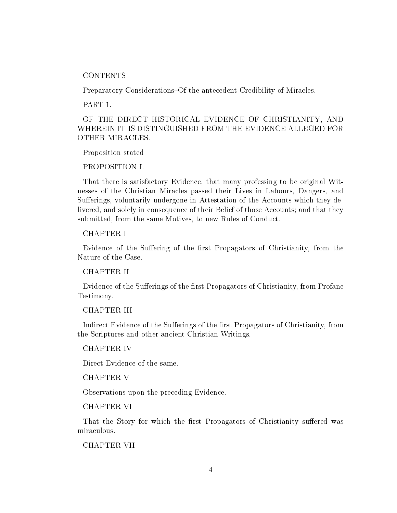**CONTENTS** 

Preparatory Considerations–Of the antecedent Credibility of Miracles.

PART 1.

OF THE DIRECT HISTORICAL EVIDENCE OF CHRISTIANITY, AND WHEREIN IT IS DISTINGUISHED FROM THE EVIDENCE ALLEGED FOR OTHER MIRACLES.

Proposition stated

PROPOSITION I.

That there is satisfactory Evidence, that many professing to be original Witnesses of the Christian Miracles passed their Lives in Labours, Dangers, and Sufferings, voluntarily undergone in Attestation of the Accounts which they delivered, and solely in consequence of their Belief of those Accounts; and that they submitted, from the same Motives, to new Rules of Conduct.

CHAPTER I

Evidence of the Suffering of the first Propagators of Christianity, from the Nature of the Case.

CHAPTER II

Evidence of the Sufferings of the first Propagators of Christianity, from Profane Testimony.

## CHAPTER III

Indirect Evidence of the Sufferings of the first Propagators of Christianity, from the Scriptures and other ancient Christian Writings.

CHAPTER IV

Direct Evidence of the same.

CHAPTER V

Observations upon the preceding Evidence.

CHAPTER VI

That the Story for which the first Propagators of Christianity suffered was miraculous.

CHAPTER VII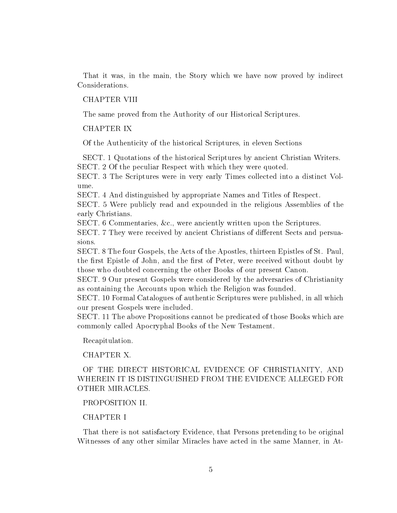That it was, in the main, the Story which we have now proved by indirect Considerations.

### CHAPTER VIII

The same proved from the Authority of our Historical Scriptures.

### CHAPTER IX

Of the Authenticity of the historical Scriptures, in eleven Sections

SECT. 1 Quotations of the historical Scriptures by ancient Christian Writers. SECT. 2 Of the peculiar Respect with which they were quoted.

SECT. 3 The Scriptures were in very early Times collected into a distinct Volume.

SECT. 4 And distinguished by appropriate Names and Titles of Respect.

SECT. 5 Were publicly read and expounded in the religious Assemblies of the early Christians.

SECT. 6 Commentaries, &c., were anciently written upon the Scriptures.

SECT. 7 They were received by ancient Christians of different Sects and persuasions.

SECT. 8 The four Gospels, the Acts of the Apostles, thirteen Epistles of St. Paul, the first Epistle of John, and the first of Peter, were received without doubt by those who doubted concerning the other Books of our present Canon.

SECT. 9 Our present Gospels were considered by the adversaries of Christianity as containing the Accounts upon which the Religion was founded.

SECT. 10 Formal Catalogues of authentic Scriptures were published, in all which our present Gospels were included.

SECT. 11 The above Propositions cannot be predicated of those Books which are commonly called Apocryphal Books of the New Testament.

Recapitulation.

CHAPTER X.

OF THE DIRECT HISTORICAL EVIDENCE OF CHRISTIANITY, AND WHEREIN IT IS DISTINGUISHED FROM THE EVIDENCE ALLEGED FOR OTHER MIRACLES.

### PROPOSITION II.

## CHAPTER I

That there is not satisfactory Evidence, that Persons pretending to be original Witnesses of any other similar Miracles have acted in the same Manner, in At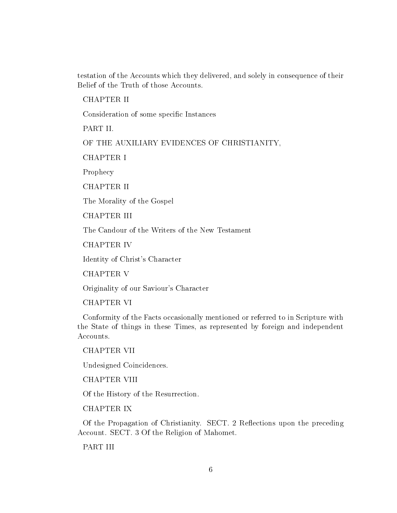testation of the Accounts which they delivered, and solely in consequence of their Belief of the Truth of those Accounts.

CHAPTER II

Consideration of some specific Instances

PART II.

OF THE AUXILIARY EVIDENCES OF CHRISTIANITY,

CHAPTER I

Prophecy

CHAPTER II

The Morality of the Gospel

CHAPTER III

The Candour of the Writers of the New Testament

CHAPTER IV

Identity of Christ's Character

CHAPTER V

Originality of our Saviour's Character

CHAPTER VI

Conformity of the Facts occasionally mentioned or referred to in Scripture with the State of things in these Times, as represented by foreign and independent Accounts.

CHAPTER VII

Undesigned Coincidences.

CHAPTER VIII

Of the History of the Resurrection.

CHAPTER IX

Of the Propagation of Christianity. SECT. 2 Reflections upon the preceding Account. SECT. 3 Of the Religion of Mahomet.

PART III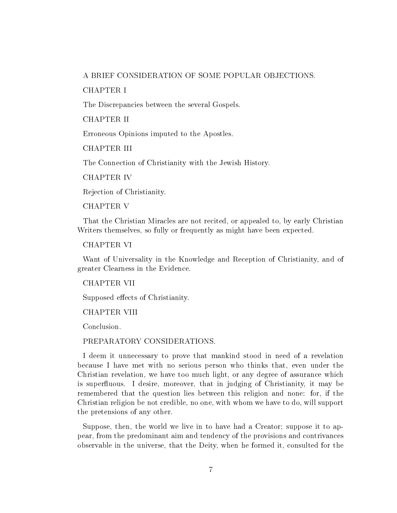### A BRIEF CONSIDERATION OF SOME POPULAR OBJECTIONS.

CHAPTER I

The Discrepancies between the several Gospels.

CHAPTER II

Erroneous Opinions imputed to the Apostles.

CHAPTER III

The Connection of Christianity with the Jewish History.

CHAPTER IV

Rejection of Christianity.

CHAPTER V

That the Christian Miracles are not recited, or appealed to, by early Christian Writers themselves, so fully or frequently as might have been expected.

CHAPTER VI

Want of Universality in the Knowledge and Reception of Christianity, and of greater Clearness in the Evidence.

CHAPTER VII

Supposed effects of Christianity.

CHAPTER VIII

Conclusion.

PREPARATORY CONSIDERATIONS.

I deem it unnecessary to prove that mankind stood in need of a revelation because I have met with no serious person who thinks that, even under the Christian revelation, we have too much light, or any degree of assurance which is superfluous. I desire, moreover, that in judging of Christianity, it may be remembered that the question lies between this religion and none: for, if the Christian religion be not credible, no one, with whom we have to do, will support the pretensions of any other.

Suppose, then, the world we live in to have had a Creator; suppose it to appear, from the predominant aim and tendency of the provisions and contrivances observable in the universe, that the Deity, when he formed it, consulted for the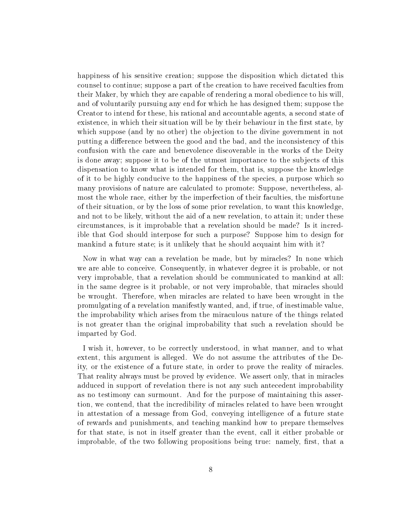happiness of his sensitive creation; suppose the disposition which dictated this counsel to continue; suppose a part of the creation to have received faculties from their Maker, by which they are capable of rendering a moral obedience to his will, and of voluntarily pursuing any end for which he has designed them; suppose the Creator to intend for these, his rational and accountable agents, a second state of existence, in which their situation will be by their behaviour in the first state, by which suppose (and by no other) the objection to the divine government in not putting a difference between the good and the bad, and the inconsistency of this confusion with the care and benevolence discoverable in the works of the Deity is done away; suppose it to be of the utmost importance to the subjects of this dispensation to know what is intended for them, that is, suppose the knowledge of it to be highly conducive to the happiness of the species, a purpose which so many provisions of nature are calculated to promote: Suppose, nevertheless, almost the whole race, either by the imperfection of their faculties, the misfortune of their situation, or by the loss of some prior revelation, to want this knowledge, and not to be likely, without the aid of a new revelation, to attain it; under these circumstances, is it improbable that a revelation should be made? Is it incredible that God should interpose for such a purpose? Suppose him to design for mankind a future state; is it unlikely that he should acquaint him with it?

Now in what way can a revelation be made, but by miracles? In none which we are able to conceive. Consequently, in whatever degree it is probable, or not very improbable, that a revelation should be communicated to mankind at all: in the same degree is it probable, or not very improbable, that miracles should be wrought. Therefore, when miracles are related to have been wrought in the promulgating of a revelation manifestly wanted, and, if true, of inestimable value, the improbability which arises from the miraculous nature of the things related is not greater than the original improbability that such a revelation should be imparted by God.

I wish it, however, to be correctly understood, in what manner, and to what extent, this argument is alleged. We do not assume the attributes of the Deity, or the existence of a future state, in order to prove the reality of miracles. That reality always must be proved by evidence. We assert only, that in miracles adduced in support of revelation there is not any such antecedent improbability as no testimony can surmount. And for the purpose of maintaining this assertion, we contend, that the incredibility of miracles related to have been wrought in attestation of a message from God, conveying intelligence of a future state of rewards and punishments, and teaching mankind how to prepare themselves for that state, is not in itself greater than the event, call it either probable or improbable, of the two following propositions being true: namely, first, that a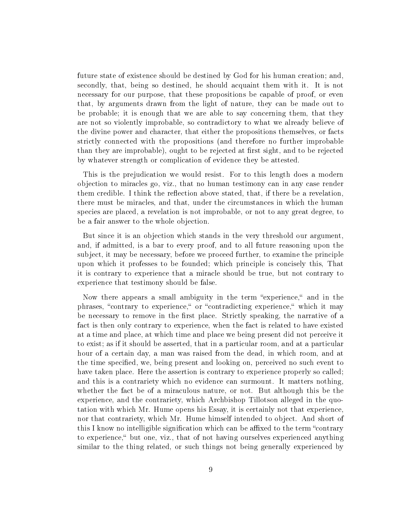future state of existence should be destined by God for his human creation; and, secondly, that, being so destined, he should acquaint them with it. It is not necessary for our purpose, that these propositions be capable of proof, or even that, by arguments drawn from the light of nature, they can be made out to be probable; it is enough that we are able to say concerning them, that they are not so violently improbable, so contradictory to what we already believe of the divine power and character, that either the propositions themselves, or facts strictly connected with the propositions (and therefore no further improbable than they are improbable), ought to be rejected at first sight, and to be rejected by whatever strength or complication of evidence they be attested.

This is the prejudication we would resist. For to this length does a modern objection to miracles go, viz., that no human testimony can in any case render them credible. I think the reflection above stated, that, if there be a revelation, there must be miracles, and that, under the circumstances in which the human species are placed, a revelation is not improbable, or not to any great degree, to be a fair answer to the whole objection.

But since it is an objection which stands in the very threshold our argument, and, if admitted, is a bar to every proof, and to all future reasoning upon the subject, it may be necessary, before we proceed further, to examine the principle upon which it professes to be founded; which principle is concisely this, That it is contrary to experience that a miracle should be true, but not contrary to experience that testimony should be false.

Now there appears a small ambiguity in the term "experience," and in the phrases, "contrary to experience," or "contradicting experience," which it may be necessary to remove in the first place. Strictly speaking, the narrative of a fact is then only contrary to experience, when the fact is related to have existed at a time and place, at which time and place we being present did not perceive it to exist; as if it should be asserted, that in a particular room, and at a particular hour of a certain day, a man was raised from the dead, in which room, and at the time specified, we, being present and looking on, perceived no such event to have taken place. Here the assertion is contrary to experience properly so called; and this is a contrariety which no evidence can surmount. It matters nothing, whether the fact be of a miraculous nature, or not. But although this be the experience, and the contrariety, which Archbishop Tillotson alleged in the quotation with which Mr. Hume opens his Essay, it is certainly not that experience, nor that contrariety, which Mr. Hume himself intended to object. And short of this I know no intelligible signification which can be affixed to the term "contrary" to experience," but one, viz., that of not having ourselves experienced anything similar to the thing related, or such things not being generally experienced by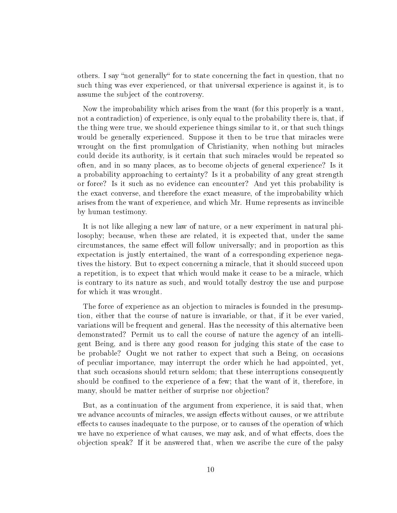others. I say "not generally" for to state concerning the fact in question, that no such thing was ever experienced, or that universal experience is against it, is to assume the subject of the controversy.

Now the improbability which arises from the want (for this properly is a want, not a contradiction) of experience, is only equal to the probability there is, that, if the thing were true, we should experience things similar to it, or that such things would be generally experienced. Suppose it then to be true that miracles were wrought on the first promulgation of Christianity, when nothing but miracles could decide its authority, is it certain that such miracles would be repeated so often, and in so many places, as to become objects of general experience? Is it a probability approaching to certainty? Is it a probability of any great strength or force? Is it such as no evidence can encounter? And yet this probability is the exact converse, and therefore the exact measure, of the improbability which arises from the want of experience, and which Mr. Hume represents as invincible by human testimony.

It is not like alleging a new law of nature, or a new experiment in natural philosophy; because, when these are related, it is expected that, under the same circumstances, the same effect will follow universally; and in proportion as this expectation is justly entertained, the want of a corresponding experience negatives the history. But to expect concerning a miracle, that it should succeed upon a repetition, is to expect that which would make it cease to be a miracle, which is contrary to its nature as such, and would totally destroy the use and purpose for which it was wrought.

The force of experience as an objection to miracles is founded in the presumption, either that the course of nature is invariable, or that, if it be ever varied, variations will be frequent and general. Has the necessity of this alternative been demonstrated? Permit us to call the course of nature the agency of an intelligent Being, and is there any good reason for judging this state of the case to be probable? Ought we not rather to expect that such a Being, on occasions of peculiar importance, may interrupt the order which he had appointed, yet, that such occasions should return seldom; that these interruptions consequently should be confined to the experience of a few; that the want of it, therefore, in many, should be matter neither of surprise nor objection?

But, as a continuation of the argument from experience, it is said that, when we advance accounts of miracles, we assign effects without causes, or we attribute effects to causes inadequate to the purpose, or to causes of the operation of which we have no experience of what causes, we may ask, and of what effects, does the objection speak? If it be answered that, when we ascribe the cure of the palsy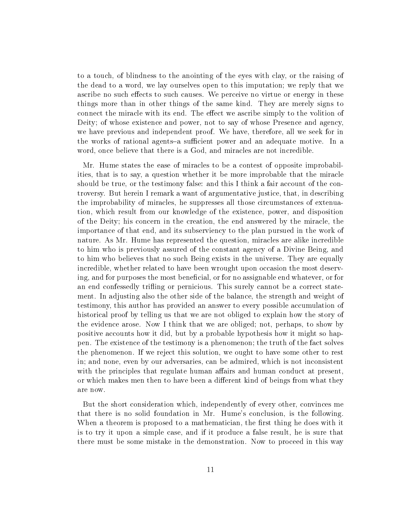to a touch, of blindness to the anointing of the eyes with clay, or the raising of the dead to a word, we lay ourselves open to this imputation; we reply that we ascribe no such effects to such causes. We perceive no virtue or energy in these things more than in other things of the same kind. They are merely signs to connect the miracle with its end. The effect we ascribe simply to the volition of Deity; of whose existence and power, not to say of whose Presence and agency, we have previous and independent proof. We have, therefore, all we seek for in the works of rational agents-a sufficient power and an adequate motive. In a word, once believe that there is a God, and miracles are not incredible.

Mr. Hume states the ease of miracles to be a contest of opposite improbabilities, that is to say, a question whether it be more improbable that the miracle should be true, or the testimony false: and this I think a fair account of the controversy. But herein I remark a want of argumentative justice, that, in describing the improbability of miracles, he suppresses all those circumstances of extenuation, which result from our knowledge of the existence, power, and disposition of the Deity; his concern in the creation, the end answered by the miracle, the importance of that end, and its subserviency to the plan pursued in the work of nature. As Mr. Hume has represented the question, miracles are alike incredible to him who is previously assured of the constant agency of a Divine Being, and to him who believes that no such Being exists in the universe. They are equally incredible, whether related to have been wrought upon occasion the most deserving, and for purposes the most beneficial, or for no assignable end whatever, or for an end confessedly trifling or pernicious. This surely cannot be a correct statement. In adjusting also the other side of the balance, the strength and weight of testimony, this author has provided an answer to every possible accumulation of historical proof by telling us that we are not obliged to explain how the story of the evidence arose. Now I think that we are obliged; not, perhaps, to show by positive accounts how it did, but by a probable hypothesis how it might so happen. The existence of the testimony is a phenomenon; the truth of the fact solves the phenomenon. If we reject this solution, we ought to have some other to rest in; and none, even by our adversaries, can be admired, which is not inconsistent with the principles that regulate human affairs and human conduct at present, or which makes men then to have been a different kind of beings from what they are now.

But the short consideration which, independently of every other, convinces me that there is no solid foundation in Mr. Hume's conclusion, is the following. When a theorem is proposed to a mathematician, the first thing he does with it is to try it upon a simple case, and if it produce a false result, he is sure that there must be some mistake in the demonstration. Now to proceed in this way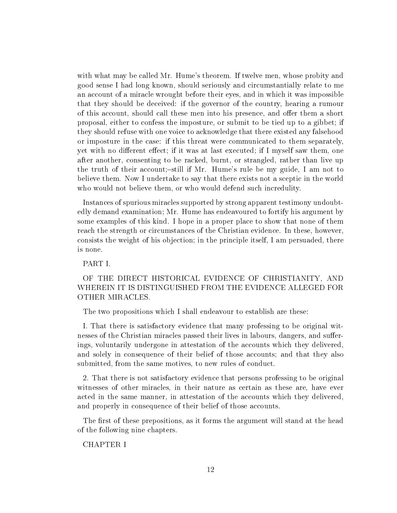with what may be called Mr. Hume's theorem. If twelve men, whose probity and good sense I had long known, should seriously and circumstantially relate to me an account of a miracle wrought before their eyes, and in which it was impossible that they should be deceived: if the governor of the country, hearing a rumour of this account, should call these men into his presence, and offer them a short proposal, either to confess the imposture, or submit to be tied up to a gibbet; if they should refuse with one voice to acknowledge that there existed any falsehood or imposture in the case: if this threat were communicated to them separately, yet with no different effect; if it was at last executed; if I myself saw them, one after another, consenting to be racked, burnt, or strangled, rather than live up the truth of their account;-still if Mr. Hume's rule be my guide, I am not to believe them. Now I undertake to say that there exists not a sceptic in the world who would not believe them, or who would defend such incredulity.

Instances of spurious miracles supported by strong apparent testimony undoubtedly demand examination; Mr. Hume has endeavoured to fortify his argument by some examples of this kind. I hope in a proper place to show that none of them reach the strength or circumstances of the Christian evidence. In these, however, consists the weight of his objection; in the principle itself, I am persuaded, there is none.

PART I.

# OF THE DIRECT HISTORICAL EVIDENCE OF CHRISTIANITY, AND WHEREIN IT IS DISTINGUISHED FROM THE EVIDENCE ALLEGED FOR OTHER MIRACLES.

The two propositions which I shall endeavour to establish are these:

I. That there is satisfactory evidence that many professing to be original witnesses of the Christian miracles passed their lives in labours, dangers, and sufferings, voluntarily undergone in attestation of the accounts which they delivered, and solely in consequence of their belief of those accounts; and that they also submitted, from the same motives, to new rules of conduct.

2. That there is not satisfactory evidence that persons professing to be original witnesses of other miracles, in their nature as certain as these are, have ever acted in the same manner, in attestation of the accounts which they delivered, and properly in consequence of their belief of those accounts.

The first of these prepositions, as it forms the argument will stand at the head of the following nine chapters.

CHAPTER I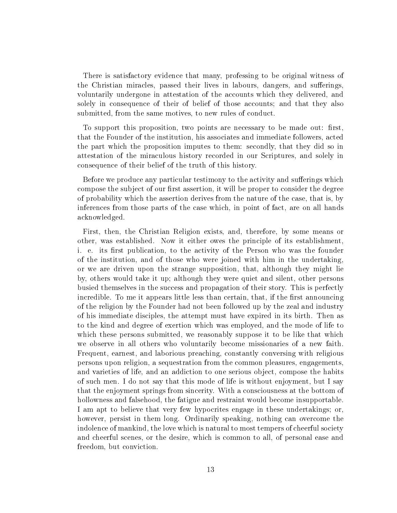There is satisfactory evidence that many, professing to be original witness of the Christian miracles, passed their lives in labours, dangers, and sufferings, voluntarily undergone in attestation of the accounts which they delivered, and solely in consequence of their of belief of those accounts; and that they also submitted, from the same motives, to new rules of conduct.

To support this proposition, two points are necessary to be made out: first, that the Founder of the institution, his associates and immediate followers, acted the part which the proposition imputes to them: secondly, that they did so in attestation of the miraculous history recorded in our Scriptures, and solely in consequence of their belief of the truth of this history.

Before we produce any particular testimony to the activity and sufferings which compose the subject of our first assertion, it will be proper to consider the degree of probability which the assertion derives from the nature of the case, that is, by inferences from those parts of the case which, in point of fact, are on all hands acknowledged.

First, then, the Christian Religion exists, and, therefore, by some means or other, was established. Now it either owes the principle of its establishment, i. e. its first publication, to the activity of the Person who was the founder of the institution, and of those who were joined with him in the undertaking, or we are driven upon the strange supposition, that, although they might lie by, others would take it up; although they were quiet and silent, other persons busied themselves in the success and propagation of their story. This is perfectly incredible. To me it appears little less than certain, that, if the first announcing of the religion by the Founder had not been followed up by the zeal and industry of his immediate disciples, the attempt must have expired in its birth. Then as to the kind and degree of exertion which was employed, and the mode of life to which these persons submitted, we reasonably suppose it to be like that which we observe in all others who voluntarily become missionaries of a new faith. Frequent, earnest, and laborious preaching, constantly conversing with religious persons upon religion, a sequestration from the common pleasures, engagements, and varieties of life, and an addiction to one serious object, compose the habits of such men. I do not say that this mode of life is without enjoyment, but I say that the enjoyment springs from sincerity. With a consciousness at the bottom of hollowness and falsehood, the fatigue and restraint would become insupportable. I am apt to believe that very few hypocrites engage in these undertakings; or, however, persist in them long. Ordinarily speaking, nothing can overcome the indolence of mankind, the love which is natural to most tempers of cheerful society and cheerful scenes, or the desire, which is common to all, of personal ease and freedom, but conviction.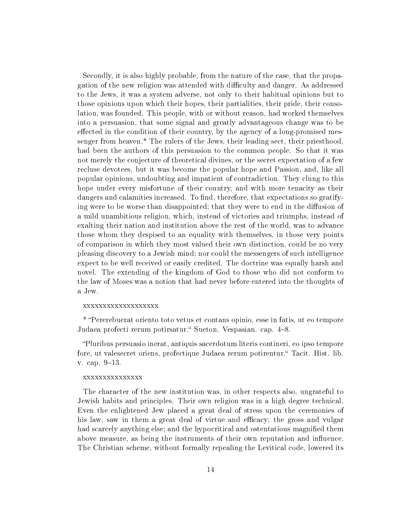Secondly, it is also highly probable, from the nature of the case, that the propagation of the new religion was attended with difficulty and danger. As addressed to the Jews, it was a system adverse, not only to their habitual opinions but to those opinions upon which their hopes, their partialities, their pride, their consolation, was founded. This people, with or without reason, had worked themselves into a persuasion, that some signal and greatly advantageous change was to be effected in the condition of their country, by the agency of a long-promised messenger from heaven.\* The rulers of the Jews, their leading sect, their priesthood, had been the authors of this persuasion to the common people. So that it was not merely the conjecture of theoretical divines, or the secret expectation of a few recluse devotees, but it was become the popular hope and Passion, and, like all popular opinions, undoubting and impatient of contradiction. They clung to this hope under every misfortune of their country, and with more tenacity as their dangers and calamities increased. To find, therefore, that expectations so gratifying were to be worse than disappointed; that they were to end in the diffusion of a mild unambitious religion, which, instead of victories and triumphs, instead of exalting their nation and institution above the rest of the world, was to advance those whom they despised to an equality with themselves, in those very points of comparison in which they most valued their own distinction, could be no very pleasing discovery to a Jewish mind; nor could the messengers of such intelligence expect to be well received or easily credited. The doctrine was equally harsh and novel. The extending of the kingdom of God to those who did not conform to the law of Moses was a notion that had never before entered into the thoughts of a Jew.

#### xxxxxxxxxxxxxxxxxxx

\* Pererebuerat oriento toto vetus et contans opinio, esse in fatis, ut eo tempore Judaea profecti rerum potirsatur." Sueton. Vespasian. cap. 4–8.

Pluribus persuasio inerat, antiquis sacerdotum literis contineri, eo ipso tempore fore, ut valesecret oriens, profectique Judaea rerum potirentur. Tacit. Hist. lib. v. cap. 9-13.

#### xxxxxxxxxxxxxxx

The character of the new institution was, in other respects also, ungrateful to Jewish habits and principles. Their own religion was in a high degree technical. Even the enlightened Jew placed a great deal of stress upon the ceremonies of his law, saw in them a great deal of virtue and efficacy; the gross and vulgar had scarcely anything else; and the hypocritical and ostentatious magnied them above measure, as being the instruments of their own reputation and influence. The Christian scheme, without formally repealing the Levitical code, lowered its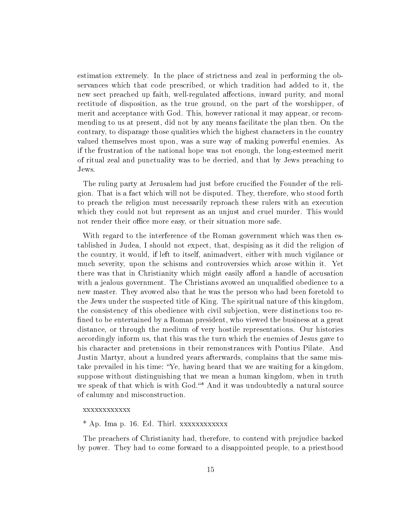estimation extremely. In the place of strictness and zeal in performing the observances which that code prescribed, or which tradition had added to it, the new sect preached up faith, well-regulated affections, inward purity, and moral rectitude of disposition, as the true ground, on the part of the worshipper, of merit and acceptance with God. This, however rational it may appear, or recommending to us at present, did not by any means facilitate the plan then. On the contrary, to disparage those qualities which the highest characters in the country valued themselves most upon, was a sure way of making powerful enemies. As if the frustration of the national hope was not enough, the long-esteemed merit of ritual zeal and punctuality was to be decried, and that by Jews preaching to Jews.

The ruling party at Jerusalem had just before crucified the Founder of the religion. That is a fact which will not be disputed. They, therefore, who stood forth to preach the religion must necessarily reproach these rulers with an execution which they could not but represent as an unjust and cruel murder. This would not render their office more easy, or their situation more safe.

With regard to the interference of the Roman government which was then established in Judea, I should not expect, that, despising as it did the religion of the country, it would, if left to itself, animadvert, either with much vigilance or much severity, upon the schisms and controversies which arose within it. Yet there was that in Christianity which might easily afford a handle of accusation with a jealous government. The Christians avowed an unqualified obedience to a new master. They avowed also that he was the person who had been foretold to the Jews under the suspected title of King. The spiritual nature of this kingdom, the consistency of this obedience with civil subjection, were distinctions too re fined to be entertained by a Roman president, who viewed the business at a great distance, or through the medium of very hostile representations. Our histories accordingly inform us, that this was the turn which the enemies of Jesus gave to his character and pretensions in their remonstrances with Pontius Pilate. And Justin Martyr, about a hundred years afterwards, complains that the same mistake prevailed in his time: Ye, having heard that we are waiting for a kingdom, suppose without distinguishing that we mean a human kingdom, when in truth we speak of that which is with God."\* And it was undoubtedly a natural source of calumny and misconstruction.

### xxxxxxxxxxxx

\* Ap. Ima p. 16. Ed. Thirl. xxxxxxxxxxxx

The preachers of Christianity had, therefore, to contend with prejudice backed by power. They had to come forward to a disappointed people, to a priesthood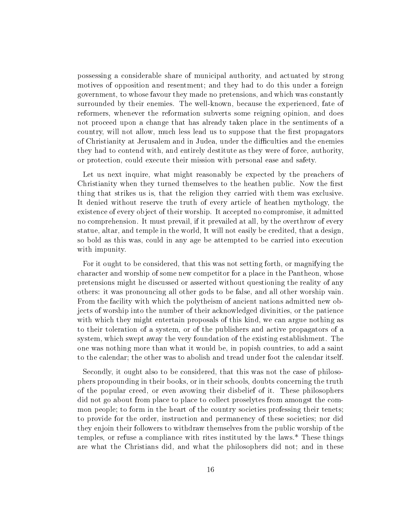possessing a considerable share of municipal authority, and actuated by strong motives of opposition and resentment; and they had to do this under a foreign government, to whose favour they made no pretensions, and which was constantly surrounded by their enemies. The well-known, because the experienced, fate of reformers, whenever the reformation subverts some reigning opinion, and does not proceed upon a change that has already taken place in the sentiments of a country, will not allow, much less lead us to suppose that the first propagators of Christianity at Jerusalem and in Judea, under the difficulties and the enemies they had to contend with, and entirely destitute as they were of force, authority, or protection, could execute their mission with personal ease and safety.

Let us next inquire, what might reasonably be expected by the preachers of Christianity when they turned themselves to the heathen public. Now the first thing that strikes us is, that the religion they carried with them was exclusive. It denied without reserve the truth of every article of heathen mythology, the existence of every object of their worship. It accepted no compromise, it admitted no comprehension. It must prevail, if it prevailed at all, by the overthrow of every statue, altar, and temple in the world, It will not easily be credited, that a design, so bold as this was, could in any age be attempted to be carried into execution with impunity.

For it ought to be considered, that this was not setting forth, or magnifying the character and worship of some new competitor for a place in the Pantheon, whose pretensions might he discussed or asserted without questioning the reality of any others: it was pronouncing all other gods to be false, and all other worship vain. From the facility with which the polytheism of ancient nations admitted new objects of worship into the number of their acknowledged divinities, or the patience with which they might entertain proposals of this kind, we can argue nothing as to their toleration of a system, or of the publishers and active propagators of a system, which swept away the very foundation of the existing establishment. The one was nothing more than what it would be, in popish countries, to add a saint to the calendar; the other was to abolish and tread under foot the calendar itself.

Secondly, it ought also to be considered, that this was not the case of philosophers propounding in their books, or in their schools, doubts concerning the truth of the popular creed, or even avowing their disbelief of it. These philosophers did not go about from place to place to collect proselytes from amongst the common people; to form in the heart of the country societies professing their tenets; to provide for the order, instruction and permanency of these societies; nor did they enjoin their followers to withdraw themselves from the public worship of the temples, or refuse a compliance with rites instituted by the laws.\* These things are what the Christians did, and what the philosophers did not; and in these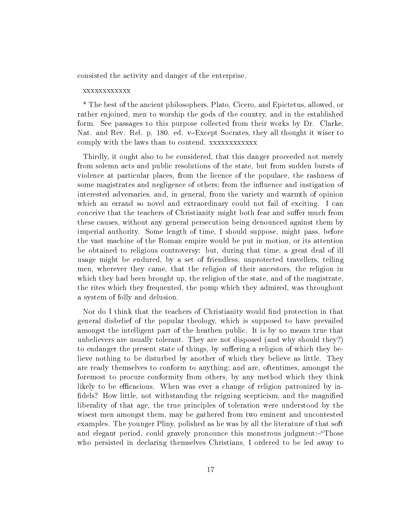consisted the activity and danger of the enterprise.

#### xxxxxxxxxxxx

\* The best of the ancient philosophers, Plato, Cicero, and Epictetus, allowed, or rather enjoined, men to worship the gods of the country, and in the established form. See passages to this purpose collected from their works by Dr. Clarke, Nat. and Rev. Rel. p. 180. ed. v–Except Socrates, they all thought it wiser to comply with the laws than to contend. xxxxxxxxxxxx

Thirdly, it ought also to be considered, that this danger proceeded not merely from solemn acts and public resolutions of the state, but from sudden bursts of violence at particular places, from the licence of the populace, the rashness of some magistrates and negligence of others; from the influence and instigation of interested adversaries, and, in general, from the variety and warmth of opinion which an errand so novel and extraordinary could not fail of exciting. I can conceive that the teachers of Christianity might both fear and suffer much from these causes, without any general persecution being denounced against them by imperial authority. Some length of time, I should suppose, might pass, before the vast machine of the Roman empire would be put in motion, or its attention be obtained to religious controversy: but, during that time, a great deal of ill usage might be endured, by a set of friendless, unprotected travellers, telling men, wherever they came, that the religion of their ancestors, the religion in which they had been brought up, the religion of the state, and of the magistrate, the rites which they frequented, the pomp which they admired, was throughout a system of folly and delusion.

Nor do I think that the teachers of Christianity would find protection in that general disbelief of the popular theology, which is supposed to have prevailed amongst the intelligent part of the heathen public. It is by no means true that unbelievers are usually tolerant. They are not disposed (and why should they?) to endanger the present state of things, by suffering a religion of which they believe nothing to be disturbed by another of which they believe as little. They are ready themselves to conform to anything; and are, oftentimes, amongst the foremost to procure conformity from others, by any method which they think likely to be efficacious. When was ever a change of religion patronized by infidels? How little, not withstanding the reigning scepticism, and the magnified liberality of that age, the true principles of toleration were understood by the wisest men amongst them, may be gathered from two eminent and uncontested examples. The younger Pliny, polished as he was by all the literature of that soft and elegant period, could gravely pronounce this monstrous judgment:-"Those who persisted in declaring themselves Christians, I ordered to be led away to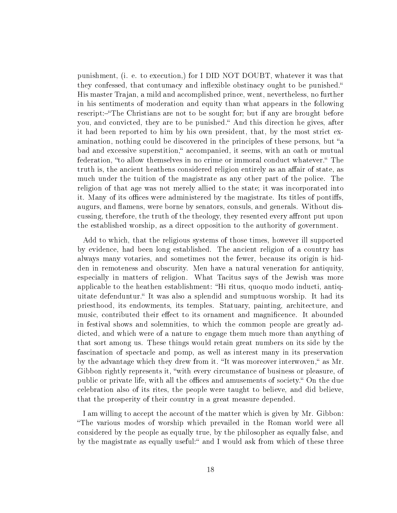punishment, (i. e. to execution,) for I DID NOT DOUBT, whatever it was that they confessed, that contumacy and inflexible obstinacy ought to be punished. His master Trajan, a mild and accomplished prince, went, nevertheless, no further in his sentiments of moderation and equity than what appears in the following rescript:-"The Christians are not to be sought for; but if any are brought before you, and convicted, they are to be punished. And this direction he gives, after it had been reported to him by his own president, that, by the most strict examination, nothing could be discovered in the principles of these persons, but "a bad and excessive superstition," accompanied, it seems, with an oath or mutual federation, "to allow themselves in no crime or immoral conduct whatever." The truth is, the ancient heathens considered religion entirely as an affair of state, as much under the tuition of the magistrate as any other part of the police. The religion of that age was not merely allied to the state; it was incorporated into it. Many of its offices were administered by the magistrate. Its titles of pontiffs, augurs, and flamens, were borne by senators, consuls, and generals. Without discussing, therefore, the truth of the theology, they resented every affront put upon the established worship, as a direct opposition to the authority of government.

Add to which, that the religious systems of those times, however ill supported by evidence, had been long established. The ancient religion of a country has always many votaries, and sometimes not the fewer, because its origin is hidden in remoteness and obscurity. Men have a natural veneration for antiquity, especially in matters of religion. What Tacitus says of the Jewish was more applicable to the heathen establishment: "Hi ritus, quoquo modo inducti, antiquitate defenduntur. It was also a splendid and sumptuous worship. It had its priesthood, its endowments, its temples. Statuary, painting, architecture, and music, contributed their effect to its ornament and magnificence. It abounded in festival shows and solemnities, to which the common people are greatly addicted, and which were of a nature to engage them much more than anything of that sort among us. These things would retain great numbers on its side by the fascination of spectacle and pomp, as well as interest many in its preservation by the advantage which they drew from it. "It was moreover interwoven," as Mr. Gibbon rightly represents it, "with every circumstance of business or pleasure, of public or private life, with all the offices and amusements of society. On the due celebration also of its rites, the people were taught to believe, and did believe, that the prosperity of their country in a great measure depended.

I am willing to accept the account of the matter which is given by Mr. Gibbon: The various modes of worship which prevailed in the Roman world were all considered by the people as equally true, by the philosopher as equally false, and by the magistrate as equally useful:" and I would ask from which of these three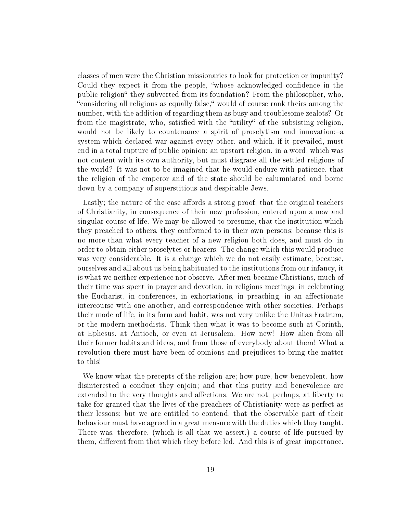classes of men were the Christian missionaries to look for protection or impunity? Could they expect it from the people, "whose acknowledged confidence in the public religion they subverted from its foundation? From the philosopher, who, "considering all religious as equally false," would of course rank theirs among the number, with the addition of regarding them as busy and troublesome zealots? Or from the magistrate, who, satisfied with the "utility" of the subsisting religion, would not be likely to countenance a spirit of proselytism and innovation:-a system which declared war against every other, and which, if it prevailed, must end in a total rupture of public opinion; an upstart religion, in a word, which was not content with its own authority, but must disgrace all the settled religions of the world? It was not to be imagined that he would endure with patience, that the religion of the emperor and of the state should be calumniated and borne down by a company of superstitious and despicable Jews.

Lastly; the nature of the case affords a strong proof, that the original teachers of Christianity, in consequence of their new profession, entered upon a new and singular course of life. We may be allowed to presume, that the institution which they preached to others, they conformed to in their own persons; because this is no more than what every teacher of a new religion both does, and must do, in order to obtain either proselytes or hearers. The change which this would produce was very considerable. It is a change which we do not easily estimate, because, ourselves and all about us being habituated to the institutions from our infancy, it is what we neither experience nor observe. After men became Christians, much of their time was spent in prayer and devotion, in religious meetings, in celebrating the Eucharist, in conferences, in exhortations, in preaching, in an affectionate intercourse with one another, and correspondence with other societies. Perhaps their mode of life, in its form and habit, was not very unlike the Unitas Fratrum, or the modern methodists. Think then what it was to become such at Corinth, at Ephesus, at Antioch, or even at Jerusalem. How new! How alien from all their former habits and ideas, and from those of everybody about them! What a revolution there must have been of opinions and prejudices to bring the matter to this!

We know what the precepts of the religion are; how pure, how benevolent, how disinterested a conduct they enjoin; and that this purity and benevolence are extended to the very thoughts and affections. We are not, perhaps, at liberty to take for granted that the lives of the preachers of Christianity were as perfect as their lessons; but we are entitled to contend, that the observable part of their behaviour must have agreed in a great measure with the duties which they taught. There was, therefore, (which is all that we assert,) a course of life pursued by them, different from that which they before led. And this is of great importance.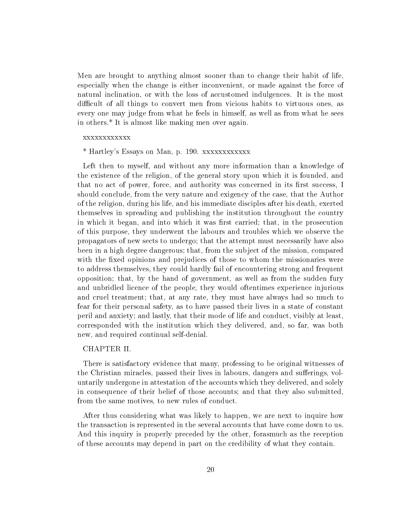Men are brought to anything almost sooner than to change their habit of life, especially when the change is either inconvenient, or made against the force of natural inclination, or with the loss of accustomed indulgences. It is the most difficult of all things to convert men from vicious habits to virtuous ones, as every one may judge from what he feels in himself, as well as from what he sees in others.\* It is almost like making men over again.

### xxxxxxxxxxxx

\* Hartley's Essays on Man, p. 190. xxxxxxxxxxxx

Left then to myself, and without any more information than a knowledge of the existence of the religion, of the general story upon which it is founded, and that no act of power, force, and authority was concerned in its first success, I should conclude, from the very nature and exigency of the case, that the Author of the religion, during his life, and his immediate disciples after his death, exerted themselves in spreading and publishing the institution throughout the country in which it began, and into which it was first carried; that, in the prosecution of this purpose, they underwent the labours and troubles which we observe the propagators of new sects to undergo; that the attempt must necessarily have also been in a high degree dangerous; that, from the subject of the mission, compared with the fixed opinions and prejudices of those to whom the missionaries were to address themselves, they could hardly fail of encountering strong and frequent opposition; that, by the hand of government, as well as from the sudden fury and unbridled licence of the people, they would oftentimes experience injurious and cruel treatment; that, at any rate, they must have always had so much to fear for their personal safety, as to have passed their lives in a state of constant peril and anxiety; and lastly, that their mode of life and conduct, visibly at least, corresponded with the institution which they delivered, and, so far, was both new, and required continual self-denial.

#### CHAPTER II.

There is satisfactory evidence that many, professing to be original witnesses of the Christian miracles, passed their lives in labours, dangers and sufferings, voluntarily undergone in attestation of the accounts which they delivered, and solely in consequence of their belief of those accounts; and that they also submitted, from the same motives, to new rules of conduct.

After thus considering what was likely to happen, we are next to inquire how the transaction is represented in the several accounts that have come down to us. And this inquiry is properly preceded by the other, forasmuch as the reception of these accounts may depend in part on the credibility of what they contain.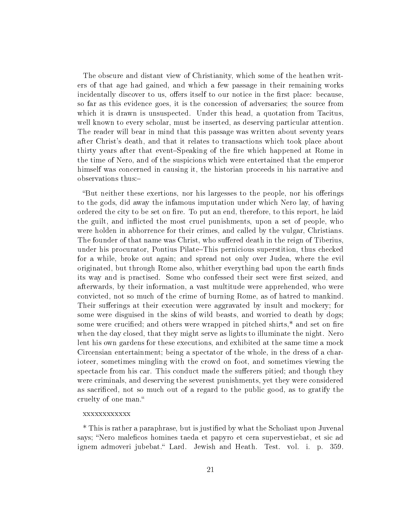The obscure and distant view of Christianity, which some of the heathen writers of that age had gained, and which a few passage in their remaining works incidentally discover to us, offers itself to our notice in the first place: because, so far as this evidence goes, it is the concession of adversaries; the source from which it is drawn is unsuspected. Under this head, a quotation from Tacitus, well known to every scholar, must be inserted, as deserving particular attention. The reader will bear in mind that this passage was written about seventy years after Christ's death, and that it relates to transactions which took place about thirty years after that event-Speaking of the fire which happened at Rome in the time of Nero, and of the suspicions which were entertained that the emperor himself was concerned in causing it, the historian proceeds in his narrative and observations thus:

"But neither these exertions, nor his largesses to the people, nor his offerings to the gods, did away the infamous imputation under which Nero lay, of having ordered the city to be set on fire. To put an end, therefore, to this report, he laid the guilt, and inflicted the most cruel punishments, upon a set of people, who were holden in abhorrence for their crimes, and called by the vulgar, Christians. The founder of that name was Christ, who suffered death in the reign of Tiberius. under his procurator, Pontius Pilate–This pernicious superstition, thus checked for a while, broke out again; and spread not only over Judea, where the evil originated, but through Rome also, whither everything bad upon the earth finds its way and is practised. Some who confessed their sect were first seized, and afterwards, by their information, a vast multitude were apprehended, who were convicted, not so much of the crime of burning Rome, as of hatred to mankind. Their sufferings at their execution were aggravated by insult and mockery; for some were disguised in the skins of wild beasts, and worried to death by dogs; some were crucified; and others were wrapped in pitched shirts,\* and set on fire when the day closed, that they might serve as lights to illuminate the night. Nero lent his own gardens for these executions, and exhibited at the same time a mock Circensian entertainment; being a spectator of the whole, in the dress of a charioteer, sometimes mingling with the crowd on foot, and sometimes viewing the spectacle from his car. This conduct made the sufferers pitied; and though they were criminals, and deserving the severest punishments, yet they were considered as sacrificed, not so much out of a regard to the public good, as to gratify the cruelty of one man.

#### xxxxxxxxxxxx

\* This is rather a paraphrase, but is justied by what the Scholiast upon Juvenal says; "Nero maleficos homines taeda et papyro et cera supervestiebat, et sic ad ignem admoveri jubebat. Lard. Jewish and Heath. Test. vol. i. p. 359.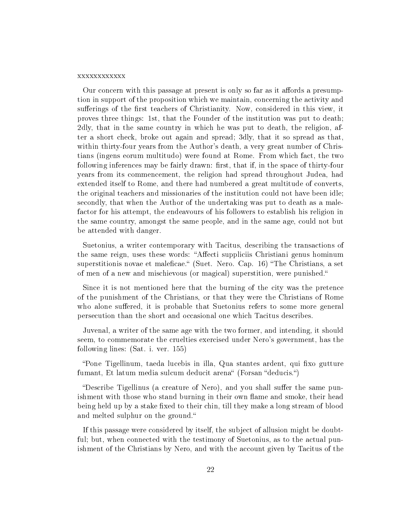#### xxxxxxxxxxxx

Our concern with this passage at present is only so far as it affords a presumption in support of the proposition which we maintain, concerning the activity and sufferings of the first teachers of Christianity. Now, considered in this view, it proves three things: 1st, that the Founder of the institution was put to death; 2dly, that in the same country in which he was put to death, the religion, after a short check, broke out again and spread; 3dly, that it so spread as that, within thirty-four years from the Author's death, a very great number of Christians (ingens eorum multitudo) were found at Rome. From which fact, the two following inferences may be fairly drawn: first, that if, in the space of thirty-four years from its commencement, the religion had spread throughout Judea, had extended itself to Rome, and there had numbered a great multitude of converts, the original teachers and missionaries of the institution could not have been idle; secondly, that when the Author of the undertaking was put to death as a malefactor for his attempt, the endeavours of his followers to establish his religion in the same country, amongst the same people, and in the same age, could not but be attended with danger.

Suetonius, a writer contemporary with Tacitus, describing the transactions of the same reign, uses these words: "Affecti suppliciis Christiani genus hominum superstitionis novae et maleficae. (Suet. Nero. Cap. 16) "The Christians, a set of men of a new and mischievous (or magical) superstition, were punished.

Since it is not mentioned here that the burning of the city was the pretence of the punishment of the Christians, or that they were the Christians of Rome who alone suffered, it is probable that Suetonius refers to some more general persecution than the short and occasional one which Tacitus describes.

Juvenal, a writer of the same age with the two former, and intending, it should seem, to commemorate the cruelties exercised under Nero's government, has the following lines: (Sat. i. ver. 155)

"Pone Tigellinum, taeda lucebis in illa, Qua stantes ardent, qui fixo gutture fumant, Et latum media sulcum deducit arena" (Forsan "deducis.")

"Describe Tigellinus (a creature of Nero), and you shall suffer the same punishment with those who stand burning in their own flame and smoke, their head being held up by a stake fixed to their chin, till they make a long stream of blood and melted sulphur on the ground.

If this passage were considered by itself, the subject of allusion might be doubtful; but, when connected with the testimony of Suetonius, as to the actual punishment of the Christians by Nero, and with the account given by Tacitus of the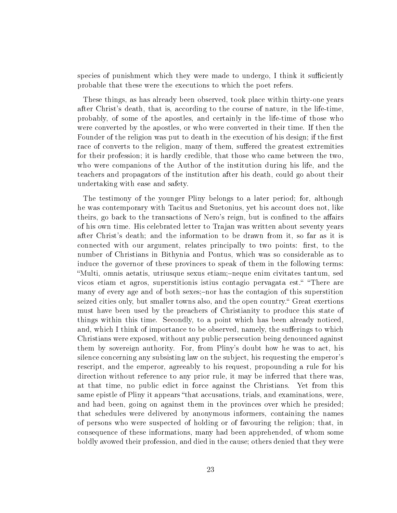species of punishment which they were made to undergo, I think it sufficiently probable that these were the executions to which the poet refers.

These things, as has already been observed, took place within thirty-one years after Christ's death, that is, according to the course of nature, in the life-time, probably, of some of the apostles, and certainly in the life-time of those who were converted by the apostles, or who were converted in their time. If then the Founder of the religion was put to death in the execution of his design; if the first race of converts to the religion, many of them, suffered the greatest extremities for their profession; it is hardly credible, that those who came between the two, who were companions of the Author of the institution during his life, and the teachers and propagators of the institution after his death, could go about their undertaking with ease and safety.

The testimony of the younger Pliny belongs to a later period; for, although he was contemporary with Tacitus and Suetonius, yet his account does not, like theirs, go back to the transactions of Nero's reign, but is confined to the affairs of his own time. His celebrated letter to Trajan was written about seventy years after Christ's death; and the information to be drawn from it, so far as it is connected with our argument, relates principally to two points: first, to the number of Christians in Bithynia and Pontus, which was so considerable as to induce the governor of these provinces to speak of them in the following terms: "Multi, omnis aetatis, utriusque sexus etiam;-neque enim civitates tantum, sed vicos etiam et agros, superstitionis istius contagio pervagata est. "There are many of every age and of both sexes;-nor has the contagion of this superstition seized cities only, but smaller towns also, and the open country." Great exertions must have been used by the preachers of Christianity to produce this state of things within this time. Secondly, to a point which has been already noticed, and, which I think of importance to be observed, namely, the sufferings to which Christians were exposed, without any public persecution being denounced against them by sovereign authority. For, from Pliny's doubt how he was to act, his silence concerning any subsisting law on the subject, his requesting the emperor's rescript, and the emperor, agreeably to his request, propounding a rule for his direction without reference to any prior rule, it may be inferred that there was, at that time, no public edict in force against the Christians. Yet from this same epistle of Pliny it appears "that accusations, trials, and examinations, were, and had been, going on against them in the provinces over which he presided; that schedules were delivered by anonymous informers, containing the names of persons who were suspected of holding or of favouring the religion; that, in consequence of these informations, many had been apprehended, of whom some boldly avowed their profession, and died in the cause; others denied that they were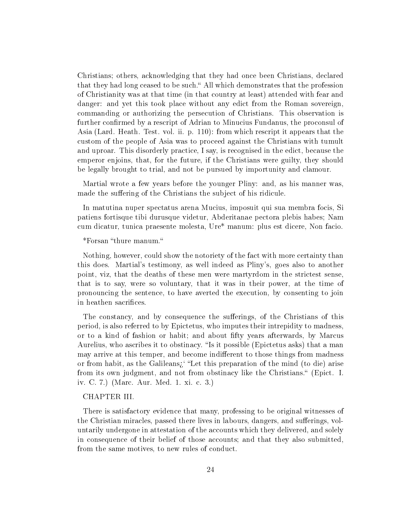Christians; others, acknowledging that they had once been Christians, declared that they had long ceased to be such." All which demonstrates that the profession of Christianity was at that time (in that country at least) attended with fear and danger: and yet this took place without any edict from the Roman sovereign, commanding or authorizing the persecution of Christians. This observation is further confirmed by a rescript of Adrian to Minucius Fundanus, the proconsul of Asia (Lard. Heath. Test. vol. ii. p. 110): from which rescript it appears that the custom of the people of Asia was to proceed against the Christians with tumult and uproar. This disorderly practice, I say, is recognised in the edict, because the emperor enjoins, that, for the future, if the Christians were guilty, they should be legally brought to trial, and not be pursued by importunity and clamour.

Martial wrote a few years before the younger Pliny: and, as his manner was, made the suffering of the Christians the subject of his ridicule.

In matutina nuper spectatus arena Mucius, imposuit qui sua membra focis, Si patiens fortisque tibi durusque videtur, Abderitanae pectora plebis habes; Nam cum dicatur, tunica praesente molesta, Ure\* manum: plus est dicere, Non facio.

### \*Forsan "thure manum."

Nothing, however, could show the notoriety of the fact with more certainty than this does. Martial's testimony, as well indeed as Pliny's, goes also to another point, viz, that the deaths of these men were martyrdom in the strictest sense, that is to say, were so voluntary, that it was in their power, at the time of pronouncing the sentence, to have averted the execution, by consenting to join in heathen sacrifices.

The constancy, and by consequence the sufferings, of the Christians of this period, is also referred to by Epictetus, who imputes their intrepidity to madness, or to a kind of fashion or habit; and about fty years afterwards, by Marcus Aurelius, who ascribes it to obstinacy. "Is it possible (Epictetus asks) that a man may arrive at this temper, and become indifferent to those things from madness or from habit, as the Galileans; "Let this preparation of the mind (to die) arise from its own judgment, and not from obstinacy like the Christians." (Epict. I. iv. C. 7.) (Marc. Aur. Med. 1. xi. c. 3.)

#### CHAPTER III.

There is satisfactory evidence that many, professing to be original witnesses of the Christian miracles, passed there lives in labours, dangers, and sufferings, voluntarily undergone in attestation of the accounts which they delivered, and solely in consequence of their belief of those accounts; and that they also submitted, from the same motives, to new rules of conduct.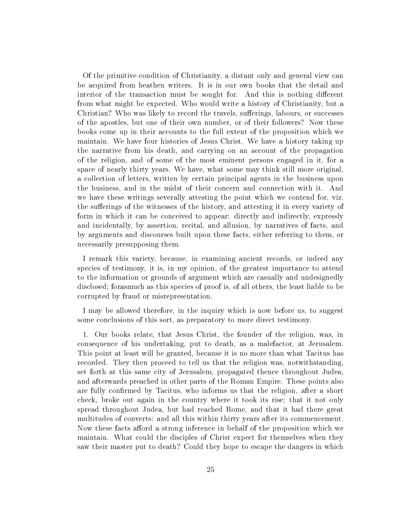Of the primitive condition of Christianity, a distant only and general view can be acquired from heathen writers. It is in our own books that the detail and interior of the transaction must be sought for. And this is nothing different from what might be expected. Who would write a history of Christianity, but a Christian? Who was likely to record the travels, sufferings, labours, or successes of the apostles, but one of their own number, or of their followers? Now these books come up in their accounts to the full extent of the proposition which we maintain. We have four histories of Jesus Christ. We have a history taking up the narrative from his death, and carrying on an account of the propagation of the religion, and of some of the most eminent persons engaged in it, for a space of nearly thirty years. We have, what some may think still more original, a collection of letters, written by certain principal agents in the business upon the business, and in the midst of their concern and connection with it. And we have these writings severally attesting the point which we contend for, viz. the sufferings of the witnesses of the history, and attesting it in every variety of form in which it can be conceived to appear: directly and indirectly, expressly and incidentally, by assertion, recital, and allusion, by narratives of facts, and by arguments and discourses built upon these facts, either referring to them, or necessarily presupposing them.

I remark this variety, because, in examining ancient records, or indeed any species of testimony, it is, in my opinion, of the greatest importance to attend to the information or grounds of argument which are casually and undesignedly disclosed; forasmuch as this species of proof is, of all others, the least liable to be corrupted by fraud or misrepresentation.

I may be allowed therefore, in the inquiry which is now before us, to suggest some conclusions of this sort, as preparatory to more direct testimony.

1. Our books relate, that Jesus Christ, the founder of the religion, was, in consequence of his undertaking, put to death, as a malefactor, at Jerusalem. This point at least will be granted, because it is no more than what Tacitus has recorded. They then proceed to tell us that the religion was, notwithstanding, set forth at this same city of Jerusalem, propagated thence throughout Judea, and afterwards preached in other parts of the Roman Empire. These points also are fully confirmed by Tacitus, who informs us that the religion, after a short check, broke out again in the country where it took its rise; that it not only spread throughout Judea, but had reached Rome, and that it had there great multitudes of converts: and all this within thirty years after its commencement. Now these facts afford a strong inference in behalf of the proposition which we maintain. What could the disciples of Christ expect for themselves when they saw their master put to death? Could they hope to escape the dangers in which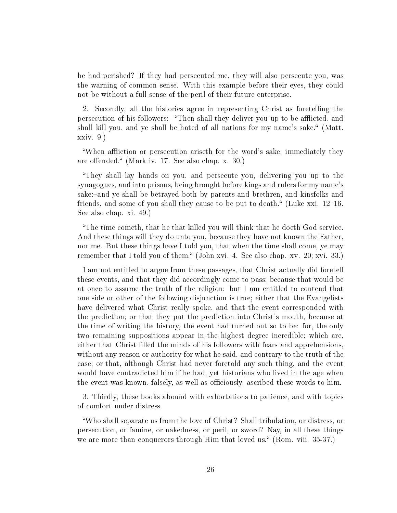he had perished? If they had persecuted me, they will also persecute you, was the warning of common sense. With this example before their eyes, they could not be without a full sense of the peril of their future enterprise.

2. Secondly, all the histories agree in representing Christ as foretelling the persecution of his followers:- "Then shall they deliver you up to be afflicted, and shall kill you, and ye shall be hated of all nations for my name's sake." (Matt. xxiv. 9.)

"When affliction or persecution ariseth for the word's sake, immediately they are offended." (Mark iv. 17. See also chap. x.  $30.$ )

They shall lay hands on you, and persecute you, delivering you up to the synagogues, and into prisons, being brought before kings and rulers for my name's sake:-and ye shall be betrayed both by parents and brethren, and kinsfolks and friends, and some of you shall they cause to be put to death." (Luke xxi.  $12-16$ . See also chap. xi. 49.)

The time cometh, that he that killed you will think that he doeth God service. And these things will they do unto you, because they have not known the Father, nor me. But these things have I told you, that when the time shall come, ye may remember that I told you of them." (John xvi. 4. See also chap. xv. 20; xvi. 33.)

I am not entitled to argue from these passages, that Christ actually did foretell these events, and that they did accordingly come to pass; because that would be at once to assume the truth of the religion: but I am entitled to contend that one side or other of the following disjunction is true; either that the Evangelists have delivered what Christ really spoke, and that the event corresponded with the prediction; or that they put the prediction into Christ's mouth, because at the time of writing the history, the event had turned out so to be: for, the only two remaining suppositions appear in the highest degree incredible; which are, either that Christ filled the minds of his followers with fears and apprehensions, without any reason or authority for what he said, and contrary to the truth of the case; or that, although Christ had never foretold any such thing, and the event would have contradicted him if he had, yet historians who lived in the age when the event was known, falsely, as well as officiously, ascribed these words to him.

3. Thirdly, these books abound with exhortations to patience, and with topics of comfort under distress.

Who shall separate us from the love of Christ? Shall tribulation, or distress, or persecution, or famine, or nakedness, or peril, or sword? Nay, in all these things we are more than conquerors through Him that loved us. (Rom. viii. 35-37.)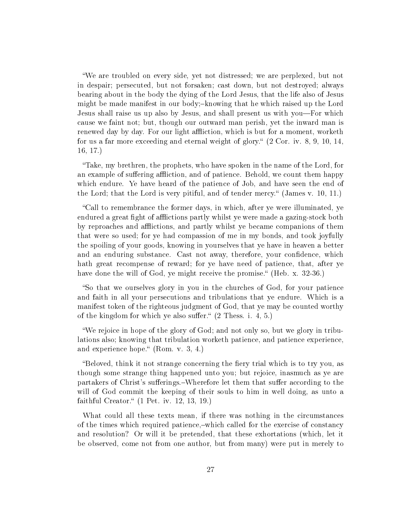We are troubled on every side, yet not distressed; we are perplexed, but not in despair; persecuted, but not forsaken; cast down, but not destroyed; always bearing about in the body the dying of the Lord Jesus, that the life also of Jesus might be made manifest in our body;-knowing that he which raised up the Lord Jesus shall raise us up also by Jesus, and shall present us with you—For which cause we faint not; but, though our outward man perish, yet the inward man is renewed day by day. For our light affliction, which is but for a moment, worketh for us a far more exceeding and eternal weight of glory. (2 Cor. iv. 8, 9, 10, 14, 16, 17.)

Take, my brethren, the prophets, who have spoken in the name of the Lord, for an example of suffering affliction, and of patience. Behold, we count them happy which endure. Ye have heard of the patience of Job, and have seen the end of the Lord; that the Lord is very pitiful, and of tender mercy. (James v. 10, 11.)

Call to remembrance the former days, in which, after ye were illuminated, ye endured a great fight of afflictions partly whilst ye were made a gazing-stock both by reproaches and afflictions, and partly whilst ye became companions of them that were so used; for ye had compassion of me in my bonds, and took joyfully the spoiling of your goods, knowing in yourselves that ye have in heaven a better and an enduring substance. Cast not away, therefore, your confidence, which hath great recompense of reward; for ye have need of patience, that, after ye have done the will of God, ye might receive the promise." (Heb. x. 32-36.)

So that we ourselves glory in you in the churches of God, for your patience and faith in all your persecutions and tribulations that ye endure. Which is a manifest token of the righteous judgment of God, that ye may be counted worthy of the kingdom for which ye also suffer.  $(2 \text{ Thess. } i. 4, 5.)$ 

We rejoice in hope of the glory of God; and not only so, but we glory in tribulations also; knowing that tribulation worketh patience, and patience experience, and experience hope."  $(Rom. v. 3, 4.)$ 

"Beloved, think it not strange concerning the fiery trial which is to try you, as though some strange thing happened unto you; but rejoice, inasmuch as ye are partakers of Christ's sufferings.–Wherefore let them that suffer according to the will of God commit the keeping of their souls to him in well doing, as unto a faithful Creator." (1 Pet. iv. 12, 13, 19.)

What could all these texts mean, if there was nothing in the circumstances of the times which required patience,-which called for the exercise of constancy and resolution? Or will it be pretended, that these exhortations (which, let it be observed, come not from one author, but from many) were put in merely to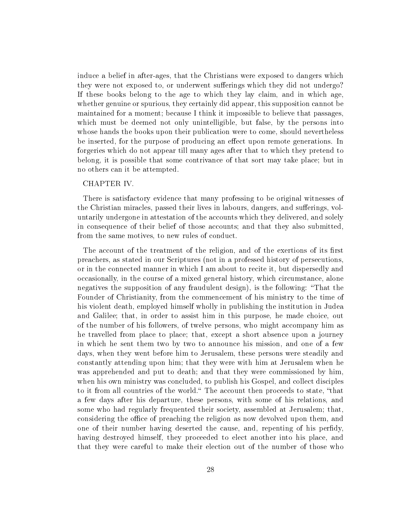induce a belief in after-ages, that the Christians were exposed to dangers which they were not exposed to, or underwent sufferings which they did not undergo? If these books belong to the age to which they lay claim, and in which age, whether genuine or spurious, they certainly did appear, this supposition cannot be maintained for a moment; because I think it impossible to believe that passages, which must be deemed not only unintelligible, but false, by the persons into whose hands the books upon their publication were to come, should nevertheless be inserted, for the purpose of producing an effect upon remote generations. In forgeries which do not appear till many ages after that to which they pretend to belong, it is possible that some contrivance of that sort may take place; but in no others can it be attempted.

### CHAPTER IV.

There is satisfactory evidence that many professing to be original witnesses of the Christian miracles, passed their lives in labours, dangers, and sufferings, voluntarily undergone in attestation of the accounts which they delivered, and solely in consequence of their belief of those accounts; and that they also submitted, from the same motives, to new rules of conduct.

The account of the treatment of the religion, and of the exertions of its first preachers, as stated in our Scriptures (not in a professed history of persecutions, or in the connected manner in which I am about to recite it, but dispersedly and occasionally, in the course of a mixed general history, which circumstance, alone negatives the supposition of any fraudulent design), is the following: That the Founder of Christianity, from the commencement of his ministry to the time of his violent death, employed himself wholly in publishing the institution in Judea and Galilee; that, in order to assist him in this purpose, he made choice, out of the number of his followers, of twelve persons, who might accompany him as he travelled from place to place; that, except a short absence upon a journey in which he sent them two by two to announce his mission, and one of a few days, when they went before him to Jerusalem, these persons were steadily and constantly attending upon him; that they were with him at Jerusalem when he was apprehended and put to death; and that they were commissioned by him, when his own ministry was concluded, to publish his Gospel, and collect disciples to it from all countries of the world. The account then proceeds to state, "that a few days after his departure, these persons, with some of his relations, and some who had regularly frequented their society, assembled at Jerusalem; that, considering the office of preaching the religion as now devolved upon them, and one of their number having deserted the cause, and, repenting of his perdy, having destroyed himself, they proceeded to elect another into his place, and that they were careful to make their election out of the number of those who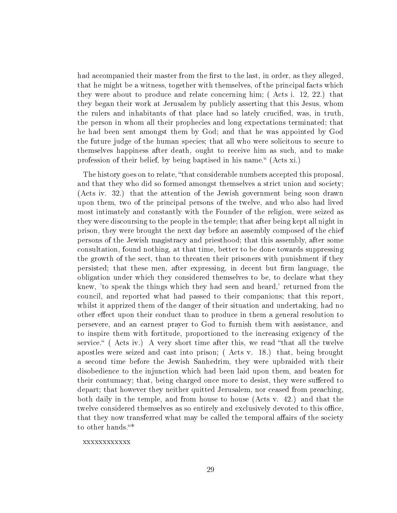had accompanied their master from the first to the last, in order, as they alleged, that he might be a witness, together with themselves, of the principal facts which they were about to produce and relate concerning him; ( Acts i. 12, 22.) that they began their work at Jerusalem by publicly asserting that this Jesus, whom the rulers and inhabitants of that place had so lately crucified, was, in truth, the person in whom all their prophecies and long expectations terminated; that he had been sent amongst them by God; and that he was appointed by God the future judge of the human species; that all who were solicitous to secure to themselves happiness after death, ought to receive him as such, and to make profession of their belief, by being baptised in his name." (Acts xi.)

The history goes on to relate, "that considerable numbers accepted this proposal, and that they who did so formed amongst themselves a strict union and society; (Acts iv. 32.) that the attention of the Jewish government being soon drawn upon them, two of the principal persons of the twelve, and who also had lived most intimately and constantly with the Founder of the religion, were seized as they were discoursing to the people in the temple; that after being kept all night in prison, they were brought the next day before an assembly composed of the chief persons of the Jewish magistracy and priesthood; that this assembly, after some consultation, found nothing, at that time, better to be done towards suppressing the growth of the sect, than to threaten their prisoners with punishment if they persisted; that these men, after expressing, in decent but firm language, the obligation under which they considered themselves to be, to declare what they knew, 'to speak the things which they had seen and heard,' returned from the council, and reported what had passed to their companions; that this report, whilst it apprized them of the danger of their situation and undertaking, had no other effect upon their conduct than to produce in them a general resolution to persevere, and an earnest prayer to God to furnish them with assistance, and to inspire them with fortitude, proportioned to the increasing exigency of the service.  $($  Acts iv.) A very short time after this, we read "that all the twelve apostles were seized and cast into prison; ( Acts v. 18.) that, being brought a second time before the Jewish Sanhedrim, they were upbraided with their disobedience to the injunction which had been laid upon them, and beaten for their contumacy; that, being charged once more to desist, they were suffered to depart; that however they neither quitted Jerusalem, nor ceased from preaching, both daily in the temple, and from house to house (Acts v. 42.) and that the twelve considered themselves as so entirely and exclusively devoted to this office, that they now transferred what may be called the temporal affairs of the society to other hands."\*

#### xxxxxxxxxxxx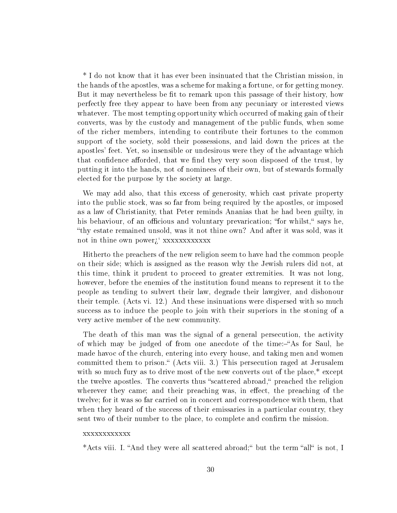\* I do not know that it has ever been insinuated that the Christian mission, in the hands of the apostles, was a scheme for making a fortune, or for getting money. But it may nevertheless be fit to remark upon this passage of their history, how perfectly free they appear to have been from any pecuniary or interested views whatever. The most tempting opportunity which occurred of making gain of their converts, was by the custody and management of the public funds, when some of the richer members, intending to contribute their fortunes to the common support of the society, sold their possessions, and laid down the prices at the apostles' feet. Yet, so insensible or undesirous were they of the advantage which that confidence afforded, that we find they very soon disposed of the trust, by putting it into the hands, not of nominees of their own, but of stewards formally elected for the purpose by the society at large.

We may add also, that this excess of generosity, which cast private property into the public stock, was so far from being required by the apostles, or imposed as a law of Christianity, that Peter reminds Ananias that he had been guilty, in his behaviour, of an officious and voluntary prevarication; "for whilst," says he, thy estate remained unsold, was it not thine own? And after it was sold, was it not in thine own power¾` xxxxxxxxxxxx

Hitherto the preachers of the new religion seem to have had the common people on their side; which is assigned as the reason why the Jewish rulers did not, at this time, think it prudent to proceed to greater extremities. It was not long, however, before the enemies of the institution found means to represent it to the people as tending to subvert their law, degrade their lawgiver, and dishonour their temple. (Acts vi. 12.) And these insinuations were dispersed with so much success as to induce the people to join with their superiors in the stoning of a very active member of the new community.

The death of this man was the signal of a general persecution, the activity of which may be judged of from one anecdote of the time:-"As for Saul, he made havoc of the church, entering into every house, and taking men and women committed them to prison." (Acts viii. 3.) This persecution raged at Jerusalem with so much fury as to drive most of the new converts out of the place,<sup>\*</sup> except the twelve apostles. The converts thus "scattered abroad," preached the religion wherever they came; and their preaching was, in effect, the preaching of the twelve; for it was so far carried on in concert and correspondence with them, that when they heard of the success of their emissaries in a particular country, they sent two of their number to the place, to complete and confirm the mission.

#### xxxxxxxxxxxx

\*Acts viii. I. "And they were all scattered abroad;" but the term "all" is not, I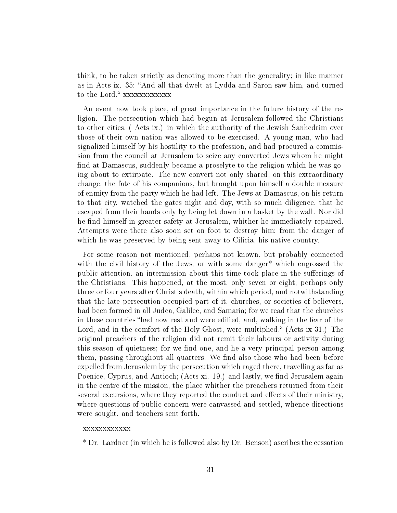think, to be taken strictly as denoting more than the generality; in like manner as in Acts ix. 35: "And all that dwelt at Lydda and Saron saw him, and turned to the Lord." xxxxxxxxxxxx

An event now took place, of great importance in the future history of the religion. The persecution which had begun at Jerusalem followed the Christians to other cities, ( Acts ix.) in which the authority of the Jewish Sanhedrim over those of their own nation was allowed to be exercised. A young man, who had signalized himself by his hostility to the profession, and had procured a commission from the council at Jerusalem to seize any converted Jews whom he might find at Damascus, suddenly became a proselyte to the religion which he was going about to extirpate. The new convert not only shared, on this extraordinary change, the fate of his companions, but brought upon himself a double measure of enmity from the party which he had left. The Jews at Damascus, on his return to that city, watched the gates night and day, with so much diligence, that he escaped from their hands only by being let down in a basket by the wall. Nor did he find himself in greater safety at Jerusalem, whither he immediately repaired. Attempts were there also soon set on foot to destroy him; from the danger of which he was preserved by being sent away to Cilicia, his native country.

For some reason not mentioned, perhaps not known, but probably connected with the civil history of the Jews, or with some danger\* which engrossed the public attention, an intermission about this time took place in the sufferings of the Christians. This happened, at the most, only seven or eight, perhaps only three or four years after Christ's death, within which period, and notwithstanding that the late persecution occupied part of it, churches, or societies of believers, had been formed in all Judea, Galilee, and Samaria; for we read that the churches in these countries "had now rest and were edified, and, walking in the fear of the Lord, and in the comfort of the Holy Ghost, were multiplied." (Acts ix 31.) The original preachers of the religion did not remit their labours or activity during this season of quietness; for we find one, and he a very principal person among them, passing throughout all quarters. We find also those who had been before expelled from Jerusalem by the persecution which raged there, travelling as far as Poenice, Cyprus, and Antioch; (Acts xi. 19.) and lastly, we find Jerusalem again in the centre of the mission, the place whither the preachers returned from their several excursions, where they reported the conduct and effects of their ministry, where questions of public concern were canvassed and settled, whence directions were sought, and teachers sent forth.

#### xxxxxxxxxxxx

\* Dr. Lardner (in which he is followed also by Dr. Benson) ascribes the cessation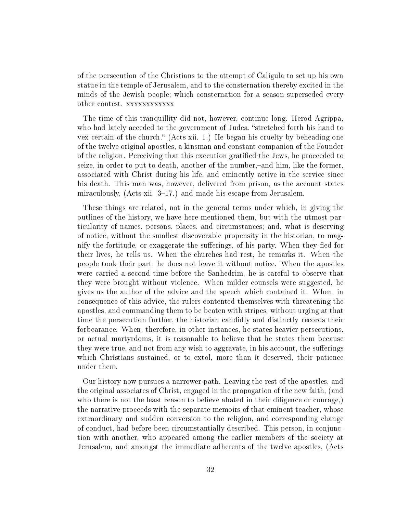of the persecution of the Christians to the attempt of Caligula to set up his own statue in the temple of Jerusalem, and to the consternation thereby excited in the minds of the Jewish people; which consternation for a season superseded every other contest. xxxxxxxxxxxx

The time of this tranquillity did not, however, continue long. Herod Agrippa, who had lately acceded to the government of Judea, "stretched forth his hand to vex certain of the church. (Acts xii. 1.) He began his cruelty by beheading one of the twelve original apostles, a kinsman and constant companion of the Founder of the religion. Perceiving that this execution gratified the Jews, he proceeded to seize, in order to put to death, another of the number,-and him, like the former, associated with Christ during his life, and eminently active in the service since his death. This man was, however, delivered from prison, as the account states miraculously,  $(Acts xii. 3-17.)$  and made his escape from Jerusalem.

These things are related, not in the general terms under which, in giving the outlines of the history, we have here mentioned them, but with the utmost particularity of names, persons, places, and circumstances; and, what is deserving of notice, without the smallest discoverable propensity in the historian, to magnify the fortitude, or exaggerate the sufferings, of his party. When they fled for their lives, he tells us. When the churches had rest, he remarks it. When the people took their part, he does not leave it without notice. When the apostles were carried a second time before the Sanhedrim, he is careful to observe that they were brought without violence. When milder counsels were suggested, he gives us the author of the advice and the speech which contained it. When, in consequence of this advice, the rulers contented themselves with threatening the apostles, and commanding them to be beaten with stripes, without urging at that time the persecution further, the historian candidly and distinctly records their forbearance. When, therefore, in other instances, he states heavier persecutions, or actual martyrdoms, it is reasonable to believe that he states them because they were true, and not from any wish to aggravate, in his account, the sufferings which Christians sustained, or to extol, more than it deserved, their patience under them.

Our history now pursues a narrower path. Leaving the rest of the apostles, and the original associates of Christ, engaged in the propagation of the new faith, (and who there is not the least reason to believe abated in their diligence or courage,) the narrative proceeds with the separate memoirs of that eminent teacher, whose extraordinary and sudden conversion to the religion, and corresponding change of conduct, had before been circumstantially described. This person, in conjunction with another, who appeared among the earlier members of the society at Jerusalem, and amongst the immediate adherents of the twelve apostles, (Acts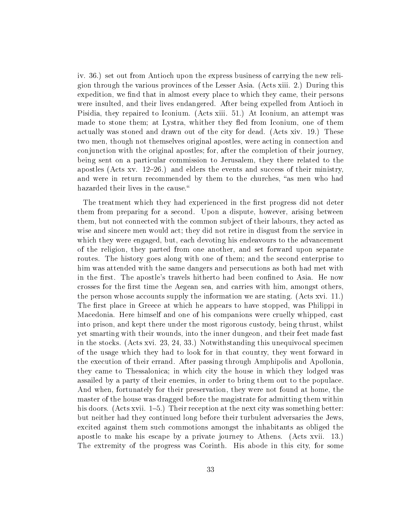iv. 36.) set out from Antioch upon the express business of carrying the new religion through the various provinces of the Lesser Asia. (Acts xiii. 2.) During this expedition, we find that in almost every place to which they came, their persons were insulted, and their lives endangered. After being expelled from Antioch in Pisidia, they repaired to Iconium. (Acts xiii. 51.) At Iconium, an attempt was made to stone them; at Lystra, whither they fled from Iconium, one of them actually was stoned and drawn out of the city for dead. (Acts xiv. 19.) These two men, though not themselves original apostles, were acting in connection and conjunction with the original apostles; for, after the completion of their journey, being sent on a particular commission to Jerusalem, they there related to the apostles (Acts xv.  $12-26$ .) and elders the events and success of their ministry, and were in return recommended by them to the churches, "as men who had hazarded their lives in the cause."

The treatment which they had experienced in the first progress did not deter them from preparing for a second. Upon a dispute, however, arising between them, but not connected with the common subject of their labours, they acted as wise and sincere men would act; they did not retire in disgust from the service in which they were engaged, but, each devoting his endeavours to the advancement of the religion, they parted from one another, and set forward upon separate routes. The history goes along with one of them; and the second enterprise to him was attended with the same dangers and persecutions as both had met with in the first. The apostle's travels hitherto had been confined to Asia. He now crosses for the first time the Aegean sea, and carries with him, amongst others, the person whose accounts supply the information we are stating. (Acts xvi. 11.) The first place in Greece at which he appears to have stopped, was Philippi in Macedonia. Here himself and one of his companions were cruelly whipped, cast into prison, and kept there under the most rigorous custody, being thrust, whilst yet smarting with their wounds, into the inner dungeon, and their feet made fast in the stocks. (Acts xvi. 23, 24, 33.) Notwithstanding this unequivocal specimen of the usage which they had to look for in that country, they went forward in the execution of their errand. After passing through Amphipolis and Apollonia, they came to Thessalonica; in which city the house in which they lodged was assailed by a party of their enemies, in order to bring them out to the populace. And when, fortunately for their preservation, they were not found at home, the master of the house was dragged before the magistrate for admitting them within his doors. (Acts xvii.  $1-5$ .) Their reception at the next city was something better: but neither had they continued long before their turbulent adversaries the Jews, excited against them such commotions amongst the inhabitants as obliged the apostle to make his escape by a private journey to Athens. (Acts xvii. 13.) The extremity of the progress was Corinth. His abode in this city, for some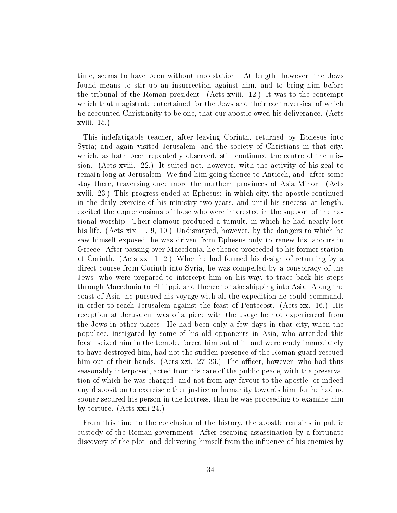time, seems to have been without molestation. At length, however, the Jews found means to stir up an insurrection against him, and to bring him before the tribunal of the Roman president. (Acts xviii. 12.) It was to the contempt which that magistrate entertained for the Jews and their controversies, of which he accounted Christianity to be one, that our apostle owed his deliverance. (Acts xviii. 15.)

This indefatigable teacher, after leaving Corinth, returned by Ephesus into Syria; and again visited Jerusalem, and the society of Christians in that city, which, as hath been repeatedly observed, still continued the centre of the mission. (Acts xviii. 22.) It suited not, however, with the activity of his zeal to remain long at Jerusalem. We find him going thence to Antioch, and, after some stay there, traversing once more the northern provinces of Asia Minor. (Acts xviii. 23.) This progress ended at Ephesus: in which city, the apostle continued in the daily exercise of his ministry two years, and until his success, at length, excited the apprehensions of those who were interested in the support of the national worship. Their clamour produced a tumult, in which he had nearly lost his life. (Acts xix. 1, 9, 10.) Undismayed, however, by the dangers to which he saw himself exposed, he was driven from Ephesus only to renew his labours in Greece. After passing over Macedonia, he thence proceeded to his former station at Corinth. (Acts xx. 1, 2.) When he had formed his design of returning by a direct course from Corinth into Syria, he was compelled by a conspiracy of the Jews, who were prepared to intercept him on his way, to trace back his steps through Macedonia to Philippi, and thence to take shipping into Asia. Along the coast of Asia, he pursued his voyage with all the expedition he could command, in order to reach Jerusalem against the feast of Pentecost. (Acts xx. 16.) His reception at Jerusalem was of a piece with the usage he had experienced from the Jews in other places. He had been only a few days in that city, when the populace, instigated by some of his old opponents in Asia, who attended this feast, seized him in the temple, forced him out of it, and were ready immediately to have destroyed him, had not the sudden presence of the Roman guard rescued him out of their hands. (Acts xxi. 27–33.) The officer, however, who had thus seasonably interposed, acted from his care of the public peace, with the preservation of which he was charged, and not from any favour to the apostle, or indeed any disposition to exercise either justice or humanity towards him; for he had no sooner secured his person in the fortress, than he was proceeding to examine him by torture. (Acts xxii 24.)

From this time to the conclusion of the history, the apostle remains in public custody of the Roman government. After escaping assassination by a fortunate discovery of the plot, and delivering himself from the influence of his enemies by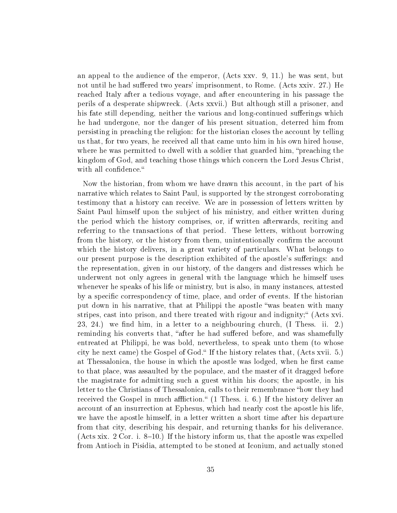an appeal to the audience of the emperor, (Acts xxv. 9, 11.) he was sent, but not until he had suffered two years' imprisonment, to Rome. (Acts xxiv. 27.) He reached Italy after a tedious voyage, and after encountering in his passage the perils of a desperate shipwreck. (Acts xxvii.) But although still a prisoner, and his fate still depending, neither the various and long-continued sufferings which he had undergone, nor the danger of his present situation, deterred him from persisting in preaching the religion: for the historian closes the account by telling us that, for two years, he received all that came unto him in his own hired house, where he was permitted to dwell with a soldier that guarded him, "preaching the kingdom of God, and teaching those things which concern the Lord Jesus Christ, with all confidence."

Now the historian, from whom we have drawn this account, in the part of his narrative which relates to Saint Paul, is supported by the strongest corroborating testimony that a history can receive. We are in possession of letters written by Saint Paul himself upon the subject of his ministry, and either written during the period which the history comprises, or, if written afterwards, reciting and referring to the transactions of that period. These letters, without borrowing from the history, or the history from them, unintentionally confirm the account which the history delivers, in a great variety of particulars. What belongs to our present purpose is the description exhibited of the apostle's sufferings: and the representation, given in our history, of the dangers and distresses which he underwent not only agrees in general with the language which he himself uses whenever he speaks of his life or ministry, but is also, in many instances, attested by a specific correspondency of time, place, and order of events. If the historian put down in his narrative, that at Philippi the apostle "was beaten with many stripes, cast into prison, and there treated with rigour and indignity; (Acts xvi.  $23, 24.$ ) we find him, in a letter to a neighbouring church, (I Thess. ii. 2.) reminding his converts that, "after he had suffered before, and was shamefully entreated at Philippi, he was bold, nevertheless, to speak unto them (to whose city he next came) the Gospel of God. If the history relates that, (Acts xvii. 5.) at Thessalonica, the house in which the apostle was lodged, when he first came to that place, was assaulted by the populace, and the master of it dragged before the magistrate for admitting such a guest within his doors; the apostle, in his letter to the Christians of Thessalonica, calls to their remembrance "how they had received the Gospel in much affliction."  $(1 \text{ Thess. } i. 6.)$  If the history deliver an account of an insurrection at Ephesus, which had nearly cost the apostle his life, we have the apostle himself, in a letter written a short time after his departure from that city, describing his despair, and returning thanks for his deliverance. (Acts xix. 2 Cor. i. 8–10.) If the history inform us, that the apostle was expelled from Antioch in Pisidia, attempted to be stoned at Iconium, and actually stoned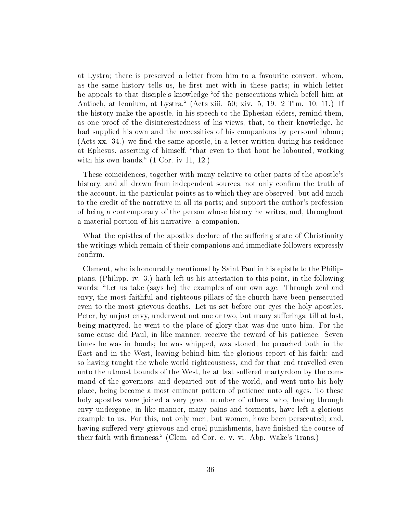at Lystra; there is preserved a letter from him to a favourite convert, whom, as the same history tells us, he first met with in these parts; in which letter he appeals to that disciple's knowledge "of the persecutions which befell him at Antioch, at Iconium, at Lystra." (Acts xiii. 50; xiv. 5, 19. 2 Tim. 10, 11.) If the history make the apostle, in his speech to the Ephesian elders, remind them, as one proof of the disinterestedness of his views, that, to their knowledge, he had supplied his own and the necessities of his companions by personal labour; (Acts xx. 34.) we find the same apostle, in a letter written during his residence at Ephesus, asserting of himself, that even to that hour he laboured, working with his own hands."  $(1 \text{ Cor. iv } 11, 12)$ .

These coincidences, together with many relative to other parts of the apostle's history, and all drawn from independent sources, not only confirm the truth of the account, in the particular points as to which they are observed, but add much to the credit of the narrative in all its parts; and support the author's profession of being a contemporary of the person whose history he writes, and, throughout a material portion of his narrative, a companion.

What the epistles of the apostles declare of the suffering state of Christianity the writings which remain of their companions and immediate followers expressly confirm.

Clement, who is honourably mentioned by Saint Paul in his epistle to the Philippians, (Philipp. iv. 3.) hath left us his attestation to this point, in the following words: "Let us take (says he) the examples of our own age. Through zeal and envy, the most faithful and righteous pillars of the church have been persecuted even to the most grievous deaths. Let us set before our eyes the holy apostles. Peter, by unjust envy, underwent not one or two, but many sufferings; till at last, being martyred, he went to the place of glory that was due unto him. For the same cause did Paul, in like manner, receive the reward of his patience. Seven times he was in bonds; he was whipped, was stoned; he preached both in the East and in the West, leaving behind him the glorious report of his faith; and so having taught the whole world righteousness, and for that end travelled even unto the utmost bounds of the West, he at last suffered martyrdom by the command of the governors, and departed out of the world, and went unto his holy place, being become a most eminent pattern of patience unto all ages. To these holy apostles were joined a very great number of others, who, having through envy undergone, in like manner, many pains and torments, have left a glorious example to us. For this, not only men, but women, have been persecuted; and, having suffered very grievous and cruel punishments, have finished the course of their faith with firmness." (Clem. ad Cor. c. v. vi. Abp. Wake's Trans.)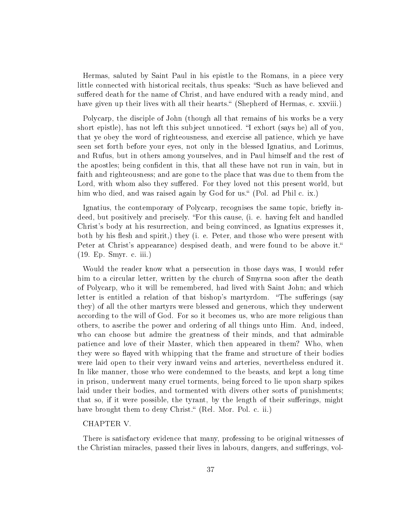Hermas, saluted by Saint Paul in his epistle to the Romans, in a piece very little connected with historical recitals, thus speaks: "Such as have believed and suffered death for the name of Christ, and have endured with a ready mind, and have given up their lives with all their hearts." (Shepherd of Hermas, c. xxviii.)

Polycarp, the disciple of John (though all that remains of his works be a very short epistle), has not left this subject unnoticed. "I exhort (says he) all of you, that ye obey the word of righteousness, and exercise all patience, which ye have seen set forth before your eyes, not only in the blessed Ignatius, and Lorimus, and Rufus, but in others among yourselves, and in Paul himself and the rest of the apostles; being condent in this, that all these have not run in vain, but in faith and righteousness; and are gone to the place that was due to them from the Lord, with whom also they suffered. For they loved not this present world, but him who died, and was raised again by God for us. (Pol. ad Phil c. ix.)

Ignatius, the contemporary of Polycarp, recognises the same topic, briefly indeed, but positively and precisely. "For this cause, (i. e. having felt and handled Christ's body at his resurrection, and being convinced, as Ignatius expresses it, both by his flesh and spirit,) they (i. e. Peter, and those who were present with Peter at Christ's appearance) despised death, and were found to be above it. (19. Ep. Smyr. c. iii.)

Would the reader know what a persecution in those days was, I would refer him to a circular letter, written by the church of Smyrna soon after the death of Polycarp, who it will be remembered, had lived with Saint John; and which letter is entitled a relation of that bishop's martyrdom. "The sufferings (say they) of all the other martyrs were blessed and generous, which they underwent according to the will of God. For so it becomes us, who are more religious than others, to ascribe the power and ordering of all things unto Him. And, indeed, who can choose but admire the greatness of their minds, and that admirable patience and love of their Master, which then appeared in them? Who, when they were so flayed with whipping that the frame and structure of their bodies were laid open to their very inward veins and arteries, nevertheless endured it. In like manner, those who were condemned to the beasts, and kept a long time in prison, underwent many cruel torments, being forced to lie upon sharp spikes laid under their bodies, and tormented with divers other sorts of punishments; that so, if it were possible, the tyrant, by the length of their sufferings, might have brought them to deny Christ." (Rel. Mor. Pol. c. ii.)

# CHAPTER V.

There is satisfactory evidence that many, professing to be original witnesses of the Christian miracles, passed their lives in labours, dangers, and sufferings, vol-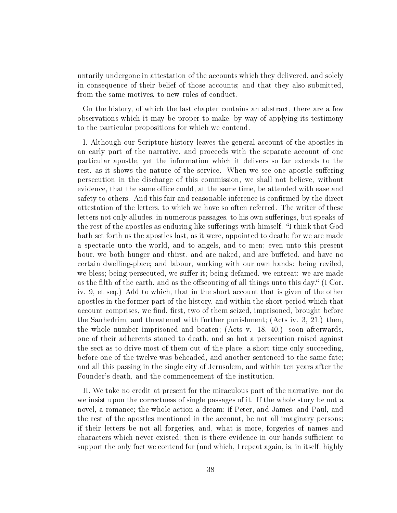untarily undergone in attestation of the accounts which they delivered, and solely in consequence of their belief of those accounts; and that they also submitted, from the same motives, to new rules of conduct.

On the history, of which the last chapter contains an abstract, there are a few observations which it may be proper to make, by way of applying its testimony to the particular propositions for which we contend.

I. Although our Scripture history leaves the general account of the apostles in an early part of the narrative, and proceeds with the separate account of one particular apostle, yet the information which it delivers so far extends to the rest, as it shows the nature of the service. When we see one apostle suffering persecution in the discharge of this commission, we shall not believe, without evidence, that the same office could, at the same time, be attended with ease and safety to others. And this fair and reasonable inference is confirmed by the direct attestation of the letters, to which we have so often referred. The writer of these letters not only alludes, in numerous passages, to his own sufferings, but speaks of the rest of the apostles as enduring like sufferings with himself. "I think that God hath set forth us the apostles last, as it were, appointed to death; for we are made a spectacle unto the world, and to angels, and to men; even unto this present hour, we both hunger and thirst, and are naked, and are buffeted, and have no certain dwelling-place; and labour, working with our own hands: being reviled, we bless; being persecuted, we suffer it; being defamed, we entreat: we are made as the filth of the earth, and as the offscouring of all things unto this day.  $\mathfrak{g}$  (I Cor. iv. 9, et seq.) Add to which, that in the short account that is given of the other apostles in the former part of the history, and within the short period which that account comprises, we find, first, two of them seized, imprisoned, brought before the Sanhedrim, and threatened with further punishment; (Acts iv. 3, 21.) then, the whole number imprisoned and beaten; (Acts v. 18, 40.) soon afterwards, one of their adherents stoned to death, and so hot a persecution raised against the sect as to drive most of them out of the place; a short time only succeeding, before one of the twelve was beheaded, and another sentenced to the same fate; and all this passing in the single city of Jerusalem, and within ten years after the Founder's death, and the commencement of the institution.

II. We take no credit at present for the miraculous part of the narrative, nor do we insist upon the correctness of single passages of it. If the whole story be not a novel, a romance; the whole action a dream; if Peter, and James, and Paul, and the rest of the apostles mentioned in the account, be not all imaginary persons; if their letters be not all forgeries, and, what is more, forgeries of names and characters which never existed; then is there evidence in our hands sufficient to support the only fact we contend for (and which, I repeat again, is, in itself, highly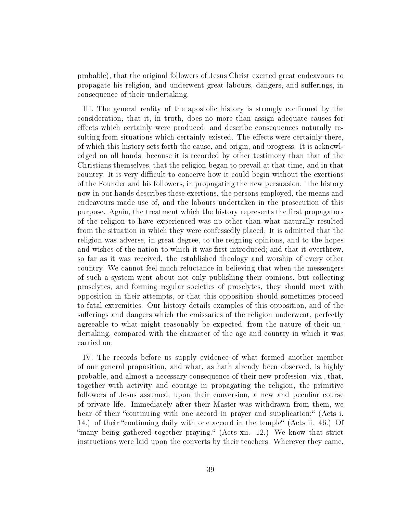probable), that the original followers of Jesus Christ exerted great endeavours to propagate his religion, and underwent great labours, dangers, and suerings, in consequence of their undertaking.

III. The general reality of the apostolic history is strongly confirmed by the consideration, that it, in truth, does no more than assign adequate causes for effects which certainly were produced; and describe consequences naturally resulting from situations which certainly existed. The effects were certainly there, of which this history sets forth the cause, and origin, and progress. It is acknowledged on all hands, because it is recorded by other testimony than that of the Christians themselves, that the religion began to prevail at that time, and in that country. It is very difficult to conceive how it could begin without the exertions of the Founder and his followers, in propagating the new persuasion. The history now in our hands describes these exertions, the persons employed, the means and endeavours made use of, and the labours undertaken in the prosecution of this purpose. Again, the treatment which the history represents the first propagators of the religion to have experienced was no other than what naturally resulted from the situation in which they were confessedly placed. It is admitted that the religion was adverse, in great degree, to the reigning opinions, and to the hopes and wishes of the nation to which it was first introduced; and that it overthrew, so far as it was received, the established theology and worship of every other country. We cannot feel much reluctance in believing that when the messengers of such a system went about not only publishing their opinions, but collecting proselytes, and forming regular societies of proselytes, they should meet with opposition in their attempts, or that this opposition should sometimes proceed to fatal extremities. Our history details examples of this opposition, and of the sufferings and dangers which the emissaries of the religion underwent, perfectly agreeable to what might reasonably be expected, from the nature of their undertaking, compared with the character of the age and country in which it was carried on.

IV. The records before us supply evidence of what formed another member of our general proposition, and what, as hath already been observed, is highly probable, and almost a necessary consequence of their new profession, viz., that, together with activity and courage in propagating the religion, the primitive followers of Jesus assumed, upon their conversion, a new and peculiar course of private life. Immediately after their Master was withdrawn from them, we hear of their "continuing with one accord in prayer and supplication;" (Acts i. 14.) of their "continuing daily with one accord in the temple" (Acts ii. 46.) Of "many being gathered together praying." (Acts xii. 12.) We know that strict instructions were laid upon the converts by their teachers. Wherever they came,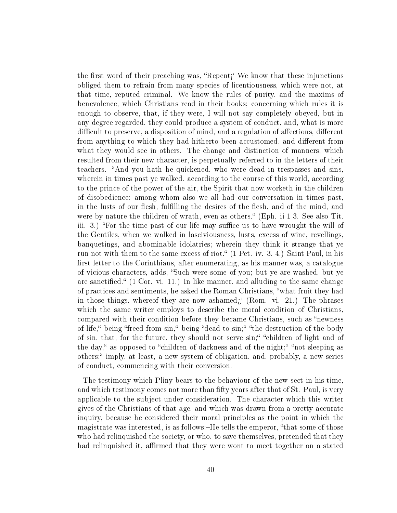the first word of their preaching was, "Repent<sub>i</sub>" We know that these injunctions obliged them to refrain from many species of licentiousness, which were not, at that time, reputed criminal. We know the rules of purity, and the maxims of benevolence, which Christians read in their books; concerning which rules it is enough to observe, that, if they were, I will not say completely obeyed, but in any degree regarded, they could produce a system of conduct, and, what is more difficult to preserve, a disposition of mind, and a regulation of affections, different from anything to which they had hitherto been accustomed, and different from what they would see in others. The change and distinction of manners, which resulted from their new character, is perpetually referred to in the letters of their teachers. "And you hath he quickened, who were dead in trespasses and sins, wherein in times past ye walked, according to the course of this world, according to the prince of the power of the air, the Spirit that now worketh in the children of disobedience; among whom also we all had our conversation in times past, in the lusts of our flesh, fulfilling the desires of the flesh, and of the mind, and were by nature the children of wrath, even as others." (Eph. ii 1-3. See also Tit. iii. 3. $-F$ or the time past of our life may suffice us to have wrought the will of the Gentiles, when we walked in lasciviousness, lusts, excess of wine, revellings, banquetings, and abominable idolatries; wherein they think it strange that ye run not with them to the same excess of riot." (1 Pet. iv. 3, 4.) Saint Paul, in his first letter to the Corinthians, after enumerating, as his manner was, a catalogue of vicious characters, adds, "Such were some of you; but ye are washed, but ye are sanctified.  $(1 \text{ Cor. vi. } 11)$  In like manner, and alluding to the same change of practices and sentiments, he asked the Roman Christians, "what fruit they had in those things, whereof they are now ashamed $i$  (Rom. vi. 21.) The phrases which the same writer employs to describe the moral condition of Christians, compared with their condition before they became Christians, such as "newness" of life," being "freed from sin," being "dead to sin;" "the destruction of the body of sin, that, for the future, they should not serve sin;" "children of light and of the day," as opposed to "children of darkness and of the night;" "not sleeping as others; imply, at least, a new system of obligation, and, probably, a new series of conduct, commencing with their conversion.

The testimony which Pliny bears to the behaviour of the new sect in his time, and which testimony comes not more than fifty years after that of St. Paul, is very applicable to the subject under consideration. The character which this writer gives of the Christians of that age, and which was drawn from a pretty accurate inquiry, because he considered their moral principles as the point in which the magistrate was interested, is as follows:-He tells the emperor, "that some of those who had relinquished the society, or who, to save themselves, pretended that they had relinquished it, affirmed that they were wont to meet together on a stated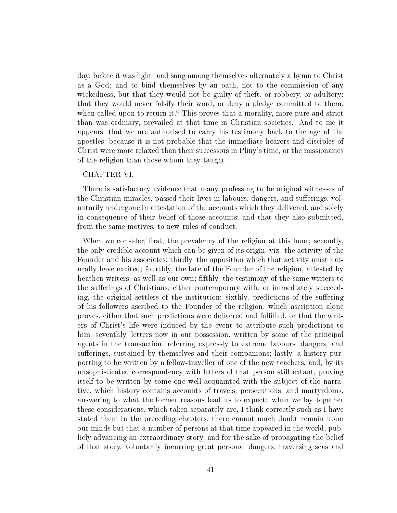day, before it was light, and sang among themselves alternately a hymn to Christ as a God; and to bind themselves by an oath, not to the commission of any wickedness, but that they would not be guilty of theft, or robbery, or adultery; that they would never falsify their word, or deny a pledge committed to them, when called upon to return it. This proves that a morality, more pure and strict than was ordinary, prevailed at that time in Christian societies. And to me it appears, that we are authorised to carry his testimony back to the age of the apostles; because it is not probable that the immediate hearers and disciples of Christ were more relaxed than their successors in Pliny's time, or the missionaries of the religion than those whom they taught.

# CHAPTER VI.

There is satisfactory evidence that many professing to be original witnesses of the Christian miracles, passed their lives in labours, dangers, and sufferings, voluntarily undergone in attestation of the accounts which they delivered, and solely in consequence of their belief of those accounts; and that they also submitted, from the same motives, to new rules of conduct.

When we consider, first, the prevalency of the religion at this hour; secondly, the only credible account which can be given of its origin, viz. the activity of the Founder and his associates; thirdly, the opposition which that activity must naturally have excited; fourthly, the fate of the Founder of the religion, attested by heathen writers, as well as our own; fifthly, the testimony of the same writers to the sufferings of Christians, either contemporary with, or immediately succeeding, the original settlers of the institution; sixthly, predictions of the suffering of his followers ascribed to the Founder of the religion, which ascription alone proves, either that such predictions were delivered and fullled, or that the writers of Christ's life were induced by the event to attribute such predictions to him; seventhly, letters now in our possession, written by some of the principal agents in the transaction, referring expressly to extreme labours, dangers, and sufferings, sustained by themselves and their companions; lastly, a history purporting to be written by a fellow-traveller of one of the new teachers, and, by its unsophisticated correspondency with letters of that person still extant, proving itself to be written by some one well acquainted with the subject of the narrative, which history contains accounts of travels, persecutions, and martyrdoms, answering to what the former reasons lead us to expect: when we lay together these considerations, which taken separately are, I think correctly such as I have stated them in the preceding chapters, there cannot much doubt remain upon our minds but that a number of persons at that time appeared in the world, publicly advancing an extraordinary story, and for the sake of propagating the belief of that story, voluntarily incurring great personal dangers, traversing seas and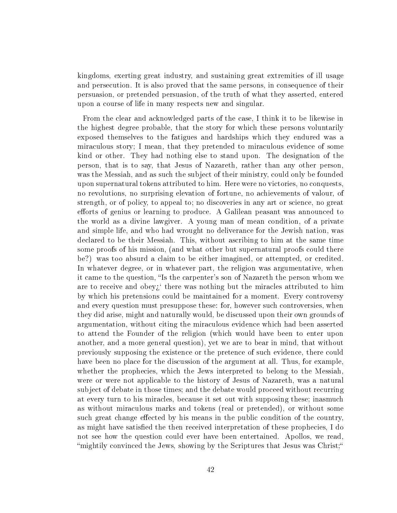kingdoms, exerting great industry, and sustaining great extremities of ill usage and persecution. It is also proved that the same persons, in consequence of their persuasion, or pretended persuasion, of the truth of what they asserted, entered upon a course of life in many respects new and singular.

From the clear and acknowledged parts of the case, I think it to be likewise in the highest degree probable, that the story for which these persons voluntarily exposed themselves to the fatigues and hardships which they endured was a miraculous story; I mean, that they pretended to miraculous evidence of some kind or other. They had nothing else to stand upon. The designation of the person, that is to say, that Jesus of Nazareth, rather than any other person, was the Messiah, and as such the subject of their ministry, could only be founded upon supernatural tokens attributed to him. Here were no victories, no conquests, no revolutions, no surprising elevation of fortune, no achievements of valour, of strength, or of policy, to appeal to; no discoveries in any art or science, no great efforts of genius or learning to produce. A Galilean peasant was announced to the world as a divine lawgiver. A young man of mean condition, of a private and simple life, and who had wrought no deliverance for the Jewish nation, was declared to be their Messiah. This, without ascribing to him at the same time some proofs of his mission, (and what other but supernatural proofs could there be?) was too absurd a claim to be either imagined, or attempted, or credited. In whatever degree, or in whatever part, the religion was argumentative, when it came to the question, "Is the carpenter's son of Nazareth the person whom we are to receive and obey $\zeta^*$  there was nothing but the miracles attributed to him by which his pretensions could be maintained for a moment. Every controversy and every question must presuppose these: for, however such controversies, when they did arise, might and naturally would, be discussed upon their own grounds of argumentation, without citing the miraculous evidence which had been asserted to attend the Founder of the religion (which would have been to enter upon another, and a more general question), yet we are to bear in mind, that without previously supposing the existence or the pretence of such evidence, there could have been no place for the discussion of the argument at all. Thus, for example, whether the prophecies, which the Jews interpreted to belong to the Messiah, were or were not applicable to the history of Jesus of Nazareth, was a natural subject of debate in those times; and the debate would proceed without recurring at every turn to his miracles, because it set out with supposing these; inasmuch as without miraculous marks and tokens (real or pretended), or without some such great change effected by his means in the public condition of the country, as might have satisfied the then received interpretation of these prophecies, I do not see how the question could ever have been entertained. Apollos, we read, mightily convinced the Jews, showing by the Scriptures that Jesus was Christ;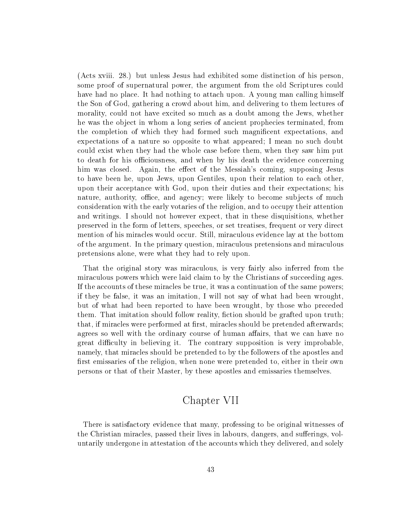(Acts xviii. 28.) but unless Jesus had exhibited some distinction of his person, some proof of supernatural power, the argument from the old Scriptures could have had no place. It had nothing to attach upon. A young man calling himself the Son of God, gathering a crowd about him, and delivering to them lectures of morality, could not have excited so much as a doubt among the Jews, whether he was the object in whom a long series of ancient prophecies terminated, from the completion of which they had formed such magnicent expectations, and expectations of a nature so opposite to what appeared; I mean no such doubt could exist when they had the whole case before them, when they saw him put to death for his officiousness, and when by his death the evidence concerning him was closed. Again, the effect of the Messiah's coming, supposing Jesus to have been he, upon Jews, upon Gentiles, upon their relation to each other, upon their acceptance with God, upon their duties and their expectations; his nature, authority, office, and agency; were likely to become subjects of much consideration with the early votaries of the religion, and to occupy their attention and writings. I should not however expect, that in these disquisitions, whether preserved in the form of letters, speeches, or set treatises, frequent or very direct mention of his miracles would occur. Still, miraculous evidence lay at the bottom of the argument. In the primary question, miraculous pretensions and miraculous pretensions alone, were what they had to rely upon.

That the original story was miraculous, is very fairly also inferred from the miraculous powers which were laid claim to by the Christians of succeeding ages. If the accounts of these miracles be true, it was a continuation of the same powers; if they be false, it was an imitation, I will not say of what had been wrought, but of what had been reported to have been wrought, by those who preceded them. That imitation should follow reality, fiction should be grafted upon truth; that, if miracles were performed at first, miracles should be pretended afterwards; agrees so well with the ordinary course of human affairs, that we can have no great difficulty in believing it. The contrary supposition is very improbable. namely, that miracles should be pretended to by the followers of the apostles and first emissaries of the religion, when none were pretended to, either in their own persons or that of their Master, by these apostles and emissaries themselves.

# Chapter VII

There is satisfactory evidence that many, professing to be original witnesses of the Christian miracles, passed their lives in labours, dangers, and sufferings, voluntarily undergone in attestation of the accounts which they delivered, and solely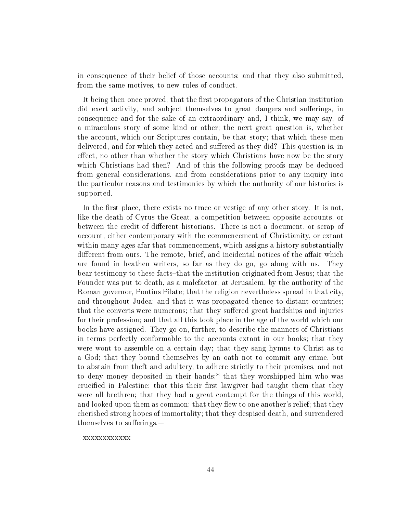in consequence of their belief of those accounts; and that they also submitted, from the same motives, to new rules of conduct.

It being then once proved, that the first propagators of the Christian institution did exert activity, and subject themselves to great dangers and sufferings, in consequence and for the sake of an extraordinary and, I think, we may say, of a miraculous story of some kind or other; the next great question is, whether the account, which our Scriptures contain, be that story; that which these men delivered, and for which they acted and suffered as they did? This question is, in effect, no other than whether the story which Christians have now be the story which Christians had then? And of this the following proofs may be deduced from general considerations, and from considerations prior to any inquiry into the particular reasons and testimonies by which the authority of our histories is supported.

In the first place, there exists no trace or vestige of any other story. It is not, like the death of Cyrus the Great, a competition between opposite accounts, or between the credit of different historians. There is not a document, or scrap of account, either contemporary with the commencement of Christianity, or extant within many ages afar that commencement, which assigns a history substantially different from ours. The remote, brief, and incidental notices of the affair which are found in heathen writers, so far as they do go, go along with us. They bear testimony to these facts-that the institution originated from Jesus; that the Founder was put to death, as a malefactor, at Jerusalem, by the authority of the Roman governor, Pontius Pilate; that the religion nevertheless spread in that city, and throughout Judea; and that it was propagated thence to distant countries; that the converts were numerous; that they suffered great hardships and injuries for their profession; and that all this took place in the age of the world which our books have assigned. They go on, further, to describe the manners of Christians in terms perfectly conformable to the accounts extant in our books; that they were wont to assemble on a certain day; that they sang hymns to Christ as to a God; that they bound themselves by an oath not to commit any crime, but to abstain from theft and adultery, to adhere strictly to their promises, and not to deny money deposited in their hands;\* that they worshipped him who was crucified in Palestine; that this their first lawgiver had taught them that they were all brethren; that they had a great contempt for the things of this world, and looked upon them as common; that they flew to one another's relief; that they cherished strong hopes of immortality; that they despised death, and surrendered themselves to sufferings. $+$ 

xxxxxxxxxxxx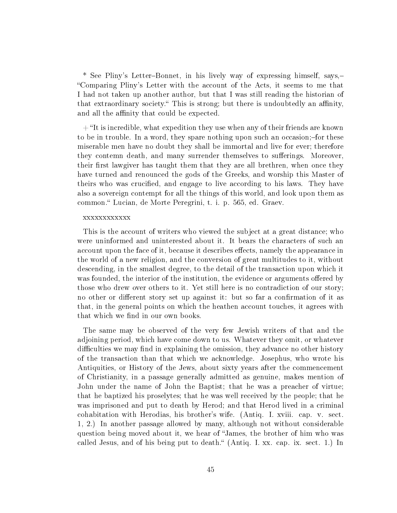\* See Pliny's Letter-Bonnet, in his lively way of expressing himself, says,-Comparing Pliny's Letter with the account of the Acts, it seems to me that I had not taken up another author, but that I was still reading the historian of that extraordinary society." This is strong; but there is undoubtedly an affinity, and all the affinity that could be expected.

 $+$  "It is incredible, what expedition they use when any of their friends are known to be in trouble. In a word, they spare nothing upon such an occasion; for these miserable men have no doubt they shall be immortal and live for ever; therefore they contemn death, and many surrender themselves to sufferings. Moreover, their first lawgiver has taught them that they are all brethren, when once they have turned and renounced the gods of the Greeks, and worship this Master of theirs who was crucified, and engage to live according to his laws. They have also a sovereign contempt for all the things of this world, and look upon them as common." Lucian, de Morte Peregrini, t. i. p. 565, ed. Graev.

### xxxxxxxxxxxx

This is the account of writers who viewed the subject at a great distance; who were uninformed and uninterested about it. It bears the characters of such an account upon the face of it, because it describes effects, namely the appearance in the world of a new religion, and the conversion of great multitudes to it, without descending, in the smallest degree, to the detail of the transaction upon which it was founded, the interior of the institution, the evidence or arguments offered by those who drew over others to it. Yet still here is no contradiction of our story; no other or different story set up against it: but so far a confirmation of it as that, in the general points on which the heathen account touches, it agrees with that which we find in our own books.

The same may be observed of the very few Jewish writers of that and the adjoining period, which have come down to us. Whatever they omit, or whatever difficulties we may find in explaining the omission, they advance no other history of the transaction than that which we acknowledge. Josephus, who wrote his Antiquities, or History of the Jews, about sixty years after the commencement of Christianity, in a passage generally admitted as genuine, makes mention of John under the name of John the Baptist; that he was a preacher of virtue; that he baptized his proselytes; that he was well received by the people; that he was imprisoned and put to death by Herod; and that Herod lived in a criminal cohabitation with Herodias, his brother's wife. (Antiq. I. xviii. cap. v. sect. 1, 2.) In another passage allowed by many, although not without considerable question being moved about it, we hear of James, the brother of him who was called Jesus, and of his being put to death." (Antiq. I. xx. cap. ix. sect. 1.) In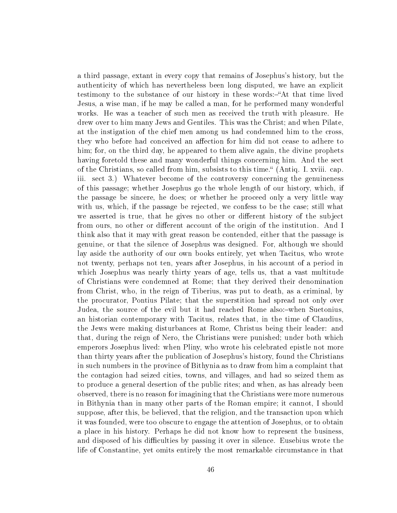a third passage, extant in every copy that remains of Josephus's history, but the authenticity of which has nevertheless been long disputed, we have an explicit testimony to the substance of our history in these words:—"At that time lived Jesus, a wise man, if he may be called a man, for he performed many wonderful works. He was a teacher of such men as received the truth with pleasure. He drew over to him many Jews and Gentiles. This was the Christ; and when Pilate, at the instigation of the chief men among us had condemned him to the cross, they who before had conceived an affection for him did not cease to adhere to him; for, on the third day, he appeared to them alive again, the divine prophets having foretold these and many wonderful things concerning him. And the sect of the Christians, so called from him, subsists to this time. (Antiq. I. xviii. cap. iii. sect 3.) Whatever become of the controversy concerning the genuineness of this passage; whether Josephus go the whole length of our history, which, if the passage be sincere, he does; or whether he proceed only a very little way with us, which, if the passage be rejected, we confess to be the case; still what we asserted is true, that he gives no other or different history of the subject from ours, no other or different account of the origin of the institution. And I think also that it may with great reason be contended, either that the passage is genuine, or that the silence of Josephus was designed. For, although we should lay aside the authority of our own books entirely, yet when Tacitus, who wrote not twenty, perhaps not ten, years after Josephus, in his account of a period in which Josephus was nearly thirty years of age, tells us, that a vast multitude of Christians were condemned at Rome; that they derived their denomination from Christ, who, in the reign of Tiberius, was put to death, as a criminal, by the procurator, Pontius Pilate; that the superstition had spread not only over Judea, the source of the evil but it had reached Rome also:-when Suetonius, an historian contemporary with Tacitus, relates that, in the time of Claudius, the Jews were making disturbances at Rome, Christus being their leader: and that, during the reign of Nero, the Christians were punished; under both which emperors Josephus lived: when Pliny, who wrote his celebrated epistle not more than thirty years after the publication of Josephus's history, found the Christians in such numbers in the province of Bithynia as to draw from him a complaint that the contagion had seized cities, towns, and villages, and had so seized them as to produce a general desertion of the public rites; and when, as has already been observed, there is no reason for imagining that the Christians were more numerous in Bithynia than in many other parts of the Roman empire; it cannot, I should suppose, after this, be believed, that the religion, and the transaction upon which it was founded, were too obscure to engage the attention of Josephus, or to obtain a place in his history. Perhaps he did not know how to represent the business, and disposed of his difficulties by passing it over in silence. Eusebius wrote the life of Constantine, yet omits entirely the most remarkable circumstance in that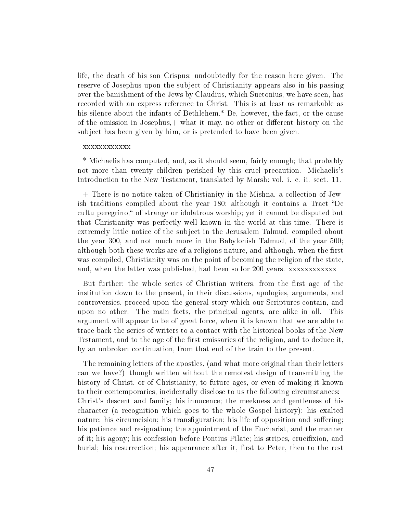life, the death of his son Crispus; undoubtedly for the reason here given. The reserve of Josephus upon the subject of Christianity appears also in his passing over the banishment of the Jews by Claudius, which Suetonius, we have seen, has recorded with an express reference to Christ. This is at least as remarkable as his silence about the infants of Bethlehem.\* Be, however, the fact, or the cause of the omission in Josephus, $+$  what it may, no other or different history on the subject has been given by him, or is pretended to have been given.

### xxxxxxxxxxxx

\* Michaelis has computed, and, as it should seem, fairly enough; that probably not more than twenty children perished by this cruel precaution. Michaelis's Introduction to the New Testament, translated by Marsh; vol. i. c. ii. sect. 11.

 $+$  There is no notice taken of Christianity in the Mishna, a collection of Jewish traditions compiled about the year 180; although it contains a Tract "De cultu peregrino," of strange or idolatrous worship; yet it cannot be disputed but that Christianity was perfectly well known in the world at this time. There is extremely little notice of the subject in the Jerusalem Talmud, compiled about the year 300, and not much more in the Babylonish Talmud, of the year 500; although both these works are of a religions nature, and although, when the first was compiled, Christianity was on the point of becoming the religion of the state, and, when the latter was published, had been so for 200 years. xxxxxxxxxxxx

But further; the whole series of Christian writers, from the first age of the institution down to the present, in their discussions, apologies, arguments, and controversies, proceed upon the general story which our Scriptures contain, and upon no other. The main facts, the principal agents, are alike in all. This argument will appear to be of great force, when it is known that we are able to trace back the series of writers to a contact with the historical books of the New Testament, and to the age of the first emissaries of the religion, and to deduce it. by an unbroken continuation, from that end of the train to the present.

The remaining letters of the apostles, (and what more original than their letters can we have?) though written without the remotest design of transmitting the history of Christ, or of Christianity, to future ages, or even of making it known to their contemporaries, incidentally disclose to us the following circumstances: Christ's descent and family; his innocence; the meekness and gentleness of his character (a recognition which goes to the whole Gospel history); his exalted nature; his circumcision; his transfiguration; his life of opposition and suffering; his patience and resignation; the appointment of the Eucharist, and the manner of it; his agony; his confession before Pontius Pilate; his stripes, crucifixion, and burial; his resurrection; his appearance after it, first to Peter, then to the rest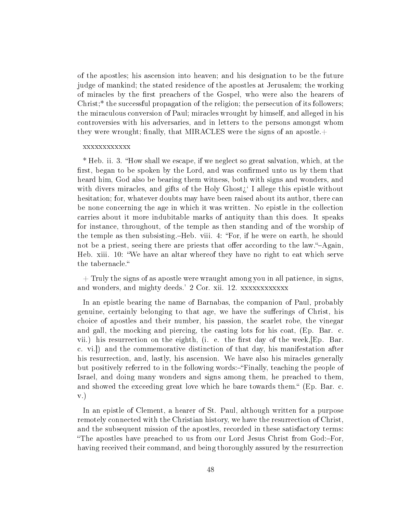of the apostles; his ascension into heaven; and his designation to be the future judge of mankind; the stated residence of the apostles at Jerusalem; the working of miracles by the first preachers of the Gospel, who were also the hearers of Christ;\* the successful propagation of the religion; the persecution of its followers; the miraculous conversion of Paul; miracles wrought by himself, and alleged in his controversies with his adversaries, and in letters to the persons amongst whom they were wrought; finally, that MIRACLES were the signs of an apostle. $+$ 

### xxxxxxxxxxxx

\* Heb. ii. 3. "How shall we escape, if we neglect so great salvation, which, at the first, began to be spoken by the Lord, and was confirmed unto us by them that heard him, God also be bearing them witness, both with signs and wonders, and with divers miracles, and gifts of the Holy Ghost $\chi^{\epsilon}$  I allege this epistle without hesitation; for, whatever doubts may have been raised about its author, there can be none concerning the age in which it was written. No epistle in the collection carries about it more indubitable marks of antiquity than this does. It speaks for instance, throughout, of the temple as then standing and of the worship of the temple as then subsisting.-Heb. viii. 4: "For, if he were on earth, he should not be a priest, seeing there are priests that offer according to the law."-Again, Heb. xiii. 10: We have an altar whereof they have no right to eat which serve the tabernacle.

 $+$  Truly the signs of as apostle were wraught among you in all patience, in signs, and wonders, and mighty deeds.' 2 Cor. xii. 12. xxxxxxxxxxxx

In an epistle bearing the name of Barnabas, the companion of Paul, probably genuine, certainly belonging to that age, we have the sufferings of Christ, his choice of apostles and their number, his passion, the scarlet robe, the vinegar and gall, the mocking and piercing, the casting lots for his coat, (Ep. Bar. c. vii.) his resurrection on the eighth, (i. e. the first day of the week,  $E_{p}$ . Bar. c. vi.]) and the commemorative distinction of that day, his manifestation after his resurrection, and, lastly, his ascension. We have also his miracles generally but positively referred to in the following words:-"Finally, teaching the people of Israel, and doing many wonders and signs among them, he preached to them, and showed the exceeding great love which he bare towards them." (Ep. Bar. c. v.)

In an epistle of Clement, a hearer of St. Paul, although written for a purpose remotely connected with the Christian history, we have the resurrection of Christ, and the subsequent mission of the apostles, recorded in these satisfactory terms: "The apostles have preached to us from our Lord Jesus Christ from God:-For, having received their command, and being thoroughly assured by the resurrection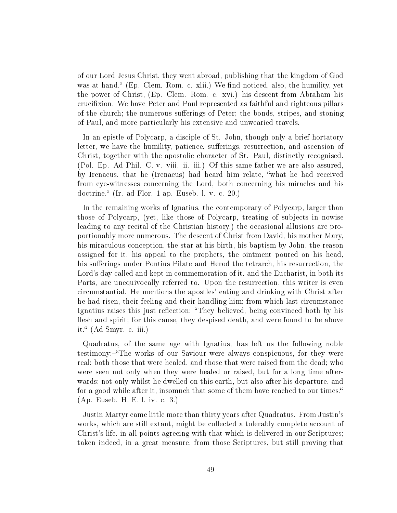of our Lord Jesus Christ, they went abroad, publishing that the kingdom of God was at hand." (Ep. Clem. Rom. c. xlii.) We find noticed, also, the humility, yet the power of Christ, (Ep. Clem. Rom. c. xvi.) his descent from Abraham-his crucixion. We have Peter and Paul represented as faithful and righteous pillars of the church; the numerous sufferings of Peter; the bonds, stripes, and stoning of Paul, and more particularly his extensive and unwearied travels.

In an epistle of Polycarp, a disciple of St. John, though only a brief hortatory letter, we have the humility, patience, sufferings, resurrection, and ascension of Christ, together with the apostolic character of St. Paul, distinctly recognised. (Pol. Ep. Ad Phil. C. v. viii. ii. iii.) Of this same father we are also assured, by Irenaeus, that he (Irenaeus) had heard him relate, "what he had received from eye-witnesses concerning the Lord, both concerning his miracles and his doctrine." (Ir. ad Flor. 1 ap. Euseb. 1. v. c. 20.)

In the remaining works of Ignatius, the contemporary of Polycarp, larger than those of Polycarp, (yet, like those of Polycarp, treating of subjects in nowise leading to any recital of the Christian history,) the occasional allusions are proportionably more numerous. The descent of Christ from David, his mother Mary, his miraculous conception, the star at his birth, his baptism by John, the reason assigned for it, his appeal to the prophets, the ointment poured on his head, his sufferings under Pontius Pilate and Herod the tetrarch, his resurrection, the Lord's day called and kept in commemoration of it, and the Eucharist, in both its Parts,-are unequivocally referred to. Upon the resurrection, this writer is even circumstantial. He mentions the apostles' eating and drinking with Christ after he had risen, their feeling and their handling him; from which last circumstance Ignatius raises this just reflection;—"They believed, being convinced both by his flesh and spirit; for this cause, they despised death, and were found to be above it. (Ad Smyr. c. iii.)

Quadratus, of the same age with Ignatius, has left us the following noble testimony: "The works of our Saviour were always conspicuous, for they were real; both those that were healed, and those that were raised from the dead; who were seen not only when they were healed or raised, but for a long time afterwards; not only whilst he dwelled on this earth, but also after his departure, and for a good while after it, insomuch that some of them have reached to our times. (Ap. Euseb. H. E. l. iv. c. 3.)

Justin Martyr came little more than thirty years after Quadratus. From Justin's works, which are still extant, might be collected a tolerably complete account of Christ's life, in all points agreeing with that which is delivered in our Scriptures; taken indeed, in a great measure, from those Scriptures, but still proving that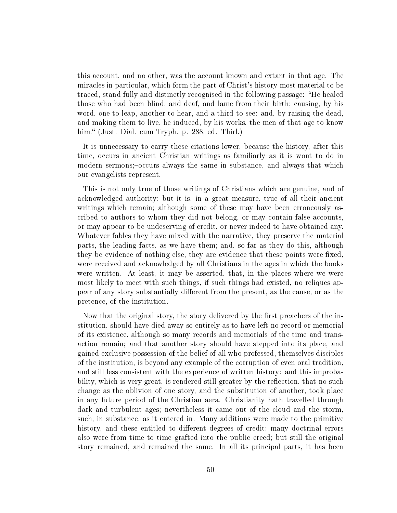this account, and no other, was the account known and extant in that age. The miracles in particular, which form the part of Christ's history most material to be traced, stand fully and distinctly recognised in the following passage:-"He healed those who had been blind, and deaf, and lame from their birth; causing, by his word, one to leap, another to hear, and a third to see: and, by raising the dead, and making them to live, he induced, by his works, the men of that age to know him." (Just. Dial. cum Tryph. p. 288, ed. Thirl.)

It is unnecessary to carry these citations lower, because the history, after this time, occurs in ancient Christian writings as familiarly as it is wont to do in modern sermons;-occurs always the same in substance, and always that which our evangelists represent.

This is not only true of those writings of Christians which are genuine, and of acknowledged authority; but it is, in a great measure, true of all their ancient writings which remain; although some of these may have been erroneously ascribed to authors to whom they did not belong, or may contain false accounts, or may appear to be undeserving of credit, or never indeed to have obtained any. Whatever fables they have mixed with the narrative, they preserve the material parts, the leading facts, as we have them; and, so far as they do this, although they be evidence of nothing else, they are evidence that these points were fixed, were received and acknowledged by all Christians in the ages in which the books were written. At least, it may be asserted, that, in the places where we were most likely to meet with such things, if such things had existed, no reliques appear of any story substantially dierent from the present, as the cause, or as the pretence, of the institution.

Now that the original story, the story delivered by the first preachers of the institution, should have died away so entirely as to have left no record or memorial of its existence, although so many records and memorials of the time and transaction remain; and that another story should have stepped into its place, and gained exclusive possession of the belief of all who professed, themselves disciples of the institution, is beyond any example of the corruption of even oral tradition, and still less consistent with the experience of written history: and this improbability, which is very great, is rendered still greater by the reflection, that no such change as the oblivion of one story, and the substitution of another, took place in any future period of the Christian aera. Christianity hath travelled through dark and turbulent ages; nevertheless it came out of the cloud and the storm, such, in substance, as it entered in. Many additions were made to the primitive history, and these entitled to different degrees of credit; many doctrinal errors also were from time to time grafted into the public creed; but still the original story remained, and remained the same. In all its principal parts, it has been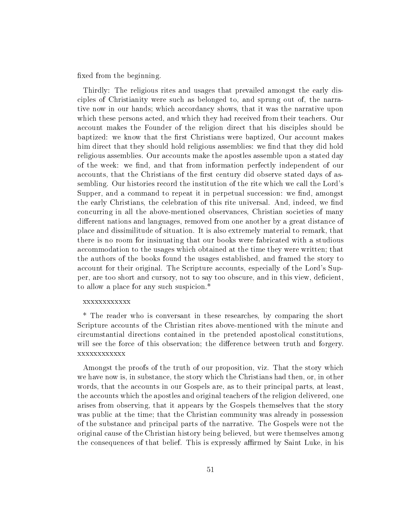fixed from the beginning.

Thirdly: The religious rites and usages that prevailed amongst the early disciples of Christianity were such as belonged to, and sprung out of, the narrative now in our hands; which accordancy shows, that it was the narrative upon which these persons acted, and which they had received from their teachers. Our account makes the Founder of the religion direct that his disciples should be baptized: we know that the first Christians were baptized, Our account makes him direct that they should hold religious assemblies: we find that they did hold religious assemblies. Our accounts make the apostles assemble upon a stated day of the week: we find, and that from information perfectly independent of our accounts, that the Christians of the first century did observe stated days of assembling. Our histories record the institution of the rite which we call the Lord's Supper, and a command to repeat it in perpetual succession: we find, amongst the early Christians, the celebration of this rite universal. And, indeed, we find concurring in all the above-mentioned observances, Christian societies of many different nations and languages, removed from one another by a great distance of place and dissimilitude of situation. It is also extremely material to remark, that there is no room for insinuating that our books were fabricated with a studious accommodation to the usages which obtained at the time they were written; that the authors of the books found the usages established, and framed the story to account for their original. The Scripture accounts, especially of the Lord's Supper, are too short and cursory, not to say too obscure, and in this view, deficient, to allow a place for any such suspicion.\*

### xxxxxxxxxxxx

\* The reader who is conversant in these researches, by comparing the short Scripture accounts of the Christian rites above-mentioned with the minute and circumstantial directions contained in the pretended apostolical constitutions, will see the force of this observation; the difference between truth and forgery. xxxxxxxxxxxx

Amongst the proofs of the truth of our proposition, viz. That the story which we have now is, in substance, the story which the Christians had then, or, in other words, that the accounts in our Gospels are, as to their principal parts, at least, the accounts which the apostles and original teachers of the religion delivered, one arises from observing, that it appears by the Gospels themselves that the story was public at the time; that the Christian community was already in possession of the substance and principal parts of the narrative. The Gospels were not the original cause of the Christian history being believed, but were themselves among the consequences of that belief. This is expressly affirmed by Saint Luke, in his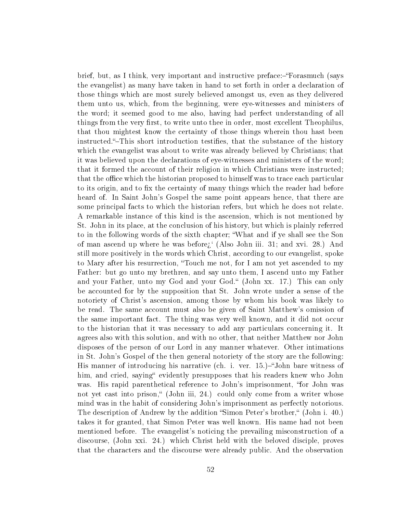brief, but, as I think, very important and instructive preface:-"Forasmuch (says the evangelist) as many have taken in hand to set forth in order a declaration of those things which are most surely believed amongst us, even as they delivered them unto us, which, from the beginning, were eye-witnesses and ministers of the word; it seemed good to me also, having had perfect understanding of all things from the very first, to write unto thee in order, most excellent Theophilus. that thou mightest know the certainty of those things wherein thou hast been instructed. This short introduction testifies, that the substance of the history which the evangelist was about to write was already believed by Christians; that it was believed upon the declarations of eye-witnesses and ministers of the word; that it formed the account of their religion in which Christians were instructed; that the office which the historian proposed to himself was to trace each particular to its origin, and to fix the certainty of many things which the reader had before heard of. In Saint John's Gospel the same point appears hence, that there are some principal facts to which the historian refers, but which he does not relate. A remarkable instance of this kind is the ascension, which is not mentioned by St. John in its place, at the conclusion of his history, but which is plainly referred to in the following words of the sixth chapter; What and if ye shall see the Son of man ascend up where he was before;  $(A \text{lso John iii. } 31;$  and xvi. 28.) And still more positively in the words which Christ, according to our evangelist, spoke to Mary after his resurrection, Touch me not, for I am not yet ascended to my Father: but go unto my brethren, and say unto them, I ascend unto my Father and your Father, unto my God and your God." (John xx. 17.) This can only be accounted for by the supposition that St. John wrote under a sense of the notoriety of Christ's ascension, among those by whom his book was likely to be read. The same account must also be given of Saint Matthew's omission of the same important fact. The thing was very well known, and it did not occur to the historian that it was necessary to add any particulars concerning it. It agrees also with this solution, and with no other, that neither Matthew nor John disposes of the person of our Lord in any manner whatever. Other intimations in St. John's Gospel of the then general notoriety of the story are the following: His manner of introducing his narrative (ch. i. ver. 15.)–"John bare witness of him, and cried, saying "evidently presupposes that his readers knew who John was. His rapid parenthetical reference to John's imprisonment, "for John was not yet cast into prison," (John iii, 24.) could only come from a writer whose mind was in the habit of considering John's imprisonment as perfectly notorious. The description of Andrew by the addition "Simon Peter's brother," (John i. 40.) takes it for granted, that Simon Peter was well known. His name had not been mentioned before. The evangelist's noticing the prevailing misconstruction of a discourse, (John xxi. 24.) which Christ held with the beloved disciple, proves that the characters and the discourse were already public. And the observation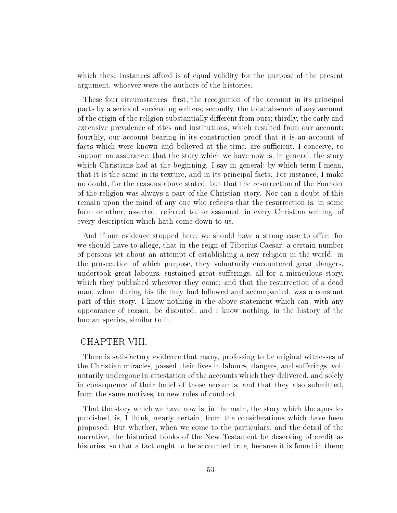which these instances afford is of equal validity for the purpose of the present argument, whoever were the authors of the histories.

These four circumstances:-first, the recognition of the account in its principal parts by a series of succeeding writers; secondly, the total absence of any account of the origin of the religion substantially different from ours; thirdly, the early and extensive prevalence of rites and institutions, which resulted from our account; fourthly, our account bearing in its construction proof that it is an account of facts which were known and believed at the time, are sufficient, I conceive, to support an assurance, that the story which we have now is, in general, the story which Christians had at the beginning. I say in general; by which term I mean, that it is the same in its texture, and in its principal facts. For instance, I make no doubt, for the reasons above stated, but that the resurrection of the Founder of the religion was always a part of the Christian story. Nor can a doubt of this remain upon the mind of any one who reflects that the resurrection is, in some form or other, asserted, referred to, or assumed, in every Christian writing, of every description which hath come down to us.

And if our evidence stopped here, we should have a strong case to offer: for we should have to allege, that in the reign of Tiberius Caesar, a certain number of persons set about an attempt of establishing a new religion in the world: in the prosecution of which purpose, they voluntarily encountered great dangers, undertook great labours, sustained great sufferings, all for a miraculous story, which they published wherever they came; and that the resurrection of a dead man, whom during his life they had followed and accompanied, was a constant part of this story. I know nothing in the above statement which can, with any appearance of reason, be disputed; and I know nothing, in the history of the human species, similar to it.

# CHAPTER VIII.

There is satisfactory evidence that many, professing to be original witnesses of the Christian miracles, passed their lives in labours, dangers, and sufferings, voluntarily undergone in attestation of the accounts which they delivered, and solely in consequence of their belief of those accounts; and that they also submitted, from the same motives, to new rules of conduct.

That the story which we have now is, in the main, the story which the apostles published, is, I think, nearly certain, from the considerations which have been proposed. But whether, when we come to the particulars, and the detail of the narrative, the historical books of the New Testament be deserving of credit as histories, so that a fact ought to be accounted true, because it is found in them;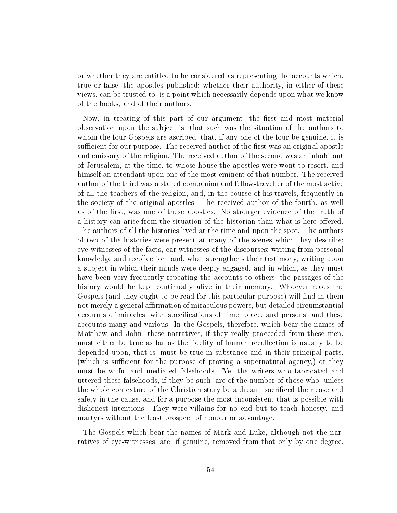or whether they are entitled to be considered as representing the accounts which, true or false, the apostles published; whether their authority, in either of these views, can be trusted to, is a point which necessarily depends upon what we know of the books, and of their authors.

Now, in treating of this part of our argument, the first and most material observation upon the subject is, that such was the situation of the authors to whom the four Gospels are ascribed, that, if any one of the four be genuine, it is sufficient for our purpose. The received author of the first was an original apostle and emissary of the religion. The received author of the second was an inhabitant of Jerusalem, at the time, to whose house the apostles were wont to resort, and himself an attendant upon one of the most eminent of that number. The received author of the third was a stated companion and fellow-traveller of the most active of all the teachers of the religion, and, in the course of his travels, frequently in the society of the original apostles. The received author of the fourth, as well as of the first, was one of these apostles. No stronger evidence of the truth of a history can arise from the situation of the historian than what is here offered. The authors of all the histories lived at the time and upon the spot. The authors of two of the histories were present at many of the scenes which they describe; eye-witnesses of the facts, ear-witnesses of the discourses; writing from personal knowledge and recollection; and, what strengthens their testimony, writing upon a subject in which their minds were deeply engaged, and in which, as they must have been very frequently repeating the accounts to others, the passages of the history would be kept continually alive in their memory. Whoever reads the Gospels (and they ought to be read for this particular purpose) will find in them not merely a general affirmation of miraculous powers, but detailed circumstantial accounts of miracles, with specifications of time, place, and persons; and these accounts many and various. In the Gospels, therefore, which bear the names of Matthew and John, these narratives, if they really proceeded from these men, must either be true as far as the fidelity of human recollection is usually to be depended upon, that is, must be true in substance and in their principal parts, (which is sufficient for the purpose of proving a supernatural agency,) or they must be wilful and mediated falsehoods. Yet the writers who fabricated and uttered these falsehoods, if they be such, are of the number of those who, unless the whole contexture of the Christian story be a dream, sacrificed their ease and safety in the cause, and for a purpose the most inconsistent that is possible with dishonest intentions. They were villains for no end but to teach honesty, and martyrs without the least prospect of honour or advantage.

The Gospels which bear the names of Mark and Luke, although not the narratives of eye-witnesses, are, if genuine, removed from that only by one degree.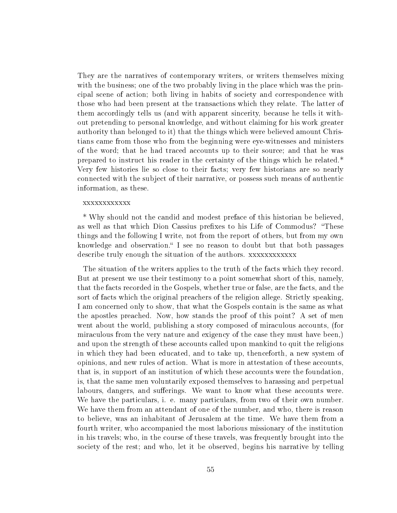They are the narratives of contemporary writers, or writers themselves mixing with the business; one of the two probably living in the place which was the principal scene of action; both living in habits of society and correspondence with those who had been present at the transactions which they relate. The latter of them accordingly tells us (and with apparent sincerity, because he tells it without pretending to personal knowledge, and without claiming for his work greater authority than belonged to it) that the things which were believed amount Christians came from those who from the beginning were eye-witnesses and ministers of the word; that he had traced accounts up to their source; and that he was prepared to instruct his reader in the certainty of the things which he related.\* Very few histories lie so close to their facts; very few historians are so nearly connected with the subject of their narrative, or possess such means of authentic information, as these.

### xxxxxxxxxxxx

\* Why should not the candid and modest preface of this historian be believed, as well as that which Dion Cassius prefixes to his Life of Commodus? "These things and the following I write, not from the report of others, but from my own knowledge and observation." I see no reason to doubt but that both passages describe truly enough the situation of the authors. xxxxxxxxxxxx

The situation of the writers applies to the truth of the facts which they record. But at present we use their testimony to a point somewhat short of this, namely, that the facts recorded in the Gospels, whether true or false, are the facts, and the sort of facts which the original preachers of the religion allege. Strictly speaking, I am concerned only to show, that what the Gospels contain is the same as what the apostles preached. Now, how stands the proof of this point? A set of men went about the world, publishing a story composed of miraculous accounts, (for miraculous from the very nature and exigency of the case they must have been,) and upon the strength of these accounts called upon mankind to quit the religions in which they had been educated, and to take up, thenceforth, a new system of opinions, and new rules of action. What is more in attestation of these accounts, that is, in support of an institution of which these accounts were the foundation, is, that the same men voluntarily exposed themselves to harassing and perpetual labours, dangers, and sufferings. We want to know what these accounts were. We have the particulars, i. e. many particulars, from two of their own number. We have them from an attendant of one of the number, and who, there is reason to believe, was an inhabitant of Jerusalem at the time. We have them from a fourth writer, who accompanied the most laborious missionary of the institution in his travels; who, in the course of these travels, was frequently brought into the society of the rest; and who, let it be observed, begins his narrative by telling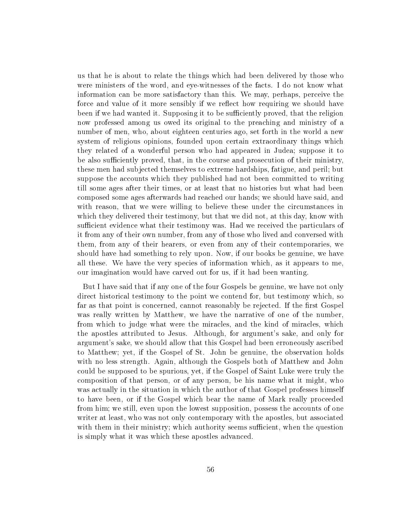us that he is about to relate the things which had been delivered by those who were ministers of the word, and eye-witnesses of the facts. I do not know what information can be more satisfactory than this. We may, perhaps, perceive the force and value of it more sensibly if we reflect how requiring we should have been if we had wanted it. Supposing it to be sufficiently proved, that the religion now professed among us owed its original to the preaching and ministry of a number of men, who, about eighteen centuries ago, set forth in the world a new system of religious opinions, founded upon certain extraordinary things which they related of a wonderful person who had appeared in Judea; suppose it to be also sufficiently proved, that, in the course and prosecution of their ministry, these men had subjected themselves to extreme hardships, fatigue, and peril; but suppose the accounts which they published had not been committed to writing till some ages after their times, or at least that no histories but what had been composed some ages afterwards had reached our hands; we should have said, and with reason, that we were willing to believe these under the circumstances in which they delivered their testimony, but that we did not, at this day, know with sufficient evidence what their testimony was. Had we received the particulars of it from any of their own number, from any of those who lived and conversed with them, from any of their hearers, or even from any of their contemporaries, we should have had something to rely upon. Now, if our books be genuine, we have all these. We have the very species of information which, as it appears to me, our imagination would have carved out for us, if it had been wanting.

But I have said that if any one of the four Gospels be genuine, we have not only direct historical testimony to the point we contend for, but testimony which, so far as that point is concerned, cannot reasonably be rejected. If the first Gospel was really written by Matthew, we have the narrative of one of the number, from which to judge what were the miracles, and the kind of miracles, which the apostles attributed to Jesus. Although, for argument's sake, and only for argument's sake, we should allow that this Gospel had been erroneously ascribed to Matthew; yet, if the Gospel of St. John be genuine, the observation holds with no less strength. Again, although the Gospels both of Matthew and John could be supposed to be spurious, yet, if the Gospel of Saint Luke were truly the composition of that person, or of any person, be his name what it might, who was actually in the situation in which the author of that Gospel professes himself to have been, or if the Gospel which bear the name of Mark really proceeded from him; we still, even upon the lowest supposition, possess the accounts of one writer at least, who was not only contemporary with the apostles, but associated with them in their ministry; which authority seems sufficient, when the question is simply what it was which these apostles advanced.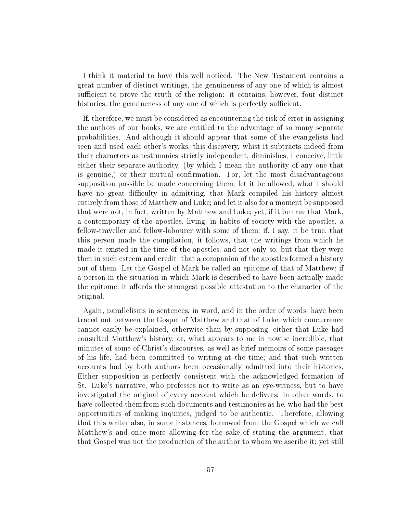I think it material to have this well noticed. The New Testament contains a great number of distinct writings, the genuineness of any one of which is almost sufficient to prove the truth of the religion: it contains, however, four distinct histories, the genuineness of any one of which is perfectly sufficient.

If, therefore, we must be considered as encountering the risk of error in assigning the authors of our books, we are entitled to the advantage of so many separate probabilities. And although it should appear that some of the evangelists had seen and used each other's works, this discovery, whist it subtracts indeed from their characters as testimonies strictly independent, diminishes, I conceive, little either their separate authority, (by which I mean the authority of any one that is genuine,) or their mutual confirmation. For, let the most disadvantageous supposition possible be made concerning them; let it be allowed, what I should have no great difficulty in admitting, that Mark compiled his history almost entirely from those of Matthew and Luke; and let it also for a moment be supposed that were not, in fact, written by Matthew and Luke; yet, if it be true that Mark, a contemporary of the apostles, living, in habits of society with the apostles, a fellow-traveller and fellow-labourer with some of them; if, I say, it be true, that this person made the compilation, it follows, that the writings from which he made it existed in the time of the apostles, and not only so, but that they were then in such esteem and credit, that a companion of the apostles formed a history out of them. Let the Gospel of Mark be called an epitome of that of Matthew; if a person in the situation in which Mark is described to have been actually made the epitome, it affords the strongest possible attestation to the character of the original.

Again, parallelisms in sentences, in word, and in the order of words, have been traced out between the Gospel of Matthew and that of Luke; which concurrence cannot easily be explained, otherwise than by supposing, either that Luke had consulted Matthew's history, or, what appears to me in nowise incredible, that minutes of some of Christ's discourses, as well as brief memoirs of some passages of his life, had been committed to writing at the time; and that such written accounts had by both authors been occasionally admitted into their histories. Either supposition is perfectly consistent with the acknowledged formation of St. Luke's narrative, who professes not to write as an eye-witness, but to have investigated the original of every account which he delivers: in other words, to have collected them from such documents and testimonies as he, who had the best opportunities of making inquiries, judged to be authentic. Therefore, allowing that this writer also, in some instances, borrowed from the Gospel which we call Matthew's and once more allowing for the sake of stating the argument, that that Gospel was not the production of the author to whom we ascribe it; yet still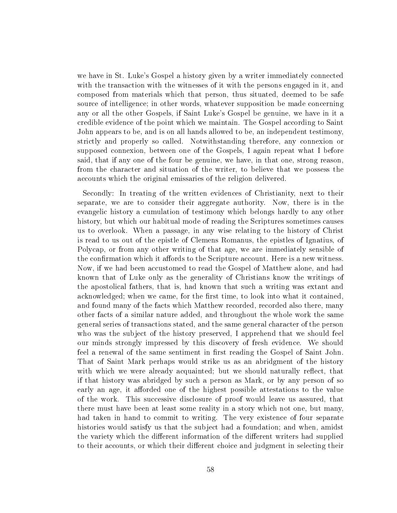we have in St. Luke's Gospel a history given by a writer immediately connected with the transaction with the witnesses of it with the persons engaged in it, and composed from materials which that person, thus situated, deemed to be safe source of intelligence; in other words, whatever supposition be made concerning any or all the other Gospels, if Saint Luke's Gospel be genuine, we have in it a credible evidence of the point which we maintain. The Gospel according to Saint John appears to be, and is on all hands allowed to be, an independent testimony, strictly and properly so called. Notwithstanding therefore, any connexion or supposed connexion, between one of the Gospels, I again repeat what I before said, that if any one of the four be genuine, we have, in that one, strong reason, from the character and situation of the writer, to believe that we possess the accounts which the original emissaries of the religion delivered.

Secondly: In treating of the written evidences of Christianity, next to their separate, we are to consider their aggregate authority. Now, there is in the evangelic history a cumulation of testimony which belongs hardly to any other history, but which our habitual mode of reading the Scriptures sometimes causes us to overlook. When a passage, in any wise relating to the history of Christ is read to us out of the epistle of Clemens Romanus, the epistles of Ignatius, of Polycap, or from any other writing of that age, we are immediately sensible of the confirmation which it affords to the Scripture account. Here is a new witness. Now, if we had been accustomed to read the Gospel of Matthew alone, and had known that of Luke only as the generality of Christians know the writings of the apostolical fathers, that is, had known that such a writing was extant and acknowledged; when we came, for the first time, to look into what it contained, and found many of the facts which Matthew recorded, recorded also there, many other facts of a similar nature added, and throughout the whole work the same general series of transactions stated, and the same general character of the person who was the subject of the history preserved, I apprehend that we should feel our minds strongly impressed by this discovery of fresh evidence. We should feel a renewal of the same sentiment in first reading the Gospel of Saint John. That of Saint Mark perhaps would strike us as an abridgment of the history with which we were already acquainted; but we should naturally reflect, that if that history was abridged by such a person as Mark, or by any person of so early an age, it afforded one of the highest possible attestations to the value of the work. This successive disclosure of proof would leave us assured, that there must have been at least some reality in a story which not one, but many, had taken in hand to commit to writing. The very existence of four separate histories would satisfy us that the subject had a foundation; and when, amidst the variety which the different information of the different writers had supplied to their accounts, or which their different choice and judgment in selecting their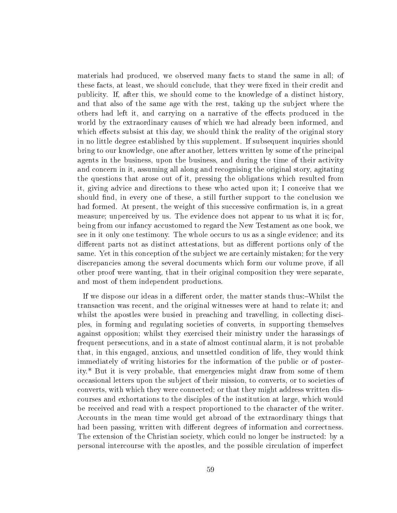materials had produced, we observed many facts to stand the same in all; of these facts, at least, we should conclude, that they were fixed in their credit and publicity. If, after this, we should come to the knowledge of a distinct history, and that also of the same age with the rest, taking up the subject where the others had left it, and carrying on a narrative of the effects produced in the world by the extraordinary causes of which we had already been informed, and which effects subsist at this day, we should think the reality of the original story in no little degree established by this supplement. If subsequent inquiries should bring to our knowledge, one after another, letters written by some of the principal agents in the business, upon the business, and during the time of their activity and concern in it, assuming all along and recognising the original story, agitating the questions that arose out of it, pressing the obligations which resulted from it, giving advice and directions to these who acted upon it; I conceive that we should find, in every one of these, a still further support to the conclusion we had formed. At present, the weight of this successive confirmation is, in a great measure; unperceived by us. The evidence does not appear to us what it is; for, being from our infancy accustomed to regard the New Testament as one book, we see in it only one testimony. The whole occurs to us as a single evidence; and its different parts not as distinct attestations, but as different portions only of the same. Yet in this conception of the subject we are certainly mistaken; for the very discrepancies among the several documents which form our volume prove, if all other proof were wanting, that in their original composition they were separate, and most of them independent productions.

If we dispose our ideas in a different order, the matter stands thus:-Whilst the transaction was recent, and the original witnesses were at hand to relate it; and whilst the apostles were busied in preaching and travelling, in collecting disciples, in forming and regulating societies of converts, in supporting themselves against opposition; whilst they exercised their ministry under the harassings of frequent persecutions, and in a state of almost continual alarm, it is not probable that, in this engaged, anxious, and unsettled condition of life, they would think immediately of writing histories for the information of the public or of posterity.\* But it is very probable, that emergencies might draw from some of them occasional letters upon the subject of their mission, to converts, or to societies of converts, with which they were connected; or that they might address written discourses and exhortations to the disciples of the institution at large, which would be received and read with a respect proportioned to the character of the writer. Accounts in the mean time would get abroad of the extraordinary things that had been passing, written with different degrees of information and correctness. The extension of the Christian society, which could no longer be instructed: by a personal intercourse with the apostles, and the possible circulation of imperfect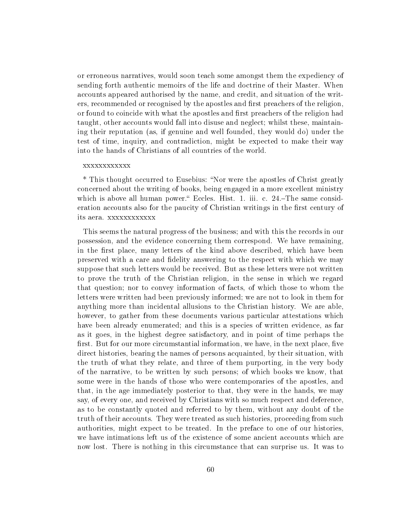or erroneous narratives, would soon teach some amongst them the expediency of sending forth authentic memoirs of the life and doctrine of their Master. When accounts appeared authorised by the name, and credit, and situation of the writers, recommended or recognised by the apostles and first preachers of the religion, or found to coincide with what the apostles and first preachers of the religion had taught, other accounts would fall into disuse and neglect; whilst these, maintaining their reputation (as, if genuine and well founded, they would do) under the test of time, inquiry, and contradiction, might be expected to make their way into the hands of Christians of all countries of the world.

#### xxxxxxxxxxxx

\* This thought occurred to Eusebius: Nor were the apostles of Christ greatly concerned about the writing of books, being engaged in a more excellent ministry which is above all human power. Eccles. Hist. 1. iii. c.  $24$ -The same consideration accounts also for the paucity of Christian writings in the first century of its aera. xxxxxxxxxxxx

This seems the natural progress of the business; and with this the records in our possession, and the evidence concerning them correspond. We have remaining, in the first place, many letters of the kind above described, which have been preserved with a care and delity answering to the respect with which we may suppose that such letters would be received. But as these letters were not written to prove the truth of the Christian religion, in the sense in which we regard that question; nor to convey information of facts, of which those to whom the letters were written had been previously informed; we are not to look in them for anything more than incidental allusions to the Christian history. We are able, however, to gather from these documents various particular attestations which have been already enumerated; and this is a species of written evidence, as far as it goes, in the highest degree satisfactory, and in point of time perhaps the first. But for our more circumstantial information, we have, in the next place, five direct histories, bearing the names of persons acquainted, by their situation, with the truth of what they relate, and three of them purporting, in the very body of the narrative, to be written by such persons; of which books we know, that some were in the hands of those who were contemporaries of the apostles, and that, in the age immediately posterior to that, they were in the hands, we may say, of every one, and received by Christians with so much respect and deference, as to be constantly quoted and referred to by them, without any doubt of the truth of their accounts. They were treated as such histories, proceeding from such authorities, might expect to be treated. In the preface to one of our histories, we have intimations left us of the existence of some ancient accounts which are now lost. There is nothing in this circumstance that can surprise us. It was to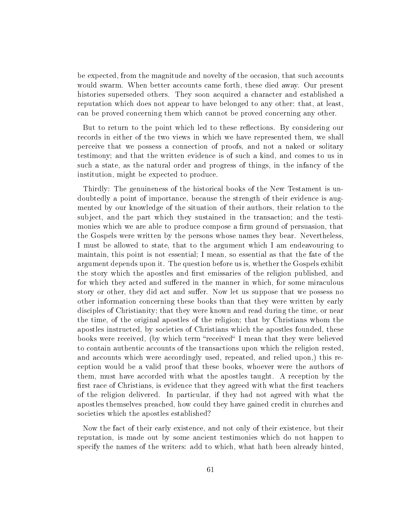be expected, from the magnitude and novelty of the occasion, that such accounts would swarm. When better accounts came forth, these died away. Our present histories superseded others. They soon acquired a character and established a reputation which does not appear to have belonged to any other: that, at least, can be proved concerning them which cannot be proved concerning any other.

But to return to the point which led to these reflections. By considering our records in either of the two views in which we have represented them, we shall perceive that we possess a connection of proofs, and not a naked or solitary testimony; and that the written evidence is of such a kind, and comes to us in such a state, as the natural order and progress of things, in the infancy of the institution, might be expected to produce.

Thirdly: The genuineness of the historical books of the New Testament is undoubtedly a point of importance, because the strength of their evidence is augmented by our knowledge of the situation of their authors, their relation to the subject, and the part which they sustained in the transaction; and the testimonies which we are able to produce compose a firm ground of persuasion, that the Gospels were written by the persons whose names they bear. Nevertheless, I must be allowed to state, that to the argument which I am endeavouring to maintain, this point is not essential; I mean, so essential as that the fate of the argument depends upon it. The question before us is, whether the Gospels exhibit the story which the apostles and first emissaries of the religion published, and for which they acted and suffered in the manner in which, for some miraculous story or other, they did act and suffer. Now let us suppose that we possess no other information concerning these books than that they were written by early disciples of Christianity; that they were known and read during the time, or near the time, of the original apostles of the religion; that by Christians whom the apostles instructed, by societies of Christians which the apostles founded, these books were received, (by which term "received" I mean that they were believed to contain authentic accounts of the transactions upon which the religion rested, and accounts which were accordingly used, repeated, and relied upon,) this reception would be a valid proof that these books, whoever were the authors of them, must have accorded with what the apostles taught. A reception by the first race of Christians, is evidence that they agreed with what the first teachers of the religion delivered. In particular, if they had not agreed with what the apostles themselves preached, how could they have gained credit in churches and societies which the apostles established?

Now the fact of their early existence, and not only of their existence, but their reputation, is made out by some ancient testimonies which do not happen to specify the names of the writers: add to which, what hath been already hinted,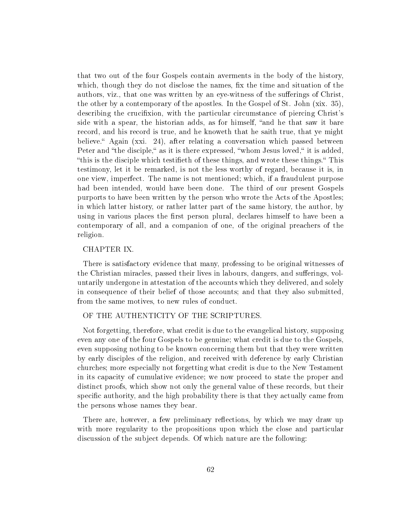that two out of the four Gospels contain averments in the body of the history, which, though they do not disclose the names, fix the time and situation of the authors, viz., that one was written by an eye-witness of the sufferings of Christ, the other by a contemporary of the apostles. In the Gospel of St. John (xix. 35), describing the crucifixion, with the particular circumstance of piercing Christ's side with a spear, the historian adds, as for himself, "and he that saw it bare record, and his record is true, and he knoweth that he saith true, that ye might believe. Again (xxi. 24), after relating a conversation which passed between Peter and "the disciple," as it is there expressed, "whom Jesus loved," it is added, "this is the disciple which testifieth of these things, and wrote these things." This testimony, let it be remarked, is not the less worthy of regard, because it is, in one view, imperfect. The name is not mentioned; which, if a fraudulent purpose had been intended, would have been done. The third of our present Gospels purports to have been written by the person who wrote the Acts of the Apostles; in which latter history, or rather latter part of the same history, the author, by using in various places the first person plural, declares himself to have been a contemporary of all, and a companion of one, of the original preachers of the religion.

# CHAPTER IX.

There is satisfactory evidence that many, professing to be original witnesses of the Christian miracles, passed their lives in labours, dangers, and sufferings, voluntarily undergone in attestation of the accounts which they delivered, and solely in consequence of their belief of those accounts; and that they also submitted, from the same motives, to new rules of conduct.

# OF THE AUTHENTICITY OF THE SCRIPTURES.

Not forgetting, therefore, what credit is due to the evangelical history, supposing even any one of the four Gospels to be genuine; what credit is due to the Gospels, even supposing nothing to be known concerning them but that they were written by early disciples of the religion, and received with deference by early Christian churches; more especially not forgetting what credit is due to the New Testament in its capacity of cumulative evidence; we now proceed to state the proper and distinct proofs, which show not only the general value of these records, but their specific authority, and the high probability there is that they actually came from the persons whose names they bear.

There are, however, a few preliminary reflections, by which we may draw up with more regularity to the propositions upon which the close and particular discussion of the subject depends. Of which nature are the following: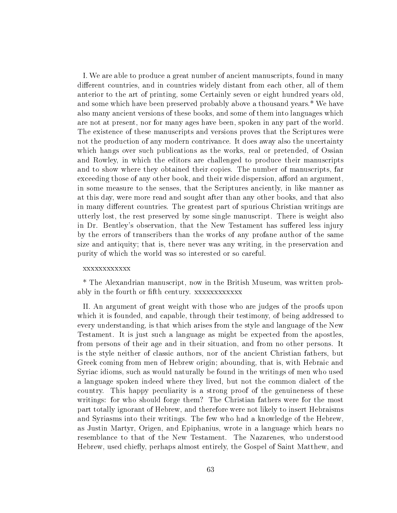I. We are able to produce a great number of ancient manuscripts, found in many different countries, and in countries widely distant from each other, all of them anterior to the art of printing, some Certainly seven or eight hundred years old, and some which have been preserved probably above a thousand years.\* We have also many ancient versions of these books, and some of them into languages which are not at present, nor for many ages have been, spoken in any part of the world. The existence of these manuscripts and versions proves that the Scriptures were not the production of any modern contrivance. It does away also the uncertainty which hangs over such publications as the works, real or pretended, of Ossian and Rowley, in which the editors are challenged to produce their manuscripts and to show where they obtained their copies. The number of manuscripts, far exceeding those of any other book, and their wide dispersion, afford an argument. in some measure to the senses, that the Scriptures anciently, in like manner as at this day, were more read and sought after than any other books, and that also in many different countries. The greatest part of spurious Christian writings are utterly lost, the rest preserved by some single manuscript. There is weight also in Dr. Bentley's observation, that the New Testament has suffered less injury by the errors of transcribers than the works of any profane author of the same size and antiquity; that is, there never was any writing, in the preservation and purity of which the world was so interested or so careful.

### xxxxxxxxxxxx

\* The Alexandrian manuscript, now in the British Museum, was written probably in the fourth or fth century. xxxxxxxxxxxx

II. An argument of great weight with those who are judges of the proofs upon which it is founded, and capable, through their testimony, of being addressed to every understanding, is that which arises from the style and language of the New Testament. It is just such a language as might be expected from the apostles, from persons of their age and in their situation, and from no other persons. It is the style neither of classic authors, nor of the ancient Christian fathers, but Greek coming from men of Hebrew origin; abounding, that is, with Hebraic and Syriac idioms, such as would naturally be found in the writings of men who used a language spoken indeed where they lived, but not the common dialect of the country. This happy peculiarity is a strong proof of the genuineness of these writings: for who should forge them? The Christian fathers were for the most part totally ignorant of Hebrew, and therefore were not likely to insert Hebraisms and Syriasms into their writings. The few who had a knowledge of the Hebrew, as Justin Martyr, Origen, and Epiphanius, wrote in a language which hears no resemblance to that of the New Testament. The Nazarenes, who understood Hebrew, used chiefly, perhaps almost entirely, the Gospel of Saint Matthew, and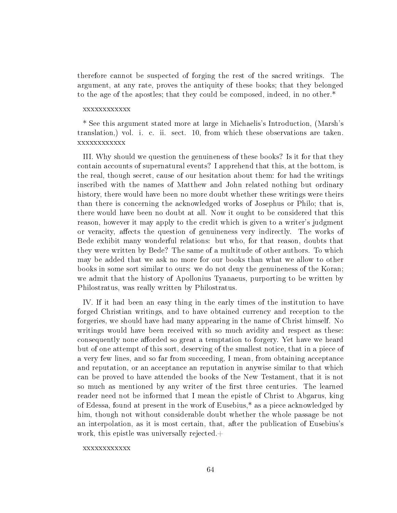therefore cannot be suspected of forging the rest of the sacred writings. The argument, at any rate, proves the antiquity of these books; that they belonged to the age of the apostles; that they could be composed, indeed, in no other.\*

### xxxxxxxxxxxx

\* See this argument stated more at large in Michaelis's Introduction, (Marsh's translation,) vol. i. c. ii. sect. 10, from which these observations are taken. xxxxxxxxxxxx

III. Why should we question the genuineness of these books? Is it for that they contain accounts of supernatural events? I apprehend that this, at the bottom, is the real, though secret, cause of our hesitation about them: for had the writings inscribed with the names of Matthew and John related nothing but ordinary history, there would have been no more doubt whether these writings were theirs than there is concerning the acknowledged works of Josephus or Philo; that is, there would have been no doubt at all. Now it ought to be considered that this reason, however it may apply to the credit which is given to a writer's judgment or veracity, affects the question of genuineness very indirectly. The works of Bede exhibit many wonderful relations: but who, for that reason, doubts that they were written by Bede? The same of a multitude of other authors. To which may be added that we ask no more for our books than what we allow to other books in some sort similar to ours: we do not deny the genuineness of the Koran; we admit that the history of Apollonius Tyanaeus, purporting to be written by Philostratus, was really written by Philostratus.

IV. If it had been an easy thing in the early times of the institution to have forged Christian writings, and to have obtained currency and reception to the forgeries, we should have had many appearing in the name of Christ himself. No writings would have been received with so much avidity and respect as these: consequently none afforded so great a temptation to forgery. Yet have we heard but of one attempt of this sort, deserving of the smallest notice, that in a piece of a very few lines, and so far from succeeding, I mean, from obtaining acceptance and reputation, or an acceptance an reputation in anywise similar to that which can be proved to have attended the books of the New Testament, that it is not so much as mentioned by any writer of the first three centuries. The learned reader need not be informed that I mean the epistle of Christ to Abgarus, king of Edessa, found at present in the work of Eusebius,\* as a piece acknowledged by him, though not without considerable doubt whether the whole passage be not an interpolation, as it is most certain, that, after the publication of Eusebius's work, this epistle was universally rejected. $+$ 

### xxxxxxxxxxxx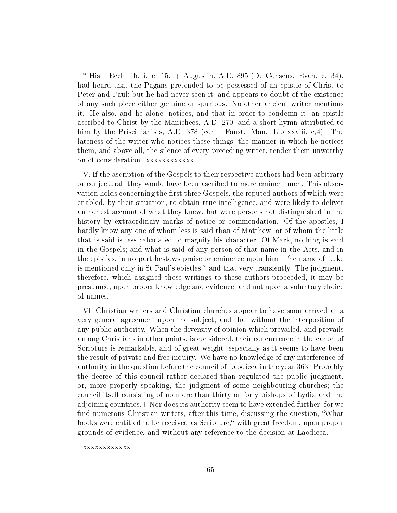<sup>\*</sup> Hist. Eccl. lib. i. c. 15. + Augustin, A.D. 895 (De Consens. Evan. c. 34), had heard that the Pagans pretended to be possessed of an epistle of Christ to Peter and Paul; but he had never seen it, and appears to doubt of the existence of any such piece either genuine or spurious. No other ancient writer mentions it. He also, and he alone, notices, and that in order to condemn it, an epistle ascribed to Christ by the Manichees, A.D. 270, and a short hymn attributed to him by the Priscillianists, A.D. 378 (cont. Faust. Man. Lib xxviii, c,4). The lateness of the writer who notices these things, the manner in which he notices them, and above all, the silence of every preceding writer, render them unworthy on of consideration. xxxxxxxxxxxx

V. If the ascription of the Gospels to their respective authors had been arbitrary or conjectural, they would have been ascribed to more eminent men. This observation holds concerning the first three Gospels, the reputed authors of which were enabled, by their situation, to obtain true intelligence, and were likely to deliver an honest account of what they knew, but were persons not distinguished in the history by extraordinary marks of notice or commendation. Of the apostles, I hardly know any one of whom less is said than of Matthew, or of whom the little that is said is less calculated to magnify his character. Of Mark, nothing is said in the Gospels; and what is said of any person of that name in the Acts, and in the epistles, in no part bestows praise or eminence upon him. The name of Luke is mentioned only in St Paul's epistles,\* and that very transiently. The judgment, therefore, which assigned these writings to these authors proceeded, it may be presumed, upon proper knowledge and evidence, and not upon a voluntary choice of names.

VI. Christian writers and Christian churches appear to have soon arrived at a very general agreement upon the subject, and that without the interposition of any public authority. When the diversity of opinion which prevailed, and prevails among Christians in other points, is considered, their concurrence in the canon of Scripture is remarkable, and of great weight, especially as it seems to have been the result of private and free inquiry. We have no knowledge of any interference of authority in the question before the council of Laodicea in the year 363. Probably the decree of this council rather declared than regulated the public judgment, or, more properly speaking, the judgment of some neighbouring churches; the council itself consisting of no more than thirty or forty bishops of Lydia and the adjoining countries. $+$  Nor does its authority seem to have extended further; for we find numerous Christian writers, after this time, discussing the question, "What books were entitled to be received as Scripture," with great freedom, upon proper grounds of evidence, and without any reference to the decision at Laodicea.

xxxxxxxxxxxx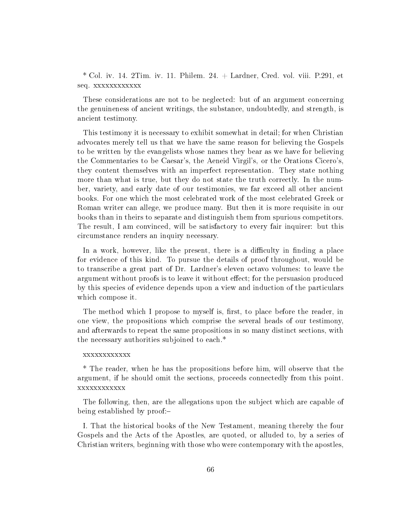$*$  Col. iv. 14. 2Tim. iv. 11. Philem. 24. + Lardner, Cred. vol. viii. P.291, et seq. xxxxxxxxxxxx

These considerations are not to be neglected: but of an argument concerning the genuineness of ancient writings, the substance, undoubtedly, and strength, is ancient testimony.

This testimony it is necessary to exhibit somewhat in detail; for when Christian advocates merely tell us that we have the same reason for believing the Gospels to be written by the evangelists whose names they bear as we have for believing the Commentaries to be Caesar's, the Aeneid Virgil's, or the Orations Cicero's, they content themselves with an imperfect representation. They state nothing more than what is true, but they do not state the truth correctly. In the number, variety, and early date of our testimonies, we far exceed all other ancient books. For one which the most celebrated work of the most celebrated Greek or Roman writer can allege, we produce many. But then it is more requisite in our books than in theirs to separate and distinguish them from spurious competitors. The result, I am convinced, will be satisfactory to every fair inquirer: but this circumstance renders an inquiry necessary.

In a work, however, like the present, there is a difficulty in finding a place for evidence of this kind. To pursue the details of proof throughout, would be to transcribe a great part of Dr. Lardner's eleven octavo volumes: to leave the argument without proofs is to leave it without effect; for the persuasion produced by this species of evidence depends upon a view and induction of the particulars which compose it.

The method which I propose to myself is, first, to place before the reader, in one view, the propositions which comprise the several heads of our testimony, and afterwards to repeat the same propositions in so many distinct sections, with the necessary authorities subjoined to each.\*

### xxxxxxxxxxxx

\* The reader, when he has the propositions before him, will observe that the argument, if he should omit the sections, proceeds connectedly from this point. xxxxxxxxxxxx

The following, then, are the allegations upon the subject which are capable of being established by proof:

I. That the historical books of the New Testament, meaning thereby the four Gospels and the Acts of the Apostles, are quoted, or alluded to, by a series of Christian writers, beginning with those who were contemporary with the apostles,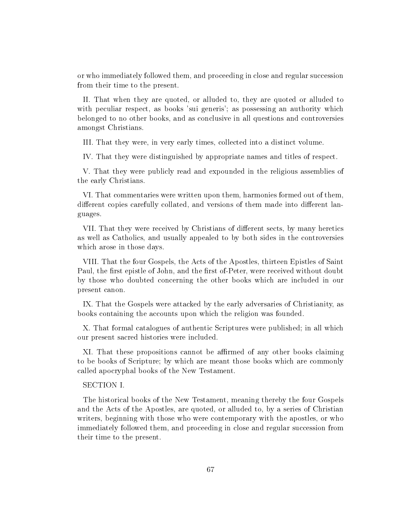or who immediately followed them, and proceeding in close and regular succession from their time to the present.

II. That when they are quoted, or alluded to, they are quoted or alluded to with peculiar respect, as books 'sui generis'; as possessing an authority which belonged to no other books, and as conclusive in all questions and controversies amongst Christians.

III. That they were, in very early times, collected into a distinct volume.

IV. That they were distinguished by appropriate names and titles of respect.

V. That they were publicly read and expounded in the religious assemblies of the early Christians.

VI. That commentaries were written upon them, harmonies formed out of them, different copies carefully collated, and versions of them made into different languages.

VII. That they were received by Christians of different sects, by many heretics as well as Catholics, and usually appealed to by both sides in the controversies which arose in those days.

VIII. That the four Gospels, the Acts of the Apostles, thirteen Epistles of Saint Paul, the first epistle of John, and the first of-Peter, were received without doubt by those who doubted concerning the other books which are included in our present canon.

IX. That the Gospels were attacked by the early adversaries of Christianity, as books containing the accounts upon which the religion was founded.

X. That formal catalogues of authentic Scriptures were published; in all which our present sacred histories were included.

XI. That these propositions cannot be affirmed of any other books claiming to be books of Scripture; by which are meant those books which are commonly called apocryphal books of the New Testament.

# SECTION I.

The historical books of the New Testament, meaning thereby the four Gospels and the Acts of the Apostles, are quoted, or alluded to, by a series of Christian writers, beginning with those who were contemporary with the apostles, or who immediately followed them, and proceeding in close and regular succession from their time to the present.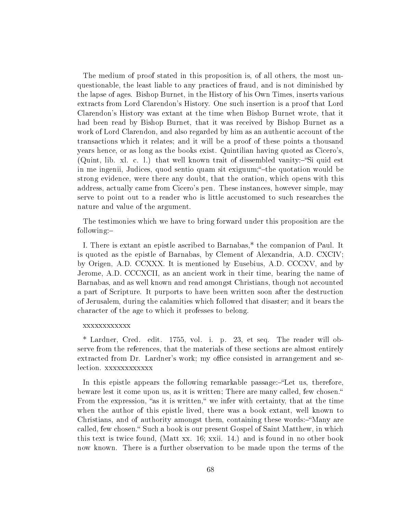The medium of proof stated in this proposition is, of all others, the most unquestionable, the least liable to any practices of fraud, and is not diminished by the lapse of ages. Bishop Burnet, in the History of his Own Times, inserts various extracts from Lord Clarendon's History. One such insertion is a proof that Lord Clarendon's History was extant at the time when Bishop Burnet wrote, that it had been read by Bishop Burnet, that it was received by Bishop Burnet as a work of Lord Clarendon, and also regarded by him as an authentic account of the transactions which it relates; and it will be a proof of these points a thousand years hence, or as long as the books exist. Quintilian having quoted as Cicero's, (Quint, lib. xl. c. l.) that well known trait of dissembled vanity:—"Si quid est in me ingenii, Judices, quod sentio quam sit exiguum; the quotation would be strong evidence, were there any doubt, that the oration, which opens with this address, actually came from Cicero's pen. These instances, however simple, may serve to point out to a reader who is little accustomed to such researches the nature and value of the argument.

The testimonies which we have to bring forward under this proposition are the following:

I. There is extant an epistle ascribed to Barnabas,\* the companion of Paul. It is quoted as the epistle of Barnabas, by Clement of Alexandria, A.D. CXCIV; by Origen, A.D. CCXXX. It is mentioned by Eusebius, A.D. CCCXV, and by Jerome, A.D. CCCXCII, as an ancient work in their time, bearing the name of Barnabas, and as well known and read amongst Christians, though not accounted a part of Scripture. It purports to have been written soon after the destruction of Jerusalem, during the calamities which followed that disaster; and it bears the character of the age to which it professes to belong.

### xxxxxxxxxxxx

\* Lardner, Cred. edit. 1755, vol. i. p. 23, et seq. The reader will observe from the references, that the materials of these sections are almost entirely extracted from Dr. Lardner's work; my office consisted in arrangement and selection. xxxxxxxxxxx

In this epistle appears the following remarkable passage: "Let us, therefore, beware lest it come upon us, as it is written; There are many called, few chosen. From the expression, "as it is written," we infer with certainty, that at the time when the author of this epistle lived, there was a book extant, well known to Christians, and of authority amongst them, containing these words: $\mathcal{N}$ any are called, few chosen." Such a book is our present Gospel of Saint Matthew, in which this text is twice found, (Matt xx. 16; xxii. 14.) and is found in no other book now known. There is a further observation to be made upon the terms of the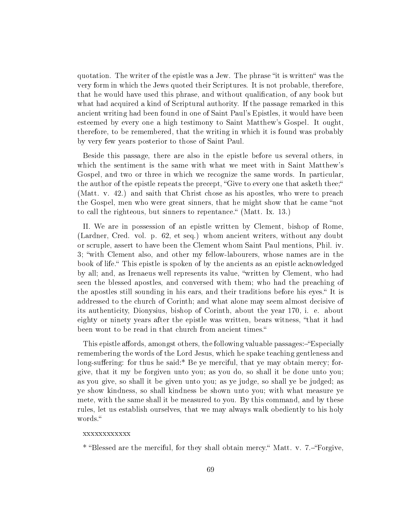quotation. The writer of the epistle was a Jew. The phrase "it is written" was the very form in which the Jews quoted their Scriptures. It is not probable, therefore, that he would have used this phrase, and without qualification, of any book but what had acquired a kind of Scriptural authority. If the passage remarked in this ancient writing had been found in one of Saint Paul's Epistles, it would have been esteemed by every one a high testimony to Saint Matthew's Gospel. It ought, therefore, to be remembered, that the writing in which it is found was probably by very few years posterior to those of Saint Paul.

Beside this passage, there are also in the epistle before us several others, in which the sentiment is the same with what we meet with in Saint Matthew's Gospel, and two or three in which we recognize the same words. In particular, the author of the epistle repeats the precept, "Give to every one that asketh thee;" (Matt. v. 42.) and saith that Christ chose as his apostles, who were to preach the Gospel, men who were great sinners, that he might show that he came "not to call the righteous, but sinners to repentance." (Matt. Ix. 13.)

II. We are in possession of an epistle written by Clement, bishop of Rome, (Lardner, Cred. vol. p. 62, et seq.) whom ancient writers, without any doubt or scruple, assert to have been the Clement whom Saint Paul mentions, Phil. iv. 3; "with Clement also, and other my fellow-labourers, whose names are in the book of life. This epistle is spoken of by the ancients as an epistle acknowledged by all; and, as Irenaeus well represents its value, "written by Clement, who had seen the blessed apostles, and conversed with them; who had the preaching of the apostles still sounding in his ears, and their traditions before his eyes. It is addressed to the church of Corinth; and what alone may seem almost decisive of its authenticity, Dionysius, bishop of Corinth, about the year 170, i. e. about eighty or ninety years after the epistle was written, bears witness, "that it had been wont to be read in that church from ancient times."

This epistle affords, amongst others, the following valuable passages: "Especially remembering the words of the Lord Jesus, which he spake teaching gentleness and long-suffering: for thus he said:\* Be ye merciful, that ye may obtain mercy; forgive, that it my be forgiven unto you; as you do, so shall it be done unto you; as you give, so shall it be given unto you; as ye judge, so shall ye be judged; as ye show kindness, so shall kindness be shown unto you; with what measure ye mete, with the same shall it be measured to you. By this command, and by these rules, let us establish ourselves, that we may always walk obediently to his holy words.

### xxxxxxxxxxxx

\* "Blessed are the merciful, for they shall obtain mercy." Matt. v. 7.-"Forgive,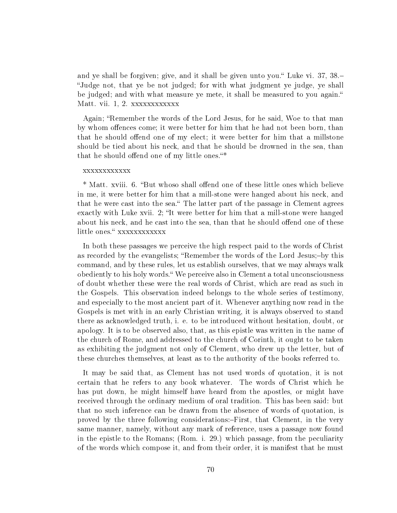and ye shall be forgiven; give, and it shall be given unto you." Luke vi. 37, 38.-Judge not, that ye be not judged; for with what judgment ye judge, ye shall be judged; and with what measure ye mete, it shall be measured to you again. Matt. vii. 1, 2. xxxxxxxxxxxx

Again; "Remember the words of the Lord Jesus, for he said, Woe to that man by whom offences come; it were better for him that he had not been born, than that he should offend one of my elect; it were better for him that a millstone should be tied about his neck, and that he should be drowned in the sea, than that he should offend one of my little ones."\*

### xxxxxxxxxxxx

\* Matt. xviii. 6. "But whoso shall offend one of these little ones which believe in me, it were better for him that a mill-stone were hanged about his neck, and that he were cast into the sea." The latter part of the passage in Clement agrees exactly with Luke xvii. 2; "It were better for him that a mill-stone were hanged about his neck, and he cast into the sea, than that he should offend one of these little ones." xxxxxxxxxxx

In both these passages we perceive the high respect paid to the words of Christ as recorded by the evangelists; "Remember the words of the Lord Jesus;-by this command, and by these rules, let us establish ourselves, that we may always walk obediently to his holy words." We perceive also in Clement a total unconsciousness of doubt whether these were the real words of Christ, which are read as such in the Gospels. This observation indeed belongs to the whole series of testimony, and especially to the most ancient part of it. Whenever anything now read in the Gospels is met with in an early Christian writing, it is always observed to stand there as acknowledged truth, i. e. to be introduced without hesitation, doubt, or apology. It is to be observed also, that, as this epistle was written in the name of the church of Rome, and addressed to the church of Corinth, it ought to be taken as exhibiting the judgment not only of Clement, who drew up the letter, but of these churches themselves, at least as to the authority of the books referred to.

It may be said that, as Clement has not used words of quotation, it is not certain that he refers to any book whatever. The words of Christ which he has put down, he might himself have heard from the apostles, or might have received through the ordinary medium of oral tradition. This has been said: but that no such inference can be drawn from the absence of words of quotation, is proved by the three following considerations:-First, that Clement, in the very same manner, namely, without any mark of reference, uses a passage now found in the epistle to the Romans; (Rom. i. 29.) which passage, from the peculiarity of the words which compose it, and from their order, it is manifest that he must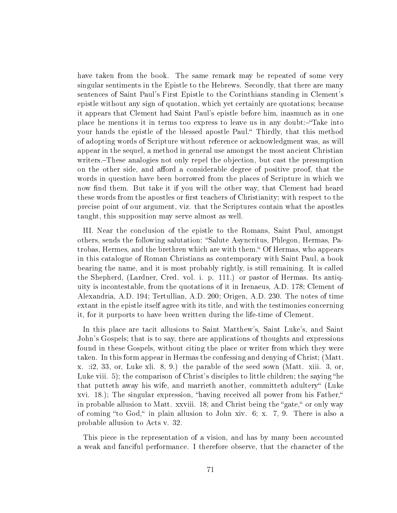have taken from the book. The same remark may be repeated of some very singular sentiments in the Epistle to the Hebrews. Secondly, that there are many sentences of Saint Paul's First Epistle to the Corinthians standing in Clement's epistle without any sign of quotation, which yet certainly are quotations; because it appears that Clement had Saint Paul's epistle before him, inasmuch as in one place he mentions it in terms too express to leave us in any doubt:-"Take into your hands the epistle of the blessed apostle Paul." Thirdly, that this method of adopting words of Scripture without reference or acknowledgment was, as will appear in the sequel, a method in general use amongst the most ancient Christian writers. These analogies not only repel the objection, but cast the presumption on the other side, and afford a considerable degree of positive proof, that the words in question have been borrowed from the places of Scripture in which we now find them. But take it if you will the other way, that Clement had heard these words from the apostles or first teachers of Christianity; with respect to the precise point of our argument, viz. that the Scriptures contain what the apostles taught, this supposition may serve almost as well.

III. Near the conclusion of the epistle to the Romans, Saint Paul, amongst others, sends the following salutation: Salute Asyncritus, Phlegon, Hermas, Patrobas, Hermes, and the brethren which are with them." Of Hermas, who appears in this catalogue of Roman Christians as contemporary with Saint Paul, a book bearing the name, and it is most probably rightly, is still remaining. It is called the Shepherd, (Lardner, Cred. vol. i. p. 111.) or pastor of Hermas. Its antiquity is incontestable, from the quotations of it in Irenaeus, A.D. 178; Clement of Alexandria, A.D. 194; Tertullian, A.D. 200; Origen, A.D. 230. The notes of time extant in the epistle itself agree with its title, and with the testimonies concerning it, for it purports to have been written during the life-time of Clement.

In this place are tacit allusions to Saint Matthew's, Saint Luke's, and Saint John's Gospels; that is to say, there are applications of thoughts and expressions found in these Gospels, without citing the place or writer from which they were taken. In this form appear in Hermas the confessing and denying of Christ; (Matt. x. :i2, 33, or, Luke xli. 8, 9.) the parable of the seed sown (Matt. xiii. 3, or, Luke viii. 5); the comparison of Christ's disciples to little children; the saying "he that putteth away his wife, and marrieth another, committeth adultery" (Luke xvi. 18.); The singular expression, "having received all power from his Father," in probable allusion to Matt. xxviii.  $18$ ; and Christ being the "gate," or only way of coming "to God," in plain allusion to John xiv.  $6$ ; x. 7, 9. There is also a probable allusion to Acts v. 32.

This piece is the representation of a vision, and has by many been accounted a weak and fanciful performance. I therefore observe, that the character of the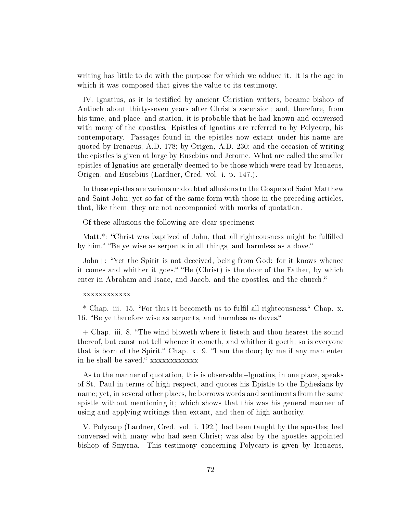writing has little to do with the purpose for which we adduce it. It is the age in which it was composed that gives the value to its testimony.

IV. Ignatius, as it is testified by ancient Christian writers, became bishop of Antioch about thirty-seven years after Christ's ascension; and, therefore, from his time, and place, and station, it is probable that he had known and conversed with many of the apostles. Epistles of Ignatius are referred to by Polycarp, his contemporary. Passages found in the epistles now extant under his name are quoted by Irenaeus, A.D. 178; by Origen, A.D. 230; and the occasion of writing the epistles is given at large by Eusebius and Jerome. What are called the smaller epistles of Ignatius are generally deemed to be those which were read by Irenaeus, Origen, and Eusebius (Lardner, Cred. vol. i. p. 147.).

In these epistles are various undoubted allusions to the Gospels of Saint Matthew and Saint John; yet so far of the same form with those in the preceding articles, that, like them, they are not accompanied with marks of quotation.

Of these allusions the following are clear specimens:

Matt.<sup>\*</sup>: "Christ was baptized of John, that all righteousness might be fulfilled by him." "Be ye wise as serpents in all things, and harmless as a dove."

John+: Yet the Spirit is not deceived, being from God: for it knows whence it comes and whither it goes." "He (Christ) is the door of the Father, by which enter in Abraham and Isaac, and Jacob, and the apostles, and the church.

### xxxxxxxxxxxx

\* Chap. iii. 15. "For thus it becometh us to fulfil all righteousness." Chap. x. 16. "Be ye therefore wise as serpents, and harmless as doves."

 $+$  Chap. iii. 8. "The wind bloweth where it listeth and thou hearest the sound thereof, but canst not tell whence it cometh, and whither it goeth; so is everyone that is born of the Spirit. Chap. x. 9. If am the door; by me if any man enter in he shall be saved." xxxxxxxxxxxx

As to the manner of quotation, this is observable;-Ignatius, in one place, speaks of St. Paul in terms of high respect, and quotes his Epistle to the Ephesians by name; yet, in several other places, he borrows words and sentiments from the same epistle without mentioning it; which shows that this was his general manner of using and applying writings then extant, and then of high authority.

V. Polycarp (Lardner, Cred. vol. i. 192.) had been taught by the apostles; had conversed with many who had seen Christ; was also by the apostles appointed bishop of Smyrna. This testimony concerning Polycarp is given by Irenaeus,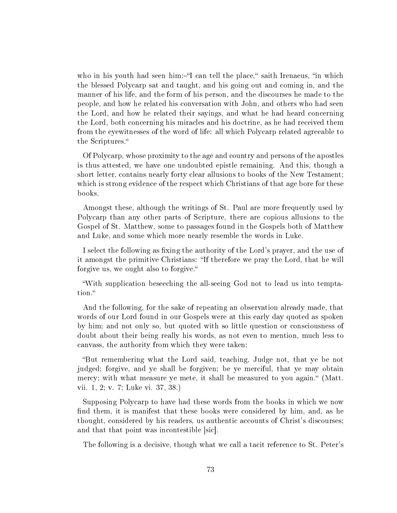who in his youth had seen him:-"I can tell the place," saith Irenaeus, "in which the blessed Polycarp sat and taught, and his going out and coming in, and the manner of his life, and the form of his person, and the discourses he made to the people, and how he related his conversation with John, and others who had seen the Lord, and how he related their sayings, and what he had heard concerning the Lord, both concerning his miracles and his doctrine, as he had received them from the eyewitnesses of the word of life: all which Polycarp related agreeable to the Scriptures.

Of Polycarp, whose proximity to the age and country and persons of the apostles is thus attested, we have one undoubted epistle remaining. And this, though a short letter, contains nearly forty clear allusions to books of the New Testament; which is strong evidence of the respect which Christians of that age bore for these books.

Amongst these, although the writings of St. Paul are more frequently used by Polycarp than any other parts of Scripture, there are copious allusions to the Gospel of St. Matthew, some to passages found in the Gospels both of Matthew and Luke, and some which more nearly resemble the words in Luke.

I select the following as fixing the authority of the Lord's prayer, and the use of it amongst the primitive Christians: "If therefore we pray the Lord, that he will forgive us, we ought also to forgive.

With supplication beseeching the all-seeing God not to lead us into temptation.

And the following, for the sake of repeating an observation already made, that words of our Lord found in our Gospels were at this early day quoted as spoken by him; and not only so, but quoted with so little question or consciousness of doubt about their being really his words, as not even to mention, much less to canvass, the authority from which they were taken:

But remembering what the Lord said, teaching, Judge not, that ye be not judged; forgive, and ye shall be forgiven; be ye merciful, that ye may obtain mercy; with what measure ye mete, it shall be measured to you again." (Matt. vii. 1, 2; v. 7; Luke vi. 37, 38.)

Supposing Polycarp to have had these words from the books in which we now find them, it is manifest that these books were considered by him, and, as he thought, considered by his readers, us authentic accounts of Christ's discourses; and that that point was incontestible sic.

The following is a decisive, though what we call a tacit reference to St. Peter's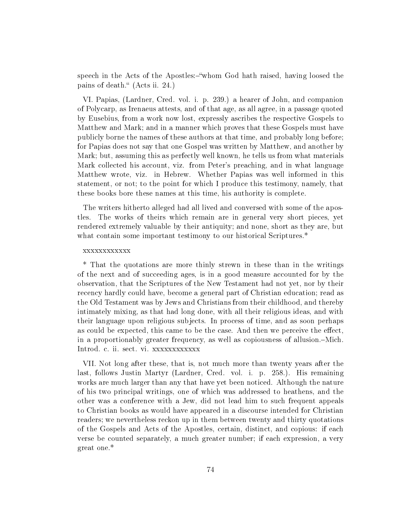speech in the Acts of the Apostles:-"whom God hath raised, having loosed the pains of death." (Acts ii. 24.)

VI. Papias, (Lardner, Cred. vol. i. p. 239.) a hearer of John, and companion of Polycarp, as Irenaeus attests, and of that age, as all agree, in a passage quoted by Eusebius, from a work now lost, expressly ascribes the respective Gospels to Matthew and Mark; and in a manner which proves that these Gospels must have publicly borne the names of these authors at that time, and probably long before; for Papias does not say that one Gospel was written by Matthew, and another by Mark; but, assuming this as perfectly well known, he tells us from what materials Mark collected his account, viz. from Peter's preaching, and in what language Matthew wrote, viz. in Hebrew. Whether Papias was well informed in this statement, or not; to the point for which I produce this testimony, namely, that these books bore these names at this time, his authority is complete.

The writers hitherto alleged had all lived and conversed with some of the apostles. The works of theirs which remain are in general very short pieces, yet rendered extremely valuable by their antiquity; and none, short as they are, but what contain some important testimony to our historical Scriptures.<sup>\*</sup>

#### xxxxxxxxxxxx

\* That the quotations are more thinly strewn in these than in the writings of the next and of succeeding ages, is in a good measure accounted for by the observation, that the Scriptures of the New Testament had not yet, nor by their recency hardly could have, become a general part of Christian education; read as the Old Testament was by Jews and Christians from their childhood, and thereby intimately mixing, as that had long done, with all their religious ideas, and with their language upon religious subjects. In process of time, and as soon perhaps as could be expected, this came to be the case. And then we perceive the effect, in a proportionably greater frequency, as well as copiousness of allusion.—Mich. Introd. c. ii. sect. vi. xxxxxxxxxxxx

VII. Not long after these, that is, not much more than twenty years after the last, follows Justin Martyr (Lardner, Cred. vol. i. p. 258.). His remaining works are much larger than any that have yet been noticed. Although the nature of his two principal writings, one of which was addressed to heathens, and the other was a conference with a Jew, did not lead him to such frequent appeals to Christian books as would have appeared in a discourse intended for Christian readers; we nevertheless reckon up in them between twenty and thirty quotations of the Gospels and Acts of the Apostles, certain, distinct, and copious: if each verse be counted separately, a much greater number; if each expression, a very great one.\*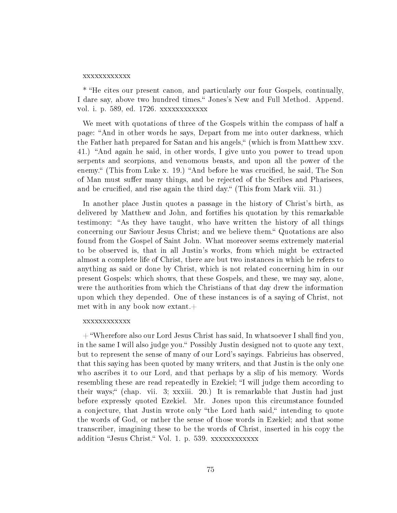#### xxxxxxxxxxxx

\* He cites our present canon, and particularly our four Gospels, continually, I dare say, above two hundred times." Jones's New and Full Method. Append. vol. i. p. 589, ed. 1726. xxxxxxxxxxxx

We meet with quotations of three of the Gospels within the compass of half a page: And in other words he says, Depart from me into outer darkness, which the Father hath prepared for Satan and his angels," (which is from Matthew xxv. 41.) "And again he said, in other words, I give unto you power to tread upon serpents and scorpions, and venomous beasts, and upon all the power of the enemy." (This from Luke x. 19.) "And before he was crucified, he said, The Son of Man must suffer many things, and be rejected of the Scribes and Pharisees, and be crucified, and rise again the third day." (This from Mark viii. 31.)

In another place Justin quotes a passage in the history of Christ's birth, as delivered by Matthew and John, and fortifies his quotation by this remarkable testimony: "As they have taught, who have written the history of all things concerning our Saviour Jesus Christ; and we believe them. Quotations are also found from the Gospel of Saint John. What moreover seems extremely material to be observed is, that in all Justin's works, from which might be extracted almost a complete life of Christ, there are but two instances in which he refers to anything as said or done by Christ, which is not related concerning him in our present Gospels: which shows, that these Gospels, and these, we may say, alone, were the authorities from which the Christians of that day drew the information upon which they depended. One of these instances is of a saying of Christ, not met with in any book now extant.+

### xxxxxxxxxxxx

 $+$  "Wherefore also our Lord Jesus Christ has said, In whatsoever I shall find you, in the same I will also judge you." Possibly Justin designed not to quote any text, but to represent the sense of many of our Lord's sayings. Fabrieius has observed, that this saying has been quoted by many writers, and that Justin is the only one who ascribes it to our Lord, and that perhaps by a slip of his memory. Words resembling these are read repeatedly in Ezekiel; "I will judge them according to their ways; (chap. vii. 3; xxxiii. 20.) It is remarkable that Justin had just before expressly quoted Ezekiel. Mr. Jones upon this circumstance founded a conjecture, that Justin wrote only "the Lord hath said," intending to quote the words of God, or rather the sense of those words in Ezekiel; and that some transcriber, imagining these to be the words of Christ, inserted in his copy the addition "Jesus Christ." Vol. 1. p. 539. xxxxxxxxxxxx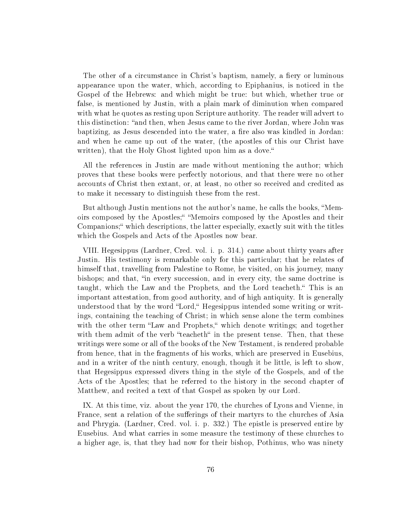The other of a circumstance in Christ's baptism, namely, a fiery or luminous appearance upon the water, which, according to Epiphanius, is noticed in the Gospel of the Hebrews: and which might be true: but which, whether true or false, is mentioned by Justin, with a plain mark of diminution when compared with what he quotes as resting upon Scripture authority. The reader will advert to this distinction: "and then, when Jesus came to the river Jordan, where John was baptizing, as Jesus descended into the water, a fire also was kindled in Jordan: and when he came up out of the water, (the apostles of this our Christ have written), that the Holy Ghost lighted upon him as a dove."

All the references in Justin are made without mentioning the author; which proves that these books were perfectly notorious, and that there were no other accounts of Christ then extant, or, at least, no other so received and credited as to make it necessary to distinguish these from the rest.

But although Justin mentions not the author's name, he calls the books, "Memoirs composed by the Apostles;" "Memoirs composed by the Apostles and their Companions; which descriptions, the latter especially, exactly suit with the titles which the Gospels and Acts of the Apostles now bear.

VIII. Hegesippus (Lardner, Cred. vol. i. p. 314.) came about thirty years after Justin. His testimony is remarkable only for this particular; that he relates of himself that, travelling from Palestine to Rome, he visited, on his journey, many bishops; and that, "in every succession, and in every city, the same doctrine is taught, which the Law and the Prophets, and the Lord teacheth." This is an important attestation, from good authority, and of high antiquity. It is generally understood that by the word "Lord," Hegesippus intended some writing or writings, containing the teaching of Christ; in which sense alone the term combines with the other term "Law and Prophets," which denote writings; and together with them admit of the verb "teacheth" in the present tense. Then, that these writings were some or all of the books of the New Testament, is rendered probable from hence, that in the fragments of his works, which are preserved in Eusebius, and in a writer of the ninth century, enough, though it be little, is left to show, that Hegesippus expressed divers thing in the style of the Gospels, and of the Acts of the Apostles; that he referred to the history in the second chapter of Matthew, and recited a text of that Gospel as spoken by our Lord.

IX. At this time, viz. about the year 170, the churches of Lyons and Vienne, in France, sent a relation of the sufferings of their martyrs to the churches of Asia and Phrygia. (Lardner, Cred. vol. i. p. 332.) The epistle is preserved entire by Eusebius. And what carries in some measure the testimony of these churches to a higher age, is, that they had now for their bishop, Pothinus, who was ninety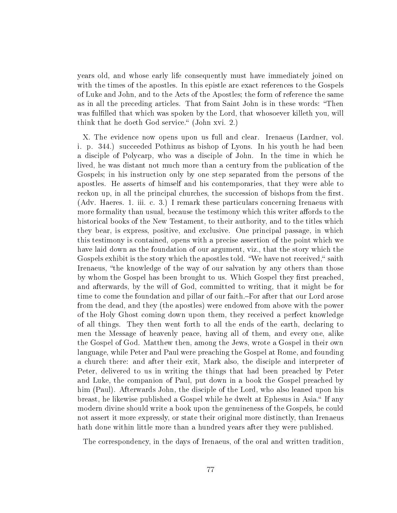years old, and whose early life consequently must have immediately joined on with the times of the apostles. In this epistle are exact references to the Gospels of Luke and John, and to the Acts of the Apostles; the form of reference the same as in all the preceding articles. That from Saint John is in these words: Then was fulfilled that which was spoken by the Lord, that whosoever killeth you, will think that he doeth God service." (John xvi. 2.)

X. The evidence now opens upon us full and clear. Irenaeus (Lardner, vol. i. p. 344.) succeeded Pothinus as bishop of Lyons. In his youth he had been a disciple of Polycarp, who was a disciple of John. In the time in which he lived, he was distant not much more than a century from the publication of the Gospels; in his instruction only by one step separated from the persons of the apostles. He asserts of himself and his contemporaries, that they were able to reckon up, in all the principal churches, the succession of bishops from the first. (Adv. Haeres. 1. iii. c. 3.) I remark these particulars concerning Irenaeus with more formality than usual, because the testimony which this writer affords to the historical books of the New Testament, to their authority, and to the titles which they bear, is express, positive, and exclusive. One principal passage, in which this testimony is contained, opens with a precise assertion of the point which we have laid down as the foundation of our argument, viz., that the story which the Gospels exhibit is the story which the apostles told. "We have not received," saith Irenaeus, "the knowledge of the way of our salvation by any others than those by whom the Gospel has been brought to us. Which Gospel they first preached, and afterwards, by the will of God, committed to writing, that it might be for time to come the foundation and pillar of our faith.–For after that our Lord arose from the dead, and they (the apostles) were endowed from above with the power of the Holy Ghost coming down upon them, they received a perfect knowledge of all things. They then went forth to all the ends of the earth, declaring to men the Message of heavenly peace, having all of them, and every one, alike the Gospel of God. Matthew then, among the Jews, wrote a Gospel in their own language, while Peter and Paul were preaching the Gospel at Rome, and founding a church there: and after their exit, Mark also, the disciple and interpreter of Peter, delivered to us in writing the things that had been preached by Peter and Luke, the companion of Paul, put down in a book the Gospel preached by him (Paul). Afterwards John, the disciple of the Lord, who also leaned upon his breast, he likewise published a Gospel while he dwelt at Ephesus in Asia." If any modern divine should write a book upon the genuineness of the Gospels, he could not assert it more expressly, or state their original more distinctly, than Irenaeus hath done within little more than a hundred years after they were published.

The correspondency, in the days of Irenaeus, of the oral and written tradition,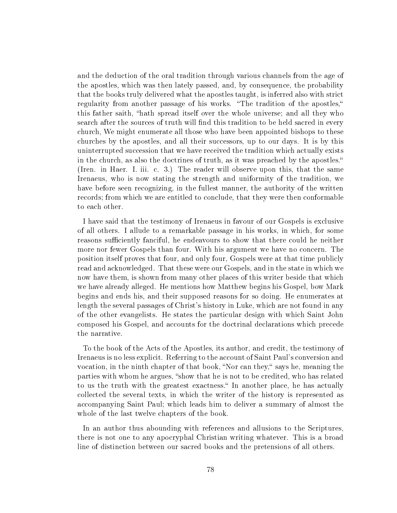and the deduction of the oral tradition through various channels from the age of the apostles, which was then lately passed, and, by consequence, the probability that the books truly delivered what the apostles taught, is inferred also with strict regularity from another passage of his works. "The tradition of the apostles," this father saith, "hath spread itself over the whole universe; and all they who search after the sources of truth will find this tradition to be held sacred in every church, We might enumerate all those who have been appointed bishops to these churches by the apostles, and all their successors, up to our days. It is by this uninterrupted succession that we have received the tradition which actually exists in the church, as also the doctrines of truth, as it was preached by the apostles. (Iren. in Haer. I. iii. c. 3.) The reader will observe upon this, that the same Irenaeus, who is now stating the strength and uniformity of the tradition, we have before seen recognizing, in the fullest manner, the authority of the written records; from which we are entitled to conclude, that they were then conformable to each other.

I have said that the testimony of Irenaeus in favour of our Gospels is exclusive of all others. I allude to a remarkable passage in his works, in which, for some reasons sufficiently fanciful, he endeavours to show that there could he neither more nor fewer Gospels than four. With his argument we have no concern. The position itself proves that four, and only four, Gospels were at that time publicly read and acknowledged. That these were our Gospels, and in the state in which we now have them, is shown from many other places of this writer beside that which we have already alleged. He mentions how Matthew begins his Gospel, bow Mark begins and ends his, and their supposed reasons for so doing. He enumerates at length the several passages of Christ's history in Luke, which are not found in any of the other evangelists. He states the particular design with which Saint John composed his Gospel, and accounts for the doctrinal declarations which precede the narrative.

To the book of the Acts of the Apostles, its author, and credit, the testimony of Irenaeus is no less explicit. Referring to the account of Saint Paul's conversion and vocation, in the ninth chapter of that book, "Nor can they," says he, meaning the parties with whom he argues, "show that he is not to be credited, who has related to us the truth with the greatest exactness." In another place, he has actually collected the several texts, in which the writer of the history is represented as accompanying Saint Paul; which leads him to deliver a summary of almost the whole of the last twelve chapters of the book.

In an author thus abounding with references and allusions to the Scriptures, there is not one to any apocryphal Christian writing whatever. This is a broad line of distinction between our sacred books and the pretensions of all others.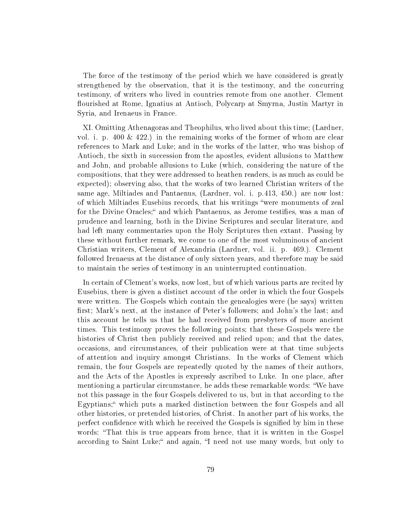The force of the testimony of the period which we have considered is greatly strengthened by the observation, that it is the testimony, and the concurring testimony, of writers who lived in countries remote from one another. Clement flourished at Rome, Ignatius at Antioch, Polycarp at Smyrna, Justin Martyr in Syria, and Irenaeus in France.

XI. Omitting Athenagoras and Theophilus, who lived about this time; (Lardner, vol. i. p.  $400 \& 422$ .) in the remaining works of the former of whom are clear references to Mark and Luke; and in the works of the latter, who was bishop of Antioch, the sixth in succession from the apostles, evident allusions to Matthew and John, and probable allusions to Luke (which, considering the nature of the compositions, that they were addressed to heathen readers, is as much as could be expected); observing also, that the works of two learned Christian writers of the same age, Miltiades and Pantaenus, (Lardner, vol. i. p.413, 450.) are now lost: of which Miltiades Eusebius records, that his writings "were monuments of zeal for the Divine Oracles; and which Pantaenus, as Jerome testifies, was a man of prudence and learning, both in the Divine Scriptures and secular literature, and had left many commentaries upon the Holy Scriptures then extant. Passing by these without further remark, we come to one of the most voluminous of ancient Christian writers, Clement of Alexandria (Lardner, vol. ii. p. 469.). Clement followed Irenaeus at the distance of only sixteen years, and therefore may be said to maintain the series of testimony in an uninterrupted continuation.

In certain of Clement's works, now lost, but of which various parts are recited by Eusebius, there is given a distinct account of the order in which the four Gospels were written. The Gospels which contain the genealogies were (he says) written first; Mark's next, at the instance of Peter's followers; and John's the last; and this account he tells us that he had received from presbyters of more ancient times. This testimony proves the following points; that these Gospels were the histories of Christ then publicly received and relied upon; and that the dates, occasions, and circumstances, of their publication were at that time subjects of attention and inquiry amongst Christians. In the works of Clement which remain, the four Gospels are repeatedly quoted by the names of their authors, and the Acts of the Apostles is expressly ascribed to Luke. In one place, after mentioning a particular circumstance, he adds these remarkable words: "We have not this passage in the four Gospels delivered to us, but in that according to the Egyptians; which puts a marked distinction between the four Gospels and all other histories, or pretended histories, of Christ. In another part of his works, the perfect confidence with which he received the Gospels is signified by him in these words: "That this is true appears from hence, that it is written in the Gospel according to Saint Luke;" and again, "I need not use many words, but only to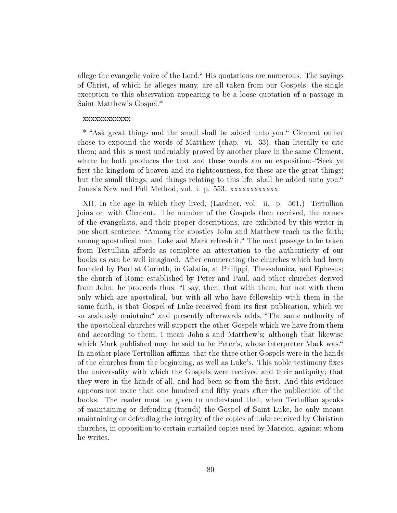allege the evangelic voice of the Lord." His quotations are numerous. The sayings of Christ, of which he alleges many, are all taken from our Gospels; the single exception to this observation appearing to be a loose quotation of a passage in Saint Matthew's Gospel.\*

### xxxxxxxxxxxx

\* Ask great things and the small shall be added unto you. Clement rather chose to expound the words of Matthew (chap. vi. 33), than literally to cite them; and this is most undeniably proved by another place in the same Clement, where he both produces the text and these words am an exposition:-"Seek ye first the kingdom of heaven and its righteousness, for these are the great things; but the small things, and things relating to this life, shall be added unto you. Jones's New and Full Method, vol. i. p. 553. xxxxxxxxxxxx

XII. In the age in which they lived, (Lardner, vol. ii. p. 561.) Tertullian joins on with Clement. The number of the Gospels then received, the names of the evangelists, and their proper descriptions, are exhibited by this writer in one short sentence:—"Among the apostles John and Matthew teach us the faith; among apostolical men, Luke and Mark refresh it. The next passage to be taken from Tertullian affords as complete an attestation to the authenticity of our books as can be well imagined. After enumerating the churches which had been founded by Paul at Corinth, in Galatia, at Philippi, Thessalonica, and Ephesus; the church of Rome established by Peter and Paul, and other churches derived from John; he proceeds thus:-"I say, then, that with them, but not with them only which are apostolical, but with all who have fellowship with them in the same faith, is that Gospel of Luke received from its first publication, which we so zealously maintain: and presently afterwards adds, "The same authority of the apostolical churches will support the other Gospels which we have from them and according to them, I mean John's and Matthew's; although that likewise which Mark published may be said to be Peter's, whose interpreter Mark was. In another place Tertullian affirms, that the three other Gospels were in the hands of the churches from the beginning, as well as Luke's. This noble testimony fixes the universality with which the Gospels were received and their antiquity; that they were in the hands of all, and had been so from the first. And this evidence appears not more than one hundred and fty years after the publication of the books. The reader must be given to understand that, when Tertullian speaks of maintaining or defending (tuendi) the Gospel of Saint Luke, he only means maintaining or defending the integrity of the copies of Luke received by Christian churches, in opposition to certain curtailed copies used by Marcion, against whom he writes.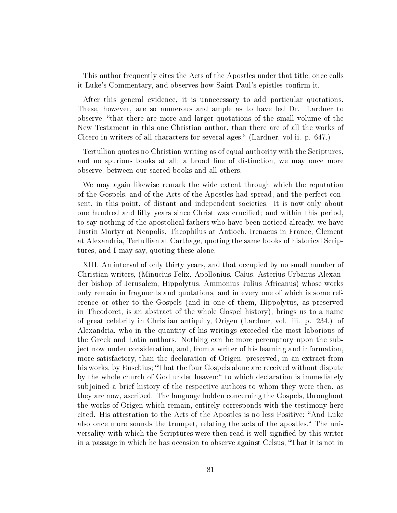This author frequently cites the Acts of the Apostles under that title, once calls it Luke's Commentary, and observes how Saint Paul's epistles confirm it.

After this general evidence, it is unnecessary to add particular quotations. These, however, are so numerous and ample as to have led Dr. Lardner to observe, that there are more and larger quotations of the small volume of the New Testament in this one Christian author, than there are of all the works of Cicero in writers of all characters for several ages. (Lardner, vol ii. p. 647.)

Tertullian quotes no Christian writing as of equal authority with the Scriptures, and no spurious books at all; a broad line of distinction, we may once more observe, between our sacred books and all others.

We may again likewise remark the wide extent through which the reputation of the Gospels, and of the Acts of the Apostles had spread, and the perfect consent, in this point, of distant and independent societies. It is now only about one hundred and fifty years since Christ was crucified; and within this period. to say nothing of the apostolical fathers who have been noticed already, we have Justin Martyr at Neapolis, Theophilus at Antioch, Irenaeus in France, Clement at Alexandria, Tertullian at Carthage, quoting the same books of historical Scriptures, and I may say, quoting these alone.

XIII. An interval of only thirty years, and that occupied by no small number of Christian writers, (Minucius Felix, Apollonius, Caius, Asterius Urbanus Alexander bishop of Jerusalem, Hippolytus, Ammonius Julius Africanus) whose works only remain in fragments and quotations, and in every one of which is some reference or other to the Gospels (and in one of them, Hippolytus, as preserved in Theodoret, is an abstract of the whole Gospel history), brings us to a name of great celebrity in Christian antiquity, Origen (Lardner, vol. iii. p. 234.) of Alexandria, who in the quantity of his writings exceeded the most laborious of the Greek and Latin authors. Nothing can be more peremptory upon the subject now under consideration, and, from a writer of his learning and information, more satisfactory, than the declaration of Origen, preserved, in an extract from his works, by Eusebius; "That the four Gospels alone are received without dispute by the whole church of God under heaven: to which declaration is immediately subjoined a brief history of the respective authors to whom they were then, as they are now, ascribed. The language holden concerning the Gospels, throughout the works of Origen which remain, entirely corresponds with the testimony here cited. His attestation to the Acts of the Apostles is no less Positive: "And Luke also once more sounds the trumpet, relating the acts of the apostles." The universality with which the Scriptures were then read is well signified by this writer in a passage in which he has occasion to observe against Celsus, That it is not in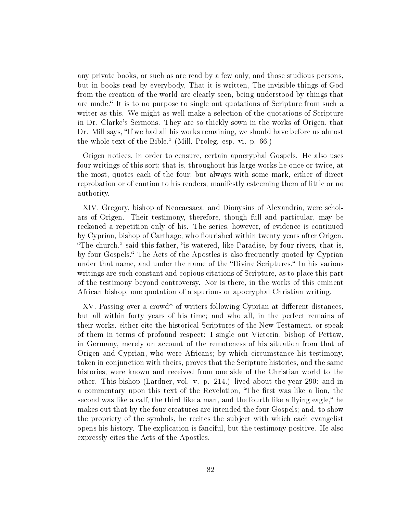any private books, or such as are read by a few only, and those studious persons, but in books read by everybody, That it is written, The invisible things of God from the creation of the world are clearly seen, being understood by things that are made." It is to no purpose to single out quotations of Scripture from such a writer as this. We might as well make a selection of the quotations of Scripture in Dr. Clarke's Sermons. They are so thickly sown in the works of Origen, that Dr. Mill says, "If we had all his works remaining, we should have before us almost the whole text of the Bible." (Mill, Proleg. esp. vi. p. 66.)

Origen notices, in order to censure, certain apocryphal Gospels. He also uses four writings of this sort; that is, throughout his large works he once or twice, at the most, quotes each of the four; but always with some mark, either of direct reprobation or of caution to his readers, manifestly esteeming them of little or no authority.

XIV. Gregory, bishop of Neocaesaea, and Dionysius of Alexandria, were scholars of Origen. Their testimony, therefore, though full and particular, may be reckoned a repetition only of his. The series, however, of evidence is continued by Cyprian, bishop of Carthage, who flourished within twenty years after Origen. "The church," said this father, "is watered, like Paradise, by four rivers, that is, by four Gospels. The Acts of the Apostles is also frequently quoted by Cyprian under that name, and under the name of the "Divine Scriptures." In his various writings are such constant and copious citations of Scripture, as to place this part of the testimony beyond controversy. Nor is there, in the works of this eminent African bishop, one quotation of a spurious or apocryphal Christian writing.

 $XV$ . Passing over a crowd<sup>\*</sup> of writers following Cyprian at different distances. but all within forty years of his time; and who all, in the perfect remains of their works, either cite the historical Scriptures of the New Testament, or speak of them in terms of profound respect: I single out Victorin, bishop of Pettaw, in Germany, merely on account of the remoteness of his situation from that of Origen and Cyprian, who were Africans; by which circumstance his testimony, taken in conjunction with theirs, proves that the Scripture histories, and the same histories, were known and received from one side of the Christian world to the other. This bishop (Lardner, vol. v. p. 214.) lived about the year 290: and in a commentary upon this text of the Revelation, "The first was like a lion, the second was like a calf, the third like a man, and the fourth like a flying eagle,  $\mu$  he makes out that by the four creatures are intended the four Gospels; and, to show the propriety of the symbols, he recites the subject with which each evangelist opens his history. The explication is fanciful, but the testimony positive. He also expressly cites the Acts of the Apostles.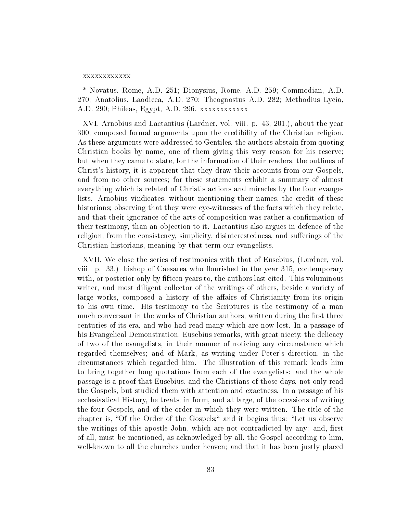#### xxxxxxxxxxxx

\* Novatus, Rome, A.D. 251; Dionysius, Rome, A.D. 259; Commodian, A.D. 270; Anatolius, Laodicea, A.D. 270; Theognostus A.D. 282; Methodius Lycia, A.D. 290; Phileas, Egypt, A.D. 296. xxxxxxxxxxxx

XVI. Arnobius and Lactantius (Lardner, vol. viii. p. 43, 201.), about the year 300, composed formal arguments upon the credibility of the Christian religion. As these arguments were addressed to Gentiles, the authors abstain from quoting Christian books by name, one of them giving this very reason for his reserve; but when they came to state, for the information of their readers, the outlines of Christ's history, it is apparent that they draw their accounts from our Gospels, and from no other sources; for these statements exhibit a summary of almost everything which is related of Christ's actions and miracles by the four evangelists. Arnobius vindicates, without mentioning their names, the credit of these historians; observing that they were eye-witnesses of the facts which they relate, and that their ignorance of the arts of composition was rather a confirmation of their testimony, than an objection to it. Lactantius also argues in defence of the religion, from the consistency, simplicity, disinterestedness, and sufferings of the Christian historians, meaning by that term our evangelists.

XVII. We close the series of testimonies with that of Eusebius, (Lardner, vol. viii. p. 33.) bishop of Caesarea who flourished in the year  $315$ , contemporary with, or posterior only by fifteen years to, the authors last cited. This voluminous writer, and most diligent collector of the writings of others, beside a variety of large works, composed a history of the affairs of Christianity from its origin to his own time. His testimony to the Scriptures is the testimony of a man much conversant in the works of Christian authors, written during the first three centuries of its era, and who had read many which are now lost. In a passage of his Evangelical Demonstration, Eusebius remarks, with great nicety, the delicacy of two of the evangelists, in their manner of noticing any circumstance which regarded themselves; and of Mark, as writing under Peter's direction, in the circumstances which regarded him. The illustration of this remark leads him to bring together long quotations from each of the evangelists: and the whole passage is a proof that Eusebius, and the Christians of those days, not only read the Gospels, but studied them with attention and exactness. In a passage of his ecclesiastical History, he treats, in form, and at large, of the occasions of writing the four Gospels, and of the order in which they were written. The title of the chapter is, "Of the Order of the Gospels;" and it begins thus: "Let us observe the writings of this apostle John, which are not contradicted by any: and, first of all, must be mentioned, as acknowledged by all, the Gospel according to him, well-known to all the churches under heaven; and that it has been justly placed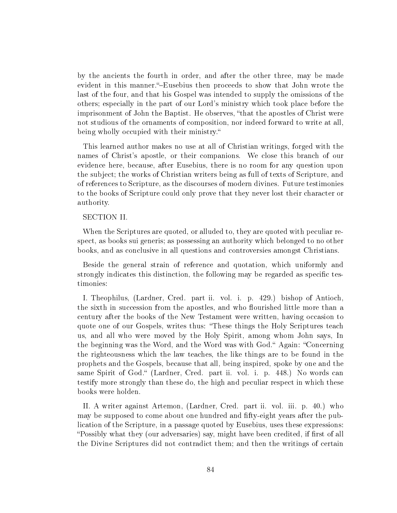by the ancients the fourth in order, and after the other three, may be made evident in this manner."-Eusebius then proceeds to show that John wrote the last of the four, and that his Gospel was intended to supply the omissions of the others; especially in the part of our Lord's ministry which took place before the imprisonment of John the Baptist. He observes, "that the apostles of Christ were not studious of the ornaments of composition, nor indeed forward to write at all, being wholly occupied with their ministry."

This learned author makes no use at all of Christian writings, forged with the names of Christ's apostle, or their companions. We close this branch of our evidence here, because, after Eusebius, there is no room for any question upon the subject; the works of Christian writers being as full of texts of Scripture, and of references to Scripture, as the discourses of modern divines. Future testimonies to the books of Scripture could only prove that they never lost their character or authority.

# SECTION II.

When the Scriptures are quoted, or alluded to, they are quoted with peculiar respect, as books sui generis; as possessing an authority which belonged to no other books, and as conclusive in all questions and controversies amongst Christians.

Beside the general strain of reference and quotation, which uniformly and strongly indicates this distinction, the following may be regarded as specific testimonies:

I. Theophilus, (Lardner, Cred. part ii. vol. i. p. 429.) bishop of Antioch, the sixth in succession from the apostles, and who flourished little more than a century after the books of the New Testament were written, having occasion to quote one of our Gospels, writes thus: These things the Holy Scriptures teach us, and all who were moved by the Holy Spirit, among whom John says, In the beginning was the Word, and the Word was with God." Again: "Concerning" the righteousness which the law teaches, the like things are to be found in the prophets and the Gospels, because that all, being inspired, spoke by one and the same Spirit of God." (Lardner, Cred. part ii. vol. i. p. 448.) No words can testify more strongly than these do, the high and peculiar respect in which these books were holden.

II. A writer against Artemon, (Lardner, Cred. part ii. vol. iii. p. 40.) who may be supposed to come about one hundred and fifty-eight years after the publication of the Scripture, in a passage quoted by Eusebius, uses these expressions: "Possibly what they (our adversaries) say, might have been credited, if first of all the Divine Scriptures did not contradict them; and then the writings of certain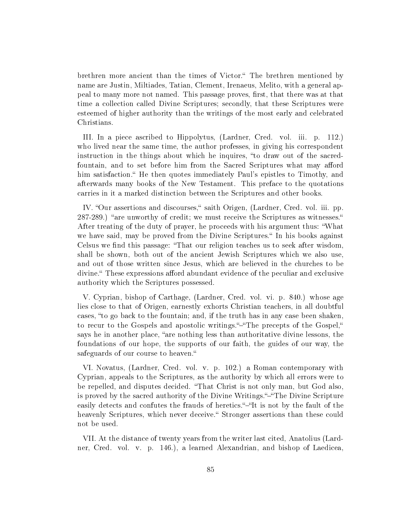brethren more ancient than the times of Victor." The brethren mentioned by name are Justin, Miltiades, Tatian, Clement, Irenaeus, Melito, with a general appeal to many more not named. This passage proves, first, that there was at that time a collection called Divine Scriptures; secondly, that these Scriptures were esteemed of higher authority than the writings of the most early and celebrated Christians.

III. In a piece ascribed to Hippolytus, (Lardner, Cred. vol. iii. p. 112.) who lived near the same time, the author professes, in giving his correspondent instruction in the things about which he inquires, "to draw out of the sacredfountain, and to set before him from the Sacred Scriptures what may afford him satisfaction." He then quotes immediately Paul's epistles to Timothy, and afterwards many books of the New Testament. This preface to the quotations carries in it a marked distinction between the Scriptures and other books.

IV. "Our assertions and discourses," saith Origen, (Lardner, Cred. vol. iii. pp. 287-289.) "are unworthy of credit; we must receive the Scriptures as witnesses." After treating of the duty of prayer, he proceeds with his argument thus: What we have said, may be proved from the Divine Scriptures." In his books against Celsus we find this passage: "That our religion teaches us to seek after wisdom, shall be shown, both out of the ancient Jewish Scriptures which we also use, and out of those written since Jesus, which are believed in the churches to be divine." These expressions afford abundant evidence of the peculiar and exclusive authority which the Scriptures possessed.

V. Cyprian, bishop of Carthage, (Lardner, Cred. vol. vi. p. 840.) whose age lies close to that of Origen, earnestly exhorts Christian teachers, in all doubtful cases, "to go back to the fountain; and, if the truth has in any case been shaken. to recur to the Gospels and apostolic writings."-The precepts of the Gospel," says he in another place, "are nothing less than authoritative divine lessons, the foundations of our hope, the supports of our faith, the guides of our way, the safeguards of our course to heaven."

VI. Novatus, (Lardner, Cred. vol. v. p. 102.) a Roman contemporary with Cyprian, appeals to the Scriptures, as the authority by which all errors were to be repelled, and disputes decided. "That Christ is not only man, but God also, is proved by the sacred authority of the Divine Writings."-"The Divine Scripture easily detects and confutes the frauds of heretics."-"It is not by the fault of the heavenly Scriptures, which never deceive." Stronger assertions than these could not be used.

VII. At the distance of twenty years from the writer last cited, Anatolius (Lardner, Cred. vol. v. p. 146.), a learned Alexandrian, and bishop of Laedicea,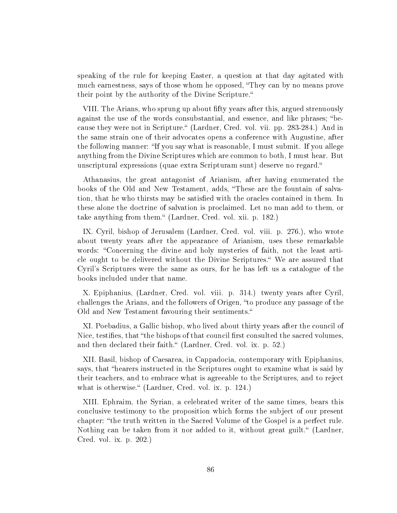speaking of the rule for keeping Easter, a question at that day agitated with much earnestness, says of those whom he opposed, "They can by no means prove their point by the authority of the Divine Scripture.

VIII. The Arians, who sprung up about fty years after this, argued strenuously against the use of the words consubstantial, and essence, and like phrases; "because they were not in Scripture." (Lardner, Cred. vol. vii. pp. 283-284.) And in the same strain one of their advocates opens a conference with Augustine, after the following manner: "If you say what is reasonable, I must submit. If you allege anything from the Divine Scriptures which are common to both, I must hear. But unscriptural expressions (quae extra Scripturam sunt) deserve no regard.

Athanasius, the great antagonist of Arianism, after having enumerated the books of the Old and New Testament, adds, "These are the fountain of salvation, that he who thirsts may be satisfied with the oracles contained in them. In these alone the doctrine of salvation is proclaimed. Let no man add to them, or take anything from them." (Lardner, Cred. vol. xii. p. 182.)

IX. Cyril, bishop of Jerusalem (Lardner, Cred. vol. viii. p. 276.), who wrote about twenty years after the appearance of Arianism, uses these remarkable words: "Concerning the divine and holy mysteries of faith, not the least article ought to be delivered without the Divine Scriptures." We are assured that Cyril's Scriptures were the same as ours, for he has left us a catalogue of the books included under that name.

X. Epiphanius, (Lardner, Cred. vol. viii. p. 314.) twenty years after Cyril, challenges the Arians, and the followers of Origen, "to produce any passage of the Old and New Testament favouring their sentiments."

XI. Poebadius, a Gallic bishop, who lived about thirty years after the council of Nice, testifies, that "the bishops of that council first consulted the sacred volumes, and then declared their faith." (Lardner, Cred. vol. ix. p. 52.)

XII. Basil, bishop of Caesarea, in Cappadocia, contemporary with Epiphanius, says, that "hearers instructed in the Scriptures ought to examine what is said by their teachers, and to embrace what is agreeable to the Scriptures, and to reject what is otherwise." (Lardner, Cred. vol. ix. p. 124.)

XIII. Ephraim, the Syrian, a celebrated writer of the same times, bears this conclusive testimony to the proposition which forms the subject of our present chapter: the truth written in the Sacred Volume of the Gospel is a perfect rule. Nothing can be taken from it nor added to it, without great guilt." (Lardner, Cred. vol. ix. p. 202.)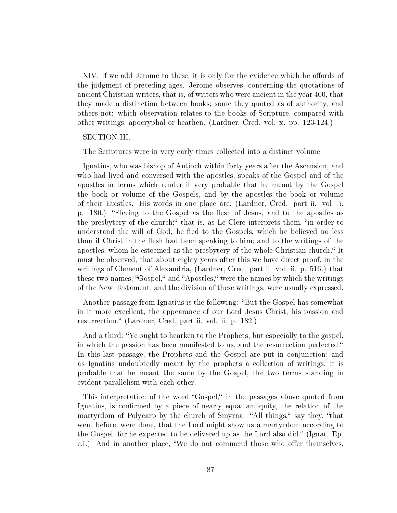XIV. If we add Jerome to these, it is only for the evidence which he affords of the judgment of preceding ages. Jerome observes, concerning the quotations of ancient Christian writers, that is, of writers who were ancient in the year 400, that they made a distinction between books; some they quoted as of authority, and others not: which observation relates to the books of Scripture, compared with other writings, apocryphal or heathen. (Lardner, Cred. vol. x. pp. 123-124.)

### SECTION III.

The Scriptures were in very early times collected into a distinct volume.

Ignatius, who was bishop of Antioch within forty years after the Ascension, and who had lived and conversed with the apostles, speaks of the Gospel and of the apostles in terms which render it very probable that he meant by the Gospel the book or volume of the Gospels, and by the apostles the book or volume of their Epistles. His words in one place are, (Lardner, Cred. part ii. vol. i. p. 180.) "Fleeing to the Gospel as the flesh of Jesus, and to the apostles as the presbytery of the church;" that is, as Le Clere interprets them, "in order to understand the will of God, he fled to the Gospels, which he believed no less than if Christ in the flesh had been speaking to him; and to the writings of the apostles, whom he esteemed as the presbytery of the whole Christian church." It must be observed, that about eighty years after this we have direct proof, in the writings of Clement of Alexandria, (Lardner, Cred. part ii. vol. ii. p. 516.) that these two names, "Gospel," and "Apostles," were the names by which the writings of the New Testament, and the division of these writings, were usually expressed.

Another passage from Ignatius is the following:—"But the Gospel has somewhat in it more excellent, the appearance of our Lord Jesus Christ, his passion and resurrection." (Lardner, Cred. part ii. vol. ii. p. 182.)

And a third: Ye ought to hearken to the Prophets, but especially to the gospel, in which the passion has been manifested to us, and the resurrection perfected. In this last passage, the Prophets and the Gospel are put in conjunction; and as Ignatius undoubtedly meant by the prophets a collection of writings, it is probable that he meant the same by the Gospel, the two terms standing in evident parallelism with each other.

This interpretation of the word "Gospel," in the passages above quoted from Ignatius, is confirmed by a piece of nearly equal antiquity, the relation of the martyrdom of Polycarp by the church of Smyrna. "All things," say they, "that went before, were done, that the Lord might show us a martyrdom according to the Gospel, for he expected to be delivered up as the Lord also did." (Ignat. Ep. c.i.) And in another place, "We do not commend those who offer themselves,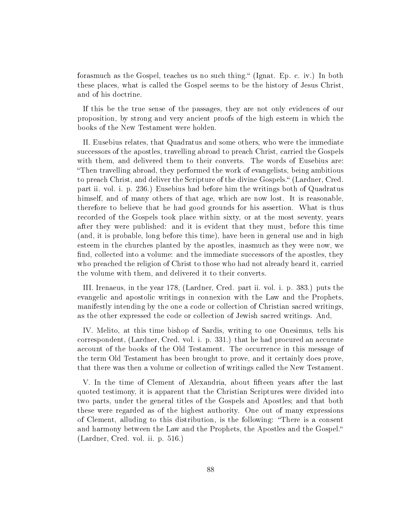forasmuch as the Gospel, teaches us no such thing." (Ignat. Ep. c. iv.) In both these places, what is called the Gospel seems to be the history of Jesus Christ, and of his doctrine.

If this be the true sense of the passages, they are not only evidences of our proposition, by strong and very ancient proofs of the high esteem in which the books of the New Testament were holden.

II. Eusebius relates, that Quadratus and some others, who were the immediate successors of the apostles, travelling abroad to preach Christ, carried the Gospels with them, and delivered them to their converts. The words of Eusebius are: Then travelling abroad, they performed the work of evangelists, being ambitious to preach Christ, and deliver the Scripture of the divine Gospels." (Lardner, Cred. part ii. vol. i. p. 236.) Eusebius had before him the writings both of Quadratus himself, and of many others of that age, which are now lost. It is reasonable, therefore to believe that he had good grounds for his assertion. What is thus recorded of the Gospels took place within sixty, or at the most seventy, years after they were published: and it is evident that they must, before this time (and, it is probable, long before this time), have been in general use and in high esteem in the churches planted by the apostles, inasmuch as they were now, we find, collected into a volume: and the immediate successors of the apostles, they who preached the religion of Christ to those who had not already heard it, carried the volume with them, and delivered it to their converts.

III. Irenaeus, in the year 178, (Lardner, Cred. part ii. vol. i. p. 383.) puts the evangelic and apostolic writings in connexion with the Law and the Prophets, manifestly intending by the one a code or collection of Christian sacred writings, as the other expressed the code or collection of Jewish sacred writings. And,

IV. Melito, at this time bishop of Sardis, writing to one Onesimus, tells his correspondent, (Lardner, Cred. vol. i. p. 331.) that he had procured an accurate account of the books of the Old Testament. The occurrence in this message of the term Old Testament has been brought to prove, and it certainly does prove, that there was then a volume or collection of writings called the New Testament.

V. In the time of Clement of Alexandria, about fifteen years after the last quoted testimony, it is apparent that the Christian Scriptures were divided into two parts, under the general titles of the Gospels and Apostles; and that both these were regarded as of the highest authority. One out of many expressions of Clement, alluding to this distribution, is the following: There is a consent and harmony between the Law and the Prophets, the Apostles and the Gospel. (Lardner, Cred. vol. ii. p. 516.)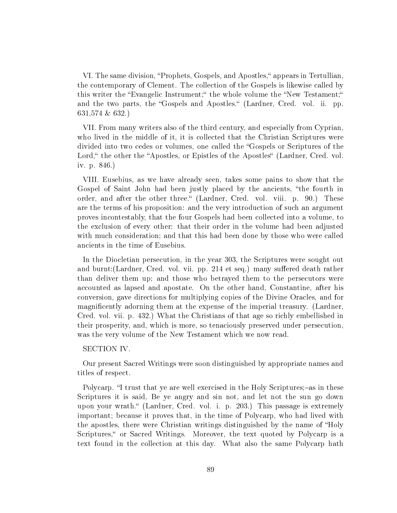VI. The same division, "Prophets, Gospels, and Apostles," appears in Tertullian, the contemporary of Clement. The collection of the Gospels is likewise called by this writer the "Evangelic Instrument;" the whole volume the "New Testament;" and the two parts, the "Gospels and Apostles." (Lardner, Cred. vol. ii. pp. 631,574 & 632.)

VII. From many writers also of the third century, and especially from Cyprian, who lived in the middle of it, it is collected that the Christian Scriptures were divided into two cedes or volumes, one called the "Gospels or Scriptures of the Lord, the other the "Apostles, or Epistles of the Apostles" (Lardner, Cred. vol. iv. p. 846.)

VIII. Eusebius, as we have already seen, takes some pains to show that the Gospel of Saint John had been justly placed by the ancients, "the fourth in order, and after the other three." (Lardner, Cred. vol. viii. p. 90.) These are the terms of his proposition: and the very introduction of such an argument proves incontestably, that the four Gospels had been collected into a volume, to the exclusion of every other: that their order in the volume had been adjusted with much consideration; and that this had been done by those who were called ancients in the time of Eusebius.

In the Diocletian persecution, in the year 303, the Scriptures were sought out and burnt: (Lardner, Cred. vol. vii. pp. 214 et seq.) many suffered death rather than deliver them up; and those who betrayed them to the persecutors were accounted as lapsed and apostate. On the other hand, Constantine, after his conversion, gave directions for multiplying copies of the Divine Oracles, and for magnificently adorning them at the expense of the imperial treasury. (Lardner, Cred. vol. vii. p. 432.) What the Christians of that age so richly embellished in their prosperity, and, which is more, so tenaciously preserved under persecution, was the very volume of the New Testament which we now read.

# SECTION IV.

Our present Sacred Writings were soon distinguished by appropriate names and titles of respect.

Polycarp. "I trust that ye are well exercised in the Holy Scriptures;-as in these Scriptures it is said, Be ye angry and sin not, and let not the sun go down upon your wrath." (Lardner, Cred. vol. i. p. 203.) This passage is extremely important; because it proves that, in the time of Polycarp, who had lived with the apostles, there were Christian writings distinguished by the name of "Holy" Scriptures," or Sacred Writings. Moreover, the text quoted by Polycarp is a text found in the collection at this day. What also the same Polycarp hath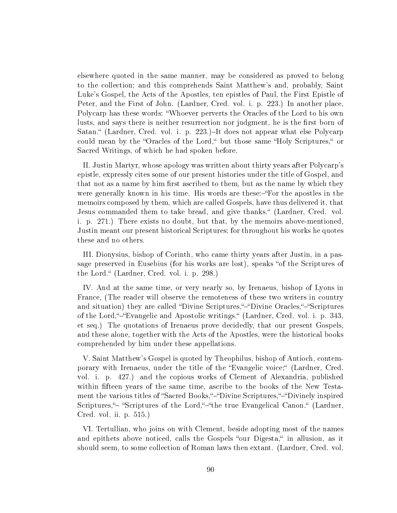elsewhere quoted in the same manner, may be considered as proved to belong to the collection; and this comprehends Saint Matthew's and, probably, Saint Luke's Gospel, the Acts of the Apostles, ten epistles of Paul, the First Epistle of Peter, and the First of John. (Lardner, Cred. vol. i. p. 223.) In another place, Polycarp has these words: Whoever perverts the Oracles of the Lord to his own lusts, and says there is neither resurrection nor judgment, he is the first born of Satan." (Lardner, Cred. vol. i. p. 223.)–It does not appear what else Polycarp could mean by the "Oracles of the Lord," but those same "Holy Scriptures," or Sacred Writings, of which he had spoken before.

II. Justin Martyr, whose apology was written about thirty years after Polycarp's epistle, expressly cites some of our present histories under the title of Gospel, and that not as a name by him first ascribed to them, but as the name by which they were generally known in his time. His words are these:-"For the apostles in the memoirs composed by them, which are called Gospels, have thus delivered it, that Jesus commanded them to take bread, and give thanks." (Lardner, Cred. vol. i. p. 271.) There exists no doubt, but that, by the memoirs above-mentioned, Justin meant our present historical Scriptures; for throughout his works he quotes these and no others.

III. Dionysius, bishop of Corinth, who came thirty years after Justin, in a passage preserved in Eusebius (for his works are lost), speaks "of the Scriptures of the Lord." (Lardner, Cred. vol. i. p. 298.)

IV. And at the same time, or very nearly so, by Irenaeus, bishop of Lyons in France, (The reader will observe the remoteness of these two writers in country and situation) they are called "Divine Scriptures,"-"Divine Oracles,"-"Scriptures of the Lord, "-"Evangelic and Apostolic writings." (Lardner, Cred. vol. i. p. 343, et seq.) The quotations of Irenaeus prove decidedly, that our present Gospels, and these alone, together with the Acts of the Apostles, were the historical books comprehended by him under these appellations.

V. Saint Matthew's Gospel is quoted by Theophilus, bishop of Antioch, contemporary with Irenaeus, under the title of the Evangelic voice; (Lardner, Cred. vol. i. p. 427.) and the copious works of Clement of Alexandria, published within fifteen years of the same time, ascribe to the books of the New Testament the various titles of "Sacred Books,"-"Divine Scriptures,"-"Divinely inspired Scriptures,"- "Scriptures of the Lord,"-"the true Evangelical Canon." (Lardner, Cred. vol. ii. p. 515.)

VI. Tertullian, who joins on with Clement, beside adopting most of the names and epithets above noticed, calls the Gospels "our Digesta," in allusion, as it should seem, to some collection of Roman laws then extant. (Lardner, Cred. vol.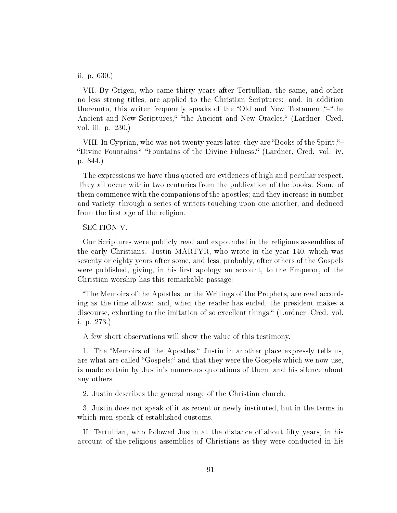ii. p. 630.)

VII. By Origen, who came thirty years after Tertullian, the same, and other no less strong titles, are applied to the Christian Scriptures: and, in addition thereunto, this writer frequently speaks of the "Old and New Testament,"-"the Ancient and New Scriptures,"-"the Ancient and New Oracles." (Lardner, Cred. vol. iii. p. 230.)

VIII. In Cyprian, who was not twenty years later, they are "Books of the Spirit,"-"Divine Fountains,"-"Fountains of the Divine Fulness." (Lardner, Cred. vol. iv. p. 844.)

The expressions we have thus quoted are evidences of high and peculiar respect. They all occur within two centuries from the publication of the books. Some of them commence with the companions of the apostles; and they increase in number and variety, through a series of writers touching upon one another, and deduced from the first age of the religion.

SECTION V.

Our Scriptures were publicly read and expounded in the religious assemblies of the early Christians. Justin MARTYR, who wrote in the year 140, which was seventy or eighty years after some, and less, probably, after others of the Gospels were published, giving, in his first apology an account, to the Emperor, of the Christian worship has this remarkable passage:

The Memoirs of the Apostles, or the Writings of the Prophets, are read according as the time allows: and, when the reader has ended, the president makes a discourse, exhorting to the imitation of so excellent things." (Lardner, Cred. vol. i. p. 273.)

A few short observations will show the value of this testimony.

1. The "Memoirs of the Apostles," Justin in another place expressly tells us, are what are called "Gospels:" and that they were the Gospels which we now use, is made certain by Justin's numerous quotations of them, and his silence about any others.

2. Justin describes the general usage of the Christian church.

3. Justin does not speak of it as recent or newly instituted, but in the terms in which men speak of established customs.

II. Tertullian, who followed Justin at the distance of about fty years, in his account of the religious assemblies of Christians as they were conducted in his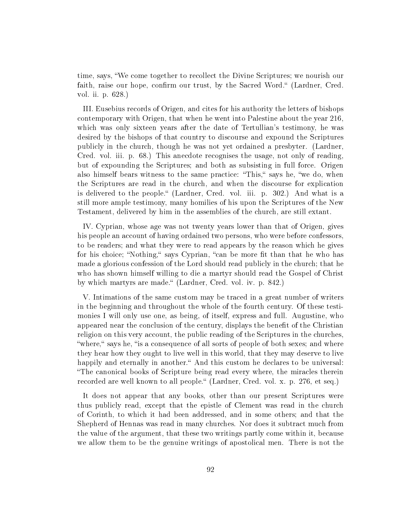time, says, We come together to recollect the Divine Scriptures; we nourish our faith, raise our hope, confirm our trust, by the Sacred Word." (Lardner, Cred. vol. ii. p. 628.)

III. Eusebius records of Origen, and cites for his authority the letters of bishops contemporary with Origen, that when he went into Palestine about the year 216, which was only sixteen years after the date of Tertullian's testimony, he was desired by the bishops of that country to discourse and expound the Scriptures publicly in the church, though he was not yet ordained a presbyter. (Lardner, Cred. vol. iii. p. 68.) This anecdote recognises the usage, not only of reading, but of expounding the Scriptures; and both as subsisting in full force. Origen also himself bears witness to the same practice: "This," says he, "we do, when the Scriptures are read in the church, and when the discourse for explication is delivered to the people. (Lardner, Cred. vol. iii. p. 302.) And what is a still more ample testimony, many homilies of his upon the Scriptures of the New Testament, delivered by him in the assemblies of the church, are still extant.

IV. Cyprian, whose age was not twenty years lower than that of Origen, gives his people an account of having ordained two persons, who were before confessors, to be readers; and what they were to read appears by the reason which he gives for his choice; "Nothing," says Cyprian, "can be more fit than that he who has made a glorious confession of the Lord should read publicly in the church; that he who has shown himself willing to die a martyr should read the Gospel of Christ by which martyrs are made." (Lardner, Cred. vol. iv. p. 842.)

V. Intimations of the same custom may be traced in a great number of writers in the beginning and throughout the whole of the fourth century. Of these testimonies I will only use one, as being, of itself, express and full. Augustine, who appeared near the conclusion of the century, displays the benefit of the Christian religion on this very account, the public reading of the Scriptures in the churches, "where," says he, "is a consequence of all sorts of people of both sexes; and where they hear how they ought to live well in this world, that they may deserve to live happily and eternally in another." And this custom he declares to be universal: The canonical books of Scripture being read every where, the miracles therein recorded are well known to all people. (Lardner, Cred. vol. x. p. 276, et seq.)

It does not appear that any books, other than our present Scriptures were thus publicly read, except that the epistle of Clement was read in the church of Corinth, to which it had been addressed, and in some others; and that the Shepherd of Hennas was read in many churches. Nor does it subtract much from the value of the argument, that these two writings partly come within it, because we allow them to be the genuine writings of apostolical men. There is not the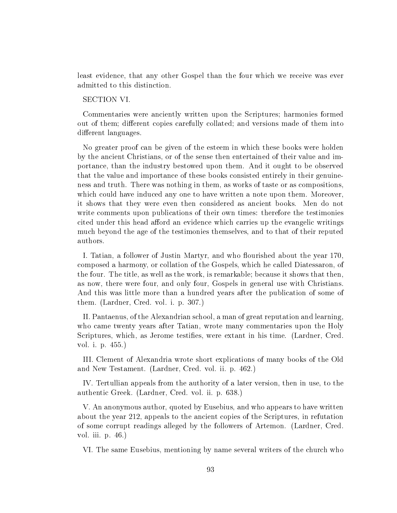least evidence, that any other Gospel than the four which we receive was ever admitted to this distinction.

# SECTION VI.

Commentaries were anciently written upon the Scriptures; harmonies formed out of them; different copies carefully collated; and versions made of them into different languages.

No greater proof can be given of the esteem in which these books were holden by the ancient Christians, or of the sense then entertained of their value and importance, than the industry bestowed upon them. And it ought to be observed that the value and importance of these books consisted entirely in their genuineness and truth. There was nothing in them, as works of taste or as compositions, which could have induced any one to have written a note upon them. Moreover, it shows that they were even then considered as ancient books. Men do not write comments upon publications of their own times: therefore the testimonies cited under this head afford an evidence which carries up the evangelic writings much beyond the age of the testimonies themselves, and to that of their reputed authors.

I. Tatian, a follower of Justin Martyr, and who flourished about the year 170, composed a harmony, or collation of the Gospels, which he called Diatessaron, of the four. The title, as well as the work, is remarkable; because it shows that then, as now, there were four, and only four, Gospels in general use with Christians. And this was little more than a hundred years after the publication of some of them. (Lardner, Cred. vol. i. p. 307.)

II. Pantaenus, of the Alexandrian school, a man of great reputation and learning, who came twenty years after Tatian, wrote many commentaries upon the Holy Scriptures, which, as Jerome testifies, were extant in his time. (Lardner, Cred.) vol. i. p. 455.)

III. Clement of Alexandria wrote short explications of many books of the Old and New Testament. (Lardner, Cred. vol. ii. p. 462.)

IV. Tertullian appeals from the authority of a later version, then in use, to the authentic Greek. (Lardner, Cred. vol. ii. p. 638.)

V. An anonymous author, quoted by Eusebius, and who appears to have written about the year 212, appeals to the ancient copies of the Scriptures, in refutation of some corrupt readings alleged by the followers of Artemon. (Lardner, Cred. vol. iii. p. 46.)

VI. The same Eusebius, mentioning by name several writers of the church who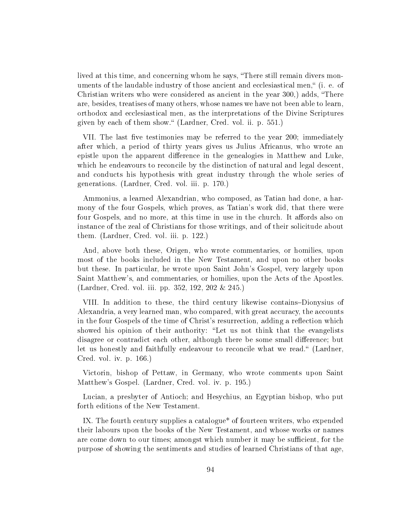lived at this time, and concerning whom he says, "There still remain divers monuments of the laudable industry of those ancient and ecclesiastical men," (i. e. of Christian writers who were considered as ancient in the year 300,) adds, There are, besides, treatises of many others, whose names we have not been able to learn, orthodox and ecclesiastical men, as the interpretations of the Divine Scriptures given by each of them show." (Lardner, Cred. vol. ii. p. 551.)

VII. The last five testimonies may be referred to the year 200; immediately after which, a period of thirty years gives us Julius Africanus, who wrote an epistle upon the apparent difference in the genealogies in Matthew and Luke, which he endeavours to reconcile by the distinction of natural and legal descent, and conducts his hypothesis with great industry through the whole series of generations. (Lardner, Cred. vol. iii. p. 170.)

Ammonius, a learned Alexandrian, who composed, as Tatian had done, a harmony of the four Gospels, which proves, as Tatian's work did, that there were four Gospels, and no more, at this time in use in the church. It affords also on instance of the zeal of Christians for those writings, and of their solicitude about them. (Lardner, Cred. vol. iii. p. 122.)

And, above both these, Origen, who wrote commentaries, or homilies, upon most of the books included in the New Testament, and upon no other books but these. In particular, he wrote upon Saint John's Gospel, very largely upon Saint Matthew's, and commentaries, or homilies, upon the Acts of the Apostles. (Lardner, Cred. vol. iii. pp. 352, 192, 202 & 245.)

VIII. In addition to these, the third century likewise contains–Dionysius of Alexandria, a very learned man, who compared, with great accuracy, the accounts in the four Gospels of the time of Christ's resurrection, adding a reflection which showed his opinion of their authority: "Let us not think that the evangelists disagree or contradict each other, although there be some small difference; but let us honestly and faithfully endeavour to reconcile what we read." (Lardner, Cred. vol. iv. p. 166.)

Victorin, bishop of Pettaw, in Germany, who wrote comments upon Saint Matthew's Gospel. (Lardner, Cred. vol. iv. p. 195.)

Lucian, a presbyter of Antioch; and Hesychius, an Egyptian bishop, who put forth editions of the New Testament.

IX. The fourth century supplies a catalogue\* of fourteen writers, who expended their labours upon the books of the New Testament, and whose works or names are come down to our times; amongst which number it may be sufficient, for the purpose of showing the sentiments and studies of learned Christians of that age,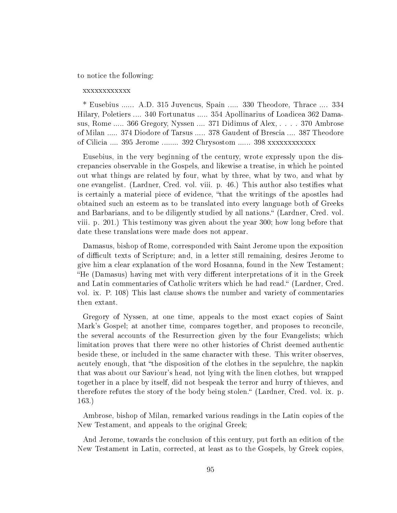to notice the following:

### xxxxxxxxxxxx

\* Eusebius ...... A.D. 315 Juvencus, Spain ..... 330 Theodore, Thrace .... 334 Hilary, Poletiers .... 340 Fortunatus ..... 354 Apollinarius of Loadicea 362 Damasus, Rome ..... 366 Gregory, Nyssen .... 371 Didimus of Alex, . . . . 370 Ambrose of Milan ..... 374 Diodore of Tarsus ..... 378 Gaudent of Brescia .... 387 Theodore of Cilicia .... 395 Jerome ........ 392 Chrysostom ...... 398 xxxxxxxxxxxxx

Eusebius, in the very beginning of the century, wrote expressly upon the discrepancies observable in the Gospels, and likewise a treatise, in which he pointed out what things are related by four, what by three, what by two, and what by one evangelist. (Lardner, Cred. vol. viii. p. 46.) This author also testifies what is certainly a material piece of evidence, that the writings of the apostles had obtained such an esteem as to be translated into every language both of Greeks and Barbarians, and to be diligently studied by all nations." (Lardner, Cred. vol. viii. p. 201.) This testimony was given about the year 300; how long before that date these translations were made does not appear.

Damasus, bishop of Rome, corresponded with Saint Jerome upon the exposition of difficult texts of Scripture; and, in a letter still remaining, desires Jerome to give him a clear explanation of the word Hosanna, found in the New Testament; "He (Damasus) having met with very different interpretations of it in the Greek and Latin commentaries of Catholic writers which he had read." (Lardner, Cred. vol. ix. P. 108) This last clause shows the number and variety of commentaries then extant.

Gregory of Nyssen, at one time, appeals to the most exact copies of Saint Mark's Gospel; at another time, compares together, and proposes to reconcile, the several accounts of the Resurrection given by the four Evangelists; which limitation proves that there were no other histories of Christ deemed authentic beside these, or included in the same character with these. This writer observes, acutely enough, that "the disposition of the clothes in the sepulchre, the napkin that was about our Saviour's head, not lying with the linen clothes, but wrapped together in a place by itself, did not bespeak the terror and hurry of thieves, and therefore refutes the story of the body being stolen." (Lardner, Cred. vol. ix. p. 163.)

Ambrose, bishop of Milan, remarked various readings in the Latin copies of the New Testament, and appeals to the original Greek;

And Jerome, towards the conclusion of this century, put forth an edition of the New Testament in Latin, corrected, at least as to the Gospels, by Greek copies,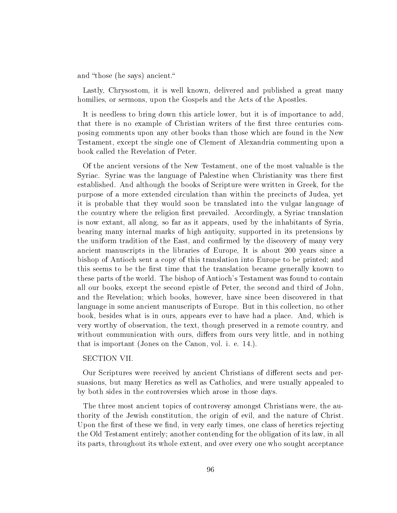and "those (he says) ancient."

Lastly, Chrysostom, it is well known, delivered and published a great many homilies, or sermons, upon the Gospels and the Acts of the Apostles.

It is needless to bring down this article lower, but it is of importance to add, that there is no example of Christian writers of the first three centuries composing comments upon any other books than those which are found in the New Testament, except the single one of Clement of Alexandria commenting upon a book called the Revelation of Peter.

Of the ancient versions of the New Testament, one of the most valuable is the Syriac. Syriac was the language of Palestine when Christianity was there first established. And although the books of Scripture were written in Greek, for the purpose of a more extended circulation than within the precincts of Judea, yet it is probable that they would soon be translated into the vulgar language of the country where the religion first prevailed. Accordingly, a Syriac translation is now extant, all along, so far as it appears, used by the inhabitants of Syria, bearing many internal marks of high antiquity, supported in its pretensions by the uniform tradition of the East, and confirmed by the discovery of many very ancient manuscripts in the libraries of Europe, It is about 200 years since a bishop of Antioch sent a copy of this translation into Europe to be printed; and this seems to be the first time that the translation became generally known to these parts of the world. The bishop of Antioch's Testament was found to contain all our books, except the second epistle of Peter, the second and third of John, and the Revelation; which books, however, have since been discovered in that language in some ancient manuscripts of Europe. But in this collection, no other book, besides what is in ours, appears ever to have had a place. And, which is very worthy of observation, the text, though preserved in a remote country, and without communication with ours, differs from ours very little, and in nothing that is important (Jones on the Canon, vol. i. e. 14.).

#### SECTION VII.

Our Scriptures were received by ancient Christians of different sects and persuasions, but many Heretics as well as Catholics, and were usually appealed to by both sides in the controversies which arose in those days.

The three most ancient topics of controversy amongst Christians were, the authority of the Jewish constitution, the origin of evil, and the nature of Christ. Upon the first of these we find, in very early times, one class of heretics rejecting the Old Testament entirely; another contending for the obligation of its law, in all its parts, throughout its whole extent, and over every one who sought acceptance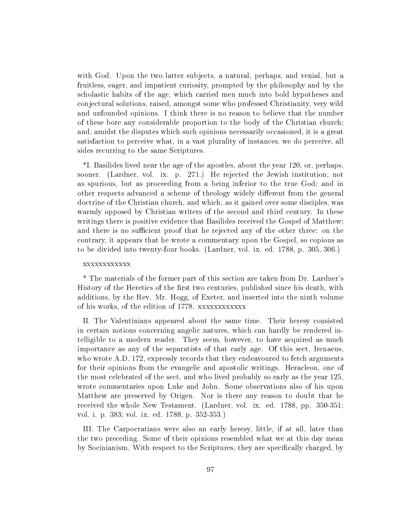with God. Upon the two latter subjects, a natural, perhaps, and venial, but a fruitless, eager, and impatient curiosity, prompted by the philosophy and by the scholastic habits of the age, which carried men much into bold hypotheses and conjectural solutions, raised, amongst some who professed Christianity, very wild and unfounded opinions. I think there is no reason to believe that the number of these bore any considerable proportion to the body of the Christian church; and, amidst the disputes which such opinions necessarily occasioned, it is a great satisfaction to perceive what, in a vast plurality of instances, we do perceive, all sides recurring to the same Scriptures.

\*I. Basilides lived near the age of the apostles, about the year 120, or, perhaps, sooner. (Lardner, vol. ix. p. 271.) He rejected the Jewish institution, not as spurious, but as proceeding from a being inferior to the true God; and in other respects advanced a scheme of theology widely different from the general doctrine of the Christian church, and which, as it gained over some disciples, was warmly opposed by Christian writers of the second and third century. In these writings there is positive evidence that Basilides received the Gospel of Matthew; and there is no sufficient proof that he rejected any of the other three: on the contrary, it appears that he wrote a commentary upon the Gospel, so copious as to be divided into twenty-four books. (Lardner, vol. ix. ed. 1788, p. 305, 306.)

## xxxxxxxxxxxx

\* The materials of the former part of this section are taken from Dr. Lardner's History of the Heretics of the first two centuries, published since his death, with additions, by the Rev. Mr. Hogg, of Exeter, and inserted into the ninth volume of his works, of the edition of 1778. xxxxxxxxxxxx

II. The Valentinians appeared about the same time. Their heresy consisted in certain notions concerning angelic natures, which can hardly be rendered intelligible to a modern reader. They seem, however, to have acquired as much importance as any of the separatists of that early age. Of this sect, Irenaeus, who wrote A.D. 172, expressly records that they endeavoured to fetch arguments for their opinions from the evangelic and apostolic writings. Heracleon, one of the most celebrated of the sect, and who lived probably so early as the year 125, wrote commentaries upon Luke and John. Some observations also of his upon Matthew are preserved by Origen. Nor is there any reason to doubt that he received the whole New Testament. (Lardner, vol. ix. ed. 1788, pp. 350-351; vol. i. p. 383; vol. ix. ed. 1788, p. 352-353.)

III. The Carpocratians were also an early heresy, little, if at all, later than the two preceding. Some of their opinions resembled what we at this day mean by Socinianism. With respect to the Scriptures, they are specifically charged, by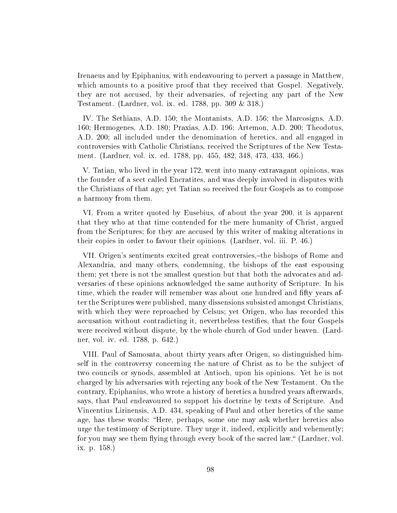Irenaeus and by Epiphanius, with endeavouring to pervert a passage in Matthew, which amounts to a positive proof that they received that Gospel. Negatively, they are not accused, by their adversaries, of rejecting any part of the New Testament. (Lardner, vol. ix. ed. 1788, pp. 309 & 318.)

IV. The Sethians, A.D. 150; the Montanists, A.D. 156; the Marcosigns, A.D. 160; Hermogenes, A.D. 180; Praxias, A.D. 196; Artemon, A.D. 200; Theodotus, A.D. 200; all included under the denomination of heretics, and all engaged in controversies with Catholic Christians, received the Scriptures of the New Testament. (Lardner, vol. ix. ed. 1788, pp. 455, 482, 348, 473, 433, 466.)

V. Tatian, who lived in the year 172, went into many extravagant opinions, was the founder of a sect called Encratites, and was deeply involved in disputes with the Christians of that age; yet Tatian so received the four Gospels as to compose a harmony from them.

VI. From a writer quoted by Eusebius, of about the year 200, it is apparent that they who at that time contended for the mere humanity of Christ, argued from the Scriptures; for they are accused by this writer of making alterations in their copies in order to favour their opinions. (Lardner, vol. iii. P. 46.)

VII. Origen's sentiments excited great controversies,-the bishops of Rome and Alexandria, and many others, condemning, the bishops of the east espousing them; yet there is not the smallest question but that both the advocates and adversaries of these opinions acknowledged the same authority of Scripture. In his time, which the reader will remember was about one hundred and fifty years after the Scriptures were published, many dissensions subsisted amongst Christians, with which they were reproached by Celsus; yet Origen, who has recorded this accusation without contradicting it, nevertheless testies, that the four Gospels were received without dispute, by the whole church of God under heaven. (Lardner, vol. iv. ed. 1788, p. 642.)

VIII. Paul of Samosata, about thirty years after Origen, so distinguished himself in the controversy concerning the nature of Christ as to be the subject of two councils or synods, assembled at Antioch, upon his opinions. Yet he is not charged by his adversaries with rejecting any book of the New Testament. On the contrary, Epiphanius, who wrote a history of heretics a hundred years afterwards, says, that Paul endeavoured to support his doctrine by texts of Scripture. And Vincentius Lirinensis, A.D. 434, speaking of Paul and other heretics of the same age, has these words: "Here, perhaps, some one may ask whether heretics also urge the testimony of Scripture. They urge it, indeed, explicitly and vehemently; for you may see them flying through every book of the sacred law." (Lardner, vol. ix. p. 158.)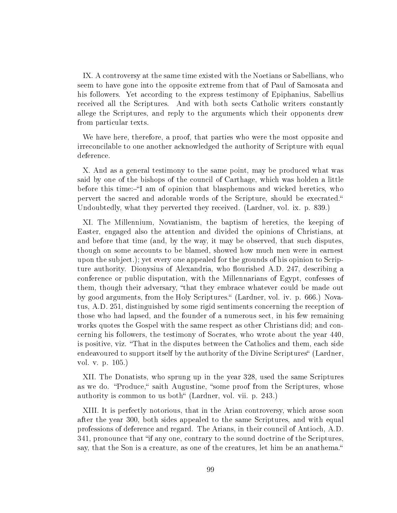IX. A controversy at the same time existed with the Noetians or Sabellians, who seem to have gone into the opposite extreme from that of Paul of Samosata and his followers. Yet according to the express testimony of Epiphanius, Sabellius received all the Scriptures. And with both sects Catholic writers constantly allege the Scriptures, and reply to the arguments which their opponents drew from particular texts.

We have here, therefore, a proof, that parties who were the most opposite and irreconcilable to one another acknowledged the authority of Scripture with equal deference.

X. And as a general testimony to the same point, may be produced what was said by one of the bishops of the council of Carthage, which was holden a little before this time:—"I am of opinion that blasphemous and wicked heretics, who pervert the sacred and adorable words of the Scripture, should be execrated. Undoubtedly, what they perverted they received. (Lardner, vol. ix. p. 839.)

XI. The Millennium, Novatianism, the baptism of heretics, the keeping of Easter, engaged also the attention and divided the opinions of Christians, at and before that time (and, by the way, it may be observed, that such disputes, though on some accounts to be blamed, showed how much men were in earnest upon the subject.); yet every one appealed for the grounds of his opinion to Scripture authority. Dionysius of Alexandria, who flourished A.D. 247, describing a conference or public disputation, with the Millennarians of Egypt, confesses of them, though their adversary, "that they embrace whatever could be made out by good arguments, from the Holy Scriptures. (Lardner, vol. iv. p. 666.) Novatus, A.D. 251, distinguished by some rigid sentiments concerning the reception of those who had lapsed, and the founder of a numerous sect, in his few remaining works quotes the Gospel with the same respect as other Christians did; and concerning his followers, the testimony of Socrates, who wrote about the year 440, is positive, viz. That in the disputes between the Catholics and them, each side endeavoured to support itself by the authority of the Divine Scriptures (Lardner, vol. v. p. 105.)

XII. The Donatists, who sprung up in the year 328, used the same Scriptures as we do. "Produce," saith Augustine, "some proof from the Scriptures, whose authority is common to us both" (Lardner, vol. vii. p. 243.)

XIII. It is perfectly notorious, that in the Arian controversy, which arose soon after the year 300, both sides appealed to the same Scriptures, and with equal professions of deference and regard. The Arians, in their council of Antioch, A.D. 341, pronounce that "if any one, contrary to the sound doctrine of the Scriptures. say, that the Son is a creature, as one of the creatures, let him be an anathema.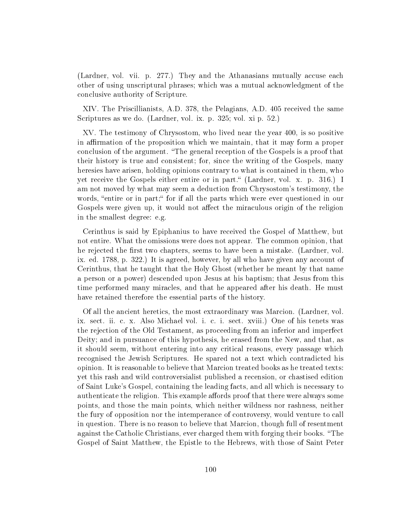(Lardner, vol. vii. p. 277.) They and the Athanasians mutually accuse each other of using unscriptural phrases; which was a mutual acknowledgment of the conclusive authority of Scripture.

XIV. The Priscillianists, A.D. 378, the Pelagians, A.D. 405 received the same Scriptures as we do. (Lardner, vol. ix. p. 325; vol. xi p. 52.)

XV. The testimony of Chrysostom, who lived near the year 400, is so positive in affirmation of the proposition which we maintain, that it may form a proper conclusion of the argument. The general reception of the Gospels is a proof that their history is true and consistent; for, since the writing of the Gospels, many here sies have arisen, holding opinions contrary to what is contained in them, who yet receive the Gospels either entire or in part. (Lardner, vol. x. p. 316.) I am not moved by what may seem a deduction from Chrysostom's testimony, the words, "entire or in part;" for if all the parts which were ever questioned in our Gospels were given up, it would not affect the miraculous origin of the religion in the smallest degree: e.g.

Cerinthus is said by Epiphanius to have received the Gospel of Matthew, but not entire. What the omissions were does not appear. The common opinion, that he rejected the first two chapters, seems to have been a mistake. (Lardner, vol. ix. ed. 1788, p. 322.) It is agreed, however, by all who have given any account of Cerinthus, that he taught that the Holy Ghost (whether he meant by that name a person or a power) descended upon Jesus at his baptism; that Jesus from this time performed many miracles, and that he appeared after his death. He must have retained therefore the essential parts of the history.

Of all the ancient heretics, the most extraordinary was Marcion. (Lardner, vol. ix. sect. ii. c. x. Also Michael vol. i. c. i. sect. xviii.) One of his tenets was the rejection of the Old Testament, as proceeding from an inferior and imperfect Deity; and in pursuance of this hypothesis, he erased from the New, and that, as it should seem, without entering into any critical reasons, every passage which recognised the Jewish Scriptures. He spared not a text which contradicted his opinion. It is reasonable to believe that Marcion treated books as he treated texts: yet this rash and wild controversialist published a recension, or chastised edition of Saint Luke's Gospel, containing the leading facts, and all which is necessary to authenticate the religion. This example affords proof that there were always some points, and those the main points, which neither wildness nor rashness, neither the fury of opposition nor the intemperance of controversy, would venture to call in question. There is no reason to believe that Marcion, though full of resentment against the Catholic Christians, ever charged them with forging their books. "The Gospel of Saint Matthew, the Epistle to the Hebrews, with those of Saint Peter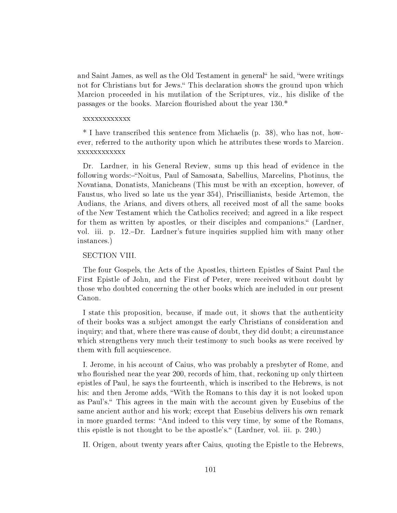and Saint James, as well as the Old Testament in general he said, "were writings" not for Christians but for Jews." This declaration shows the ground upon which Marcion proceeded in his mutilation of the Scriptures, viz., his dislike of the passages or the books. Marcion flourished about the year  $130.*$ 

### xxxxxxxxxxxx

\* I have transcribed this sentence from Michaelis (p. 38), who has not, however, referred to the authority upon which he attributes these words to Marcion. xxxxxxxxxxxx

Dr. Lardner, in his General Review, sums up this head of evidence in the following words:-"Noitus, Paul of Samosata, Sabellius, Marcelins, Photinus, the Novatiana, Donatists, Manicheans (This must be with an exception, however, of Faustus, who lived so late us the year 354), Priscillianists, beside Artemon, the Audians, the Arians, and divers others, all received most of all the same books of the New Testament which the Catholics received; and agreed in a like respect for them as written by apostles, or their disciples and companions. (Lardner, vol. iii. p. 12.Dr. Lardner's future inquiries supplied him with many other instances.)

#### SECTION VIII.

The four Gospels, the Acts of the Apostles, thirteen Epistles of Saint Paul the First Epistle of John, and the First of Peter, were received without doubt by those who doubted concerning the other books which are included in our present Canon.

I state this proposition, because, if made out, it shows that the authenticity of their books was a subject amongst the early Christians of consideration and inquiry; and that, where there was cause of doubt, they did doubt; a circumstance which strengthens very much their testimony to such books as were received by them with full acquiescence.

I. Jerome, in his account of Caius, who was probably a presbyter of Rome, and who flourished near the year  $200$ , records of him, that, reckoning up only thirteen epistles of Paul, he says the fourteenth, which is inscribed to the Hebrews, is not his: and then Jerome adds, With the Romans to this day it is not looked upon as Paul's." This agrees in the main with the account given by Eusebius of the same ancient author and his work; except that Eusebius delivers his own remark in more guarded terms: "And indeed to this very time, by some of the Romans, this epistle is not thought to be the apostle's." (Lardner, vol. iii. p. 240.)

II. Origen, about twenty years after Caius, quoting the Epistle to the Hebrews,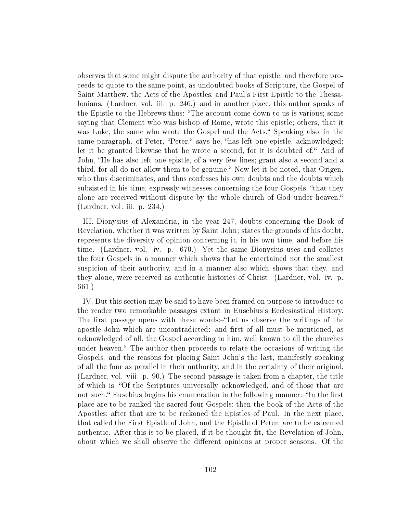observes that some might dispute the authority of that epistle; and therefore proceeds to quote to the same point, as undoubted books of Scripture, the Gospel of Saint Matthew, the Acts of the Apostles, and Paul's First Epistle to the Thessalonians. (Lardner, vol. iii. p. 246.) and in another place, this author speaks of the Epistle to the Hebrews thus: The account come down to us is various; some saying that Clement who was bishop of Rome, wrote this epistle; others, that it was Luke, the same who wrote the Gospel and the Acts." Speaking also, in the same paragraph, of Peter, "Peter," says he, "has left one epistle, acknowledged; let it be granted likewise that he wrote a second, for it is doubted of. And of John, "He has also left one epistle, of a very few lines; grant also a second and a third, for all do not allow them to be genuine. Now let it be noted, that Origen, who thus discriminates, and thus confesses his own doubts and the doubts which subsisted in his time, expressly witnesses concerning the four Gospels, "that they alone are received without dispute by the whole church of God under heaven. (Lardner, vol. iii. p. 234.)

III. Dionysius of Alexandria, in the year 247, doubts concerning the Book of Revelation, whether it was written by Saint John; states the grounds of his doubt, represents the diversity of opinion concerning it, in his own time, and before his time. (Lardner, vol. iv. p. 670.) Yet the same Dionysius uses and collates the four Gospels in a manner which shows that he entertained not the smallest suspicion of their authority, and in a manner also which shows that they, and they alone, were received as authentic histories of Christ. (Lardner, vol. iv. p. 661.)

IV. But this section may be said to have been framed on purpose to introduce to the reader two remarkable passages extant in Eusebius's Ecclesiastical History. The first passage opens with these words:-"Let us observe the writings of the apostle John which are uncontradicted: and first of all must be mentioned, as acknowledged of all, the Gospel according to him, well known to all the churches under heaven." The author then proceeds to relate the occasions of writing the Gospels, and the reasons for placing Saint John's the last, manifestly speaking of all the four as parallel in their authority, and in the certainty of their original. (Lardner, vol. viii. p. 90.) The second passage is taken from a chapter, the title of which is, "Of the Scriptures universally acknowledged, and of those that are not such." Eusebius begins his enumeration in the following manner:-"In the first place are to be ranked the sacred four Gospels; then the book of the Acts of the Apostles; after that are to be reckoned the Epistles of Paul. In the next place, that called the First Epistle of John, and the Epistle of Peter, are to be esteemed authentic. After this is to be placed, if it be thought fit, the Revelation of John, about which we shall observe the different opinions at proper seasons. Of the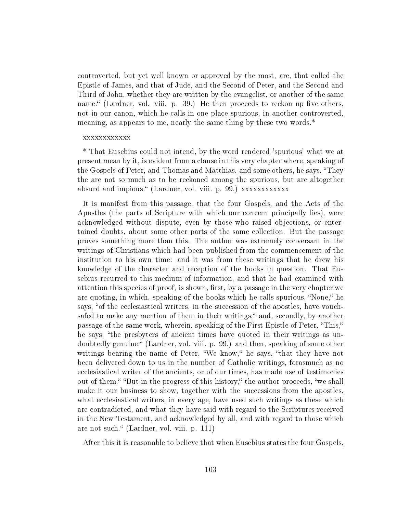controverted, but yet well known or approved by the most, are, that called the Epistle of James, and that of Jude, and the Second of Peter, and the Second and Third of John, whether they are written by the evangelist, or another of the same name." (Lardner, vol. viii. p. 39.) He then proceeds to reckon up five others, not in our canon, which he calls in one place spurious, in another controverted, meaning, as appears to me, nearly the same thing by these two words.\*

#### xxxxxxxxxxxx

\* That Eusebius could not intend, by the word rendered 'spurious' what we at present mean by it, is evident from a clause in this very chapter where, speaking of the Gospels of Peter, and Thomas and Matthias, and some others, he says, "They the are not so much as to be reckoned among the spurious, but are altogether absurd and impious." (Lardner, vol. viii. p. 99.) xxxxxxxxxxxx

It is manifest from this passage, that the four Gospels, and the Acts of the Apostles (the parts of Scripture with which our concern principally lies), were acknowledged without dispute, even by those who raised objections, or entertained doubts, about some other parts of the same collection. But the passage proves something more than this. The author was extremely conversant in the writings of Christians which had been published from the commencement of the institution to his own time: and it was from these writings that he drew his knowledge of the character and reception of the books in question. That Eusebius recurred to this medium of information, and that he had examined with attention this species of proof, is shown, first, by a passage in the very chapter we are quoting, in which, speaking of the books which he calls spurious, "None," he says, "of the ecclesiastical writers, in the succession of the apostles, have vouchsafed to make any mention of them in their writings;" and, secondly, by another passage of the same work, wherein, speaking of the First Epistle of Peter, This, he says, "the presbyters of ancient times have quoted in their writings as undoubtedly genuine; (Lardner, vol. viii. p. 99.) and then, speaking of some other writings bearing the name of Peter, "We know," he says, "that they have not been delivered down to us in the number of Catholic writings, forasmuch as no ecclesiastical writer of the ancients, or of our times, has made use of testimonies out of them." "But in the progress of this history," the author proceeds, "we shall make it our business to show, together with the successions from the apostles, what ecclesiastical writers, in every age, have used such writings as these which are contradicted, and what they have said with regard to the Scriptures received in the New Testament, and acknowledged by all, and with regard to those which are not such." (Lardner, vol. viii. p. 111)

After this it is reasonable to believe that when Eusebius states the four Gospels,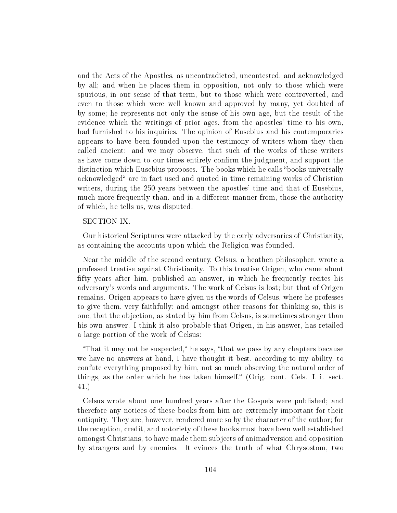and the Acts of the Apostles, as uncontradicted, uncontested, and acknowledged by all; and when he places them in opposition, not only to those which were spurious, in our sense of that term, but to those which were controverted, and even to those which were well known and approved by many, yet doubted of by some; he represents not only the sense of his own age, but the result of the evidence which the writings of prior ages, from the apostles' time to his own, had furnished to his inquiries. The opinion of Eusebius and his contemporaries appears to have been founded upon the testimony of writers whom they then called ancient: and we may observe, that such of the works of these writers as have come down to our times entirely confirm the judgment, and support the distinction which Eusebius proposes. The books which he calls "books universally acknowledged are in fact used and quoted in time remaining works of Christian writers, during the 250 years between the apostles' time and that of Eusebius, much more frequently than, and in a different manner from, those the authority of which, he tells us, was disputed.

# SECTION IX.

Our historical Scriptures were attacked by the early adversaries of Christianity, as containing the accounts upon which the Religion was founded.

Near the middle of the second century, Celsus, a heathen philosopher, wrote a professed treatise against Christianity. To this treatise Origen, who came about fifty years after him, published an answer, in which he frequently recites his adversary's words and arguments. The work of Celsus is lost; but that of Origen remains. Origen appears to have given us the words of Celsus, where he professes to give them, very faithfully; and amongst other reasons for thinking so, this is one, that the objection, as stated by him from Celsus, is sometimes stronger than his own answer. I think it also probable that Origen, in his answer, has retailed a large portion of the work of Celsus:

"That it may not be suspected," he says, "that we pass by any chapters because we have no answers at hand, I have thought it best, according to my ability, to confute everything proposed by him, not so much observing the natural order of things, as the order which he has taken himself." (Orig. cont. Cels. I. i. sect. 41.)

Celsus wrote about one hundred years after the Gospels were published; and therefore any notices of these books from him are extremely important for their antiquity. They are, however, rendered more so by the character of the author; for the reception, credit, and notoriety of these books must have been well established amongst Christians, to have made them subjects of animadversion and opposition by strangers and by enemies. It evinces the truth of what Chrysostom, two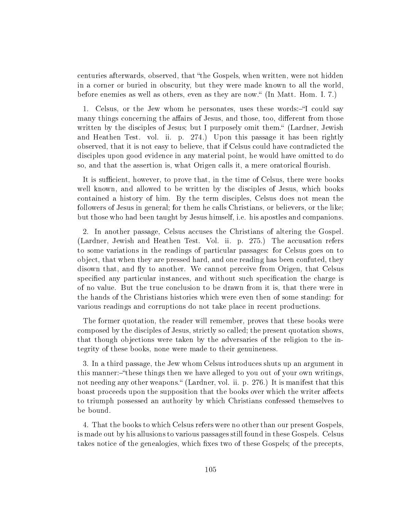centuries afterwards, observed, that "the Gospels, when written, were not hidden in a corner or buried in obscurity, but they were made known to all the world, before enemies as well as others, even as they are now. (In Matt. Hom. I. 7.)

1. Celsus, or the Jew whom he personates, uses these words: "I could say many things concerning the affairs of Jesus, and those, too, different from those written by the disciples of Jesus; but I purposely omit them." (Lardner, Jewish and Heathen Test. vol. ii. p. 274.) Upon this passage it has been rightly observed, that it is not easy to believe, that if Celsus could have contradicted the disciples upon good evidence in any material point, he would have omitted to do so, and that the assertion is, what Origen calls it, a mere oratorical flourish.

It is sufficient, however, to prove that, in the time of Celsus, there were books well known, and allowed to be written by the disciples of Jesus, which books contained a history of him. By the term disciples, Celsus does not mean the followers of Jesus in general; for them he calls Christians, or believers, or the like; but those who had been taught by Jesus himself, i.e. his apostles and companions.

2. In another passage, Celsus accuses the Christians of altering the Gospel. (Lardner, Jewish and Heathen Test. Vol. ii. p. 275.) The accusation refers to some variations in the readings of particular passages: for Celsus goes on to object, that when they are pressed hard, and one reading has been confuted, they disown that, and fly to another. We cannot perceive from Origen, that Celsus specified any particular instances, and without such specification the charge is of no value. But the true conclusion to be drawn from it is, that there were in the hands of the Christians histories which were even then of some standing: for various readings and corruptions do not take place in recent productions.

The former quotation, the reader will remember, proves that these books were composed by the disciples of Jesus, strictly so called; the present quotation shows, that though objections were taken by the adversaries of the religion to the integrity of these books, none were made to their genuineness.

3. In a third passage, the Jew whom Celsus introduces shuts up an argument in this manner:-"these things then we have alleged to you out of your own writings. not needing any other weapons." (Lardner, vol. ii. p. 276.) It is manifest that this boast proceeds upon the supposition that the books over which the writer affects to triumph possessed an authority by which Christians confessed themselves to be bound.

4. That the books to which Celsus refers were no other than our present Gospels, is made out by his allusions to various passages still found in these Gospels. Celsus takes notice of the genealogies, which fixes two of these Gospels; of the precepts,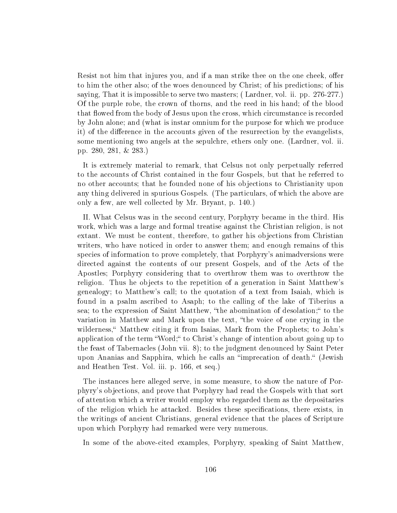Resist not him that injures you, and if a man strike thee on the one cheek, offer to him the other also; of the woes denounced by Christ; of his predictions; of his saying, That it is impossible to serve two masters; ( Lardner, vol. ii. pp. 276-277.) Of the purple robe, the crown of thorns, and the reed in his hand; of the blood that flowed from the body of Jesus upon the cross, which circumstance is recorded by John alone; and (what is instar omnium for the purpose for which we produce it) of the difference in the accounts given of the resurrection by the evangelists, some mentioning two angels at the sepulchre, ethers only one. (Lardner, vol. ii. pp. 280, 281, & 283.)

It is extremely material to remark, that Celsus not only perpetually referred to the accounts of Christ contained in the four Gospels, but that he referred to no other accounts; that he founded none of his objections to Christianity upon any thing delivered in spurious Gospels. (The particulars, of which the above are only a few, are well collected by Mr. Bryant, p. 140.)

II. What Celsus was in the second century, Porphyry became in the third. His work, which was a large and formal treatise against the Christian religion, is not extant. We must be content, therefore, to gather his objections from Christian writers, who have noticed in order to answer them; and enough remains of this species of information to prove completely, that Porphyry's animadversions were directed against the contents of our present Gospels, and of the Acts of the Apostles; Porphyry considering that to overthrow them was to overthrow the religion. Thus he objects to the repetition of a generation in Saint Matthew's genealogy; to Matthew's call; to the quotation of a text from Isaiah, which is found in a psalm ascribed to Asaph; to the calling of the lake of Tiberius a sea; to the expression of Saint Matthew, "the abomination of desolation;" to the variation in Matthew and Mark upon the text, "the voice of one crying in the wilderness," Matthew citing it from Isaias, Mark from the Prophets; to John's application of the term "Word;" to Christ's change of intention about going up to the feast of Tabernacles (John vii. 8); to the judgment denounced by Saint Peter upon Ananias and Sapphira, which he calls an "imprecation of death." (Jewish and Heathen Test. Vol. iii. p. 166, et seq.)

The instances here alleged serve, in some measure, to show the nature of Porphyry's objections, and prove that Porphyry had read the Gospels with that sort of attention which a writer would employ who regarded them as the depositaries of the religion which he attacked. Besides these specifications, there exists, in the writings of ancient Christians, general evidence that the places of Scripture upon which Porphyry had remarked were very numerous.

In some of the above-cited examples, Porphyry, speaking of Saint Matthew,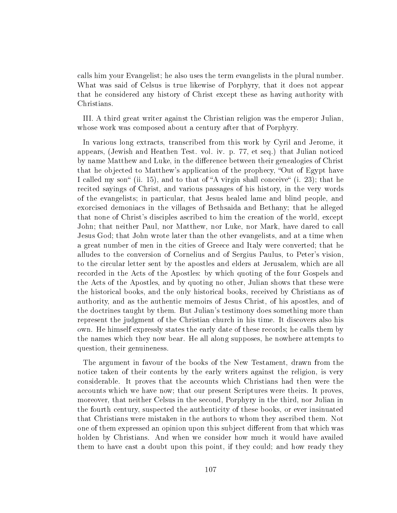calls him your Evangelist; he also uses the term evangelists in the plural number. What was said of Celsus is true likewise of Porphyry, that it does not appear that he considered any history of Christ except these as having authority with Christians.

III. A third great writer against the Christian religion was the emperor Julian, whose work was composed about a century after that of Porphyry.

In various long extracts, transcribed from this work by Cyril and Jerome, it appears, (Jewish and Heathen Test. vol. iv. p. 77, et seq.) that Julian noticed by name Matthew and Luke, in the difference between their genealogies of Christ that he objected to Matthew's application of the prophecy, "Out of Egypt have I called my son (ii. 15), and to that of  $A$  virgin shall conceive (i. 23); that he recited sayings of Christ, and various passages of his history, in the very words of the evangelists; in particular, that Jesus healed lame and blind people, and exorcised demoniacs in the villages of Bethsaida and Bethany; that he alleged that none of Christ's disciples ascribed to him the creation of the world, except John; that neither Paul, nor Matthew, nor Luke, nor Mark, have dared to call Jesus God; that John wrote later than the other evangelists, and at a time when a great number of men in the cities of Greece and Italy were converted; that he alludes to the conversion of Cornelius and of Sergius Paulus, to Peter's vision, to the circular letter sent by the apostles and elders at Jerusalem, which are all recorded in the Acts of the Apostles: by which quoting of the four Gospels and the Acts of the Apostles, and by quoting no other, Julian shows that these were the historical books, and the only historical books, received by Christians as of authority, and as the authentic memoirs of Jesus Christ, of his apostles, and of the doctrines taught by them. But Julian's testimony does something more than represent the judgment of the Christian church in his time. It discovers also his own. He himself expressly states the early date of these records; he calls them by the names which they now bear. He all along supposes, he nowhere attempts to question, their genuineness.

The argument in favour of the books of the New Testament, drawn from the notice taken of their contents by the early writers against the religion, is very considerable. It proves that the accounts which Christians had then were the accounts which we have now; that our present Scriptures were theirs. It proves, moreover, that neither Celsus in the second, Porphyry in the third, nor Julian in the fourth century, suspected the authenticity of these books, or ever insinuated that Christians were mistaken in the authors to whom they ascribed them. Not one of them expressed an opinion upon this subject different from that which was holden by Christians. And when we consider how much it would have availed them to have cast a doubt upon this point, if they could; and how ready they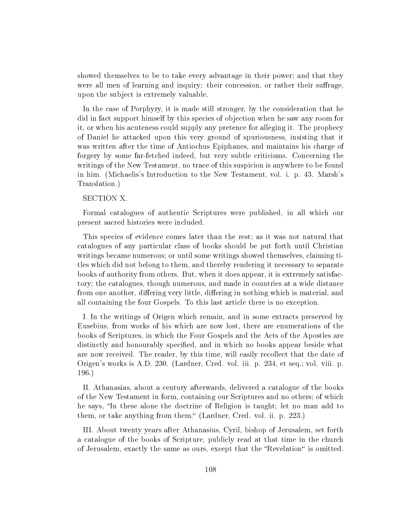showed themselves to be to take every advantage in their power; and that they were all men of learning and inquiry: their concession, or rather their suffrage, upon the subject is extremely valuable.

In the case of Porphyry, it is made still stronger, by the consideration that he did in fact support himself by this species of objection when he saw any room for it, or when his acuteness could supply any pretence for alleging it. The prophecy of Daniel he attacked upon this very ground of spuriousness, insisting that it was written after the time of Antiochus Epiphanes, and maintains his charge of forgery by some far-fetched indeed, but very subtle criticisms. Concerning the writings of the New Testament, no trace of this suspicion is anywhere to be found in him. (Michaelis's Introduction to the New Testament, vol. i. p. 43. Marsh's Translation.)

# SECTION X.

Formal catalogues of authentic Scriptures were published, in all which our present sacred histories were included.

This species of evidence comes later than the rest; as it was not natural that catalogues of any particular class of books should be put forth until Christian writings became numerous; or until some writings showed themselves, claiming titles which did not belong to them, and thereby rendering it necessary to separate books of authority from others. But, when it does appear, it is extremely satisfactory; the catalogues, though numerous, and made in countries at a wide distance from one another, differing very little, differing in nothing which is material, and all containing the four Gospels. To this last article there is no exception.

I. In the writings of Origen which remain, and in some extracts preserved by Eusebius, from works of his which are now lost, there are enumerations of the books of Scriptures, in which the Four Gospels and the Acts of the Apostles are distinctly and honourably specified, and in which no books appear beside what are now received. The reader, by this time, will easily recollect that the date of Origen's works is A.D. 230. (Lardner, Cred. vol. iii. p. 234, et seq.; vol. viii. p. 196.)

II. Athanasias, about a century afterwards, delivered a catalogue of the books of the New Testament in form, containing our Scriptures and no others; of which he says, "In these alone the doctrine of Religion is taught; let no man add to them, or take anything from them. (Lardner, Cred. vol. ii. p. 223.)

III. About twenty years after Athanasius, Cyril, bishop of Jerusalem, set forth a catalogue of the books of Scripture, publicly read at that time in the church of Jerusalem, exactly the same as ours, except that the "Revelation" is omitted.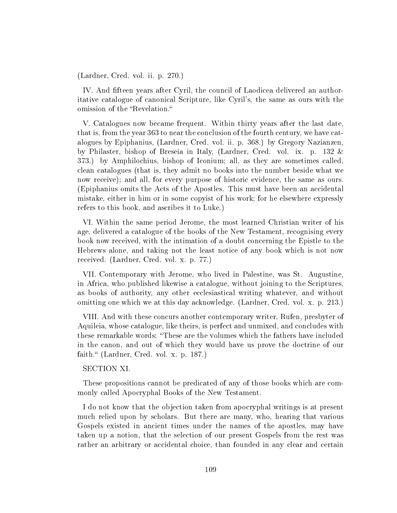(Lardner, Cred. vol. ii. p. 270.)

IV. And fifteen years after Cyril, the council of Laodicea delivered an authoritative catalogue of canonical Scripture, like Cyril's, the same as ours with the omission of the "Revelation."

V. Catalogues now became frequent. Within thirty years after the last date, that is, from the year 363 to near the conclusion of the fourth century, we have catalogues by Epiphanius, (Lardner, Cred. vol. ii. p. 368.) by Gregory Nazianzen, by Philaster, bishop of Breseia in Italy, (Lardner, Cred. vol. ix. p. 132 & 373.) by Amphilochius, bishop of Iconium; all, as they are sometimes called, clean catalogues (that is, they admit no books into the number beside what we now receive); and all, for every purpose of historic evidence, the same as ours. (Epiphanius omits the Acts of the Apostles. This must have been an accidental mistake, either in him or in some copyist of his work; for he elsewhere expressly refers to this book, and ascribes it to Luke.)

VI. Within the same period Jerome, the most learned Christian writer of his age, delivered a catalogue of the hooks of the New Testament, recognising every book now received, with the intimation of a doubt concerning the Epistle to the Hebrews alone, and taking not the least notice of any book which is not now received. (Lardner, Cred. vol. x. p. 77.)

VII. Contemporary with Jerome, who lived in Palestine, was St. Augustine, in Africa, who published likewise a catalogue, without joining to the Scriptures, as books of authority, any other ecclesiastical writing whatever, and without omitting one which we at this day acknowledge. (Lardner, Cred. vol. x. p. 213.)

VIII. And with these concurs another contemporary writer, Rufen, presbyter of Aquileia, whose catalogue, like theirs, is perfect and unmixed, and concludes with these remarkable words: "These are the volumes which the fathers have included in the canon, and out of which they would have us prove the doctrine of our faith." (Lardner, Cred. vol. x. p. 187.)

## SECTION XI.

These propositions cannot be predicated of any of those books which are commonly called Apocryphal Books of the New Testament.

I do not know that the objection taken from apocryphal writings is at present much relied upon by scholars. But there are many, who, hearing that various Gospels existed in ancient times under the names of the apostles, may have taken up a notion, that the selection of our present Gospels from the rest was rather an arbitrary or accidental choice, than founded in any clear and certain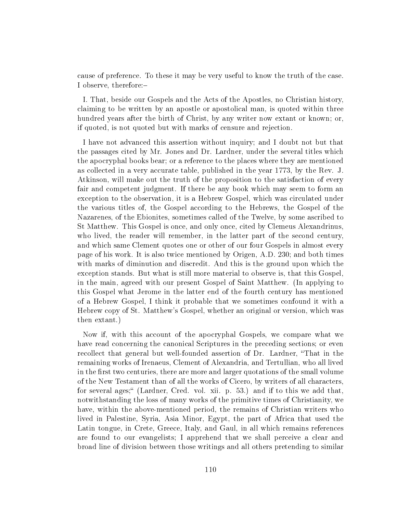cause of preference. To these it may be very useful to know the truth of the case. I observe, therefore:

I. That, beside our Gospels and the Acts of the Apostles, no Christian history, claiming to be written by an apostle or apostolical man, is quoted within three hundred years after the birth of Christ, by any writer now extant or known; or, if quoted, is not quoted but with marks of censure and rejection.

I have not advanced this assertion without inquiry; and I doubt not but that the passages cited by Mr. Jones and Dr. Lardner, under the several titles which the apocryphal books bear; or a reference to the places where they are mentioned as collected in a very accurate table, published in the year 1773, by the Rev. J. Atkinson, will make out the truth of the proposition to the satisfaction of every fair and competent judgment. If there be any book which may seem to form an exception to the observation, it is a Hebrew Gospel, which was circulated under the various titles of, the Gospel according to the Hebrews, the Gospel of the Nazarenes, of the Ebionites, sometimes called of the Twelve, by some ascribed to St Matthew. This Gospel is once, and only once, cited by Clemeus Alexandrinus, who lived, the reader will remember, in the latter part of the second century, and which same Clement quotes one or other of our four Gospels in almost every page of his work. It is also twice mentioned by Origen, A.D. 230; and both times with marks of diminution and discredit. And this is the ground upon which the exception stands. But what is still more material to observe is, that this Gospel, in the main, agreed with our present Gospel of Saint Matthew. (In applying to this Gospel what Jerome in the latter end of the fourth century has mentioned of a Hebrew Gospel, I think it probable that we sometimes confound it with a Hebrew copy of St. Matthew's Gospel, whether an original or version, which was then extant.)

Now if, with this account of the apocryphal Gospels, we compare what we have read concerning the canonical Scriptures in the preceding sections; or even recollect that general but well-founded assertion of Dr. Lardner, "That in the remaining works of Irenaeus, Clement of Alexandria, and Tertullian, who all lived in the first two centuries, there are more and larger quotations of the small volume of the New Testament than of all the works of Cicero, by writers of all characters, for several ages; (Lardner, Cred. vol. xii. p. 53.) and if to this we add that, notwithstanding the loss of many works of the primitive times of Christianity, we have, within the above-mentioned period, the remains of Christian writers who lived in Palestine, Syria, Asia Minor, Egypt, the part of Africa that used the Latin tongue, in Crete, Greece, Italy, and Gaul, in all which remains references are found to our evangelists; I apprehend that we shall perceive a clear and broad line of division between those writings and all others pretending to similar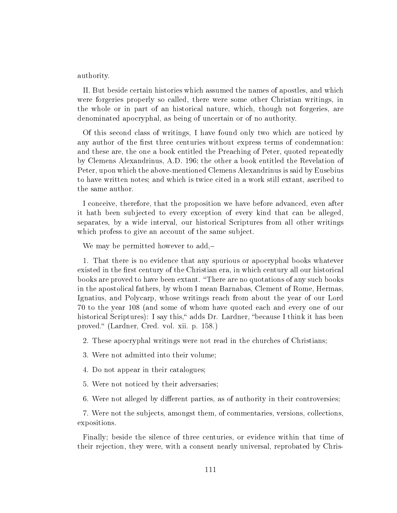authority.

II. But beside certain histories which assumed the names of apostles, and which were forgeries properly so called, there were some other Christian writings, in the whole or in part of an historical nature, which, though not forgeries, are denominated apocryphal, as being of uncertain or of no authority.

Of this second class of writings, I have found only two which are noticed by any author of the first three centuries without express terms of condemnation: and these are, the one a book entitled the Preaching of Peter, quoted repeatedly by Clemens Alexandrinus, A.D. 196; the other a book entitled the Revelation of Peter, upon which the above-mentioned Clemens Alexandrinus is said by Eusebius to have written notes; and which is twice cited in a work still extant, ascribed to the same author.

I conceive, therefore, that the proposition we have before advanced, even after it hath been subjected to every exception of every kind that can be alleged, separates, by a wide interval, our historical Scriptures from all other writings which profess to give an account of the same subject.

We may be permitted however to add,-

1. That there is no evidence that any spurious or apocryphal books whatever existed in the first century of the Christian era, in which century all our historical books are proved to have been extant. There are no quotations of any such books in the apostolical fathers, by whom I mean Barnabas, Clement of Rome, Hermas, Ignatius, and Polycarp, whose writings reach from about the year of our Lord 70 to the year 108 (and some of whom have quoted each and every one of our historical Scriptures): I say this," adds Dr. Lardner, "because I think it has been proved." (Lardner, Cred. vol. xii. p. 158.)

2. These apocryphal writings were not read in the churches of Christians;

3. Were not admitted into their volume;

4. Do not appear in their catalogues;

5. Were not noticed by their adversaries;

6. Were not alleged by different parties, as of authority in their controversies;

7. Were not the subjects, amongst them, of commentaries, versions, collections, expositions.

Finally; beside the silence of three centuries, or evidence within that time of their rejection, they were, with a consent nearly universal, reprobated by Chris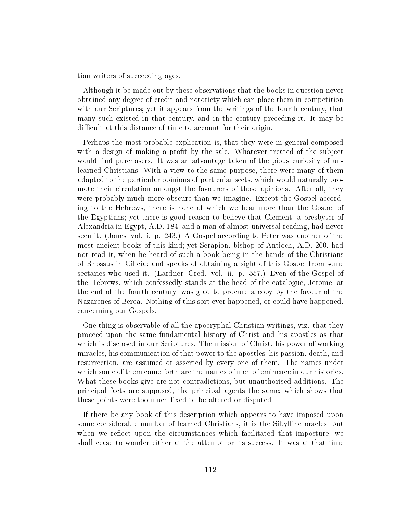tian writers of succeeding ages.

Although it be made out by these observations that the books in question never obtained any degree of credit and notoriety which can place them in competition with our Scriptures; yet it appears from the writings of the fourth century, that many such existed in that century, and in the century preceding it. It may be difficult at this distance of time to account for their origin.

Perhaps the most probable explication is, that they were in general composed with a design of making a profit by the sale. Whatever treated of the subject would find purchasers. It was an advantage taken of the pious curiosity of unlearned Christians. With a view to the same purpose, there were many of them adapted to the particular opinions of particular sects, which would naturally promote their circulation amongst the favourers of those opinions. After all, they were probably much more obscure than we imagine. Except the Gospel according to the Hebrews, there is none of which we hear more than the Gospel of the Egyptians; yet there is good reason to believe that Clement, a presbyter of Alexandria in Egypt, A.D. 184, and a man of almost universal reading, had never seen it. (Jones, vol. i. p. 243.) A Gospel according to Peter was another of the most ancient books of this kind; yet Serapion, bishop of Antioch, A.D. 200, had not read it, when he heard of such a book being in the hands of the Christians of Rhossus in Cillcia; and speaks of obtaining a sight of this Gospel from some sectaries who used it. (Lardner, Cred. vol. ii. p. 557.) Even of the Gospel of the Hebrews, which confessedly stands at the head of the catalogue, Jerome, at the end of the fourth century, was glad to procure a copy by the favour of the Nazarenes of Berea. Nothing of this sort ever happened, or could have happened, concerning our Gospels.

One thing is observable of all the apocryphal Christian writings, viz. that they proceed upon the same fundamental history of Christ and his apostles as that which is disclosed in our Scriptures. The mission of Christ, his power of working miracles, his communication of that power to the apostles, his passion, death, and resurrection, are assumed or asserted by every one of them. The names under which some of them came forth are the names of men of eminence in our histories. What these books give are not contradictions, but unauthorised additions. The principal facts are supposed, the principal agents the same; which shows that these points were too much fixed to be altered or disputed.

If there be any book of this description which appears to have imposed upon some considerable number of learned Christians, it is the Sibylline oracles; but when we reflect upon the circumstances which facilitated that imposture, we shall cease to wonder either at the attempt or its success. It was at that time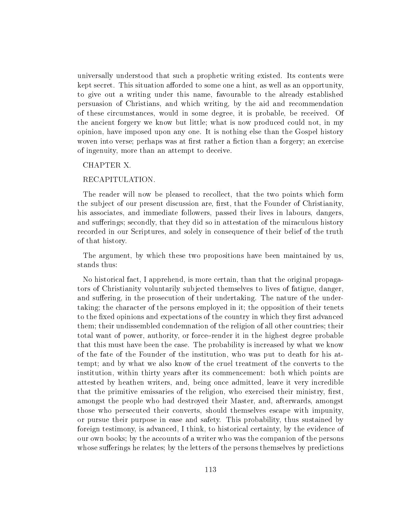universally understood that such a prophetic writing existed. Its contents were kept secret. This situation afforded to some one a hint, as well as an opportunity, to give out a writing under this name, favourable to the already established persuasion of Christians, and which writing, by the aid and recommendation of these circumstances, would in some degree, it is probable, be received. Of the ancient forgery we know but little; what is now produced could not, in my opinion, have imposed upon any one. It is nothing else than the Gospel history woven into verse; perhaps was at first rather a fiction than a forgery; an exercise of ingenuity, more than an attempt to deceive.

## CHAPTER X.

#### RECAPITULATION.

The reader will now be pleased to recollect, that the two points which form the subject of our present discussion are, first, that the Founder of Christianity, his associates, and immediate followers, passed their lives in labours, dangers, and sufferings; secondly, that they did so in attestation of the miraculous history recorded in our Scriptures, and solely in consequence of their belief of the truth of that history.

The argument, by which these two propositions have been maintained by us, stands thus:

No historical fact, I apprehend, is more certain, than that the original propagators of Christianity voluntarily subjected themselves to lives of fatigue, danger, and suffering, in the prosecution of their undertaking. The nature of the undertaking; the character of the persons employed in it; the opposition of their tenets to the fixed opinions and expectations of the country in which they first advanced them; their undissembled condemnation of the religion of all other countries; their total want of power, authority, or force-render it in the highest degree probable that this must have been the case. The probability is increased by what we know of the fate of the Founder of the institution, who was put to death for his attempt; and by what we also know of the cruel treatment of the converts to the institution, within thirty years after its commencement: both which points are attested by heathen writers, and, being once admitted, leave it very incredible that the primitive emissaries of the religion, who exercised their ministry, first, amongst the people who had destroyed their Master, and, afterwards, amongst those who persecuted their converts, should themselves escape with impunity, or pursue their purpose in ease and safety. This probability, thus sustained by foreign testimony, is advanced, I think, to historical certainty, by the evidence of our own books; by the accounts of a writer who was the companion of the persons whose sufferings he relates; by the letters of the persons themselves by predictions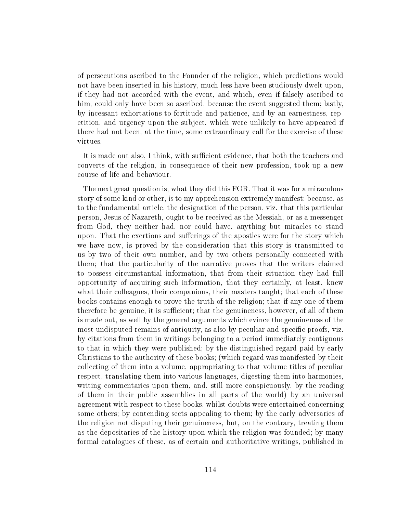of persecutions ascribed to the Founder of the religion, which predictions would not have been inserted in his history, much less have been studiously dwelt upon, if they had not accorded with the event, and which, even if falsely ascribed to him, could only have been so ascribed, because the event suggested them; lastly, by incessant exhortations to fortitude and patience, and by an earnestness, repetition, and urgency upon the subject, which were unlikely to have appeared if there had not been, at the time, some extraordinary call for the exercise of these virtues.

It is made out also, I think, with sufficient evidence, that both the teachers and converts of the religion, in consequence of their new profession, took up a new course of life and behaviour.

The next great question is, what they did this FOR. That it was for a miraculous story of some kind or other, is to my apprehension extremely manifest; because, as to the fundamental article, the designation of the person, viz. that this particular person, Jesus of Nazareth, ought to be received as the Messiah, or as a messenger from God, they neither had, nor could have, anything but miracles to stand upon. That the exertions and sufferings of the apostles were for the story which we have now, is proved by the consideration that this story is transmitted to us by two of their own number, and by two others personally connected with them; that the particularity of the narrative proves that the writers claimed to possess circumstantial information, that from their situation they had full opportunity of acquiring such information, that they certainly, at least, knew what their colleagues, their companions, their masters taught; that each of these books contains enough to prove the truth of the religion; that if any one of them therefore be genuine, it is sufficient; that the genuineness, however, of all of them is made out, as well by the general arguments which evince the genuineness of the most undisputed remains of antiquity, as also by peculiar and specific proofs, viz. by citations from them in writings belonging to a period immediately contiguous to that in which they were published; by the distinguished regard paid by early Christians to the authority of these books; (which regard was manifested by their collecting of them into a volume, appropriating to that volume titles of peculiar respect, translating them into various languages, digesting them into harmonies, writing commentaries upon them, and, still more conspicuously, by the reading of them in their public assemblies in all parts of the world) by an universal agreement with respect to these books, whilst doubts were entertained concerning some others; by contending sects appealing to them; by the early adversaries of the religion not disputing their genuineness, but, on the contrary, treating them as the depositaries of the history upon which the religion was founded; by many formal catalogues of these, as of certain and authoritative writings, published in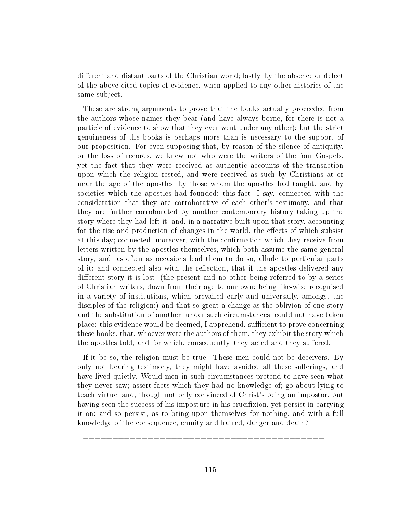different and distant parts of the Christian world; lastly, by the absence or defect of the above-cited topics of evidence, when applied to any other histories of the same subject.

These are strong arguments to prove that the books actually proceeded from the authors whose names they bear (and have always borne, for there is not a particle of evidence to show that they ever went under any other); but the strict genuineness of the books is perhaps more than is necessary to the support of our proposition. For even supposing that, by reason of the silence of antiquity, or the loss of records, we knew not who were the writers of the four Gospels, yet the fact that they were received as authentic accounts of the transaction upon which the religion rested, and were received as such by Christians at or near the age of the apostles, by those whom the apostles had taught, and by societies which the apostles had founded; this fact, I say, connected with the consideration that they are corroborative of each other's testimony, and that they are further corroborated by another contemporary history taking up the story where they had left it, and, in a narrative built upon that story, accounting for the rise and production of changes in the world, the effects of which subsist at this day; connected, moreover, with the confirmation which they receive from letters written by the apostles themselves, which both assume the same general story, and, as often as occasions lead them to do so, allude to particular parts of it; and connected also with the reflection, that if the apostles delivered any different story it is lost; (the present and no other being referred to by a series of Christian writers, down from their age to our own; being like-wise recognised in a variety of institutions, which prevailed early and universally, amongst the disciples of the religion;) and that so great a change as the oblivion of one story and the substitution of another, under such circumstances, could not have taken place: this evidence would be deemed, I apprehend, sufficient to prove concerning these books, that, whoever were the authors of them, they exhibit the story which the apostles told, and for which, consequently, they acted and they suffered.

If it be so, the religion must be true. These men could not be deceivers. By only not bearing testimony, they might have avoided all these sufferings, and have lived quietly. Would men in such circumstances pretend to have seen what they never saw; assert facts which they had no knowledge of; go about lying to teach virtue; and, though not only convinced of Christ's being an impostor, but having seen the success of his imposture in his crucifixion, yet persist in carrying it on; and so persist, as to bring upon themselves for nothing, and with a full knowledge of the consequence, enmity and hatred, danger and death?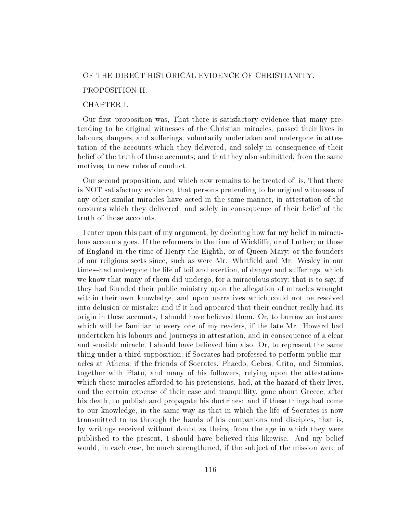## OF THE DIRECT HISTORICAL EVIDENCE OF CHRISTIANITY.

## PROPOSITION II.

# CHAPTER I.

Our first proposition was, That there is satisfactory evidence that many pretending to be original witnesses of the Christian miracles, passed their lives in labours, dangers, and sufferings, voluntarily undertaken and undergone in attestation of the accounts which they delivered, and solely in consequence of their belief of the truth of those accounts; and that they also submitted, from the same motives, to new rules of conduct.

Our second proposition, and which now remains to be treated of, is, That there is NOT satisfactory evidence, that persons pretending to be original witnesses of any other similar miracles have acted in the same manner, in attestation of the accounts which they delivered, and solely in consequence of their belief of the truth of those accounts.

I enter upon this part of my argument, by declaring how far my belief in miraculous accounts goes. If the reformers in the time of Wickliffe, or of Luther; or those of England in the time of Henry the Eighth, or of Queen Mary; or the founders of our religious sects since, such as were Mr. Whiteld and Mr. Wesley in our times-had undergone the life of toil and exertion, of danger and sufferings, which we know that many of them did undergo, for a miraculous story; that is to say, if they had founded their public ministry upon the allegation of miracles wrought within their own knowledge, and upon narratives which could not be resolved into delusion or mistake; and if it had appeared that their conduct really had its origin in these accounts, I should have believed them. Or, to borrow an instance which will be familiar to every one of my readers, if the late Mr. Howard had undertaken his labours and journeys in attestation, and in consequence of a clear and sensible miracle, I should have believed him also. Or, to represent the same thing under a third supposition; if Socrates had professed to perform public miracles at Athens; if the friends of Socrates, Phaedo, Cebes, Crito, and Simmias, together with Plato, and many of his followers, relying upon the attestations which these miracles afforded to his pretensions, had, at the hazard of their lives, and the certain expense of their ease and tranquillity, gone about Greece, after his death, to publish and propagate his doctrines: and if these things had come to our knowledge, in the same way as that in which the life of Socrates is now transmitted to us through the hands of his companions and disciples, that is, by writings received without doubt as theirs, from the age in which they were published to the present, I should have believed this likewise. And my belief would, in each case, be much strengthened, if the subject of the mission were of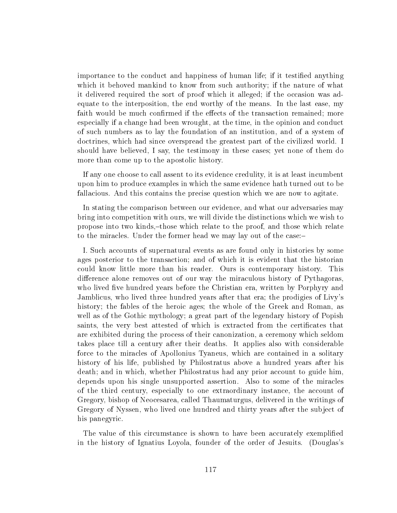importance to the conduct and happiness of human life; if it testied anything which it behoved mankind to know from such authority; if the nature of what it delivered required the sort of proof which it alleged; if the occasion was adequate to the interposition, the end worthy of the means. In the last ease, my faith would be much confirmed if the effects of the transaction remained; more especially if a change had been wrought, at the time, in the opinion and conduct of such numbers as to lay the foundation of an institution, and of a system of doctrines, which had since overspread the greatest part of the civilized world. I should have believed, I say, the testimony in these cases; yet none of them do more than come up to the apostolic history.

If any one choose to call assent to its evidence credulity, it is at least incumbent upon him to produce examples in which the same evidence hath turned out to be fallacious. And this contains the precise question which we are now to agitate.

In stating the comparison between our evidence, and what our adversaries may bring into competition with ours, we will divide the distinctions which we wish to propose into two kinds,-those which relate to the proof, and those which relate to the miracles. Under the former head we may lay out of the case:

I. Such accounts of supernatural events as are found only in histories by some ages posterior to the transaction; and of which it is evident that the historian could know little more than his reader. Ours is contemporary history. This difference alone removes out of our way the miraculous history of Pythagoras, who lived five hundred years before the Christian era, written by Porphyry and Jamblicus, who lived three hundred years after that era; the prodigies of Livy's history; the fables of the heroic ages; the whole of the Greek and Roman, as well as of the Gothic mythology; a great part of the legendary history of Popish saints, the very best attested of which is extracted from the certificates that are exhibited during the process of their canonization, a ceremony which seldom takes place till a century after their deaths. It applies also with considerable force to the miracles of Apollonius Tyaneus, which are contained in a solitary history of his life, published by Philostratus above a hundred years after his death; and in which, whether Philostratus had any prior account to guide him, depends upon his single unsupported assertion. Also to some of the miracles of the third century, especially to one extraordinary instance, the account of Gregory, bishop of Neocesarea, called Thaumaturgus, delivered in the writings of Gregory of Nyssen, who lived one hundred and thirty years after the subject of his panegyric.

The value of this circumstance is shown to have been accurately exemplified in the history of Ignatius Loyola, founder of the order of Jesuits. (Douglas's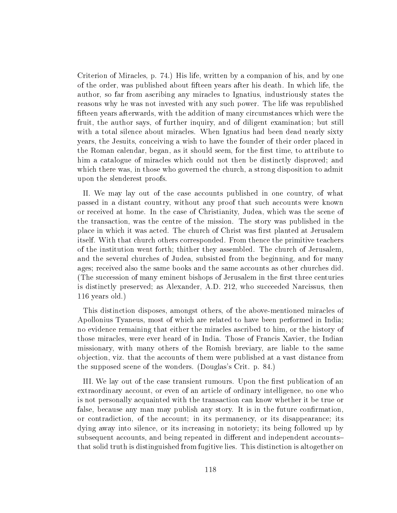Criterion of Miracles, p. 74.) His life, written by a companion of his, and by one of the order, was published about fteen years after his death. In which life, the author, so far from ascribing any miracles to Ignatius, industriously states the reasons why he was not invested with any such power. The life was republished fteen years afterwards, with the addition of many circumstances which were the fruit, the author says, of further inquiry, and of diligent examination; but still with a total silence about miracles. When Ignatius had been dead nearly sixty years, the Jesuits, conceiving a wish to have the founder of their order placed in the Roman calendar, began, as it should seem, for the first time, to attribute to him a catalogue of miracles which could not then be distinctly disproved; and which there was, in those who governed the church, a strong disposition to admit upon the slenderest proofs.

II. We may lay out of the case accounts published in one country, of what passed in a distant country, without any proof that such accounts were known or received at home. In the case of Christianity, Judea, which was the scene of the transaction, was the centre of the mission. The story was published in the place in which it was acted. The church of Christ was first planted at Jerusalem itself. With that church others corresponded. From thence the primitive teachers of the institution went forth; thither they assembled. The church of Jerusalem, and the several churches of Judea, subsisted from the beginning, and for many ages; received also the same books and the same accounts as other churches did. (The succession of many eminent bishops of Jerusalem in the first three centuries is distinctly preserved; as Alexander, A.D. 212, who succeeded Narcissus, then 116 years old.)

This distinction disposes, amongst others, of the above-mentioned miracles of Apollonius Tyaneus, most of which are related to have been performed in India; no evidence remaining that either the miracles ascribed to him, or the history of those miracles, were ever heard of in India. Those of Francis Xavier, the Indian missionary, with many others of the Romish breviary, are liable to the same objection, viz. that the accounts of them were published at a vast distance from the supposed scene of the wonders. (Douglas's Crit. p. 84.)

III. We lay out of the case transient rumours. Upon the first publication of an extraordinary account, or even of an article of ordinary intelligence, no one who is not personally acquainted with the transaction can know whether it be true or false, because any man may publish any story. It is in the future confirmation, or contradiction, of the account; in its permanency, or its disappearance; its dying away into silence, or its increasing in notoriety; its being followed up by subsequent accounts, and being repeated in different and independent accountsthat solid truth is distinguished from fugitive lies. This distinction is altogether on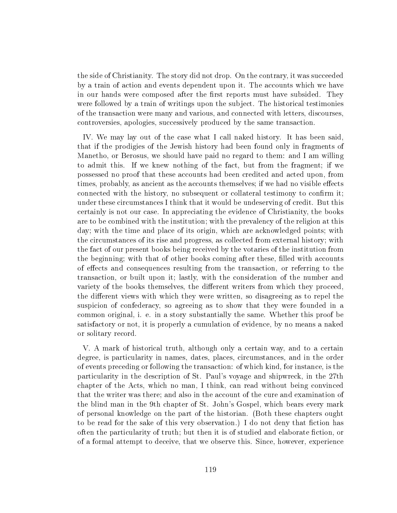the side of Christianity. The story did not drop. On the contrary, it was succeeded by a train of action and events dependent upon it. The accounts which we have in our hands were composed after the first reports must have subsided. They were followed by a train of writings upon the subject. The historical testimonies of the transaction were many and various, and connected with letters, discourses, controversies, apologies, successively produced by the same transaction.

IV. We may lay out of the case what I call naked history. It has been said, that if the prodigies of the Jewish history had been found only in fragments of Manetho, or Berosus, we should have paid no regard to them: and I am willing to admit this. If we knew nothing of the fact, but from the fragment; if we possessed no proof that these accounts had been credited and acted upon, from times, probably, as ancient as the accounts themselves; if we had no visible effects connected with the history, no subsequent or collateral testimony to confirm it; under these circumstances I think that it would be undeserving of credit. But this certainly is not our case. In appreciating the evidence of Christianity, the books are to be combined with the institution; with the prevalency of the religion at this day; with the time and place of its origin, which are acknowledged points; with the circumstances of its rise and progress, as collected from external history; with the fact of our present books being received by the votaries of the institution from the beginning; with that of other books coming after these, filled with accounts of effects and consequences resulting from the transaction, or referring to the transaction, or built upon it; lastly, with the consideration of the number and variety of the books themselves, the different writers from which they proceed, the different views with which they were written, so disagreeing as to repel the suspicion of confederacy, so agreeing as to show that they were founded in a common original, i. e. in a story substantially the same. Whether this proof be satisfactory or not, it is properly a cumulation of evidence, by no means a naked or solitary record.

V. A mark of historical truth, although only a certain way, and to a certain degree, is particularity in names, dates, places, circumstances, and in the order of events preceding or following the transaction: of which kind, for instance, is the particularity in the description of St. Paul's voyage and shipwreck, in the 27th chapter of the Acts, which no man, I think, can read without being convinced that the writer was there; and also in the account of the cure and examination of the blind man in the 9th chapter of St. John's Gospel, which bears every mark of personal knowledge on the part of the historian. (Both these chapters ought to be read for the sake of this very observation.) I do not deny that fiction has often the particularity of truth; but then it is of studied and elaborate fiction, or of a formal attempt to deceive, that we observe this. Since, however, experience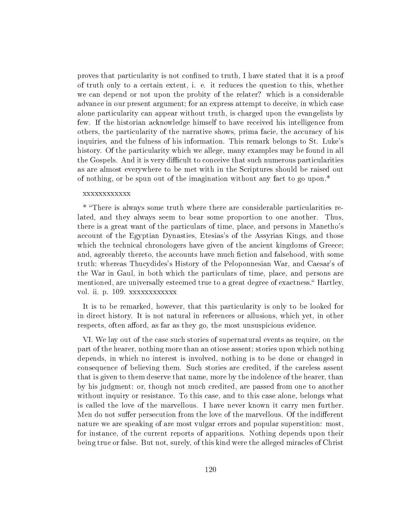proves that particularity is not confined to truth, I have stated that it is a proof of truth only to a certain extent, i. e. it reduces the question to this, whether we can depend or not upon the probity of the relater? which is a considerable advance in our present argument; for an express attempt to deceive, in which case alone particularity can appear without truth, is charged upon the evangelists by few. If the historian acknowledge himself to have received his intelligence from others, the particularity of the narrative shows, prima facie, the accuracy of his inquiries, and the fulness of his information. This remark belongs to St. Luke's history. Of the particularity which we allege, many examples may be found in all the Gospels. And it is very difficult to conceive that such numerous particularities as are almost everywhere to be met with in the Scriptures should be raised out of nothing, or be spun out of the imagination without any fact to go upon.\*

#### xxxxxxxxxxxx

\* There is always some truth where there are considerable particularities related, and they always seem to bear some proportion to one another. Thus, there is a great want of the particulars of time, place, and persons in Manetho's account of the Egyptian Dynasties, Etesias's of the Assyrian Kings, and those which the technical chronologers have given of the ancient kingdoms of Greece; and, agreeably thereto, the accounts have much fiction and falsehood, with some truth: whereas Thucydides's History of the Peloponnesian War, and Caesar's of the War in Gaul, in both which the particulars of time, place, and persons are mentioned, are universally esteemed true to a great degree of exactness." Hartley, vol. ii. p. 109. xxxxxxxxxxxx

It is to be remarked, however, that this particularity is only to be looked for in direct history. It is not natural in references or allusions, which yet, in other respects, often afford, as far as they go, the most unsuspicious evidence.

VI. We lay out of the case such stories of supernatural events as require, on the part of the hearer, nothing more than an otiose assent; stories upon which nothing depends, in which no interest is involved, nothing is to be done or changed in consequence of believing them. Such stories are credited, if the careless assent that is given to them deserve that name, more by the indolence of the hearer, than by his judgment: or, though not much credited, are passed from one to another without inquiry or resistance. To this case, and to this case alone, belongs what is called the love of the marvellous. I have never known it carry men further. Men do not suffer persecution from the love of the marvellous. Of the indifferent nature we are speaking of are most vulgar errors and popular superstition: most, for instance, of the current reports of apparitions. Nothing depends upon their being true or false. But not, surely, of this kind were the alleged miracles of Christ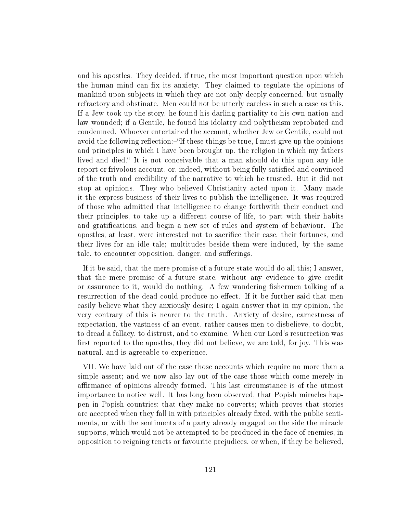and his apostles. They decided, if true, the most important question upon which the human mind can fix its anxiety. They claimed to regulate the opinions of mankind upon subjects in which they are not only deeply concerned, but usually refractory and obstinate. Men could not be utterly careless in such a case as this. If a Jew took up the story, he found his darling partiality to his own nation and law wounded; if a Gentile, he found his idolatry and polytheism reprobated and condemned. Whoever entertained the account, whether Jew or Gentile, could not avoid the following reflection:—"If these things be true, I must give up the opinions and principles in which I have been brought up, the religion in which my fathers lived and died. It is not conceivable that a man should do this upon any idle report or frivolous account, or, indeed, without being fully satisfied and convinced of the truth and credibility of the narrative to which he trusted. But it did not stop at opinions. They who believed Christianity acted upon it. Many made it the express business of their lives to publish the intelligence. It was required of those who admitted that intelligence to change forthwith their conduct and their principles, to take up a different course of life, to part with their habits and gratifications, and begin a new set of rules and system of behaviour. The apostles, at least, were interested not to sacrifice their ease, their fortunes, and their lives for an idle tale; multitudes beside them were induced, by the same tale, to encounter opposition, danger, and sufferings.

If it be said, that the mere promise of a future state would do all this; I answer, that the mere promise of a future state, without any evidence to give credit or assurance to it, would do nothing. A few wandering fishermen talking of a resurrection of the dead could produce no effect. If it be further said that men easily believe what they anxiously desire; I again answer that in my opinion, the very contrary of this is nearer to the truth. Anxiety of desire, earnestness of expectation, the vastness of an event, rather causes men to disbelieve, to doubt, to dread a fallacy, to distrust, and to examine. When our Lord's resurrection was first reported to the apostles, they did not believe, we are told, for joy. This was natural, and is agreeable to experience.

VII. We have laid out of the case those accounts which require no more than a simple assent; and we now also lay out of the case those which come merely in affirmance of opinions already formed. This last circumstance is of the utmost importance to notice well. It has long been observed, that Popish miracles happen in Popish countries; that they make no converts; which proves that stories are accepted when they fall in with principles already fixed, with the public sentiments, or with the sentiments of a party already engaged on the side the miracle supports, which would not be attempted to be produced in the face of enemies, in opposition to reigning tenets or favourite prejudices, or when, if they be believed,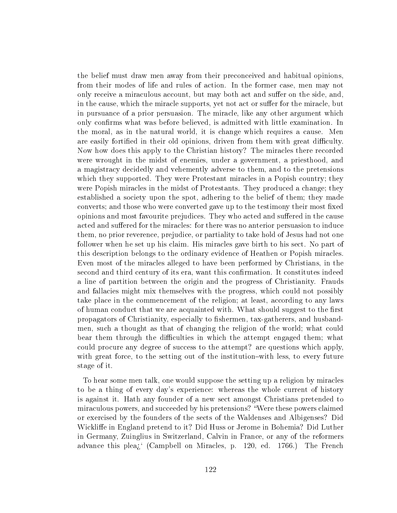the belief must draw men away from their preconceived and habitual opinions, from their modes of life and rules of action. In the former case, men may not only receive a miraculous account, but may both act and suffer on the side, and, in the cause, which the miracle supports, yet not act or suffer for the miracle, but in pursuance of a prior persuasion. The miracle, like any other argument which only confirms what was before believed, is admitted with little examination. In the moral, as in the natural world, it is change which requires a cause. Men are easily fortified in their old opinions, driven from them with great difficulty. Now how does this apply to the Christian history? The miracles there recorded were wrought in the midst of enemies, under a government, a priesthood, and a magistracy decidedly and vehemently adverse to them, and to the pretensions which they supported. They were Protestant miracles in a Popish country; they were Popish miracles in the midst of Protestants. They produced a change; they established a society upon the spot, adhering to the belief of them; they made converts; and those who were converted gave up to the testimony their most fixed opinions and most favourite prejudices. They who acted and suffered in the cause acted and suffered for the miracles: for there was no anterior persuasion to induce them, no prior reverence, prejudice, or partiality to take hold of Jesus had not one follower when he set up his claim. His miracles gave birth to his sect. No part of this description belongs to the ordinary evidence of Heathen or Popish miracles. Even most of the miracles alleged to have been performed by Christians, in the second and third century of its era, want this confirmation. It constitutes indeed a line of partition between the origin and the progress of Christianity. Frauds and fallacies might mix themselves with the progress, which could not possibly take place in the commencement of the religion; at least, according to any laws of human conduct that we are acquainted with. What should suggest to the first propagators of Christianity, especially to fishermen, tax-gatherers, and husbandmen, such a thought as that of changing the religion of the world; what could bear them through the difficulties in which the attempt engaged them; what could procure any degree of success to the attempt? are questions which apply, with great force, to the setting out of the institution-with less, to every future stage of it.

To hear some men talk, one would suppose the setting up a religion by miracles to be a thing of every day's experience: whereas the whole current of history is against it. Hath any founder of a new sect amongst Christians pretended to miraculous powers, and succeeded by his pretensions? Were these powers claimed or exercised by the founders of the sects of the Waldenses and Albigenses? Did Wickliffe in England pretend to it? Did Huss or Jerome in Bohemia? Did Luther in Germany, Zuinglius in Switzerland, Calvin in France, or any of the reformers advance this plea<sup> $\chi$ </sup> (Campbell on Miracles, p. 120, ed. 1766.) The French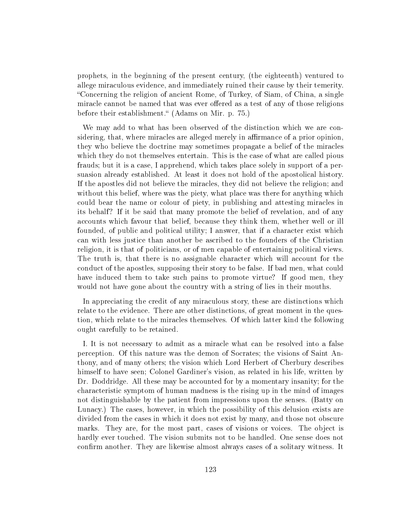prophets, in the beginning of the present century, (the eighteenth) ventured to allege miraculous evidence, and immediately ruined their cause by their temerity. Concerning the religion of ancient Rome, of Turkey, of Siam, of China, a single miracle cannot be named that was ever offered as a test of any of those religions before their establishment." (Adams on Mir. p. 75.)

We may add to what has been observed of the distinction which we are considering, that, where miracles are alleged merely in affirmance of a prior opinion, they who believe the doctrine may sometimes propagate a belief of the miracles which they do not themselves entertain. This is the case of what are called pious frauds; but it is a case, I apprehend, which takes place solely in support of a persuasion already established. At least it does not hold of the apostolical history. If the apostles did not believe the miracles, they did not believe the religion; and without this belief, where was the piety, what place was there for anything which could bear the name or colour of piety, in publishing and attesting miracles in its behalf? If it be said that many promote the belief of revelation, and of any accounts which favour that belief, because they think them, whether well or ill founded, of public and political utility; I answer, that if a character exist which can with less justice than another be ascribed to the founders of the Christian religion, it is that of politicians, or of men capable of entertaining political views. The truth is, that there is no assignable character which will account for the conduct of the apostles, supposing their story to be false. If bad men, what could have induced them to take such pains to promote virtue? If good men, they would not have gone about the country with a string of lies in their mouths.

In appreciating the credit of any miraculous story, these are distinctions which relate to the evidence. There are other distinctions, of great moment in the question, which relate to the miracles themselves. Of which latter kind the following ought carefully to be retained.

I. It is not necessary to admit as a miracle what can be resolved into a false perception. Of this nature was the demon of Socrates; the visions of Saint Anthony, and of many others; the vision which Lord Herbert of Cherbury describes himself to have seen; Colonel Gardiner's vision, as related in his life, written by Dr. Doddridge. All these may be accounted for by a momentary insanity; for the characteristic symptom of human madness is the rising up in the mind of images not distinguishable by the patient from impressions upon the senses. (Batty on Lunacy.) The cases, however, in which the possibility of this delusion exists are divided from the cases in which it does not exist by many, and those not obscure marks. They are, for the most part, cases of visions or voices. The object is hardly ever touched. The vision submits not to be handled. One sense does not confirm another. They are likewise almost always cases of a solitary witness. It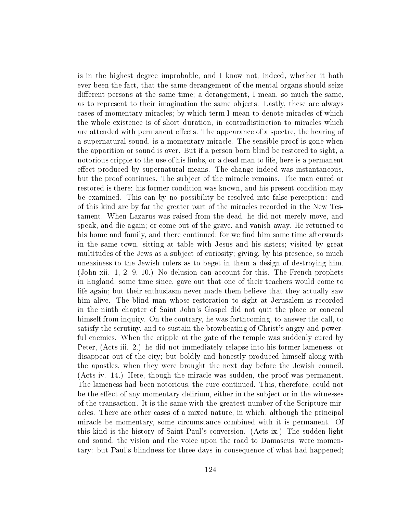is in the highest degree improbable, and I know not, indeed, whether it hath ever been the fact, that the same derangement of the mental organs should seize different persons at the same time; a derangement, I mean, so much the same, as to represent to their imagination the same objects. Lastly, these are always cases of momentary miracles; by which term I mean to denote miracles of which the whole existence is of short duration, in contradistinction to miracles which are attended with permanent effects. The appearance of a spectre, the hearing of a supernatural sound, is a momentary miracle. The sensible proof is gone when the apparition or sound is over. But if a person born blind be restored to sight, a notorious cripple to the use of his limbs, or a dead man to life, here is a permanent effect produced by supernatural means. The change indeed was instantaneous, but the proof continues. The subject of the miracle remains. The man cured or restored is there: his former condition was known, and his present condition may be examined. This can by no possibility be resolved into false perception: and of this kind are by far the greater part of the miracles recorded in the New Testament. When Lazarus was raised from the dead, he did not merely move, and speak, and die again; or come out of the grave, and vanish away. He returned to his home and family, and there continued; for we find him some time afterwards in the same town, sitting at table with Jesus and his sisters; visited by great multitudes of the Jews as a subject of curiosity; giving, by his presence, so much uneasiness to the Jewish rulers as to beget in them a design of destroying him. (John xii. 1, 2, 9, 10.) No delusion can account for this. The French prophets in England, some time since, gave out that one of their teachers would come to life again; but their enthusiasm never made them believe that they actually saw him alive. The blind man whose restoration to sight at Jerusalem is recorded in the ninth chapter of Saint John's Gospel did not quit the place or conceal himself from inquiry. On the contrary, he was forthcoming, to answer the call, to satisfy the scrutiny, and to sustain the browbeating of Christ's angry and powerful enemies. When the cripple at the gate of the temple was suddenly cured by Peter, (Acts iii. 2.) he did not immediately relapse into his former lameness, or disappear out of the city; but boldly and honestly produced himself along with the apostles, when they were brought the next day before the Jewish council. (Acts iv. 14.) Here, though the miracle was sudden, the proof was permanent. The lameness had been notorious, the cure continued. This, therefore, could not be the effect of any momentary delirium, either in the subject or in the witnesses of the transaction. It is the same with the greatest number of the Scripture miracles. There are other cases of a mixed nature, in which, although the principal miracle be momentary, some circumstance combined with it is permanent. Of this kind is the history of Saint Paul's conversion. (Acts ix.) The sudden light and sound, the vision and the voice upon the road to Damascus, were momentary: but Paul's blindness for three days in consequence of what had happened;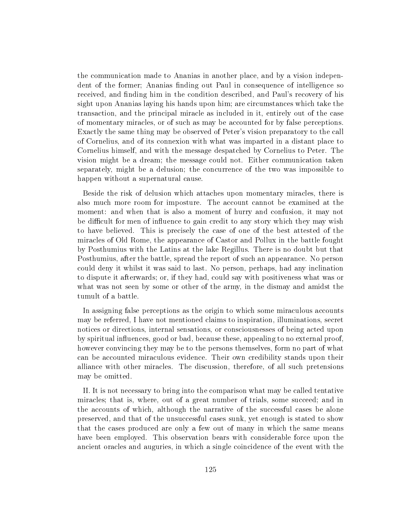the communication made to Ananias in another place, and by a vision independent of the former; Ananias finding out Paul in consequence of intelligence so received, and finding him in the condition described, and Paul's recovery of his sight upon Ananias laying his hands upon him; are circumstances which take the transaction, and the principal miracle as included in it, entirely out of the case of momentary miracles, or of such as may be accounted for by false perceptions. Exactly the same thing may be observed of Peter's vision preparatory to the call of Cornelius, and of its connexion with what was imparted in a distant place to Cornelius himself, and with the message despatched by Cornelius to Peter. The vision might be a dream; the message could not. Either communication taken separately, might be a delusion; the concurrence of the two was impossible to happen without a supernatural cause.

Beside the risk of delusion which attaches upon momentary miracles, there is also much more room for imposture. The account cannot be examined at the moment: and when that is also a moment of hurry and confusion, it may not be difficult for men of influence to gain credit to any story which they may wish to have believed. This is precisely the case of one of the best attested of the miracles of Old Rome, the appearance of Castor and Pollux in the battle fought by Posthumius with the Latins at the lake Regillus. There is no doubt but that Posthumius, after the battle, spread the report of such an appearance. No person could deny it whilst it was said to last. No person, perhaps, had any inclination to dispute it afterwards; or, if they had, could say with positiveness what was or what was not seen by some or other of the army, in the dismay and amidst the tumult of a battle.

In assigning false perceptions as the origin to which some miraculous accounts may be referred, I have not mentioned claims to inspiration, illuminations, secret notices or directions, internal sensations, or consciousnesses of being acted upon by spiritual influences, good or bad, because these, appealing to no external proof, however convincing they may be to the persons themselves, form no part of what can be accounted miraculous evidence. Their own credibility stands upon their alliance with other miracles. The discussion, therefore, of all such pretensions may be omitted.

II. It is not necessary to bring into the comparison what may be called tentative miracles; that is, where, out of a great number of trials, some succeed; and in the accounts of which, although the narrative of the successful cases be alone preserved, and that of the unsuccessful cases sunk, yet enough is stated to show that the cases produced are only a few out of many in which the same means have been employed. This observation bears with considerable force upon the ancient oracles and auguries, in which a single coincidence of the event with the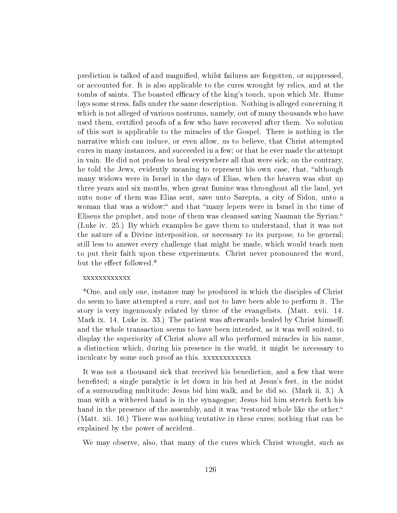prediction is talked of and magnied, whilst failures are forgotten, or suppressed, or accounted for. It is also applicable to the cures wrought by relics, and at the tombs of saints. The boasted efficacy of the king's touch, upon which Mr. Hume lays some stress, falls under the same description. Nothing is alleged concerning it which is not alleged of various nostrums, namely, out of many thousands who have used them, certified proofs of a few who have recovered after them. No solution of this sort is applicable to the miracles of the Gospel. There is nothing in the narrative which can induce, or even allow, us to believe, that Christ attempted cures in many instances, and succeeded in a few; or that he ever made the attempt in vain. He did not profess to heal everywhere all that were sick; on the contrary, he told the Jews, evidently meaning to represent his own case, that, "although many widows were in Israel in the days of Elias, when the heaven was shut up three years and six months, when great famine was throughout all the land, yet unto none of them was Elias sent, save unto Sarepta, a city of Sidon, unto a woman that was a widow:" and that "many lepers were in Israel in the time of Eliseus the prophet, and none of them was cleansed saving Naaman the Syrian. (Luke iv. 25.) By which examples he gave them to understand, that it was not the nature of a Divine interposition, or necessary to its purpose, to be general; still less to answer every challenge that might be made, which would teach men to put their faith upon these experiments. Christ never pronounced the word, but the effect followed.\*

# xxxxxxxxxxxx

\*One, and only one, instance may be produced in which the disciples of Christ do seem to have attempted a cure, and not to have been able to perform it. The story is very ingenuously related by three of the evangelists. (Matt. xvii. 14. Mark ix. 14. Luke ix. 33.) The patient was afterwards healed by Christ himself; and the whole transaction seems to have been intended, as it was well suited, to display the superiority of Christ above all who performed miracles in his name, a distinction which, during his presence in the world, it might be necessary to inculcate by some such proof as this. xxxxxxxxxxxx

It was not a thousand sick that received his benediction, and a few that were benefited; a single paralytic is let down in his bed at Jesus's feet, in the midst of a surrounding multitude; Jesus bid him walk, and he did so. (Mark ii. 3.) A man with a withered hand is in the synagogue; Jesus bid him stretch forth his hand in the presence of the assembly, and it was "restored whole like the other." (Matt. xii. 10.) There was nothing tentative in these cures; nothing that can be explained by the power of accident.

We may observe, also, that many of the cures which Christ wrought, such as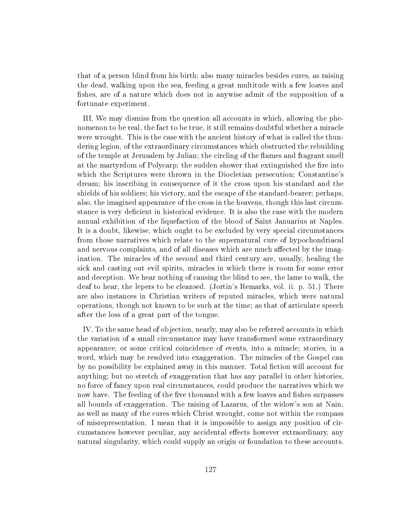that of a person blind from his birth; also many miracles besides cures, as raising the dead, walking upon the sea, feeding a great multitude with a few loaves and fishes, are of a nature which does not in anywise admit of the supposition of a fortunate experiment.

III. We may dismiss from the question all accounts in which, allowing the phenomenon to be real, the fact to be true, it still remains doubtful whether a miracle were wrought. This is the case with the ancient history of what is called the thundering legion, of the extraordinary circumstances which obstructed the rebuilding of the temple at Jerusalem by Julian; the circling of the flames and fragrant smell at the martyrdom of Polycarp; the sudden shower that extinguished the fire into which the Scriptures were thrown in the Diocletian persecution; Constantine's dream; his inscribing in consequence of it the cross upon his standard and the shields of his soldiers; his victory, and the escape of the standard-bearer; perhaps, also, the imagined appearance of the cross in the heavens, though this last circumstance is very deficient in historical evidence. It is also the case with the modern annual exhibition of the liquefaction of the blood of Saint Januarius at Naples. It is a doubt, likewise, which ought to be excluded by very special circumstances from those narratives which relate to the supernatural cure of hypochondriacal and nervous complaints, and of all diseases which are much affected by the imagination. The miracles of the second and third century are, usually, healing the sick and casting out evil spirits, miracles in which there is room for some error and deception. We hear nothing of causing the blind to see, the lame to walk, the deaf to hear, the lepers to be cleansed. (Jortin's Remarks, vol. ii. p. 51.) There are also instances in Christian writers of reputed miracles, which were natural operations, though not known to be such at the time; as that of articulate speech after the loss of a great part of the tongue.

IV. To the same head of objection, nearly, may also be referred accounts in which the variation of a small circumstance may have transformed some extraordinary appearance, or some critical coincidence of events, into a miracle; stories, in a word, which may be resolved into exaggeration. The miracles of the Gospel can by no possibility be explained away in this manner. Total fiction will account for anything; but no stretch of exaggeration that has any parallel in other histories, no force of fancy upon real circumstances, could produce the narratives which we now have. The feeding of the five thousand with a few loaves and fishes surpasses all bounds of exaggeration. The raising of Lazarus, of the widow's son at Nain, as well as many of the cures which Christ wrought, come not within the compass of misrepresentation. I mean that it is impossible to assign any position of circumstances however peculiar, any accidental effects however extraordinary, any natural singularity, which could supply an origin or foundation to these accounts.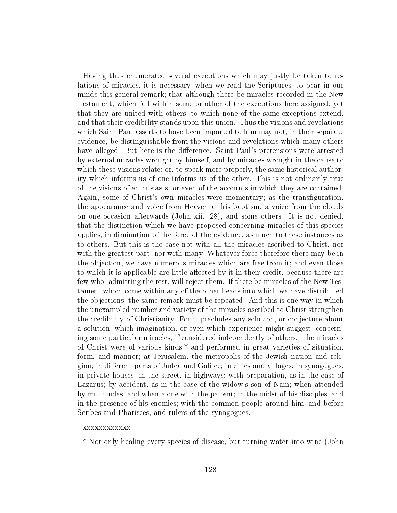Having thus enumerated several exceptions which may justly be taken to relations of miracles, it is necessary, when we read the Scriptures, to bear in our minds this general remark; that although there be miracles recorded in the New Testament, which fall within some or other of the exceptions here assigned, yet that they are united with others, to which none of the same exceptions extend, and that their credibility stands upon this union. Thus the visions and revelations which Saint Paul asserts to have been imparted to him may not, in their separate evidence, be distinguishable from the visions and revelations which many others have alleged. But here is the difference. Saint Paul's pretensions were attested by external miracles wrought by himself, and by miracles wrought in the cause to which these visions relate; or, to speak more properly, the same historical authority which informs us of one informs us of the other. This is not ordinarily true of the visions of enthusiasts, or even of the accounts in which they are contained. Again, some of Christ's own miracles were momentary; as the transfiguration, the appearance and voice from Heaven at his baptism, a voice from the clouds on one occasion afterwards (John xii. 28), and some others. It is not denied, that the distinction which we have proposed concerning miracles of this species applies, in diminution of the force of the evidence, as much to these instances as to others. But this is the case not with all the miracles ascribed to Christ, nor with the greatest part, nor with many. Whatever force therefore there may be in the objection, we have numerous miracles which are free from it; and even those to which it is applicable are little affected by it in their credit, because there are few who, admitting the rest, will reject them. If there be miracles of the New Testament which come within any of the other heads into which we have distributed the objections, the same remark must be repeated. And this is one way in which the unexampled number and variety of the miracles ascribed to Christ strengthen the credibility of Christianity. For it precludes any solution, or conjecture about a solution, which imagination, or even which experience might suggest, concerning some particular miracles, if considered independently of others. The miracles of Christ were of various kinds,\* and performed in great varieties of situation, form, and manner; at Jerusalem, the metropolis of the Jewish nation and religion; in different parts of Judea and Galilee; in cities and villages; in synagogues, in private houses; in the street, in highways; with preparation, as in the case of Lazarus; by accident, as in the case of the widow's son of Nain; when attended by multitudes, and when alone with the patient; in the midst of his disciples, and in the presence of his enemies; with the common people around him, and before Scribes and Pharisees, and rulers of the synagogues.

### xxxxxxxxxxxx

\* Not only healing every species of disease, but turning water into wine (John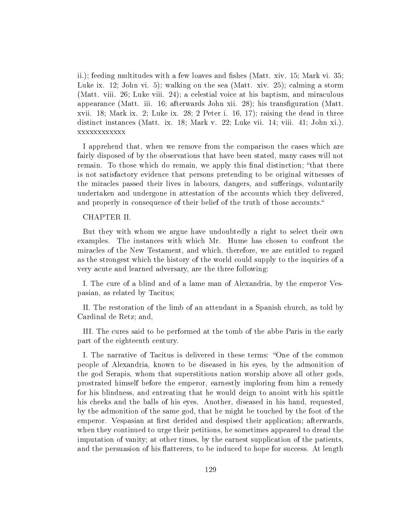ii.); feeding multitudes with a few loaves and fishes (Matt. xiv.  $15$ ; Mark vi.  $35$ ; Luke ix. 12; John vi. 5); walking on the sea (Matt. xiv. 25); calming a storm (Matt. viii. 26; Luke viii. 24); a celestial voice at his baptism, and miraculous appearance (Matt. iii. 16; afterwards John xii. 28); his transguration (Matt. xvii. 18; Mark ix. 2; Luke ix. 28; 2 Peter i. 16, 17); raising the dead in three distinct instances (Matt. ix. 18; Mark v. 22; Luke vii. 14; viii. 41; John xi.). xxxxxxxxxxxx

I apprehend that, when we remove from the comparison the cases which are fairly disposed of by the observations that have been stated, many cases will not remain. To those which do remain, we apply this final distinction; "that there is not satisfactory evidence that persons pretending to be original witnesses of the miracles passed their lives in labours, dangers, and sufferings, voluntarily undertaken and undergone in attestation of the accounts which they delivered, and properly in consequence of their belief of the truth of those accounts.

## CHAPTER II.

But they with whom we argue have undoubtedly a right to select their own examples. The instances with which Mr. Hume has chosen to confront the miracles of the New Testament, and which, therefore, we are entitled to regard as the strongest which the history of the world could supply to the inquiries of a very acute and learned adversary, are the three following:

I. The cure of a blind and of a lame man of Alexandria, by the emperor Vespasian, as related by Tacitus;

II. The restoration of the limb of an attendant in a Spanish church, as told by Cardinal de Retz; and,

III. The cures said to be performed at the tomb of the abbe Paris in the early part of the eighteenth century.

I. The narrative of Tacitus is delivered in these terms: "One of the common people of Alexandria, known to be diseased in his eyes, by the admonition of the god Serapis, whom that superstitious nation worship above all other gods, prostrated himself before the emperor, earnestly imploring from him a remedy for his blindness, and entreating that he would deign to anoint with his spittle his cheeks and the balls of his eyes. Another, diseased in his hand, requested, by the admonition of the same god, that he might be touched by the foot of the emperor. Vespasian at first derided and despised their application; afterwards, when they continued to urge their petitions, he sometimes appeared to dread the imputation of vanity; at other times, by the earnest supplication of the patients, and the persuasion of his flatterers, to be induced to hope for success. At length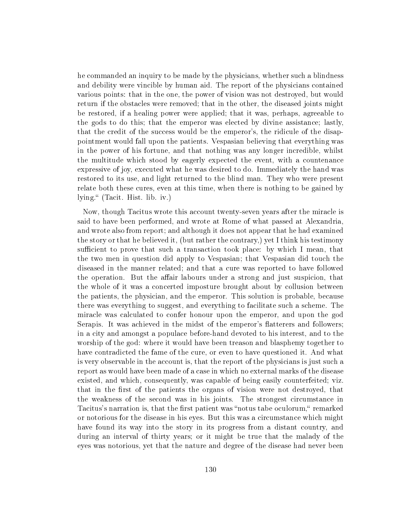he commanded an inquiry to be made by the physicians, whether such a blindness and debility were vincible by human aid. The report of the physicians contained various points: that in the one, the power of vision was not destroyed, but would return if the obstacles were removed; that in the other, the diseased joints might be restored, if a healing power were applied; that it was, perhaps, agreeable to the gods to do this; that the emperor was elected by divine assistance; lastly, that the credit of the success would be the emperor's, the ridicule of the disappointment would fall upon the patients. Vespasian believing that everything was in the power of his fortune, and that nothing was any longer incredible, whilst the multitude which stood by eagerly expected the event, with a countenance expressive of joy, executed what he was desired to do. Immediately the hand was restored to its use, and light returned to the blind man. They who were present relate both these cures, even at this time, when there is nothing to be gained by lying. (Tacit. Hist. lib. iv.)

Now, though Tacitus wrote this account twenty-seven years after the miracle is said to have been performed, and wrote at Rome of what passed at Alexandria, and wrote also from report; and although it does not appear that he had examined the story or that he believed it, (but rather the contrary,) yet I think his testimony sufficient to prove that such a transaction took place: by which I mean, that the two men in question did apply to Vespasian; that Vespasian did touch the diseased in the manner related; and that a cure was reported to have followed the operation. But the affair labours under a strong and just suspicion, that the whole of it was a concerted imposture brought about by collusion between the patients, the physician, and the emperor. This solution is probable, because there was everything to suggest, and everything to facilitate such a scheme. The miracle was calculated to confer honour upon the emperor, and upon the god Serapis. It was achieved in the midst of the emperor's flatterers and followers; in a city and amongst a populace before-hand devoted to his interest, and to the worship of the god: where it would have been treason and blasphemy together to have contradicted the fame of the cure, or even to have questioned it. And what is very observable in the account is, that the report of the physicians is just such a report as would have been made of a case in which no external marks of the disease existed, and which, consequently, was capable of being easily counterfeited; viz. that in the first of the patients the organs of vision were not destroyed, that the weakness of the second was in his joints. The strongest circumstance in Tacitus's narration is, that the first patient was "notus tabe oculorum," remarked or notorious for the disease in his eyes. But this was a circumstance which might have found its way into the story in its progress from a distant country, and during an interval of thirty years; or it might be true that the malady of the eyes was notorious, yet that the nature and degree of the disease had never been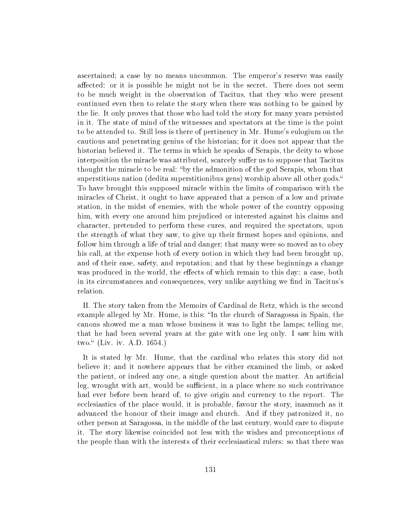ascertained; a case by no means uncommon. The emperor's reserve was easily affected: or it is possible he might not be in the secret. There does not seem to be much weight in the observation of Tacitus, that they who were present continued even then to relate the story when there was nothing to be gained by the lie. It only proves that those who had told the story for many years persisted in it. The state of mind of the witnesses and spectators at the time is the point to be attended to. Still less is there of pertinency in Mr. Hume's eulogium on the cautious and penetrating genius of the historian; for it does not appear that the historian believed it. The terms in which he speaks of Serapis, the deity to whose interposition the miracle was attributed, scarcely suffer us to suppose that Tacitus thought the miracle to be real: "by the admonition of the god Serapis, whom that superstitious nation (dedita superstitionibus gens) worship above all other gods. To have brought this supposed miracle within the limits of comparison with the miracles of Christ, it ought to have appeared that a person of a low and private station, in the midst of enemies, with the whole power of the country opposing him, with every one around him prejudiced or interested against his claims and character, pretended to perform these cures, and required the spectators, upon the strength of what they saw, to give up their firmest hopes and opinions, and follow him through a life of trial and danger; that many were so moved as to obey his call, at the expense both of every notion in which they had been brought up, and of their ease, safety, and reputation; and that by these beginnings a change was produced in the world, the effects of which remain to this day: a case, both in its circumstances and consequences, very unlike anything we find in Tacitus's relation.

II. The story taken from the Memoirs of Cardinal de Retz, which is the second example alleged by Mr. Hume, is this: "In the church of Saragossa in Spain, the canons showed me a man whose business it was to light the lamps; telling me, that he had been several years at the gate with one leg only. I saw him with two." (Liv. iv. A.D. 1654.)

It is stated by Mr. Hume, that the cardinal who relates this story did not believe it; and it nowhere appears that he either examined the limb, or asked the patient, or indeed any one, a single question about the matter. An artificial leg, wrought with art, would be sufficient, in a place where no such contrivance had ever before been heard of, to give origin and currency to the report. The ecclesiastics of the place would, it is probable, favour the story, inasmuch as it advanced the honour of their image and church. And if they patronized it, no other person at Saragossa, in the middle of the last century, would care to dispute it. The story likewise coincided not less with the wishes and preconceptions of the people than with the interests of their ecclesiastical rulers: so that there was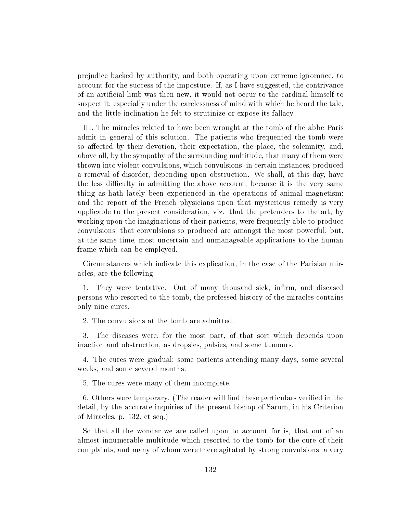prejudice backed by authority, and both operating upon extreme ignorance, to account for the success of the imposture. If, as I have suggested, the contrivance of an articial limb was then new, it would not occur to the cardinal himself to suspect it; especially under the carelessness of mind with which he heard the tale, and the little inclination he felt to scrutinize or expose its fallacy.

III. The miracles related to have been wrought at the tomb of the abbe Paris admit in general of this solution. The patients who frequented the tomb were so affected by their devotion, their expectation, the place, the solemnity, and, above all, by the sympathy of the surrounding multitude, that many of them were thrown into violent convulsions, which convulsions, in certain instances, produced a removal of disorder, depending upon obstruction. We shall, at this day, have the less difficulty in admitting the above account, because it is the very same thing as hath lately been experienced in the operations of animal magnetism: and the report of the French physicians upon that mysterious remedy is very applicable to the present consideration, viz. that the pretenders to the art, by working upon the imaginations of their patients, were frequently able to produce convulsions; that convulsions so produced are amongst the most powerful, but, at the same time, most uncertain and unmanageable applications to the human frame which can be employed.

Circumstances which indicate this explication, in the case of the Parisian miracles, are the following:

1. They were tentative. Out of many thousand sick, infirm, and diseased persons who resorted to the tomb, the professed history of the miracles contains only nine cures.

2. The convulsions at the tomb are admitted.

3. The diseases were, for the most part, of that sort which depends upon inaction and obstruction, as dropsies, palsies, and some tumours.

4. The cures were gradual; some patients attending many days, some several weeks, and some several months.

5. The cures were many of them incomplete.

6. Others were temporary. (The reader will find these particulars verified in the detail, by the accurate inquiries of the present bishop of Sarum, in his Criterion of Miracles, p. 132, et seq.)

So that all the wonder we are called upon to account for is, that out of an almost innumerable multitude which resorted to the tomb for the cure of their complaints, and many of whom were there agitated by strong convulsions, a very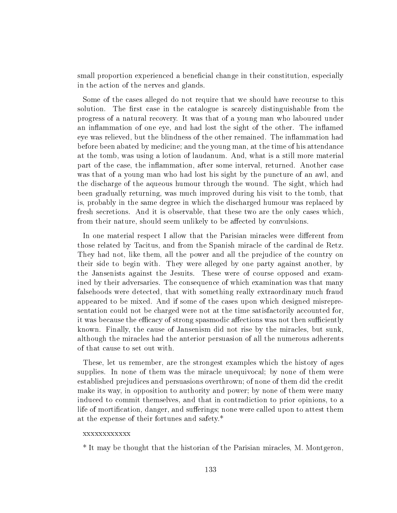small proportion experienced a beneficial change in their constitution, especially in the action of the nerves and glands.

Some of the cases alleged do not require that we should have recourse to this solution. The first case in the catalogue is scarcely distinguishable from the progress of a natural recovery. It was that of a young man who laboured under an inflammation of one eye, and had lost the sight of the other. The inflamed eye was relieved, but the blindness of the other remained. The inflammation had before been abated by medicine; and the young man, at the time of his attendance at the tomb, was using a lotion of laudanum. And, what is a still more material part of the case, the inflammation, after some interval, returned. Another case was that of a young man who had lost his sight by the puncture of an awl, and the discharge of the aqueous humour through the wound. The sight, which had been gradually returning, was much improved during his visit to the tomb, that is, probably in the same degree in which the discharged humour was replaced by fresh secretions. And it is observable, that these two are the only cases which, from their nature, should seem unlikely to be affected by convulsions.

In one material respect I allow that the Parisian miracles were different from those related by Tacitus, and from the Spanish miracle of the cardinal de Retz. They had not, like them, all the power and all the prejudice of the country on their side to begin with. They were alleged by one party against another, by the Jansenists against the Jesuits. These were of course opposed and examined by their adversaries. The consequence of which examination was that many falsehoods were detected, that with something really extraordinary much fraud appeared to be mixed. And if some of the cases upon which designed misrepresentation could not be charged were not at the time satisfactorily accounted for, it was because the efficacy of strong spasmodic affections was not then sufficiently known. Finally, the cause of Jansenism did not rise by the miracles, but sunk, although the miracles had the anterior persuasion of all the numerous adherents of that cause to set out with.

These, let us remember, are the strongest examples which the history of ages supplies. In none of them was the miracle unequivocal; by none of them were established prejudices and persuasions overthrown; of none of them did the credit make its way, in opposition to authority and power; by none of them were many induced to commit themselves, and that in contradiction to prior opinions, to a life of mortification, danger, and sufferings; none were called upon to attest them at the expense of their fortunes and safety.\*

### xxxxxxxxxxxx

\* It may be thought that the historian of the Parisian miracles, M. Montgeron,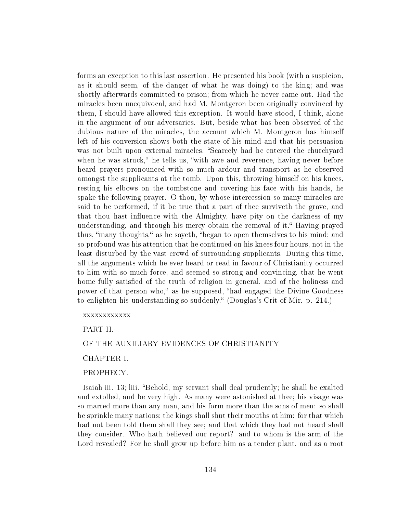forms an exception to this last assertion. He presented his book (with a suspicion, as it should seem, of the danger of what he was doing) to the king; and was shortly afterwards committed to prison; from which he never came out. Had the miracles been unequivocal, and had M. Montgeron been originally convinced by them, I should have allowed this exception. It would have stood, I think, alone in the argument of our adversaries. But, beside what has been observed of the dubious nature of the miracles, the account which M. Montgeron has himself left of his conversion shows both the state of his mind and that his persuasion was not built upon external miracles.—"Scarcely had he entered the churchyard when he was struck," he tells us, "with awe and reverence, having never before heard prayers pronounced with so much ardour and transport as he observed amongst the supplicants at the tomb. Upon this, throwing himself on his knees, resting his elbows on the tombstone and covering his face with his hands, he spake the following prayer. O thou, by whose intercession so many miracles are said to be performed, if it be true that a part of thee surviveth the grave, and that thou hast influence with the Almighty, have pity on the darkness of my understanding, and through his mercy obtain the removal of it." Having prayed thus, "many thoughts," as he sayeth, "began to open themselves to his mind; and so profound was his attention that he continued on his knees four hours, not in the least disturbed by the vast crowd of surrounding supplicants. During this time, all the arguments which he ever heard or read in favour of Christianity occurred to him with so much force, and seemed so strong and convincing, that he went home fully satisfied of the truth of religion in general, and of the holiness and power of that person who," as he supposed, "had engaged the Divine Goodness to enlighten his understanding so suddenly." (Douglas's Crit of Mir. p. 214.)

#### xxxxxxxxxxxx

PART II.

# OF THE AUXILIARY EVIDENCES OF CHRISTIANITY

## CHAPTER I.

## PROPHECY.

Isaiah iii. 13; liii. "Behold, my servant shall deal prudently; he shall be exalted and extolled, and be very high. As many were astonished at thee; his visage was so marred more than any man, and his form more than the sons of men: so shall he sprinkle many nations; the kings shall shut their mouths at him: for that which had not been told them shall they see; and that which they had not heard shall they consider. Who hath believed our report? and to whom is the arm of the Lord revealed? For he shall grow up before him as a tender plant, and as a root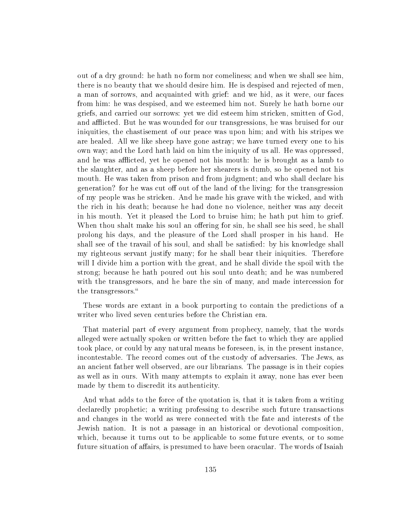out of a dry ground: he hath no form nor comeliness; and when we shall see him, there is no beauty that we should desire him. He is despised and rejected of men, a man of sorrows, and acquainted with grief: and we hid, as it were, our faces from him: he was despised, and we esteemed him not. Surely he hath borne our griefs, and carried our sorrows: yet we did esteem him stricken, smitten of God, and afflicted. But he was wounded for our transgressions, he was bruised for our iniquities, the chastisement of our peace was upon him; and with his stripes we are healed. All we like sheep have gone astray; we have turned every one to his own way; and the Lord hath laid on him the iniquity of us all. He was oppressed, and he was afflicted, yet he opened not his mouth: he is brought as a lamb to the slaughter, and as a sheep before her shearers is dumb, so he opened not his mouth. He was taken from prison and from judgment; and who shall declare his generation? for he was cut off out of the land of the living: for the transgression of my people was he stricken. And he made his grave with the wicked, and with the rich in his death; because he had done no violence, neither was any deceit in his mouth. Yet it pleased the Lord to bruise him; he hath put him to grief. When thou shalt make his soul an offering for sin, he shall see his seed, he shall prolong his days, and the pleasure of the Lord shall prosper in his hand. He shall see of the travail of his soul, and shall be satisfied: by his knowledge shall my righteous servant justify many; for he shall bear their iniquities. Therefore will I divide him a portion with the great, and he shall divide the spoil with the strong; because he hath poured out his soul unto death; and he was numbered with the transgressors, and he bare the sin of many, and made intercession for the transgressors.

These words are extant in a book purporting to contain the predictions of a writer who lived seven centuries before the Christian era.

That material part of every argument from prophecy, namely, that the words alleged were actually spoken or written before the fact to which they are applied took place, or could by any natural means be foreseen, is, in the present instance, incontestable. The record comes out of the custody of adversaries. The Jews, as an ancient father well observed, are our librarians. The passage is in their copies as well as in ours. With many attempts to explain it away, none has ever been made by them to discredit its authenticity.

And what adds to the force of the quotation is, that it is taken from a writing declaredly prophetic; a writing professing to describe such future transactions and changes in the world as were connected with the fate and interests of the Jewish nation. It is not a passage in an historical or devotional composition, which, because it turns out to be applicable to some future events, or to some future situation of affairs, is presumed to have been oracular. The words of Isaiah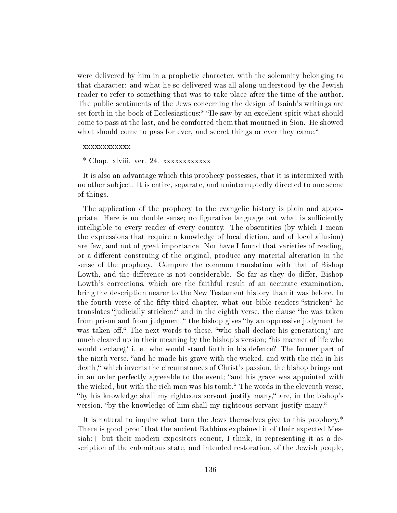were delivered by him in a prophetic character, with the solemnity belonging to that character: and what he so delivered was all along understood by the Jewish reader to refer to something that was to take place after the time of the author. The public sentiments of the Jews concerning the design of Isaiah's writings are set forth in the book of Ecclesiasticus:\* "He saw by an excellent spirit what should come to pass at the last, and he comforted them that mourned in Sion. He showed what should come to pass for ever, and secret things or ever they came."

### xxxxxxxxxxxx

# \* Chap. xlviii. ver. 24. xxxxxxxxxxxx

It is also an advantage which this prophecy possesses, that it is intermixed with no other subject. It is entire, separate, and uninterruptedly directed to one scene of things.

The application of the prophecy to the evangelic history is plain and appropriate. Here is no double sense; no figurative language but what is sufficiently intelligible to every reader of every country. The obscurities (by which I mean the expressions that require a knowledge of local diction, and of local allusion) are few, and not of great importance. Nor have I found that varieties of reading, or a different construing of the original, produce any material alteration in the sense of the prophecy. Compare the common translation with that of Bishop Lowth, and the difference is not considerable. So far as they do differ, Bishop Lowth's corrections, which are the faithful result of an accurate examination, bring the description nearer to the New Testament history than it was before. In the fourth verse of the fifty-third chapter, what our bible renders "stricken" he translates "judicially stricken:" and in the eighth verse, the clause "he was taken from prison and from judgment," the bishop gives "by an oppressive judgment he was taken off." The next words to these, "who shall declare his generation $\iota$ " are much cleared up in their meaning by the bishop's version; "his manner of life who would declare; i. e. who would stand forth in his defence? The former part of the ninth verse, "and he made his grave with the wicked, and with the rich in his death," which inverts the circumstances of Christ's passion, the bishop brings out in an order perfectly agreeable to the event; "and his grave was appointed with the wicked, but with the rich man was his tomb." The words in the eleventh verse, "by his knowledge shall my righteous servant justify many," are, in the bishop's version, "by the knowledge of him shall my righteous servant justify many."

It is natural to inquire what turn the Jews themselves give to this prophecy.\* There is good proof that the ancient Rabbins explained it of their expected Messiah:+ but their modern expositors concur, I think, in representing it as a description of the calamitous state, and intended restoration, of the Jewish people,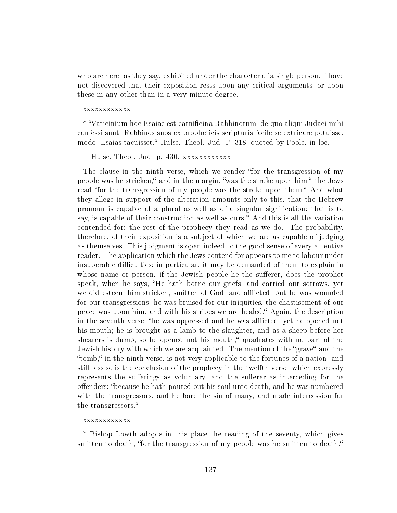who are here, as they say, exhibited under the character of a single person. I have not discovered that their exposition rests upon any critical arguments, or upon these in any other than in a very minute degree.

#### xxxxxxxxxxxx

\* Vaticinium hoc Esaiae est carnicina Rabbinorum, de quo aliqui Judaei mihi confessi sunt, Rabbinos suos ex propheticis scripturis facile se extricare potuisse, modo; Esaias tacuisset." Hulse, Theol. Jud. P. 318, quoted by Poole, in loc.

## $+$  Hulse, Theol. Jud. p. 430. xxxxxxxxxxxx

The clause in the ninth verse, which we render "for the transgression of my people was he stricken," and in the margin, "was the stroke upon him," the Jews read "for the transgression of my people was the stroke upon them." And what they allege in support of the alteration amounts only to this, that the Hebrew pronoun is capable of a plural as well as of a singular signication; that is to say, is capable of their construction as well as ours.\* And this is all the variation contended for; the rest of the prophecy they read as we do. The probability, therefore, of their exposition is a subject of which we are as capable of judging as themselves. This judgment is open indeed to the good sense of every attentive reader. The application which the Jews contend for appears to me to labour under insuperable difficulties; in particular, it may be demanded of them to explain in whose name or person, if the Jewish people he the sufferer, does the prophet speak, when he says, "He hath borne our griefs, and carried our sorrows, yet we did esteem him stricken, smitten of God, and afflicted; but he was wounded for our transgressions, he was bruised for our iniquities, the chastisement of our peace was upon him, and with his stripes we are healed. Again, the description in the seventh verse, "he was oppressed and he was afflicted, yet he opened not his mouth; he is brought as a lamb to the slaughter, and as a sheep before her shearers is dumb, so he opened not his mouth," quadrates with no part of the Jewish history with which we are acquainted. The mention of the "grave" and the "tomb," in the ninth verse, is not very applicable to the fortunes of a nation; and still less so is the conclusion of the prophecy in the twelfth verse, which expressly represents the sufferings as voluntary, and the sufferer as interceding for the offenders; "because he hath poured out his soul unto death, and he was numbered with the transgressors, and he bare the sin of many, and made intercession for the transgressors.

### xxxxxxxxxxxx

\* Bishop Lowth adopts in this place the reading of the seventy, which gives smitten to death, "for the transgression of my people was he smitten to death."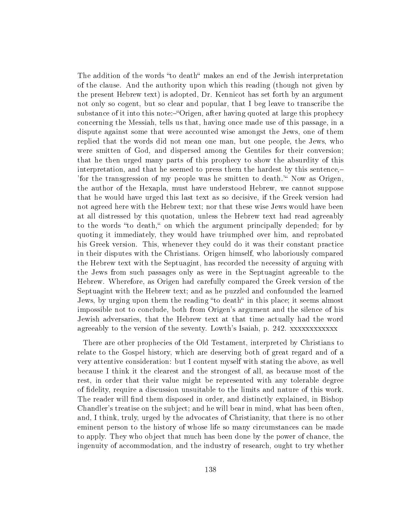The addition of the words "to death" makes an end of the Jewish interpretation of the clause. And the authority upon which this reading (though not given by the present Hebrew text) is adopted, Dr. Kennicot has set forth by an argument not only so cogent, but so clear and popular, that I beg leave to transcribe the substance of it into this note:—"Origen, after having quoted at large this prophecy concerning the Messiah, tells us that, having once made use of this passage, in a dispute against some that were accounted wise amongst the Jews, one of them replied that the words did not mean one man, but one people, the Jews, who were smitten of God, and dispersed among the Gentiles for their conversion; that he then urged many parts of this prophecy to show the absurdity of this interpretation, and that he seemed to press them the hardest by this sentence, 'for the transgression of my people was he smitten to death." Now as Origen, the author of the Hexapla, must have understood Hebrew, we cannot suppose that he would have urged this last text as so decisive, if the Greek version had not agreed here with the Hebrew text; nor that these wise Jews would have been at all distressed by this quotation, unless the Hebrew text had read agreeably to the words "to death," on which the argument principally depended; for by quoting it immediately, they would have triumphed over him, and reprobated his Greek version. This, whenever they could do it was their constant practice in their disputes with the Christians. Origen himself, who laboriously compared the Hebrew text with the Septuagint, has recorded the necessity of arguing with the Jews from such passages only as were in the Septuagint agreeable to the Hebrew. Wherefore, as Origen had carefully compared the Greek version of the Septuagint with the Hebrew text; and as he puzzled and confounded the learned Jews, by urging upon them the reading "to death" in this place; it seems almost impossible not to conclude, both from Origen's argument and the silence of his Jewish adversaries, that the Hebrew text at that time actually had the word agreeably to the version of the seventy. Lowth's Isaiah, p. 242. xxxxxxxxxxxx

There are other prophecies of the Old Testament, interpreted by Christians to relate to the Gospel history, which are deserving both of great regard and of a very attentive consideration: but I content myself with stating the above, as well because I think it the clearest and the strongest of all, as because most of the rest, in order that their value might be represented with any tolerable degree of delity, require a discussion unsuitable to the limits and nature of this work. The reader will find them disposed in order, and distinctly explained, in Bishop Chandler's treatise on the subject; and he will bear in mind, what has been often, and, I think, truly, urged by the advocates of Christianity, that there is no other eminent person to the history of whose life so many circumstances can be made to apply. They who object that much has been done by the power of chance, the ingenuity of accommodation, and the industry of research, ought to try whether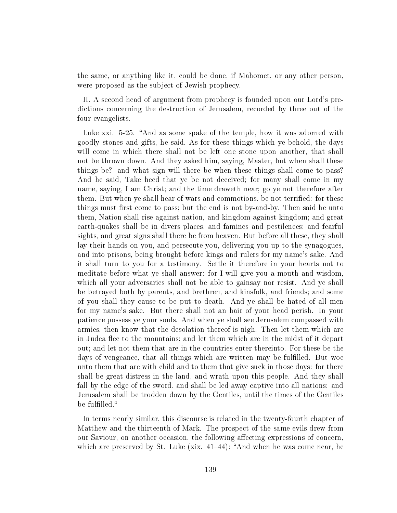the same, or anything like it, could be done, if Mahomet, or any other person, were proposed as the subject of Jewish prophecy.

II. A second head of argument from prophecy is founded upon our Lord's predictions concerning the destruction of Jerusalem, recorded by three out of the four evangelists.

Luke xxi. 5-25. "And as some spake of the temple, how it was adorned with goodly stones and gifts, he said, As for these things which ye behold, the days will come in which there shall not be left one stone upon another, that shall not be thrown down. And they asked him, saying, Master, but when shall these things be? and what sign will there be when these things shall come to pass? And he said, Take heed that ye be not deceived; for many shall come in my name, saying, I am Christ; and the time draweth near; go ye not therefore after them. But when ye shall hear of wars and commotions, be not terrified: for these things must first come to pass; but the end is not by-and-by. Then said he unto them, Nation shall rise against nation, and kingdom against kingdom; and great earth-quakes shall be in divers places, and famines and pestilences; and fearful sights, and great signs shall there be from heaven. But before all these, they shall lay their hands on you, and persecute you, delivering you up to the synagogues, and into prisons, being brought before kings and rulers for my name's sake. And it shall turn to you for a testimony. Settle it therefore in your hearts not to meditate before what ye shall answer: for I will give you a mouth and wisdom, which all your adversaries shall not be able to gainsay nor resist. And ye shall be betrayed both by parents, and brethren, and kinsfolk, and friends; and some of you shall they cause to be put to death. And ye shall be hated of all men for my name's sake. But there shall not an hair of your head perish. In your patience possess ye your souls. And when ye shall see Jerusalem compassed with armies, then know that the desolation thereof is nigh. Then let them which are in Judea flee to the mountains; and let them which are in the midst of it depart out; and let not them that are in the countries enter thereinto. For these be the days of vengeance, that all things which are written may be fulfilled. But woe unto them that are with child and to them that give suck in those days: for there shall be great distress in the land, and wrath upon this people. And they shall fall by the edge of the sword, and shall be led away captive into all nations: and Jerusalem shall be trodden down by the Gentiles, until the times of the Gentiles be fulfilled."

In terms nearly similar, this discourse is related in the twenty-fourth chapter of Matthew and the thirteenth of Mark. The prospect of the same evils drew from our Saviour, on another occasion, the following affecting expressions of concern, which are preserved by St. Luke  $(xix. 41-44)$ : "And when he was come near, he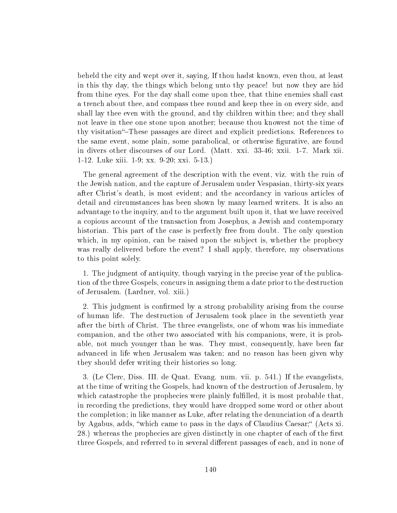beheld the city and wept over it, saying, If thou hadst known, even thou, at least in this thy day, the things which belong unto thy peace! but now they are hid from thine eyes. For the day shall come upon thee, that thine enemies shall cast a trench about thee, and compass thee round and keep thee in on every side, and shall lay thee even with the ground, and thy children within thee; and they shall not leave in thee one stone upon another; because thou knowest not the time of thy visitation – These passages are direct and explicit predictions. References to the same event, some plain, some parabolical, or otherwise figurative, are found in divers other discourses of our Lord. (Matt. xxi. 33-46; xxii. 1-7. Mark xii. 1-12. Luke xiii. 1-9; xx. 9-20; xxi. 5-13.)

The general agreement of the description with the event, viz. with the ruin of the Jewish nation, and the capture of Jerusalem under Vespasian, thirty-six years after Christ's death, is most evident; and the accordancy in various articles of detail and circumstances has been shown by many learned writers. It is also an advantage to the inquiry, and to the argument built upon it, that we have received a copious account of the transaction from Josephus, a Jewish and contemporary historian. This part of the case is perfectly free from doubt. The only question which, in my opinion, can be raised upon the subject is, whether the prophecy was really delivered before the event? I shall apply, therefore, my observations to this point solely.

1. The judgment of antiquity, though varying in the precise year of the publication of the three Gospels, concurs in assigning them a date prior to the destruction of Jerusalem. (Lardner, vol. xiii.)

2. This judgment is confirmed by a strong probability arising from the course of human life. The destruction of Jerusalem took place in the seventieth year after the birth of Christ. The three evangelists, one of whom was his immediate companion, and the other two associated with his companions, were, it is probable, not much younger than he was. They must, consequently, have been far advanced in life when Jerusalem was taken; and no reason has been given why they should defer writing their histories so long.

3. (Le Clerc, Diss. III. de Quat. Evang. num. vii. p. 541.) If the evangelists, at the time of writing the Gospels, had known of the destruction of Jerusalem, by which catastrophe the prophecies were plainly fulfilled, it is most probable that. in recording the predictions, they would have dropped some word or other about the completion; in like manner as Luke, after relating the denunciation of a dearth by Agabus, adds, "which came to pass in the days of Claudius Caesar;" (Acts xi. 28.) whereas the prophecies are given distinctly in one chapter of each of the first three Gospels, and referred to in several different passages of each, and in none of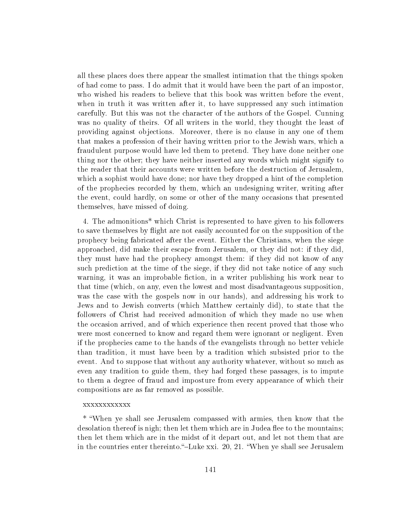all these places does there appear the smallest intimation that the things spoken of had come to pass. I do admit that it would have been the part of an impostor, who wished his readers to believe that this book was written before the event, when in truth it was written after it, to have suppressed any such intimation carefully. But this was not the character of the authors of the Gospel. Cunning was no quality of theirs. Of all writers in the world, they thought the least of providing against objections. Moreover, there is no clause in any one of them that makes a profession of their having written prior to the Jewish wars, which a fraudulent purpose would have led them to pretend. They have done neither one thing nor the other; they have neither inserted any words which might signify to the reader that their accounts were written before the destruction of Jerusalem, which a sophist would have done; nor have they dropped a hint of the completion of the prophecies recorded by them, which an undesigning writer, writing after the event, could hardly, on some or other of the many occasions that presented themselves, have missed of doing.

4. The admonitions\* which Christ is represented to have given to his followers to save themselves by ight are not easily accounted for on the supposition of the prophecy being fabricated after the event. Either the Christians, when the siege approached, did make their escape from Jerusalem, or they did not: if they did, they must have had the prophecy amongst them: if they did not know of any such prediction at the time of the siege, if they did not take notice of any such warning, it was an improbable fiction, in a writer publishing his work near to that time (which, on any, even the lowest and most disadvantageous supposition, was the case with the gospels now in our hands), and addressing his work to Jews and to Jewish converts (which Matthew certainly did), to state that the followers of Christ had received admonition of which they made no use when the occasion arrived, and of which experience then recent proved that those who were most concerned to know and regard them were ignorant or negligent. Even if the prophecies came to the hands of the evangelists through no better vehicle than tradition, it must have been by a tradition which subsisted prior to the event. And to suppose that without any authority whatever, without so much as even any tradition to guide them, they had forged these passages, is to impute to them a degree of fraud and imposture from every appearance of which their compositions are as far removed as possible.

#### xxxxxxxxxxxx

\* When ye shall see Jerusalem compassed with armies, then know that the desolation thereof is nigh; then let them which are in Judea flee to the mountains; then let them which are in the midst of it depart out, and let not them that are in the countries enter thereinto."-Luke xxi. 20, 21. "When ye shall see Jerusalem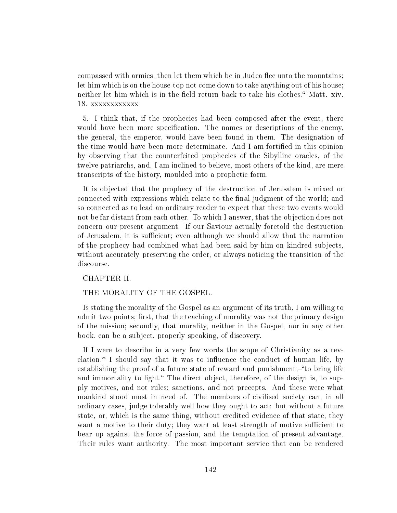compassed with armies, then let them which be in Judea flee unto the mountains; let him which is on the house-top not come down to take anything out of his house; neither let him which is in the field return back to take his clothes. "-Matt. xiv. 18. xxxxxxxxxxxx

5. I think that, if the prophecies had been composed after the event, there would have been more specification. The names or descriptions of the enemy, the general, the emperor, would have been found in them. The designation of the time would have been more determinate. And I am fortified in this opinion by observing that the counterfeited prophecies of the Sibylline oracles, of the twelve patriarchs, and, I am inclined to believe, most others of the kind, are mere transcripts of the history, moulded into a prophetic form.

It is objected that the prophecy of the destruction of Jerusalem is mixed or connected with expressions which relate to the final judgment of the world; and so connected as to lead an ordinary reader to expect that these two events would not be far distant from each other. To which I answer, that the objection does not concern our present argument. If our Saviour actually foretold the destruction of Jerusalem, it is sufficient; even although we should allow that the narration of the prophecy had combined what had been said by him on kindred subjects, without accurately preserving the order, or always noticing the transition of the discourse.

## CHAPTER II.

# THE MORALITY OF THE GOSPEL.

Is stating the morality of the Gospel as an argument of its truth, I am willing to admit two points; first, that the teaching of morality was not the primary design of the mission; secondly, that morality, neither in the Gospel, nor in any other book, can be a subject, properly speaking, of discovery.

If I were to describe in a very few words the scope of Christianity as a revelation,\* I should say that it was to influence the conduct of human life, by establishing the proof of a future state of reward and punishment,—"to bring life and immortality to light. The direct object, therefore, of the design is, to supply motives, and not rules; sanctions, and not precepts. And these were what mankind stood most in need of. The members of civilised society can, in all ordinary cases, judge tolerably well how they ought to act: but without a future state, or, which is the same thing, without credited evidence of that state, they want a motive to their duty; they want at least strength of motive sufficient to bear up against the force of passion, and the temptation of present advantage. Their rules want authority. The most important service that can be rendered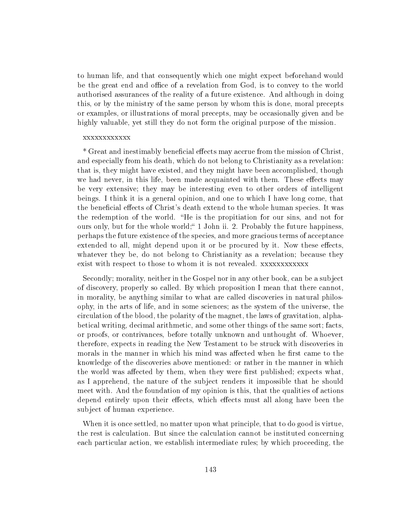to human life, and that consequently which one might expect beforehand would be the great end and office of a revelation from God, is to convey to the world authorised assurances of the reality of a future existence. And although in doing this, or by the ministry of the same person by whom this is done, moral precepts or examples, or illustrations of moral precepts, may be occasionally given and be highly valuable, yet still they do not form the original purpose of the mission.

#### xxxxxxxxxxxx

\* Great and inestimably beneficial effects may accrue from the mission of Christ, and especially from his death, which do not belong to Christianity as a revelation: that is, they might have existed, and they might have been accomplished, though we had never, in this life, been made acquainted with them. These effects may be very extensive; they may be interesting even to other orders of intelligent beings. I think it is a general opinion, and one to which I have long come, that the beneficial effects of Christ's death extend to the whole human species. It was the redemption of the world. He is the propitiation for our sins, and not for ours only, but for the whole world; 1 John ii. 2. Probably the future happiness, perhaps the future existence of the species, and more gracious terms of acceptance extended to all, might depend upon it or be procured by it. Now these effects, whatever they be, do not belong to Christianity as a revelation; because they exist with respect to those to whom it is not revealed. xxxxxxxxxxxx

Secondly; morality, neither in the Gospel nor in any other book, can be a subject of discovery, properly so called. By which proposition I mean that there cannot, in morality, be anything similar to what are called discoveries in natural philosophy, in the arts of life, and in some sciences; as the system of the universe, the circulation of the blood, the polarity of the magnet, the laws of gravitation, alphabetical writing, decimal arithmetic, and some other things of the same sort; facts, or proofs, or contrivances, before totally unknown and unthought of. Whoever, therefore, expects in reading the New Testament to be struck with discoveries in morals in the manner in which his mind was affected when he first came to the knowledge of the discoveries above mentioned: or rather in the manner in which the world was affected by them, when they were first published; expects what, as I apprehend, the nature of the subject renders it impossible that he should meet with. And the foundation of my opinion is this, that the qualities of actions depend entirely upon their effects, which effects must all along have been the subject of human experience.

When it is once settled, no matter upon what principle, that to do good is virtue, the rest is calculation. But since the calculation cannot be instituted concerning each particular action, we establish intermediate rules; by which proceeding, the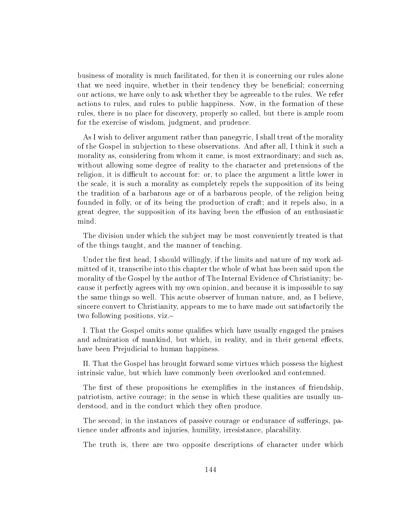business of morality is much facilitated, for then it is concerning our rules alone that we need inquire, whether in their tendency they be beneficial; concerning our actions, we have only to ask whether they be agreeable to the rules. We refer actions to rules, and rules to public happiness. Now, in the formation of these rules, there is no place for discovery, properly so called, but there is ample room for the exercise of wisdom, judgment, and prudence.

As I wish to deliver argument rather than panegyric, I shall treat of the morality of the Gospel in subjection to these observations. And after all, I think it such a morality as, considering from whom it came, is most extraordinary; and such as, without allowing some degree of reality to the character and pretensions of the religion, it is difficult to account for: or, to place the argument a little lower in the scale, it is such a morality as completely repels the supposition of its being the tradition of a barbarous age or of a barbarous people, of the religion being founded in folly, or of its being the production of craft; and it repels also, in a great degree, the supposition of its having been the effusion of an enthusiastic mind.

The division under which the subject may be most conveniently treated is that of the things taught, and the manner of teaching.

Under the first head, I should willingly, if the limits and nature of my work admitted of it, transcribe into this chapter the whole of what has been said upon the morality of the Gospel by the author of The Internal Evidence of Christianity; because it perfectly agrees with my own opinion, and because it is impossible to say the same things so well. This acute observer of human nature, and, as I believe, sincere convert to Christianity, appears to me to have made out satisfactorily the two following positions, viz.

I. That the Gospel omits some qualies which have usually engaged the praises and admiration of mankind, but which, in reality, and in their general effects, have been Prejudicial to human happiness.

II. That the Gospel has brought forward some virtues which possess the highest intrinsic value, but which have commonly been overlooked and contemned.

The first of these propositions he exemplifies in the instances of friendship, patriotism, active courage; in the sense in which these qualities are usually understood, and in the conduct which they often produce.

The second, in the instances of passive courage or endurance of sufferings, patience under affronts and injuries, humility, irresistance, placability.

The truth is, there are two opposite descriptions of character under which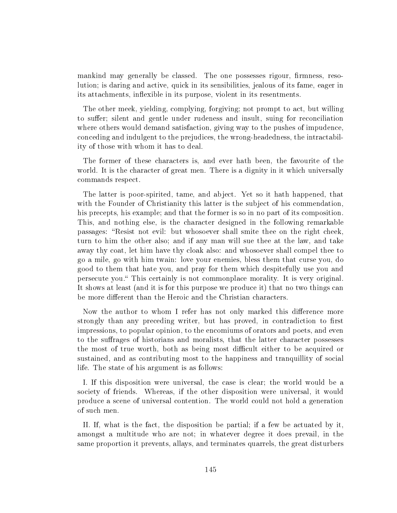mankind may generally be classed. The one possesses rigour, firmness, resolution; is daring and active, quick in its sensibilities, jealous of its fame, eager in its attachments, inflexible in its purpose, violent in its resentments.

The other meek, yielding, complying, forgiving; not prompt to act, but willing to suffer; silent and gentle under rudeness and insult, suing for reconciliation where others would demand satisfaction, giving way to the pushes of impudence, conceding and indulgent to the prejudices, the wrong-headedness, the intractability of those with whom it has to deal.

The former of these characters is, and ever hath been, the favourite of the world. It is the character of great men. There is a dignity in it which universally commands respect.

The latter is poor-spirited, tame, and abject. Yet so it hath happened, that with the Founder of Christianity this latter is the subject of his commendation, his precepts, his example; and that the former is so in no part of its composition. This, and nothing else, is the character designed in the following remarkable passages: "Resist not evil: but whosoever shall smite thee on the right cheek, turn to him the other also; and if any man will sue thee at the law, and take away thy coat, let him have thy cloak also: and whosoever shall compel thee to go a mile, go with him twain: love your enemies, bless them that curse you, do good to them that hate you, and pray for them which despitefully use you and persecute you." This certainly is not commonplace morality. It is very original. It shows at least (and it is for this purpose we produce it) that no two things can be more different than the Heroic and the Christian characters.

Now the author to whom I refer has not only marked this difference more strongly than any preceding writer, but has proved, in contradiction to first impressions, to popular opinion, to the encomiums of orators and poets, and even to the suffrages of historians and moralists, that the latter character possesses the most of true worth, both as being most difficult either to be acquired or sustained, and as contributing most to the happiness and tranquillity of social life. The state of his argument is as follows:

I. If this disposition were universal, the case is clear; the world would be a society of friends. Whereas, if the other disposition were universal, it would produce a scene of universal contention. The world could not hold a generation of such men.

II. If, what is the fact, the disposition be partial; if a few be actuated by it, amongst a multitude who are not; in whatever degree it does prevail, in the same proportion it prevents, allays, and terminates quarrels, the great disturbers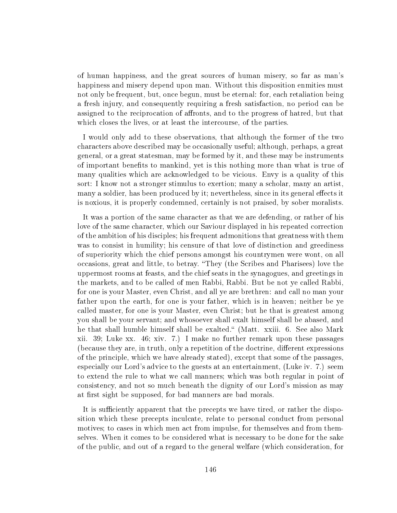of human happiness, and the great sources of human misery, so far as man's happiness and misery depend upon man. Without this disposition enmities must not only be frequent, but, once begun, must be eternal: for, each retaliation being a fresh injury, and consequently requiring a fresh satisfaction, no period can be assigned to the reciprocation of affronts, and to the progress of hatred, but that which closes the lives, or at least the intercourse, of the parties.

I would only add to these observations, that although the former of the two characters above described may be occasionally useful; although, perhaps, a great general, or a great statesman, may be formed by it, and these may be instruments of important benefits to mankind, yet is this nothing more than what is true of many qualities which are acknowledged to be vicious. Envy is a quality of this sort: I know not a stronger stimulus to exertion; many a scholar, many an artist, many a soldier, has been produced by it; nevertheless, since in its general effects it is noxious, it is properly condemned, certainly is not praised, by sober moralists.

It was a portion of the same character as that we are defending, or rather of his love of the same character, which our Saviour displayed in his repeated correction of the ambition of his disciples; his frequent admonitions that greatness with them was to consist in humility; his censure of that love of distinction and greediness of superiority which the chief persons amongst his countrymen were wont, on all occasions, great and little, to betray. They (the Scribes and Pharisees) love the uppermost rooms at feasts, and the chief seats in the synagogues, and greetings in the markets, and to be called of men Rabbi, Rabbi. But be not ye called Rabbi, for one is your Master, even Christ, and all ye are brethren: and call no man your father upon the earth, for one is your father, which is in heaven; neither be ye called master, for one is your Master, even Christ; but he that is greatest among you shall be your servant; and whosoever shall exalt himself shall be abased, and he that shall humble himself shall be exalted." (Matt. xxiii. 6. See also Mark xii. 39; Luke xx. 46; xiv. 7.) I make no further remark upon these passages (because they are, in truth, only a repetition of the doctrine, different expressions of the principle, which we have already stated), except that some of the passages, especially our Lord's advice to the guests at an entertainment, (Luke iv. 7.) seem to extend the rule to what we call manners; which was both regular in point of consistency, and not so much beneath the dignity of our Lord's mission as may at first sight be supposed, for bad manners are bad morals.

It is sufficiently apparent that the precepts we have tired, or rather the disposition which these precepts inculcate, relate to personal conduct from personal motives; to cases in which men act from impulse, for themselves and from themselves. When it comes to be considered what is necessary to be done for the sake of the public, and out of a regard to the general welfare (which consideration, for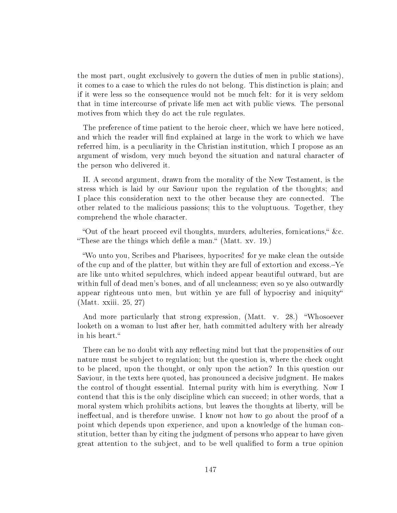the most part, ought exclusively to govern the duties of men in public stations), it comes to a case to which the rules do not belong. This distinction is plain; and if it were less so the consequence would not be much felt: for it is very seldom that in time intercourse of private life men act with public views. The personal motives from which they do act the rule regulates.

The preference of time patient to the heroic cheer, which we have here noticed, and which the reader will find explained at large in the work to which we have referred him, is a peculiarity in the Christian institution, which I propose as an argument of wisdom, very much beyond the situation and natural character of the person who delivered it.

II. A second argument, drawn from the morality of the New Testament, is the stress which is laid by our Saviour upon the regulation of the thoughts; and I place this consideration next to the other because they are connected. The other related to the malicious passions; this to the voluptuous. Together, they comprehend the whole character.

"Out of the heart proceed evil thoughts, murders, adulteries, fornications," &c. "These are the things which defile a man." (Matt. xv. 19.)

Wo unto you, Scribes and Pharisees, hypocrites! for ye make clean the outside of the cup and of the platter, but within they are full of extortion and excess.Ye are like unto whited sepulchres, which indeed appear beautiful outward, but are within full of dead men's bones, and of all uncleanness; even so ye also outwardly appear righteous unto men, but within ye are full of hypocrisy and iniquity (Matt. xxiii. 25, 27)

And more particularly that strong expression, (Matt. v. 28.) "Whosoever looketh on a woman to lust after her, hath committed adultery with her already in his heart.

There can be no doubt with any reflecting mind but that the propensities of our nature must be subject to regulation; but the question is, where the check ought to be placed, upon the thought, or only upon the action? In this question our Saviour, in the texts here quoted, has pronounced a decisive judgment. He makes the control of thought essential. Internal purity with him is everything. Now I contend that this is the only discipline which can succeed; in other words, that a moral system which prohibits actions, but leaves the thoughts at liberty, will be ineffectual, and is therefore unwise. I know not how to go about the proof of a point which depends upon experience, and upon a knowledge of the human constitution, better than by citing the judgment of persons who appear to have given great attention to the subject, and to be well qualified to form a true opinion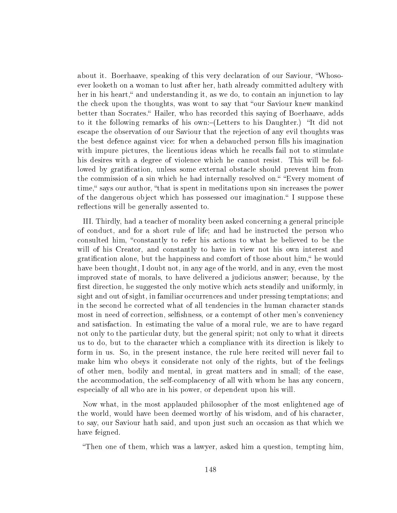about it. Boerhaave, speaking of this very declaration of our Saviour, Whosoever looketh on a woman to lust after her, hath already committed adultery with her in his heart," and understanding it, as we do, to contain an injunction to lay the check upon the thoughts, was wont to say that "our Saviour knew mankind" better than Socrates. Hailer, who has recorded this saying of Boerhaave, adds to it the following remarks of his own:-(Letters to his Daughter.) "It did not escape the observation of our Saviour that the rejection of any evil thoughts was the best defence against vice: for when a debauched person fills his imagination with impure pictures, the licentious ideas which he recalls fail not to stimulate his desires with a degree of violence which he cannot resist. This will be followed by gratification, unless some external obstacle should prevent him from the commission of a sin which he had internally resolved on." "Every moment of time," says our author, "that is spent in meditations upon sin increases the power of the dangerous object which has possessed our imagination. I suppose these reflections will be generally assented to.

III. Thirdly, had a teacher of morality been asked concerning a general principle of conduct, and for a short rule of life; and had he instructed the person who consulted him, "constantly to refer his actions to what he believed to be the will of his Creator, and constantly to have in view not his own interest and gratification alone, but the happiness and comfort of those about him," he would have been thought, I doubt not, in any age of the world, and in any, even the most improved state of morals, to have delivered a judicious answer; because, by the first direction, he suggested the only motive which acts steadily and uniformly, in sight and out of sight, in familiar occurrences and under pressing temptations; and in the second he corrected what of all tendencies in the human character stands most in need of correction, selfishness, or a contempt of other men's conveniency and satisfaction. In estimating the value of a moral rule, we are to have regard not only to the particular duty, but the general spirit; not only to what it directs us to do, but to the character which a compliance with its direction is likely to form in us. So, in the present instance, the rule here recited will never fail to make him who obeys it considerate not only of the rights, but of the feelings of other men, bodily and mental, in great matters and in small; of the ease, the accommodation, the self-complacency of all with whom he has any concern, especially of all who are in his power, or dependent upon his will.

Now what, in the most applauded philosopher of the most enlightened age of the world, would have been deemed worthy of his wisdom, and of his character, to say, our Saviour hath said, and upon just such an occasion as that which we have feigned.

Then one of them, which was a lawyer, asked him a question, tempting him,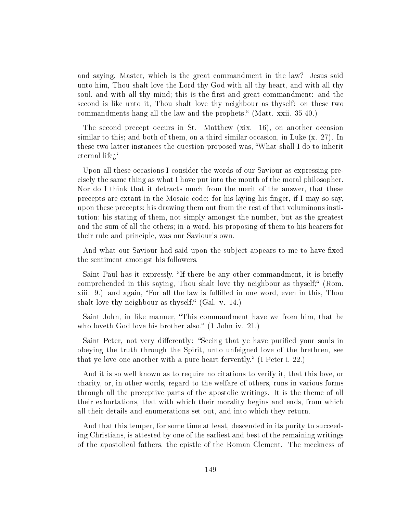and saying, Master, which is the great commandment in the law? Jesus said unto him, Thou shalt love the Lord thy God with all thy heart, and with all thy soul, and with all thy mind; this is the first and great commandment: and the second is like unto it, Thou shalt love thy neighbour as thyself: on these two commandments hang all the law and the prophets." (Matt. xxii. 35-40.)

The second precept occurs in St. Matthew (xix. 16), on another occasion similar to this; and both of them, on a third similar occasion, in Luke (x. 27). In these two latter instances the question proposed was, What shall I do to inherit eternal life;

Upon all these occasions I consider the words of our Saviour as expressing precisely the same thing as what I have put into the mouth of the moral philosopher. Nor do I think that it detracts much from the merit of the answer, that these precepts are extant in the Mosaic code: for his laying his nger, if I may so say, upon these precepts; his drawing them out from the rest of that voluminous institution; his stating of them, not simply amongst the number, but as the greatest and the sum of all the others; in a word, his proposing of them to his hearers for their rule and principle, was our Saviour's own.

And what our Saviour had said upon the subject appears to me to have fixed the sentiment amongst his followers.

Saint Paul has it expressly, "If there be any other commandment, it is briefly comprehended in this saying, Thou shalt love thy neighbour as thyself; (Rom. xiii. 9.) and again, For all the law is fullled in one word, even in this, Thou shalt love thy neighbour as thyself.  $(Gal. v. 14.)$ 

Saint John, in like manner, "This commandment have we from him, that he who loveth God love his brother also."  $(1$  John iv. 21.)

Saint Peter, not very differently: "Seeing that ye have purified your souls in obeying the truth through the Spirit, unto unfeigned love of the brethren, see that ye love one another with a pure heart fervently." (I Peter i, 22.)

And it is so well known as to require no citations to verify it, that this love, or charity, or, in other words, regard to the welfare of others, runs in various forms through all the preceptive parts of the apostolic writings. It is the theme of all their exhortations, that with which their morality begins and ends, from which all their details and enumerations set out, and into which they return.

And that this temper, for some time at least, descended in its purity to succeeding Christians, is attested by one of the earliest and best of the remaining writings of the apostolical fathers, the epistle of the Roman Clement. The meekness of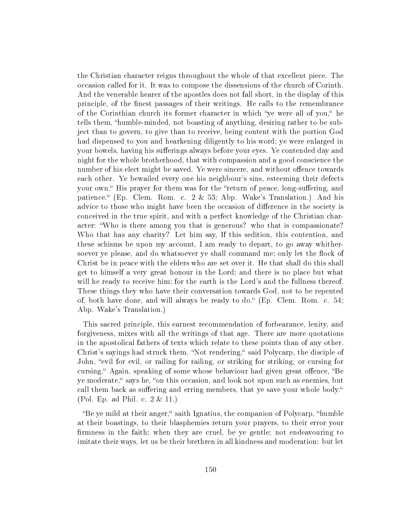the Christian character reigns throughout the whole of that excellent piece. The occasion called for it. It was to compose the dissensions of the church of Corinth. And the venerable hearer of the apostles does not fall short, in the display of this principle, of the nest passages of their writings. He calls to the remembrance of the Corinthian church its former character in which "ye were all of you," he tells them, "humble-minded, not boasting of anything, desiring rather to be subject than to govern, to give than to receive, being content with the portion God had dispensed to you and hearkening diligently to his word; ye were enlarged in your bowels, having his sufferings always before your eyes. Ye contended day and night for the whole brotherhood, that with compassion and a good conscience the number of his elect might be saved. Ye were sincere, and without offence towards each other. Ye bewailed every one his neighbour's sins, esteeming their defects your own." His prayer for them was for the "return of peace, long-suffering, and patience. (Ep. Clem. Rom. c.  $2 \& 53$ ; Abp. Wake's Translation.) And his advice to those who might have been the occasion of difference in the society is conceived in the true spirit, and with a perfect knowledge of the Christian character: Who is there among you that is generous? who that is compassionate? Who that has any charity? Let him say, If this sedition, this contention, and these schisms be upon my account, I am ready to depart, to go away whithersoever ye please, and do whatsoever ye shall command me; only let the flock of Christ be in peace with the elders who are set over it. He that shall do this shall get to himself a very great honour in the Lord; and there is no place but what will he ready to receive him; for the earth is the Lord's and the fullness thereof. These things they who have their conversation towards God, not to be repented of, both have done, and will always be ready to do."  $(Ep.$  Clem. Rom. c. 54; Abp. Wake's Translation.)

This sacred principle, this earnest recommendation of forbearance, lenity, and forgiveness, mixes with all the writings of that age. There are more quotations in the apostolical fathers of texts which relate to these points than of any other. Christ's sayings had struck them. "Not rendering," said Polycarp, the disciple of John, "evil for evil, or railing for railing, or striking for striking, or cursing for cursing." Again, speaking of some whose behaviour had given great offence, "Be ye moderate, says he, "on this occasion, and look not upon such as enemies, but call them back as suffering and erring members, that ye save your whole body. (Pol. Ep. ad Phil. c. 2 & 11.)

"Be ye mild at their anger," saith Ignatius, the companion of Polycarp, "humble at their boastings, to their blasphemies return your prayers, to their error your firmness in the faith; when they are cruel, be ye gentle; not endeavouring to imitate their ways, let us be their brethren in all kindness and moderation: but let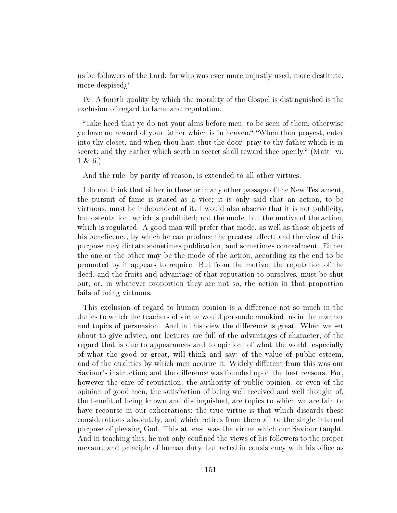us be followers of the Lord; for who was ever more unjustly used, more destitute, more despised;

IV. A fourth quality by which the morality of the Gospel is distinguished is the exclusion of regard to fame and reputation.

Take heed that ye do not your alms before men, to be seen of them, otherwise ye have no reward of your father which is in heaven." "When thou prayest, enter into thy closet, and when thou hast shut the door, pray to thy father which is in secret; and thy Father which seeth in secret shall reward thee openly." (Matt. vi. 1 & 6.)

And the rule, by parity of reason, is extended to all other virtues.

I do not think that either in these or in any other passage of the New Testament, the pursuit of fame is stated as a vice; it is only said that an action, to be virtuous, must be independent of it. I would also observe that it is not publicity, but ostentation, which is prohibited; not the mode, but the motive of the action, which is regulated. A good man will prefer that mode, as well as those objects of his beneficence, by which he can produce the greatest effect; and the view of this purpose may dictate sometimes publication, and sometimes concealment. Either the one or the other may be the mode of the action, according as the end to be promoted by it appears to require. But from the motive, the reputation of the deed, and the fruits and advantage of that reputation to ourselves, must be shut out, or, in whatever proportion they are not so, the action in that proportion fails of being virtuous.

This exclusion of regard to human opinion is a difference not so much in the duties to which the teachers of virtue would persuade mankind, as in the manner and topics of persuasion. And in this view the difference is great. When we set about to give advice, our lectures are full of the advantages of character, of the regard that is due to appearances and to opinion; of what the world, especially of what the good or great, will think and say; of the value of public esteem, and of the qualities by which men acquire it. Widely different from this was our Saviour's instruction; and the difference was founded upon the best reasons. For, however the care of reputation, the authority of public opinion, or even of the opinion of good men, the satisfaction of being well received and well thought of, the benefit of being known and distinguished, are topics to which we are fain to have recourse in our exhortations; the true virtue is that which discards these considerations absolutely, and which retires from them all to the single internal purpose of pleasing God. This at least was the virtue which our Saviour taught. And in teaching this, he not only confined the views of his followers to the proper measure and principle of human duty, but acted in consistency with his office as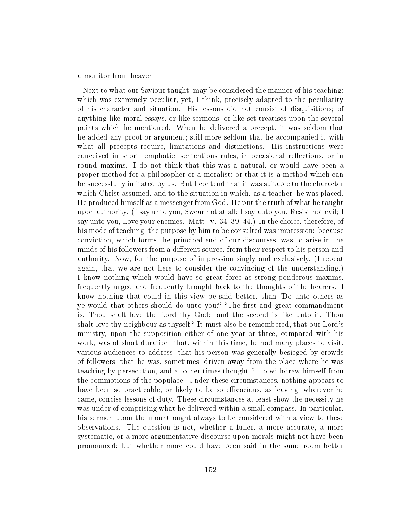a monitor from heaven.

Next to what our Saviour taught, may be considered the manner of his teaching; which was extremely peculiar, yet, I think, precisely adapted to the peculiarity of his character and situation. His lessons did not consist of disquisitions; of anything like moral essays, or like sermons, or like set treatises upon the several points which he mentioned. When he delivered a precept, it was seldom that he added any proof or argument; still more seldom that he accompanied it with what all precepts require, limitations and distinctions. His instructions were conceived in short, emphatic, sententious rules, in occasional reflections, or in round maxims. I do not think that this was a natural, or would have been a proper method for a philosopher or a moralist; or that it is a method which can be successfully imitated by us. But I contend that it was suitable to the character which Christ assumed, and to the situation in which, as a teacher, he was placed. He produced himself as a messenger from God. He put the truth of what he taught upon authority. (I say unto you, Swear not at all; I say auto you, Resist not evil; I say unto you, Love your enemies.—Matt. v. 34, 39, 44.) In the choice, therefore, of his mode of teaching, the purpose by him to be consulted was impression: because conviction, which forms the principal end of our discourses, was to arise in the minds of his followers from a different source, from their respect to his person and authority. Now, for the purpose of impression singly and exclusively, (I repeat again, that we are not here to consider the convincing of the understanding,) I know nothing which would have so great force as strong ponderous maxims, frequently urged and frequently brought back to the thoughts of the hearers. I know nothing that could in this view be said better, than "Do unto others as ye would that others should do unto you:" "The first and great commandment is, Thou shalt love the Lord thy God: and the second is like unto it, Thou shalt love thy neighbour as thyself. It must also be remembered, that our Lord's ministry, upon the supposition either of one year or three, compared with his work, was of short duration; that, within this time, he had many places to visit, various audiences to address; that his person was generally besieged by crowds of followers; that he was, sometimes, driven away from the place where he was teaching by persecution, and at other times thought fit to withdraw himself from the commotions of the populace. Under these circumstances, nothing appears to have been so practicable, or likely to be so efficacious, as leaving, wherever he came, concise lessons of duty. These circumstances at least show the necessity he was under of comprising what he delivered within a small compass. In particular, his sermon upon the mount ought always to be considered with a view to these observations. The question is not, whether a fuller, a more accurate, a more systematic, or a more argumentative discourse upon morals might not have been pronounced; but whether more could have been said in the same room better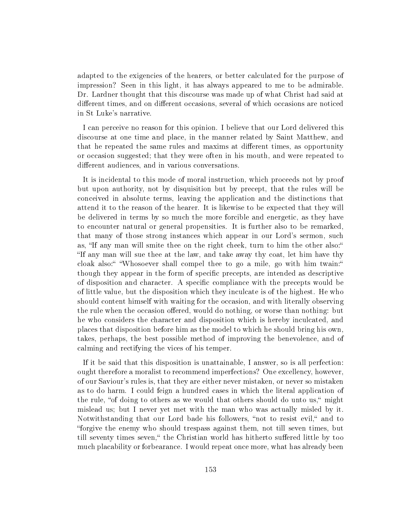adapted to the exigencies of the hearers, or better calculated for the purpose of impression? Seen in this light, it has always appeared to me to be admirable. Dr. Lardner thought that this discourse was made up of what Christ had said at different times, and on different occasions, several of which occasions are noticed in St Luke's narrative.

I can perceive no reason for this opinion. I believe that our Lord delivered this discourse at one time and place, in the manner related by Saint Matthew, and that he repeated the same rules and maxims at different times, as opportunity or occasion suggested; that they were often in his mouth, and were repeated to different audiences, and in various conversations.

It is incidental to this mode of moral instruction, which proceeds not by proof but upon authority, not by disquisition but by precept, that the rules will be conceived in absolute terms, leaving the application and the distinctions that attend it to the reason of the hearer. It is likewise to be expected that they will be delivered in terms by so much the more forcible and energetic, as they have to encounter natural or general propensities. It is further also to be remarked, that many of those strong instances which appear in our Lord's sermon, such as, "If any man will smite thee on the right cheek, turn to him the other also:" If any man will sue thee at the law, and take away thy coat, let him have thy cloak also:" "Whosoever shall compel thee to go a mile, go with him twain:" though they appear in the form of specific precepts, are intended as descriptive of disposition and character. A specific compliance with the precepts would be of little value, but the disposition which they inculcate is of the highest. He who should content himself with waiting for the occasion, and with literally observing the rule when the occasion offered, would do nothing, or worse than nothing: but he who considers the character and disposition which is hereby inculcated, and places that disposition before him as the model to which he should bring his own, takes, perhaps, the best possible method of improving the benevolence, and of calming and rectifying the vices of his temper.

If it be said that this disposition is unattainable, I answer, so is all perfection: ought therefore a moralist to recommend imperfections? One excellency, however, of our Saviour's rules is, that they are either never mistaken, or never so mistaken as to do harm. I could feign a hundred cases in which the literal application of the rule, "of doing to others as we would that others should do unto us," might mislead us; but I never yet met with the man who was actually misled by it. Notwithstanding that our Lord bade his followers, "not to resist evil," and to forgive the enemy who should trespass against them, not till seven times, but till seventy times seven," the Christian world has hitherto suffered little by too much placability or forbearance. I would repeat once more, what has already been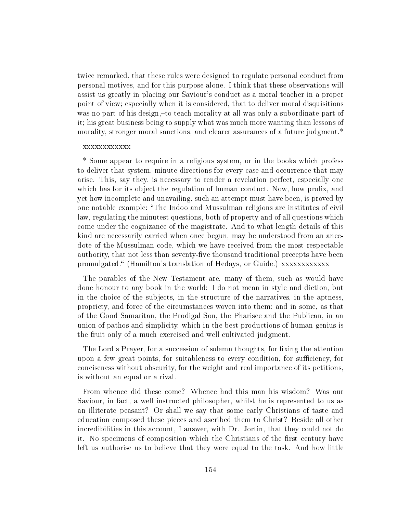twice remarked, that these rules were designed to regulate personal conduct from personal motives, and for this purpose alone. I think that these observations will assist us greatly in placing our Saviour's conduct as a moral teacher in a proper point of view; especially when it is considered, that to deliver moral disquisitions was no part of his design,-to teach morality at all was only a subordinate part of it; his great business being to supply what was much more wanting than lessons of morality, stronger moral sanctions, and clearer assurances of a future judgment.\*

#### xxxxxxxxxxxx

\* Some appear to require in a religious system, or in the books which profess to deliver that system, minute directions for every case and occurrence that may arise. This, say they, is necessary to render a revelation perfect, especially one which has for its object the regulation of human conduct. Now, how prolix, and yet how incomplete and unavailing, such an attempt must have been, is proved by one notable example: The Indoo and Mussulman religions are institutes of civil law, regulating the minutest questions, both of property and of all questions which come under the cognizance of the magistrate. And to what length details of this kind are necessarily carried when once begun, may be understood from an anecdote of the Mussulman code, which we have received from the most respectable authority, that not less than seventy-five thousand traditional precepts have been promulgated. (Hamilton's translation of Hedays, or Guide.) xxxxxxxxxxxx

The parables of the New Testament are, many of them, such as would have done honour to any book in the world: I do not mean in style and diction, but in the choice of the subjects, in the structure of the narratives, in the aptness, propriety, and force of the circumstances woven into them; and in some, as that of the Good Samaritan, the Prodigal Son, the Pharisee and the Publican, in an union of pathos and simplicity, which in the best productions of human genius is the fruit only of a much exercised and well cultivated judgment.

The Lord's Prayer, for a succession of solemn thoughts, for fixing the attention upon a few great points, for suitableness to every condition, for sufficiency, for conciseness without obscurity, for the weight and real importance of its petitions, is without an equal or a rival.

From whence did these come? Whence had this man his wisdom? Was our Saviour, in fact, a well instructed philosopher, whilst he is represented to us as an illiterate peasant? Or shall we say that some early Christians of taste and education composed these pieces and ascribed them to Christ? Beside all other incredibilities in this account, I answer, with Dr. Jortin, that they could not do it. No specimens of composition which the Christians of the first century have left us authorise us to believe that they were equal to the task. And how little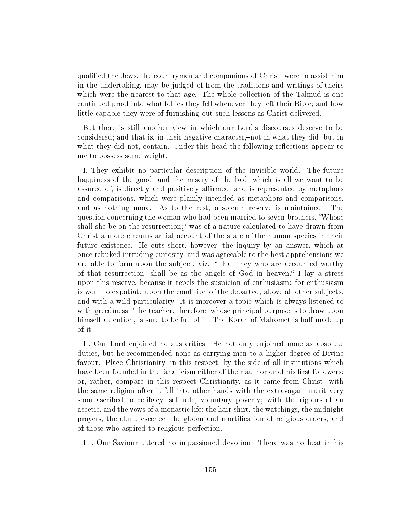qualied the Jews, the countrymen and companions of Christ, were to assist him in the undertaking, may be judged of from the traditions and writings of theirs which were the nearest to that age. The whole collection of the Talmud is one continued proof into what follies they fell whenever they left their Bible; and how little capable they were of furnishing out such lessons as Christ delivered.

But there is still another view in which our Lord's discourses deserve to be considered; and that is, in their negative character,-not in what they did, but in what they did not, contain. Under this head the following reflections appear to me to possess some weight.

I. They exhibit no particular description of the invisible world. The future happiness of the good, and the misery of the bad, which is all we want to be assured of, is directly and positively affirmed, and is represented by metaphors and comparisons, which were plainly intended as metaphors and comparisons, and as nothing more. As to the rest, a solemn reserve is maintained. The question concerning the woman who had been married to seven brothers, Whose shall she be on the resurrection $\chi^{\prime}$  was of a nature calculated to have drawn from Christ a more circumstantial account of the state of the human species in their future existence. He cuts short, however, the inquiry by an answer, which at once rebuked intruding curiosity, and was agreeable to the best apprehensions we are able to form upon the subject, viz. That they who are accounted worthy of that resurrection, shall be as the angels of God in heaven. I lay a stress upon this reserve, because it repels the suspicion of enthusiasm: for enthusiasm is wont to expatiate upon the condition of the departed, above all other subjects, and with a wild particularity. It is moreover a topic which is always listened to with greediness. The teacher, therefore, whose principal purpose is to draw upon himself attention, is sure to be full of it. The Koran of Mahomet is half made up of it.

II. Our Lord enjoined no austerities. He not only enjoined none as absolute duties, but he recommended none as carrying men to a higher degree of Divine favour. Place Christianity, in this respect, by the side of all institutions which have been founded in the fanaticism either of their author or of his first followers: or, rather, compare in this respect Christianity, as it came from Christ, with the same religion after it fell into other hands-with the extravagant merit very soon ascribed to celibacy, solitude, voluntary poverty; with the rigours of an ascetic, and the vows of a monastic life; the hair-shirt, the watchings, the midnight prayers, the obmutescence, the gloom and mortication of religious orders, and of those who aspired to religious perfection.

III. Our Saviour uttered no impassioned devotion. There was no heat in his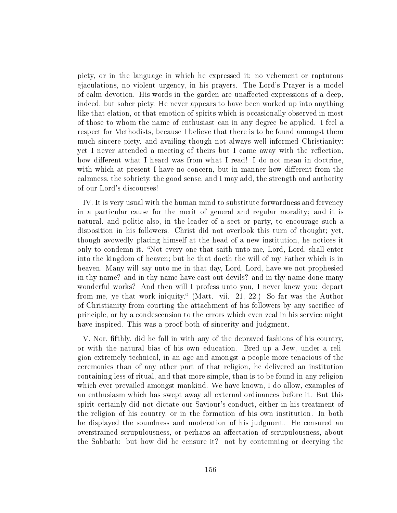piety, or in the language in which he expressed it; no vehement or rapturous ejaculations, no violent urgency, in his prayers. The Lord's Prayer is a model of calm devotion. His words in the garden are unaffected expressions of a deep, indeed, but sober piety. He never appears to have been worked up into anything like that elation, or that emotion of spirits which is occasionally observed in most of those to whom the name of enthusiast can in any degree be applied. I feel a respect for Methodists, because I believe that there is to be found amongst them much sincere piety, and availing though not always well-informed Christianity: yet I never attended a meeting of theirs but I came away with the reflection, how different what I heard was from what I read! I do not mean in doctrine, with which at present I have no concern, but in manner how different from the calmness, the sobriety, the good sense, and I may add, the strength and authority of our Lord's discourses!

IV. It is very usual with the human mind to substitute forwardness and fervency in a particular cause for the merit of general and regular morality; and it is natural, and politic also, in the leader of a sect or party, to encourage such a disposition in his followers. Christ did not overlook this turn of thought; yet, though avowedly placing himself at the head of a new institution, he notices it only to condemn it. Not every one that saith unto me, Lord, Lord, shall enter into the kingdom of heaven; but he that doeth the will of my Father which is in heaven. Many will say unto me in that day, Lord, Lord, have we not prophesied in thy name? and in thy name have cast out devils? and in thy name done many wonderful works? And then will I profess unto you, I never knew you: depart from me, ye that work iniquity." (Matt. vii. 21, 22.) So far was the Author of Christianity from courting the attachment of his followers by any sacrice of principle, or by a condescension to the errors which even zeal in his service might have inspired. This was a proof both of sincerity and judgment.

V. Nor, fthly, did he fall in with any of the depraved fashions of his country, or with the natural bias of his own education. Bred up a Jew, under a religion extremely technical, in an age and amongst a people more tenacious of the ceremonies than of any other part of that religion, he delivered an institution containing less of ritual, and that more simple, than is to be found in any religion which ever prevailed amongst mankind. We have known, I do allow, examples of an enthusiasm which has swept away all external ordinances before it. But this spirit certainly did not dictate our Saviour's conduct, either in his treatment of the religion of his country, or in the formation of his own institution. In both he displayed the soundness and moderation of his judgment. He censured an overstrained scrupulousness, or perhaps an affectation of scrupulousness, about the Sabbath: but how did he censure it? not by contemning or decrying the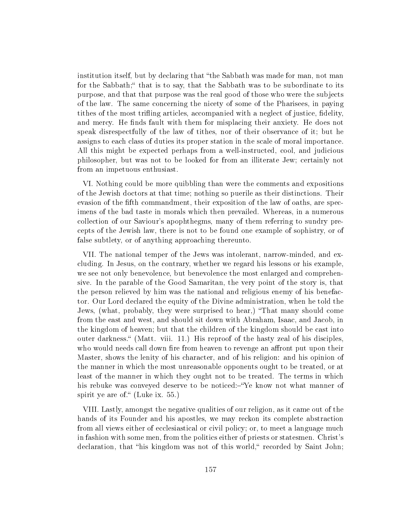institution itself, but by declaring that "the Sabbath was made for man, not man for the Sabbath;" that is to say, that the Sabbath was to be subordinate to its purpose, and that that purpose was the real good of those who were the subjects of the law. The same concerning the nicety of some of the Pharisees, in paying tithes of the most trifling articles, accompanied with a neglect of justice, fidelity, and mercy. He finds fault with them for misplacing their anxiety. He does not speak disrespectfully of the law of tithes, nor of their observance of it; but he assigns to each class of duties its proper station in the scale of moral importance. All this might be expected perhaps from a well-instructed, cool, and judicious philosopher, but was not to be looked for from an illiterate Jew; certainly not from an impetuous enthusiast.

VI. Nothing could be more quibbling than were the comments and expositions of the Jewish doctors at that time; nothing so puerile as their distinctions. Their evasion of the fth commandment, their exposition of the law of oaths, are specimens of the bad taste in morals which then prevailed. Whereas, in a numerous collection of our Saviour's apophthegms, many of them referring to sundry precepts of the Jewish law, there is not to be found one example of sophistry, or of false subtlety, or of anything approaching thereunto.

VII. The national temper of the Jews was intolerant, narrow-minded, and excluding. In Jesus, on the contrary, whether we regard his lessons or his example, we see not only benevolence, but benevolence the most enlarged and comprehensive. In the parable of the Good Samaritan, the very point of the story is, that the person relieved by him was the national and religious enemy of his benefactor. Our Lord declared the equity of the Divine administration, when he told the Jews, (what, probably, they were surprised to hear,) "That many should come from the east and west, and should sit down with Abraham, Isaac, and Jacob, in the kingdom of heaven; but that the children of the kingdom should be cast into outer darkness. (Matt. viii. 11.) His reproof of the hasty zeal of his disciples, who would needs call down fire from heaven to revenge an affront put upon their Master, shows the lenity of his character, and of his religion: and his opinion of the manner in which the most unreasonable opponents ought to be treated, or at least of the manner in which they ought not to be treated. The terms in which his rebuke was conveyed deserve to be noticed:-"Ye know not what manner of spirit ye are of." (Luke ix.  $55$ .)

VIII. Lastly, amongst the negative qualities of our religion, as it came out of the hands of its Founder and his apostles, we may reckon its complete abstraction from all views either of ecclesiastical or civil policy; or, to meet a language much in fashion with some men, from the politics either of priests or statesmen. Christ's declaration, that "his kingdom was not of this world," recorded by Saint John;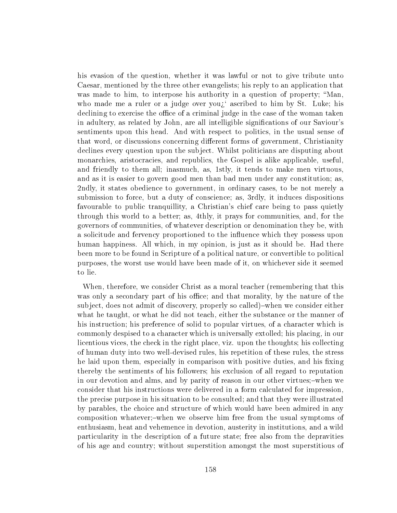his evasion of the question, whether it was lawful or not to give tribute unto Caesar, mentioned by the three other evangelists; his reply to an application that was made to him, to interpose his authority in a question of property; "Man, who made me a ruler or a judge over you<sub> $i$ </sub> ascribed to him by St. Luke; his declining to exercise the office of a criminal judge in the case of the woman taken in adultery, as related by John, are all intelligible signications of our Saviour's sentiments upon this head. And with respect to politics, in the usual sense of that word, or discussions concerning different forms of government, Christianity declines every question upon the subject. Whilst politicians are disputing about monarchies, aristocracies, and republics, the Gospel is alike applicable, useful, and friendly to them all; inasmuch, as, 1stly, it tends to make men virtuous, and as it is easier to govern good men than bad men under any constitution; as, 2ndly, it states obedience to government, in ordinary cases, to be not merely a submission to force, but a duty of conscience; as, 3rdly, it induces dispositions favourable to public tranquillity, a Christian's chief care being to pass quietly through this world to a better; as, 4thly, it prays for communities, and, for the governors of communities, of whatever description or denomination they be, with a solicitude and fervency proportioned to the influence which they possess upon human happiness. All which, in my opinion, is just as it should be. Had there been more to be found in Scripture of a political nature, or convertible to political purposes, the worst use would have been made of it, on whichever side it seemed to lie.

When, therefore, we consider Christ as a moral teacher (remembering that this was only a secondary part of his office; and that morality, by the nature of the subject, does not admit of discovery, properly so called)-when we consider either what he taught, or what he did not teach, either the substance or the manner of his instruction; his preference of solid to popular virtues, of a character which is commonly despised to a character which is universally extolled; his placing, in our licentious vices, the check in the right place, viz. upon the thoughts; his collecting of human duty into two well-devised rules, his repetition of these rules, the stress he laid upon them, especially in comparison with positive duties, and his fixing thereby the sentiments of his followers; his exclusion of all regard to reputation in our devotion and alms, and by parity of reason in our other virtues;-when we consider that his instructions were delivered in a form calculated for impression, the precise purpose in his situation to be consulted; and that they were illustrated by parables, the choice and structure of which would have been admired in any composition whatever;-when we observe him free from the usual symptoms of enthusiasm, heat and vehemence in devotion, austerity in institutions, and a wild particularity in the description of a future state; free also from the depravities of his age and country; without superstition amongst the most superstitious of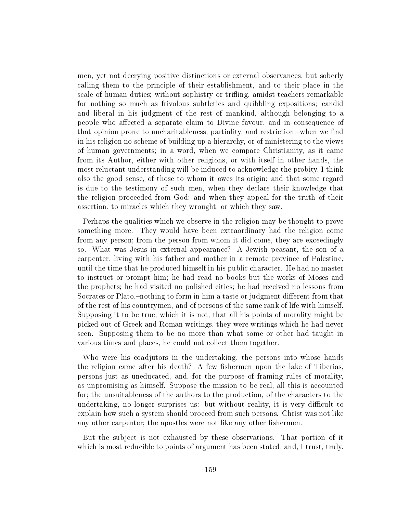men, yet not decrying positive distinctions or external observances, but soberly calling them to the principle of their establishment, and to their place in the scale of human duties; without sophistry or trifling, amidst teachers remarkable for nothing so much as frivolous subtleties and quibbling expositions; candid and liberal in his judgment of the rest of mankind, although belonging to a people who affected a separate claim to Divine favour, and in consequence of that opinion prone to uncharitableness, partiality, and restriction;-when we find in his religion no scheme of building up a hierarchy, or of ministering to the views of human governments;-in a word, when we compare Christianity, as it came from its Author, either with other religions, or with itself in other hands, the most reluctant understanding will be induced to acknowledge the probity, I think also the good sense, of those to whom it owes its origin; and that some regard is due to the testimony of such men, when they declare their knowledge that the religion proceeded from God; and when they appeal for the truth of their assertion, to miracles which they wrought, or which they saw.

Perhaps the qualities which we observe in the religion may be thought to prove something more. They would have been extraordinary had the religion come from any person; from the person from whom it did come, they are exceedingly so. What was Jesus in external appearance? A Jewish peasant, the son of a carpenter, living with his father and mother in a remote province of Palestine, until the time that he produced himself in his public character. He had no master to instruct or prompt him; he had read no books but the works of Moses and the prophets; he had visited no polished cities; he had received no lessons from Socrates or Plato,-nothing to form in him a taste or judgment different from that of the rest of his countrymen, and of persons of the same rank of life with himself. Supposing it to be true, which it is not, that all his points of morality might be picked out of Greek and Roman writings, they were writings which he had never seen. Supposing them to be no more than what some or other had taught in various times and places, he could not collect them together.

Who were his coadjutors in the undertaking, the persons into whose hands the religion came after his death? A few fishermen upon the lake of Tiberias. persons just as uneducated, and, for the purpose of framing rules of morality, as unpromising as himself. Suppose the mission to be real, all this is accounted for; the unsuitableness of the authors to the production, of the characters to the undertaking, no longer surprises us: but without reality, it is very difficult to explain how such a system should proceed from such persons. Christ was not like any other carpenter; the apostles were not like any other fishermen.

But the subject is not exhausted by these observations. That portion of it which is most reducible to points of argument has been stated, and, I trust, truly.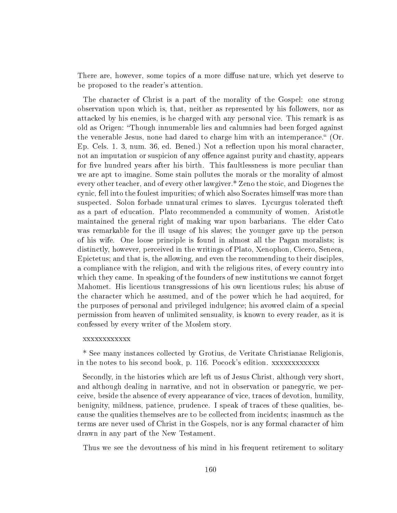There are, however, some topics of a more diffuse nature, which yet deserve to be proposed to the reader's attention.

The character of Christ is a part of the morality of the Gospel: one strong observation upon which is, that, neither as represented by his followers, nor as attacked by his enemies, is he charged with any personal vice. This remark is as old as Origen: Though innumerable lies and calumnies had been forged against the venerable Jesus, none had dared to charge him with an intemperance." (Or. Ep. Cels. 1. 3, num. 36, ed. Bened.) Not a reflection upon his moral character, not an imputation or suspicion of any offence against purity and chastity, appears for five hundred years after his birth. This faultlessness is more peculiar than we are apt to imagine. Some stain pollutes the morals or the morality of almost every other teacher, and of every other lawgiver.\* Zeno the stoic, and Diogenes the cynic, fell into the foulest impurities; of which also Socrates himself was more than suspected. Solon forbade unnatural crimes to slaves. Lycurgus tolerated theft as a part of education. Plato recommended a community of women. Aristotle maintained the general right of making war upon barbarians. The elder Cato was remarkable for the ill usage of his slaves; the younger gave up the person of his wife. One loose principle is found in almost all the Pagan moralists; is distinctly, however, perceived in the writings of Plato, Xenophon, Cicero, Seneca, Epictetus; and that is, the allowing, and even the recommending to their disciples, a compliance with the religion, and with the religious rites, of every country into which they came. In speaking of the founders of new institutions we cannot forget Mahomet. His licentious transgressions of his own licentious rules; his abuse of the character which he assumed, and of the power which he had acquired, for the purposes of personal and privileged indulgence; his avowed claim of a special permission from heaven of unlimited sensuality, is known to every reader, as it is confessed by every writer of the Moslem story.

#### xxxxxxxxxxxx

\* See many instances collected by Grotius, de Veritate Christianae Religionis, in the notes to his second book, p. 116. Pocock's edition. xxxxxxxxxxxx

Secondly, in the histories which are left us of Jesus Christ, although very short, and although dealing in narrative, and not in observation or panegyric, we perceive, beside the absence of every appearance of vice, traces of devotion, humility, benignity, mildness, patience, prudence. I speak of traces of these qualities, because the qualities themselves are to be collected from incidents; inasmuch as the terms are never used of Christ in the Gospels, nor is any formal character of him drawn in any part of the New Testament.

Thus we see the devoutness of his mind in his frequent retirement to solitary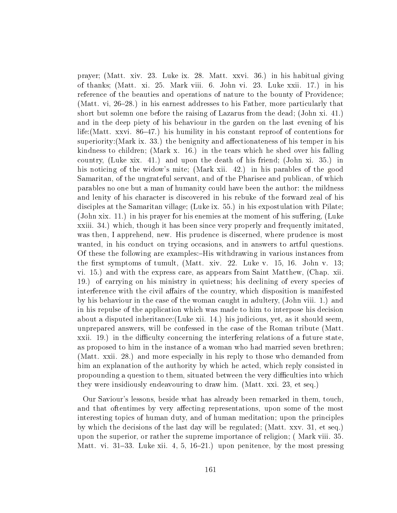prayer; (Matt. xiv. 23. Luke ix. 28. Matt. xxvi. 36.) in his habitual giving of thanks; (Matt. xi. 25. Mark viii. 6. John vi. 23. Luke xxii. 17.) in his reference of the beauties and operations of nature to the bounty of Providence; (Matt. vi,  $26-28$ .) in his earnest addresses to his Father, more particularly that short but solemn one before the raising of Lazarus from the dead; (John xi. 41.) and in the deep piety of his behaviour in the garden on the last evening of his life:(Matt. xxvi. 86–47.) his humility in his constant reproof of contentions for superiority: (Mark ix. 33.) the benignity and affectionateness of his temper in his kindness to children; (Mark x. 16.) in the tears which he shed over his falling country, (Luke xix. 41.) and upon the death of his friend; (John xi. 35.) in his noticing of the widow's mite; (Mark xii. 42.) in his parables of the good Samaritan, of the ungrateful servant, and of the Pharisee and publican, of which parables no one but a man of humanity could have been the author: the mildness and lenity of his character is discovered in his rebuke of the forward zeal of his disciples at the Samaritan village; (Luke ix. 55.) in his expostulation with Pilate; (John xix. 11.) in his prayer for his enemies at the moment of his suffering, (Luke xxiii. 34.) which, though it has been since very properly and frequently imitated, was then, I apprehend, new. His prudence is discerned, where prudence is most wanted, in his conduct on trying occasions, and in answers to artful questions. Of these the following are examples:-His withdrawing in various instances from the first symptoms of tumult, (Matt. xiv. 22. Luke v.  $15$ ,  $16$ . John v.  $13$ ; vi. 15.) and with the express care, as appears from Saint Matthew, (Chap. xii. 19.) of carrying on his ministry in quietness; his declining of every species of interference with the civil affairs of the country, which disposition is manifested by his behaviour in the case of the woman caught in adultery, (John viii. 1.) and in his repulse of the application which was made to him to interpose his decision about a disputed inheritance:(Luke xii. 14.) his judicious, yet, as it should seem, unprepared answers, will be confessed in the case of the Roman tribute (Matt.  $xxii.$  19.) in the difficulty concerning the interfering relations of a future state, as proposed to him in the instance of a woman who had married seven brethren; (Matt. xxii. 28.) and more especially in his reply to those who demanded from him an explanation of the authority by which he acted, which reply consisted in propounding a question to them, situated between the very difficulties into which they were insidiously endeavouring to draw him. (Matt. xxi. 23, et seq.)

Our Saviour's lessons, beside what has already been remarked in them, touch, and that oftentimes by very affecting representations, upon some of the most interesting topics of human duty, and of human meditation; upon the principles by which the decisions of the last day will be regulated; (Matt. xxv. 31, et seq.) upon the superior, or rather the supreme importance of religion; ( Mark viii. 35. Matt. vi. 31–33. Luke xii. 4, 5, 16–21.) upon penitence, by the most pressing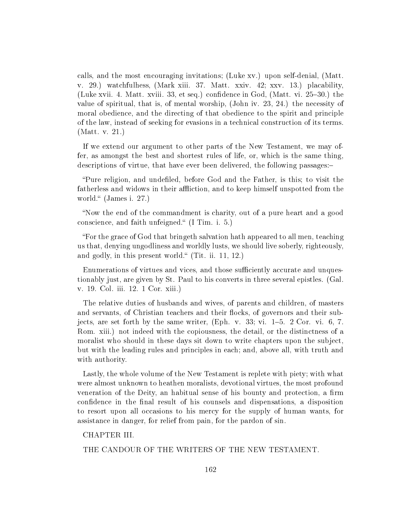calls, and the most encouraging invitations; (Luke xv.) upon self-denial, (Matt. v. 29.) watchfulhess, (Mark xiii. 37. Matt. xxiv. 42; xxv. 13.) placability, (Luke xvii. 4. Matt. xviii. 33, et seq.) confidence in God, (Matt. vi. 25–30.) the value of spiritual, that is, of mental worship, (John iv. 23, 24.) the necessity of moral obedience, and the directing of that obedience to the spirit and principle of the law, instead of seeking for evasions in a technical construction of its terms. (Matt. v. 21.)

If we extend our argument to other parts of the New Testament, we may offer, as amongst the best and shortest rules of life, or, which is the same thing, descriptions of virtue, that have ever been delivered, the following passages:

"Pure religion, and undefiled, before God and the Father, is this; to visit the fatherless and widows in their affliction, and to keep himself unspotted from the world."  $(James i. 27.)$ 

Now the end of the commandment is charity, out of a pure heart and a good conscience, and faith unfeigned." (I Tim. i. 5.)

For the grace of God that bringeth salvation hath appeared to all men, teaching us that, denying ungodliness and worldly lusts, we should live soberly, righteously, and godly, in this present world." (Tit. ii. 11, 12.)

Enumerations of virtues and vices, and those sufficiently accurate and unquestionably just, are given by St. Paul to his converts in three several epistles. (Gal. v. 19. Col. iii. 12. 1 Cor. xiii.)

The relative duties of husbands and wives, of parents and children, of masters and servants, of Christian teachers and their flocks, of governors and their subjects, are set forth by the same writer,  $(Eph. v. 33; vi. 1-5. 2 Cor. vi. 6, 7.$ Rom. xiii.) not indeed with the copiousness, the detail, or the distinctness of a moralist who should in these days sit down to write chapters upon the subject, but with the leading rules and principles in each; and, above all, with truth and with authority.

Lastly, the whole volume of the New Testament is replete with piety; with what were almost unknown to heathen moralists, devotional virtues, the most profound veneration of the Deity, an habitual sense of his bounty and protection, a firm confidence in the final result of his counsels and dispensations, a disposition to resort upon all occasions to his mercy for the supply of human wants, for assistance in danger, for relief from pain, for the pardon of sin.

CHAPTER III.

THE CANDOUR OF THE WRITERS OF THE NEW TESTAMENT.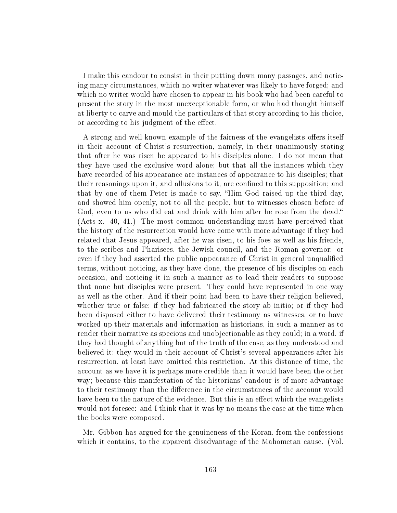I make this candour to consist in their putting down many passages, and noticing many circumstances, which no writer whatever was likely to have forged; and which no writer would have chosen to appear in his book who had been careful to present the story in the most unexceptionable form, or who had thought himself at liberty to carve and mould the particulars of that story according to his choice, or according to his judgment of the effect.

A strong and well-known example of the fairness of the evangelists offers itself in their account of Christ's resurrection, namely, in their unanimously stating that after he was risen he appeared to his disciples alone. I do not mean that they have used the exclusive word alone; but that all the instances which they have recorded of his appearance are instances of appearance to his disciples; that their reasonings upon it, and allusions to it, are confined to this supposition; and that by one of them Peter is made to say, Him God raised up the third day, and showed him openly, not to all the people, but to witnesses chosen before of God, even to us who did eat and drink with him after he rose from the dead." (Acts x. 40, 41.) The most common understanding must have perceived that the history of the resurrection would have come with more advantage if they had related that Jesus appeared, after he was risen, to his foes as well as his friends, to the scribes and Pharisees, the Jewish council, and the Roman governor: or even if they had asserted the public appearance of Christ in general unqualified terms, without noticing, as they have done, the presence of his disciples on each occasion, and noticing it in such a manner as to lead their readers to suppose that none but disciples were present. They could have represented in one way as well as the other. And if their point had been to have their religion believed, whether true or false; if they had fabricated the story ab initio; or if they had been disposed either to have delivered their testimony as witnesses, or to have worked up their materials and information as historians, in such a manner as to render their narrative as specious and unobjectionable as they could; in a word, if they had thought of anything but of the truth of the case, as they understood and believed it; they would in their account of Christ's several appearances after his resurrection, at least have omitted this restriction. At this distance of time, the account as we have it is perhaps more credible than it would have been the other way; because this manifestation of the historians' candour is of more advantage to their testimony than the difference in the circumstances of the account would have been to the nature of the evidence. But this is an effect which the evangelists would not foresee: and I think that it was by no means the case at the time when the books were composed.

Mr. Gibbon has argued for the genuineness of the Koran, from the confessions which it contains, to the apparent disadvantage of the Mahometan cause. (Vol.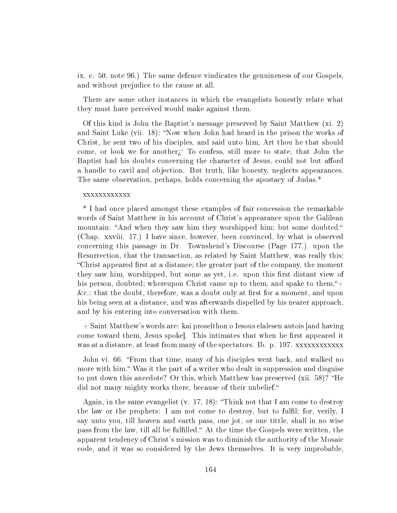ix. c. 50, note 96.) The same defence vindicates the genuineness of our Gospels, and without prejudice to the cause at all.

There are some other instances in which the evangelists honestly relate what they must have perceived would make against them.

Of this kind is John the Baptist's message preserved by Saint Matthew (xi. 2) and Saint Luke (vii. 18): "Now when John had heard in the prison the works of Christ, he sent two of his disciples, and said unto him, Art thou he that should come, or look we for another $\zeta$  To confess, still more to state, that John the Baptist had his doubts concerning the character of Jesus, could not but afford a handle to cavil and objection. But truth, like honesty, neglects appearances. The same observation, perhaps, holds concerning the apostacy of Judas.\*

#### xxxxxxxxxxxx

\* I had once placed amongst these examples of fair concession the remarkable words of Saint Matthew in his account of Christ's appearance upon the Galilean mountain: "And when they saw him they worshipped him; but some doubted." (Chap. xxviii. 17.) I have since, however, been convinced, by what is observed concerning this passage in Dr. Townshend's Discourse (Page 177.) upon the Resurrection, that the transaction, as related by Saint Matthew, was really this: "Christ appeared first at a distance; the greater part of the company, the moment they saw him, worshipped, but some as yet, i.e. upon this first distant view of his person, doubted; whereupon Christ came up to them, and spake to them,  $+$  $\&c.:$  that the doubt, therefore, was a doubt only at first for a moment, and upon his being seen at a distance, and was afterwards dispelled by his nearer approach, and by his entering into conversation with them.

+ Saint Matthew's words are: kai proselthon o Iesous elalesen autois [and having come toward them, Jesus spoke. This intimates that when he first appeared it was at a distance, at least from many of the spectators. Ib. p. 197. xxxxxxxxxxxx

John vi. 66. "From that time, many of his disciples went back, and walked no more with him." Was it the part of a writer who dealt in suppression and disguise to put down this anecdote? Or this, which Matthew has preserved (xii. 58)? He did not many mighty works there, because of their unbelief."

Again, in the same evangelist (v. 17, 18): Think not that I am come to destroy the law or the prophets: I am not come to destroy, but to fulfil; for, verily, I say unto you, till heaven and earth pass, one jot, or one tittle, shall in no wise pass from the law, till all be fulfilled." At the time the Gospels were written, the apparent tendency of Christ's mission was to diminish the authority of the Mosaic code, and it was so considered by the Jews themselves. It is very improbable,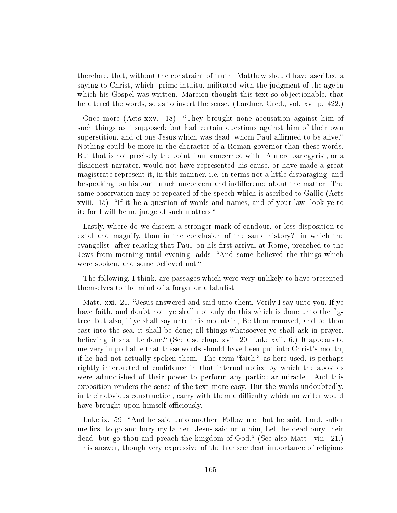therefore, that, without the constraint of truth, Matthew should have ascribed a saying to Christ, which, primo intuitu, militated with the judgment of the age in which his Gospel was written. Marcion thought this text so objectionable, that he altered the words, so as to invert the sense. (Lardner, Cred., vol. xv. p. 422.)

Once more (Acts xxv. 18): They brought none accusation against him of such things as I supposed; but had certain questions against him of their own superstition, and of one Jesus which was dead, whom Paul affirmed to be alive. Nothing could be more in the character of a Roman governor than these words. But that is not precisely the point I am concerned with. A mere panegyrist, or a dishonest narrator, would not have represented his cause, or have made a great magistrate represent it, in this manner, i.e. in terms not a little disparaging, and bespeaking, on his part, much unconcern and indifference about the matter. The same observation may be repeated of the speech which is ascribed to Gallio (Acts xviii. 15): "If it be a question of words and names, and of your law, look ye to it; for I will be no judge of such matters.

Lastly, where do we discern a stronger mark of candour, or less disposition to extol and magnify, than in the conclusion of the same history? in which the evangelist, after relating that Paul, on his first arrival at Rome, preached to the Jews from morning until evening, adds, "And some believed the things which were spoken, and some believed not.

The following, I think, are passages which were very unlikely to have presented themselves to the mind of a forger or a fabulist.

Matt. xxi. 21. "Jesus answered and said unto them, Verily I say unto you, If ye have faith, and doubt not, ye shall not only do this which is done unto the figtree, but also, if ye shall say unto this mountain, Be thou removed, and be thou east into the sea, it shall be done; all things whatsoever ye shall ask in prayer, believing, it shall be done." (See also chap. xvii. 20. Luke xvii. 6.) It appears to me very improbable that these words should have been put into Christ's mouth, if he had not actually spoken them. The term "faith," as here used, is perhaps rightly interpreted of confidence in that internal notice by which the apostles were admonished of their power to perform any particular miracle. And this exposition renders the sense of the text more easy. But the words undoubtedly, in their obvious construction, carry with them a difficulty which no writer would have brought upon himself officiously.

Luke ix. 59. "And he said unto another, Follow me: but he said, Lord, suffer me first to go and bury my father. Jesus said unto him, Let the dead bury their dead, but go thou and preach the kingdom of God." (See also Matt. viii. 21.) This answer, though very expressive of the transcendent importance of religious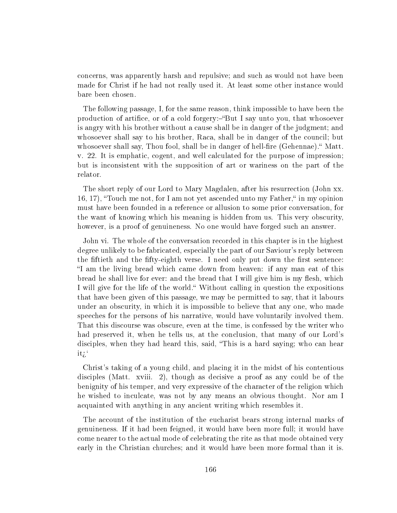concerns, was apparently harsh and repulsive; and such as would not have been made for Christ if he had not really used it. At least some other instance would bare been chosen.

The following passage, I, for the same reason, think impossible to have been the production of artifice, or of a cold forgery:-"But I say unto you, that whosoever is angry with his brother without a cause shall be in danger of the judgment; and whosoever shall say to his brother, Raca, shall be in danger of the council; but whosoever shall say, Thou fool, shall be in danger of hell-fire (Gehennae). Matt. v. 22. It is emphatic, cogent, and well calculated for the purpose of impression; but is inconsistent with the supposition of art or wariness on the part of the relator.

The short reply of our Lord to Mary Magdalen, after his resurrection (John xx. 16, 17), Touch me not, for I am not yet ascended unto my Father, in my opinion must have been founded in a reference or allusion to some prior conversation, for the want of knowing which his meaning is hidden from us. This very obscurity, however, is a proof of genuineness. No one would have forged such an answer.

John vi. The whole of the conversation recorded in this chapter is in the highest degree unlikely to be fabricated, especially the part of our Saviour's reply between the fiftieth and the fifty-eighth verse. I need only put down the first sentence: If am the living bread which came down from heaven: if any man eat of this bread he shall live for ever: and the bread that I will give him is my flesh, which I will give for the life of the world." Without calling in question the expositions that have been given of this passage, we may be permitted to say, that it labours under an obscurity, in which it is impossible to believe that any one, who made speeches for the persons of his narrative, would have voluntarily involved them. That this discourse was obscure, even at the time, is confessed by the writer who had preserved it, when he tells us, at the conclusion, that many of our Lord's disciples, when they had heard this, said, "This is a hard saying; who can hear it $i^{\prime}$ 

Christ's taking of a young child, and placing it in the midst of his contentious disciples (Matt. xviii. 2), though as decisive a proof as any could be of the benignity of his temper, and very expressive of the character of the religion which he wished to inculcate, was not by any means an obvious thought. Nor am I acquainted with anything in any ancient writing which resembles it.

The account of the institution of the eucharist bears strong internal marks of genuineness. If it had been feigned, it would have been more full; it would have come nearer to the actual mode of celebrating the rite as that mode obtained very early in the Christian churches; and it would have been more formal than it is.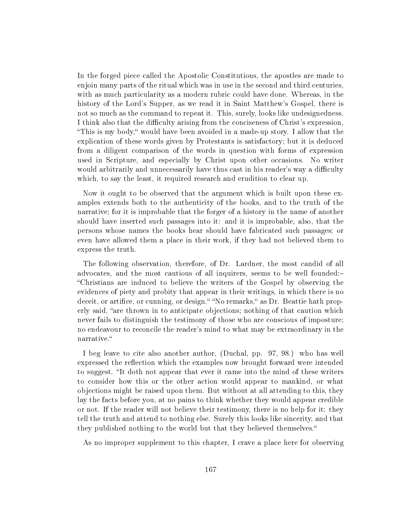In the forged piece called the Apostolic Constitutions, the apostles are made to enjoin many parts of the ritual which was in use in the second and third centuries, with as much particularity as a modern rubric could have done. Whereas, in the history of the Lord's Supper, as we read it in Saint Matthew's Gospel, there is not so much as the command to repeat it. This, surely, looks like undesignedness. I think also that the difficulty arising from the conciseness of Christ's expression, This is my body, would have been avoided in a made-up story. I allow that the explication of these words given by Protestants is satisfactory; but it is deduced from a diligent comparison of the words in question with forms of expression used in Scripture, and especially by Christ upon other occasions. No writer would arbitrarily and unnecessarily have thus cast in his reader's way a difficulty which, to say the least, it required research and erudition to clear up.

Now it ought to be observed that the argument which is built upon these examples extends both to the authenticity of the books, and to the truth of the narrative; for it is improbable that the forger of a history in the name of another should have inserted such passages into it: and it is improbable, also, that the persons whose names the books hear should have fabricated such passages; or even have allowed them a place in their work, if they had not believed them to express the truth.

The following observation, therefore, of Dr. Lardner, the most candid of all advocates, and the most cautious of all inquirers, seems to be well founded: Christians are induced to believe the writers of the Gospel by observing the evidences of piety and probity that appear in their writings, in which there is no deceit, or artifice, or cunning, or design." "No remarks," as Dr. Beattie hath properly said, "are thrown in to anticipate objections; nothing of that caution which never fails to distinguish the testimony of those who are conscious of imposture; no endeavour to reconcile the reader's mind to what may be extraordinary in the narrative.

I beg leave to cite also another author, (Duchal, pp. 97, 98.) who has well expressed the reflection which the examples now brought forward were intended to suggest. "It doth not appear that ever it came into the mind of these writers to consider how this or the other action would appear to mankind, or what objections might be raised upon them. But without at all attending to this, they lay the facts before you, at no pains to think whether they would appear credible or not. If the reader will not believe their testimony, there is no help for it: they tell the truth and attend to nothing else. Surely this looks like sincerity, and that they published nothing to the world but that they believed themselves.

As no improper supplement to this chapter, I crave a place here for observing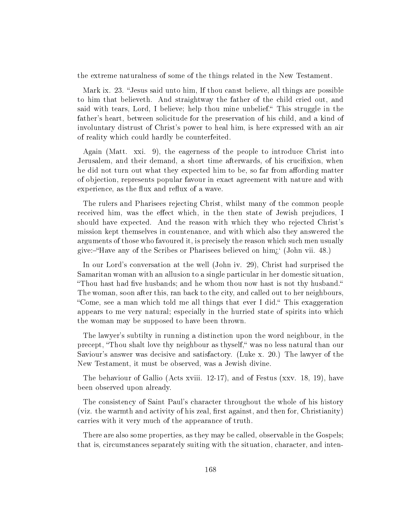the extreme naturalness of some of the things related in the New Testament.

Mark ix. 23. "Jesus said unto him, If thou canst believe, all things are possible to him that believeth. And straightway the father of the child cried out, and said with tears, Lord, I believe; help thou mine unbelief. This struggle in the father's heart, between solicitude for the preservation of his child, and a kind of involuntary distrust of Christ's power to heal him, is here expressed with an air of reality which could hardly be counterfeited.

Again (Matt. xxi. 9), the eagerness of the people to introduce Christ into Jerusalem, and their demand, a short time afterwards, of his crucifixion, when he did not turn out what they expected him to be, so far from affording matter of objection, represents popular favour in exact agreement with nature and with experience, as the flux and reflux of a wave.

The rulers and Pharisees rejecting Christ, whilst many of the common people received him, was the effect which, in the then state of Jewish prejudices, I should have expected. And the reason with which they who rejected Christ's mission kept themselves in countenance, and with which also they answered the arguments of those who favoured it, is precisely the reason which such men usually give:—"Have any of the Scribes or Pharisees believed on  $\lim_{\lambda}$  (John vii. 48.)

In our Lord's conversation at the well (John iv. 29), Christ had surprised the Samaritan woman with an allusion to a single particular in her domestic situation, "Thou hast had five husbands; and he whom thou now hast is not thy husband." The woman, soon after this, ran back to the city, and called out to her neighbours, "Come, see a man which told me all things that ever I did." This exaggeration appears to me very natural; especially in the hurried state of spirits into which the woman may be supposed to have been thrown.

The lawyer's subtilty in running a distinction upon the word neighbour, in the precept, "Thou shalt love thy neighbour as thyself," was no less natural than our Saviour's answer was decisive and satisfactory. (Luke x. 20.) The lawyer of the New Testament, it must be observed, was a Jewish divine.

The behaviour of Gallio (Acts xviii. 12-17), and of Festus (xxv. 18, 19), have been observed upon already.

The consistency of Saint Paul's character throughout the whole of his history (viz. the warmth and activity of his zeal, first against, and then for, Christianity) carries with it very much of the appearance of truth.

There are also some properties, as they may be called, observable in the Gospels; that is, circumstances separately suiting with the situation, character, and inten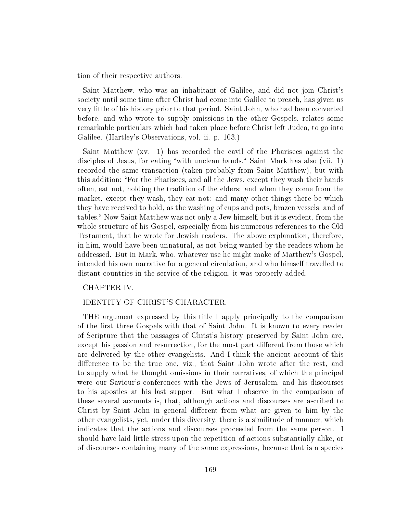tion of their respective authors.

Saint Matthew, who was an inhabitant of Galilee, and did not join Christ's society until some time after Christ had come into Galilee to preach, has given us very little of his history prior to that period. Saint John, who had been converted before, and who wrote to supply omissions in the other Gospels, relates some remarkable particulars which had taken place before Christ left Judea, to go into Galilee. (Hartley's Observations, vol. ii. p. 103.)

Saint Matthew (xv. 1) has recorded the cavil of the Pharisees against the disciples of Jesus, for eating "with unclean hands." Saint Mark has also (vii. 1) recorded the same transaction (taken probably from Saint Matthew), but with this addition: For the Pharisees, and all the Jews, except they wash their hands often, eat not, holding the tradition of the elders: and when they come from the market, except they wash, they eat not: and many other things there be which they have received to hold, as the washing of cups and pots, brazen vessels, and of tables." Now Saint Matthew was not only a Jew himself, but it is evident, from the whole structure of his Gospel, especially from his numerous references to the Old Testament, that he wrote for Jewish readers. The above explanation, therefore, in him, would have been unnatural, as not being wanted by the readers whom he addressed. But in Mark, who, whatever use he might make of Matthew's Gospel, intended his own narrative for a general circulation, and who himself travelled to distant countries in the service of the religion, it was properly added.

## CHAPTER IV.

# IDENTITY OF CHRIST'S CHARACTER.

THE argument expressed by this title I apply principally to the comparison of the first three Gospels with that of Saint John. It is known to every reader of Scripture that the passages of Christ's history preserved by Saint John are, except his passion and resurrection, for the most part different from those which are delivered by the other evangelists. And I think the ancient account of this difference to be the true one, viz., that Saint John wrote after the rest, and to supply what he thought omissions in their narratives, of which the principal were our Saviour's conferences with the Jews of Jerusalem, and his discourses to his apostles at his last supper. But what I observe in the comparison of these several accounts is, that, although actions and discourses are ascribed to Christ by Saint John in general different from what are given to him by the other evangelists, yet, under this diversity, there is a similitude of manner, which indicates that the actions and discourses proceeded from the same person. I should have laid little stress upon the repetition of actions substantially alike, or of discourses containing many of the same expressions, because that is a species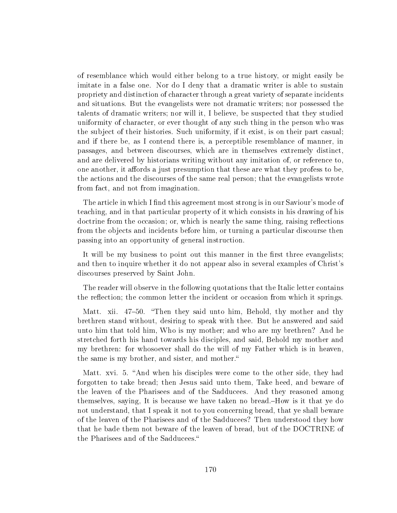of resemblance which would either belong to a true history, or might easily be imitate in a false one. Nor do I deny that a dramatic writer is able to sustain propriety and distinction of character through a great variety of separate incidents and situations. But the evangelists were not dramatic writers; nor possessed the talents of dramatic writers; nor will it, I believe, be suspected that they studied uniformity of character, or ever thought of any such thing in the person who was the subject of their histories. Such uniformity, if it exist, is on their part casual; and if there be, as I contend there is, a perceptible resemblance of manner, in passages, and between discourses, which are in themselves extremely distinct, and are delivered by historians writing without any imitation of, or reference to, one another, it affords a just presumption that these are what they profess to be, the actions and the discourses of the same real person; that the evangelists wrote from fact, and not from imagination.

The article in which I find this agreement most strong is in our Saviour's mode of teaching, and in that particular property of it which consists in his drawing of his doctrine from the occasion; or, which is nearly the same thing, raising reflections from the objects and incidents before him, or turning a particular discourse then passing into an opportunity of general instruction.

It will be my business to point out this manner in the first three evangelists; and then to inquire whether it do not appear also in several examples of Christ's discourses preserved by Saint John.

The reader will observe in the following quotations that the Italic letter contains the reflection; the common letter the incident or occasion from which it springs.

Matt. xii. 47–50. "Then they said unto him, Behold, thy mother and thy brethren stand without, desiring to speak with thee. But he answered and said unto him that told him, Who is my mother; and who are my brethren? And he stretched forth his hand towards his disciples, and said, Behold my mother and my brethren: for whosoever shall do the will of my Father which is in heaven, the same is my brother, and sister, and mother.

Matt. xvi. 5. "And when his disciples were come to the other side, they had forgotten to take bread; then Jesus said unto them, Take heed, and beware of the leaven of the Pharisees and of the Sadducees. And they reasoned among themselves, saying, It is because we have taken no bread.How is it that ye do not understand, that I speak it not to you concerning bread, that ye shall beware of the leaven of the Pharisees and of the Sadducees? Then understood they how that he bade them not beware of the leaven of bread, but of the DOCTRINE of the Pharisees and of the Sadducees.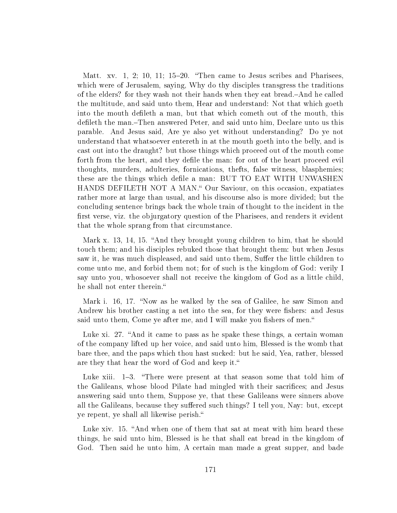Matt. xv. 1, 2; 10, 11;  $15-20$ . "Then came to Jesus scribes and Pharisees, which were of Jerusalem, saying, Why do thy disciples transgress the traditions of the elders? for they wash not their hands when they eat bread.—And he called the multitude, and said unto them, Hear and understand: Not that which goeth into the mouth defileth a man, but that which cometh out of the mouth, this defileth the man.-Then answered Peter, and said unto him, Declare unto us this parable. And Jesus said, Are ye also yet without understanding? Do ye not understand that whatsoever entereth in at the mouth goeth into the belly, and is cast out into the draught? but those things which proceed out of the mouth come forth from the heart, and they defile the man: for out of the heart proceed evil thoughts, murders, adulteries, fornications, thefts, false witness, blasphemies; these are the things which defile a man: BUT TO EAT WITH UNWASHEN HANDS DEFILETH NOT A MAN." Our Saviour, on this occasion, expatiates rather more at large than usual, and his discourse also is more divided; but the concluding sentence brings back the whole train of thought to the incident in the first verse, viz. the objurgatory question of the Pharisees, and renders it evident that the whole sprang from that circumstance.

Mark x. 13, 14, 15. "And they brought young children to him, that he should touch them; and his disciples rebuked those that brought them: but when Jesus saw it, he was much displeased, and said unto them, Suffer the little children to come unto me, and forbid them not; for of such is the kingdom of God: verily I say unto you, whosoever shall not receive the kingdom of God as a little child, he shall not enter therein.

Mark i. 16, 17. "Now as he walked by the sea of Galilee, he saw Simon and Andrew his brother casting a net into the sea, for they were fishers: and Jesus said unto them, Come ye after me, and I will make you fishers of men."

Luke xi. 27. "And it came to pass as he spake these things, a certain woman of the company lifted up her voice, and said unto him, Blessed is the womb that bare thee, and the paps which thou hast sucked: but he said, Yea, rather, blessed are they that hear the word of God and keep it.

Luke xiii.  $1-3$ . "There were present at that season some that told him of the Galileans, whose blood Pilate had mingled with their sacrifices; and Jesus answering said unto them, Suppose ye, that these Galileans were sinners above all the Galileans, because they suffered such things? I tell you, Nay: but, except ye repent, ye shall all likewise perish.

Luke xiv. 15. "And when one of them that sat at meat with him heard these things, he said unto him, Blessed is he that shall eat bread in the kingdom of God. Then said he unto him, A certain man made a great supper, and bade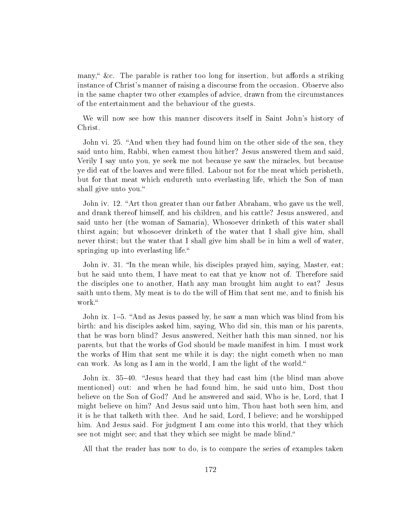many," &c. The parable is rather too long for insertion, but affords a striking instance of Christ's manner of raising a discourse from the occasion. Observe also in the same chapter two other examples of advice, drawn from the circumstances of the entertainment and the behaviour of the guests.

We will now see how this manner discovers itself in Saint John's history of Christ.

John vi. 25. "And when they had found him on the other side of the sea, they said unto him, Rabbi, when camest thou hither? Jesus answered them and said, Verily I say unto you, ye seek me not because ye saw the miracles, but because ye did eat of the loaves and were filled. Labour not for the meat which perisheth, but for that meat which endureth unto everlasting life, which the Son of man shall give unto you.

John iv. 12. "Art thou greater than our father Abraham, who gave us the well, and drank thereof himself, and his children, and his cattle? Jesus answered, and said unto her (the woman of Samaria), Whosoever drinketh of this water shall thirst again; but whosoever drinketh of the water that I shall give him, shall never thirst; but the water that I shall give him shall be in him a well of water, springing up into everlasting life."

John iv. 31. "In the mean while, his disciples prayed him, saying, Master, eat; but he said unto them, I have meat to eat that ye know not of. Therefore said the disciples one to another, Hath any man brought him aught to eat? Jesus saith unto them, My meat is to do the will of Him that sent me, and to finish his work."

John ix. 1–5. "And as Jesus passed by, he saw a man which was blind from his birth: and his disciples asked him, saying, Who did sin, this man or his parents, that he was born blind? Jesus answered, Neither hath this man sinned, nor his parents, but that the works of God should be made manifest in him. I must work the works of Him that sent me while it is day; the night cometh when no man can work. As long as I am in the world, I am the light of the world.

John ix. 35–40. "Jesus heard that they had cast him (the blind man above mentioned) out: and when he had found him, he said unto him, Dost thou believe on the Son of God? And he answered and said, Who is he, Lord, that I might believe on him? And Jesus said unto him, Thou hast both seen him, and it is he that talketh with thee. And he said, Lord, I believe; and he worshipped him. And Jesus said. For judgment I am come into this world, that they which see not might see; and that they which see might be made blind."

All that the reader has now to do, is to compare the series of examples taken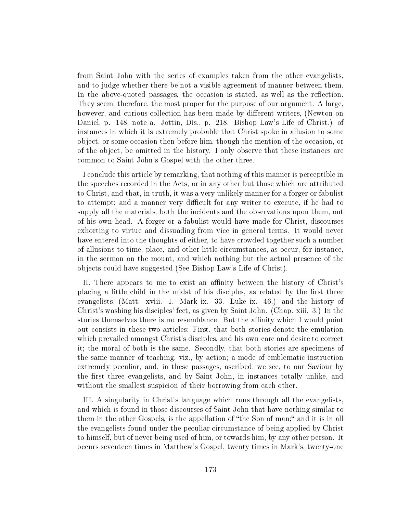from Saint John with the series of examples taken from the other evangelists, and to judge whether there be not a visible agreement of manner between them. In the above-quoted passages, the occasion is stated, as well as the reflection. They seem, therefore, the most proper for the purpose of our argument. A large, however, and curious collection has been made by different writers, (Newton on Daniel, p. 148, note a. Jottin, Dis., p. 218. Bishop Law's Life of Christ.) of instances in which it is extremely probable that Christ spoke in allusion to some object, or some occasion then before him, though the mention of the occasion, or of the object, be omitted in the history. I only observe that these instances are common to Saint John's Gospel with the other three.

I conclude this article by remarking, that nothing of this manner is perceptible in the speeches recorded in the Acts, or in any other but those which are attributed to Christ, and that, in truth, it was a very unlikely manner for a forger or fabulist to attempt; and a manner very difficult for any writer to execute, if he had to supply all the materials, both the incidents and the observations upon them, out of his own head. A forger or a fabulist would have made for Christ, discourses exhorting to virtue and dissuading from vice in general terms. It would never have entered into the thoughts of either, to have crowded together such a number of allusions to time, place, and other little circumstances, as occur, for instance, in the sermon on the mount, and which nothing but the actual presence of the objects could have suggested (See Bishop Law's Life of Christ).

II. There appears to me to exist an affinity between the history of Christ's placing a little child in the midst of his disciples, as related by the first three evangelists, (Matt. xviii. 1. Mark ix. 33. Luke ix. 46.) and the history of Christ's washing his disciples' feet, as given by Saint John. (Chap. xiii. 3.) In the stories themselves there is no resemblance. But the affinity which I would point out consists in these two articles: First, that both stories denote the emulation which prevailed amongst Christ's disciples, and his own care and desire to correct it; the moral of both is the same. Secondly, that both stories are specimens of the same manner of teaching, viz., by action; a mode of emblematic instruction extremely peculiar, and, in these passages, ascribed, we see, to our Saviour by the first three evangelists, and by Saint John, in instances totally unlike, and without the smallest suspicion of their borrowing from each other.

III. A singularity in Christ's language which runs through all the evangelists, and which is found in those discourses of Saint John that have nothing similar to them in the other Gospels, is the appellation of "the Son of man;" and it is in all the evangelists found under the peculiar circumstance of being applied by Christ to himself, but of never being used of him, or towards him, by any other person. It occurs seventeen times in Matthew's Gospel, twenty times in Mark's, twenty-one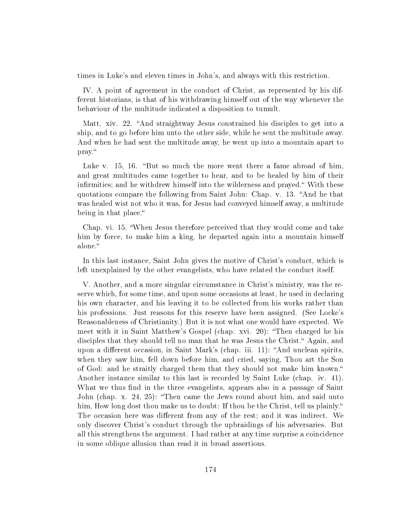times in Luke's and eleven times in John's, and always with this restriction.

IV. A point of agreement in the conduct of Christ, as represented by his different historians, is that of his withdrawing himself out of the way whenever the behaviour of the multitude indicated a disposition to tumult.

Matt. xiv. 22. "And straightway Jesus constrained his disciples to get into a ship, and to go before him unto the other side, while he sent the multitude away. And when he had sent the multitude away, he went up into a mountain apart to pray.

Luke v. 15, 16. "But so much the more went there a fame abroad of him, and great multitudes came together to hear, and to be healed by him of their infirmities; and he withdrew himself into the wilderness and prayed." With these quotations compare the following from Saint John: Chap. v. 13. "And he that was healed wist not who it was, for Jesus had conveyed himself away, a multitude being in that place."

Chap. vi. 15. When Jesus therefore perceived that they would come and take him by force, to make him a king, he departed again into a mountain himself alone.

In this last instance, Saint John gives the motive of Christ's conduct, which is left unexplained by the other evangelists, who have related the conduct itself.

V. Another, and a more singular circumstance in Christ's ministry, was the reserve which, for some time, and upon some occasions at least, he used in declaring his own character, and his leaving it to be collected from his works rather than his professions. Just reasons for this reserve have been assigned. (See Locke's Reasonableness of Christianity.) But it is not what one would have expected. We meet with it in Saint Matthew's Gospel (chap. xvi. 20): Then charged he his disciples that they should tell no man that he was Jesus the Christ." Again, and upon a different occasion, in Saint Mark's (chap. iii. 11): "And unclean spirits, when they saw him, fell down before him, and cried, saying, Thou art the Son of God: and he straitly charged them that they should not make him known. Another instance similar to this last is recorded by Saint Luke (chap. iv. 41). What we thus find in the three evangelists, appears also in a passage of Saint John (chap. x. 24, 25): "Then came the Jews round about him, and said unto him, How long dost thou make us to doubt: If thou be the Christ, tell us plainly." The occasion here was different from any of the rest; and it was indirect. We only discover Christ's conduct through the upbraidings of his adversaries. But all this strengthens the argument. I had rather at any time surprise a coincidence in some oblique allusion than read it in broad assertions.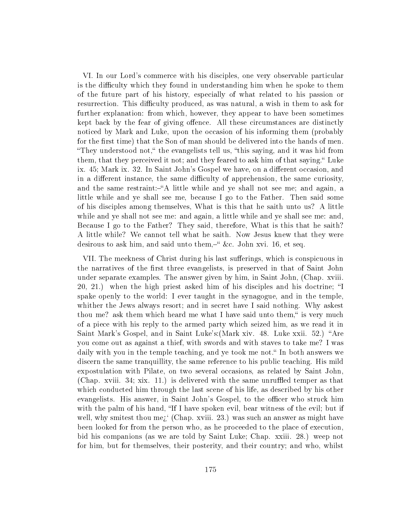VI. In our Lord's commerce with his disciples, one very observable particular is the difficulty which they found in understanding him when he spoke to them of the future part of his history, especially of what related to his passion or resurrection. This difficulty produced, as was natural, a wish in them to ask for further explanation: from which, however, they appear to have been sometimes kept back by the fear of giving offence. All these circumstances are distinctly noticed by Mark and Luke, upon the occasion of his informing them (probably for the first time) that the Son of man should be delivered into the hands of men. "They understood not," the evangelists tell us, "this saying, and it was hid from them, that they perceived it not; and they feared to ask him of that saying." Luke ix. 45; Mark ix. 32. In Saint John's Gospel we have, on a different occasion, and in a different instance, the same difficulty of apprehension, the same curiosity, and the same restraint:-"A little while and ye shall not see me; and again, a little while and ye shall see me, because I go to the Father. Then said some of his disciples among themselves, What is this that he saith unto us? A little while and ye shall not see me: and again, a little while and ye shall see me: and, Because I go to the Father? They said, therefore, What is this that he saith? A little while? We cannot tell what he saith. Now Jesus knew that they were desirous to ask him, and said unto them, " &c. John xvi. 16, et seq.

VII. The meekness of Christ during his last sufferings, which is conspicuous in the narratives of the first three evangelists, is preserved in that of Saint John under separate examples. The answer given by him, in Saint John, (Chap. xviii.  $20, 21.$ ) when the high priest asked him of his disciples and his doctrine; "I spake openly to the world: I ever taught in the synagogue, and in the temple, whither the Jews always resort; and in secret have I said nothing. Why askest thou me? ask them which heard me what I have said unto them," is very much of a piece with his reply to the armed party which seized him, as we read it in Saint Mark's Gospel, and in Saint Luke's: (Mark xiv. 48. Luke xxii. 52.) "Are you come out as against a thief, with swords and with staves to take me? I was daily with you in the temple teaching, and ye took me not." In both answers we discern the same tranquillity, the same reference to his public teaching. His mild expostulation with Pilate, on two several occasions, as related by Saint John, (Chap. xviii. 34; xix. 11.) is delivered with the same unruffled temper as that which conducted him through the last scene of his life, as described by his other evangelists. His answer, in Saint John's Gospel, to the officer who struck him with the palm of his hand, "If I have spoken evil, bear witness of the evil; but if well, why smitest thou me<sub>i</sub>. (Chap. xviii. 23.) was such an answer as might have been looked for from the person who, as he proceeded to the place of execution, bid his companions (as we are told by Saint Luke; Chap. xxiii. 28.) weep not for him, but for themselves, their posterity, and their country; and who, whilst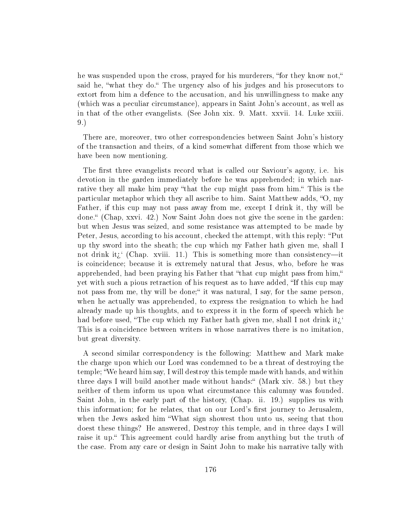he was suspended upon the cross, prayed for his murderers, "for they know not," said he, "what they do." The urgency also of his judges and his prosecutors to extort from him a defence to the accusation, and his unwillingness to make any (which was a peculiar circumstance), appears in Saint John's account, as well as in that of the other evangelists. (See John xix. 9. Matt. xxvii. 14. Luke xxiii. 9.)

There are, moreover, two other correspondencies between Saint John's history of the transaction and theirs, of a kind somewhat different from those which we have been now mentioning.

The first three evangelists record what is called our Saviour's agony, i.e. his devotion in the garden immediately before he was apprehended; in which narrative they all make him pray "that the cup might pass from him." This is the particular metaphor which they all ascribe to him. Saint Matthew adds, "O, my Father, if this cup may not pass away from me, except I drink it, thy will be done. (Chap, xxvi. 42.) Now Saint John does not give the scene in the garden: but when Jesus was seized, and some resistance was attempted to be made by Peter, Jesus, according to his account, checked the attempt, with this reply: "Put up thy sword into the sheath; the cup which my Father hath given me, shall I not drink it; (Chap. xviii. 11.) This is something more than consistency—it is coincidence; because it is extremely natural that Jesus, who, before he was apprehended, had been praying his Father that "that cup might pass from him," yet with such a pious retraction of his request as to have added, "If this cup may not pass from me, thy will be done;" it was natural, I say, for the same person, when he actually was apprehended, to express the resignation to which he had already made up his thoughts, and to express it in the form of speech which he had before used, "The cup which my Father hath given me, shall I not drink it $\ddot{\iota}$ ." This is a coincidence between writers in whose narratives there is no imitation, but great diversity.

A second similar correspondency is the following: Matthew and Mark make the charge upon which our Lord was condemned to be a threat of destroying the temple; We heard him say, I will destroy this temple made with hands, and within three days I will build another made without hands:" (Mark xiv. 58.) but they neither of them inform us upon what circumstance this calumny was founded. Saint John, in the early part of the history, (Chap. ii. 19.) supplies us with this information; for he relates, that on our Lord's first journey to Jerusalem, when the Jews asked him What sign showest thou unto us, seeing that thou doest these things? He answered, Destroy this temple, and in three days I will raise it up." This agreement could hardly arise from anything but the truth of the case. From any care or design in Saint John to make his narrative tally with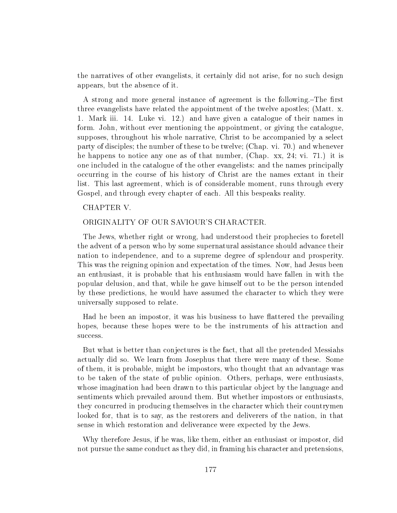the narratives of other evangelists, it certainly did not arise, for no such design appears, but the absence of it.

A strong and more general instance of agreement is the following.—The first three evangelists have related the appointment of the twelve apostles; (Matt. x. 1. Mark iii. 14. Luke vi. 12.) and have given a catalogue of their names in form. John, without ever mentioning the appointment, or giving the catalogue, supposes, throughout his whole narrative, Christ to be accompanied by a select party of disciples; the number of these to be twelve; (Chap. vi. 70.) and whenever he happens to notice any one as of that number, (Chap. xx, 24; vi. 71.) it is one included in the catalogue of the other evangelists: and the names principally occurring in the course of his history of Christ are the names extant in their list. This last agreement, which is of considerable moment, runs through every Gospel, and through every chapter of each. All this bespeaks reality.

# CHAPTER V.

### ORIGINALITY OF OUR SAVIOUR'S CHARACTER.

The Jews, whether right or wrong, had understood their prophecies to foretell the advent of a person who by some supernatural assistance should advance their nation to independence, and to a supreme degree of splendour and prosperity. This was the reigning opinion and expectation of the times. Now, had Jesus been an enthusiast, it is probable that his enthusiasm would have fallen in with the popular delusion, and that, while he gave himself out to be the person intended by these predictions, he would have assumed the character to which they were universally supposed to relate.

Had he been an impostor, it was his business to have flattered the prevailing hopes, because these hopes were to be the instruments of his attraction and success.

But what is better than conjectures is the fact, that all the pretended Messiahs actually did so. We learn from Josephus that there were many of these. Some of them, it is probable, might be impostors, who thought that an advantage was to be taken of the state of public opinion. Others, perhaps, were enthusiasts, whose imagination had been drawn to this particular object by the language and sentiments which prevailed around them. But whether impostors or enthusiasts, they concurred in producing themselves in the character which their countrymen looked for, that is to say, as the restorers and deliverers of the nation, in that sense in which restoration and deliverance were expected by the Jews.

Why therefore Jesus, if he was, like them, either an enthusiast or impostor, did not pursue the same conduct as they did, in framing his character and pretensions,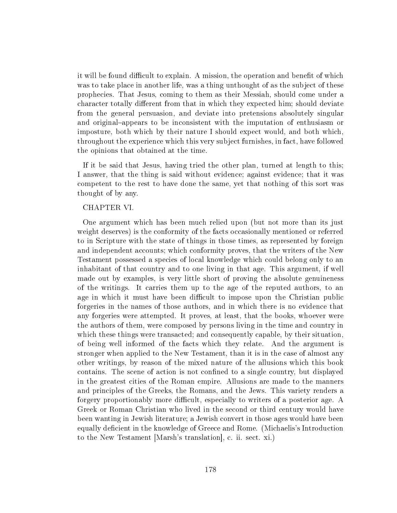it will be found difficult to explain. A mission, the operation and benefit of which was to take place in another life, was a thing unthought of as the subject of these prophecies. That Jesus, coming to them as their Messiah, should come under a character totally different from that in which they expected him; should deviate from the general persuasion, and deviate into pretensions absolutely singular and original-appears to be inconsistent with the imputation of enthusiasm or imposture, both which by their nature I should expect would, and both which, throughout the experience which this very subject furnishes, in fact, have followed the opinions that obtained at the time.

If it be said that Jesus, having tried the other plan, turned at length to this; I answer, that the thing is said without evidence; against evidence; that it was competent to the rest to have done the same, yet that nothing of this sort was thought of by any.

# CHAPTER VI.

One argument which has been much relied upon (but not more than its just weight deserves) is the conformity of the facts occasionally mentioned or referred to in Scripture with the state of things in those times, as represented by foreign and independent accounts; which conformity proves, that the writers of the New Testament possessed a species of local knowledge which could belong only to an inhabitant of that country and to one living in that age. This argument, if well made out by examples, is very little short of proving the absolute genuineness of the writings. It carries them up to the age of the reputed authors, to an age in which it must have been difficult to impose upon the Christian public forgeries in the names of those authors, and in which there is no evidence that any forgeries were attempted. It proves, at least, that the books, whoever were the authors of them, were composed by persons living in the time and country in which these things were transacted; and consequently capable, by their situation, of being well informed of the facts which they relate. And the argument is stronger when applied to the New Testament, than it is in the case of almost any other writings, by reason of the mixed nature of the allusions which this book contains. The scene of action is not confined to a single country, but displayed in the greatest cities of the Roman empire. Allusions are made to the manners and principles of the Greeks, the Romans, and the Jews. This variety renders a forgery proportionably more difficult, especially to writers of a posterior age. A Greek or Roman Christian who lived in the second or third century would have been wanting in Jewish literature; a Jewish convert in those ages would have been equally deficient in the knowledge of Greece and Rome. (Michaelis's Introduction to the New Testament [Marsh's translation], c. ii. sect. xi.)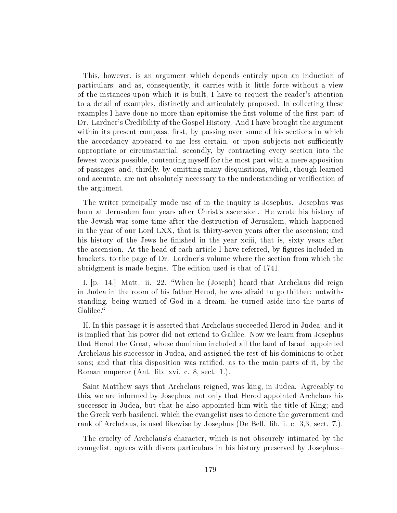This, however, is an argument which depends entirely upon an induction of particulars; and as, consequently, it carries with it little force without a view of the instances upon which it is built, I have to request the reader's attention to a detail of examples, distinctly and articulately proposed. In collecting these examples I have done no more than epitomise the first volume of the first part of Dr. Lardner's Credibility of the Gospel History. And I have brought the argument within its present compass, first, by passing over some of his sections in which the accordancy appeared to me less certain, or upon subjects not sufficiently appropriate or circumstantial; secondly, by contracting every section into the fewest words possible, contenting myself for the most part with a mere apposition of passages; and, thirdly, by omitting many disquisitions, which, though learned and accurate, are not absolutely necessary to the understanding or verification of the argument.

The writer principally made use of in the inquiry is Josephus. Josephus was born at Jerusalem four years after Christ's ascension. He wrote his history of the Jewish war some time after the destruction of Jerusalem, which happened in the year of our Lord LXX, that is, thirty-seven years after the ascension; and his history of the Jews he finished in the year xciii, that is, sixty years after the ascension. At the head of each article I have referred, by figures included in brackets, to the page of Dr. Lardner's volume where the section from which the abridgment is made begins. The edition used is that of 1741.

I. [p. 14.] Matt. ii. 22. When he (Joseph) heard that Archclaus did reign in Judea in the room of his father Herod, he was afraid to go thither: notwithstanding, being warned of God in a dream, he turned aside into the parts of Galilee.

II. In this passage it is asserted that Archclaus succeeded Herod in Judea; and it is implied that his power did not extend to Galilee. Now we learn from Josephus that Herod the Great, whose dominion included all the land of Israel, appointed Archelaus his successor in Judea, and assigned the rest of his dominions to other sons; and that this disposition was ratified, as to the main parts of it, by the Roman emperor (Ant. lib. xvi. c. 8, sect. 1.).

Saint Matthew says that Archclaus reigned, was king, in Judea. Agreeably to this, we are informed by Josephus, not only that Herod appointed Archclaus his successor in Judea, but that he also appointed him with the title of King; and the Greek verb basileuei, which the evangelist uses to denote the government and rank of Archclaus, is used likewise by Josephus (De Bell. lib. i. c. 3,3, sect. 7.).

The cruelty of Archelaus's character, which is not obscurely intimated by the evangelist, agrees with divers particulars in his history preserved by Josephus: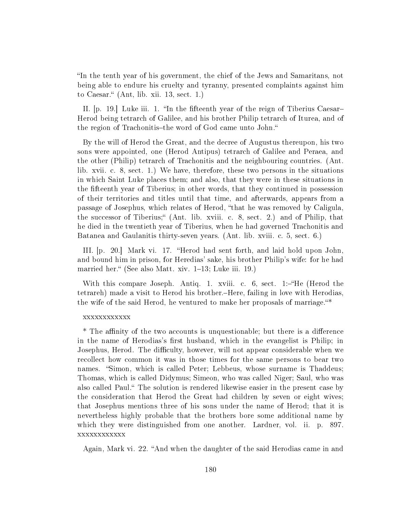In the tenth year of his government, the chief of the Jews and Samaritans, not being able to endure his cruelty and tyranny, presented complaints against him to Caesar."  $(Ant, lib. xii. 13, sect. 1.)$ 

II. p. 19. Luke iii. 1. "In the fifteenth year of the reign of Tiberius Caesar-Herod being tetrarch of Galilee, and his brother Philip tetrarch of Iturea, and of the region of Trachonitis-the word of God came unto John."

By the will of Herod the Great, and the decree of Augustus thereupon, his two sons were appointed, one (Herod Antipus) tetrarch of Galilee and Peraea, and the other (Philip) tetrarch of Trachonitis and the neighbouring countries. (Ant. lib. xvii. c. 8, sect. 1.) We have, therefore, these two persons in the situations in which Saint Luke places them; and also, that they were in these situations in the fteenth year of Tiberius; in other words, that they continued in possession of their territories and titles until that time, and afterwards, appears from a passage of Josephus, which relates of Herod, that he was removed by Caligula, the successor of Tiberius; (Ant. lib. xviii. c. 8, sect. 2.) and of Philip, that he died in the twentieth year of Tiberius, when he had governed Trachonitis and Batanea and Gaulanitis thirty-seven years. (Ant. lib. xviii. c. 5, sect. 6.)

III. [p. 20.] Mark vi. 17. "Herod had sent forth, and laid hold upon John, and bound him in prison, for Heredias' sake, his brother Philip's wife: for he had married her." (See also Matt. xiv.  $1-13$ ; Luke iii. 19.)

With this compare Joseph. Antiq. 1. xviii. c. 6, sect. 1:- $H$ e (Herod the tetrareh) made a visit to Herod his brother.-Here, failing in love with Herodias. the wife of the said Herod, he ventured to make her proposals of marriage.<sup>\*\*</sup>

### xxxxxxxxxxxx

\* The affinity of the two accounts is unquestionable; but there is a difference in the name of Herodias's first husband, which in the evangelist is Philip; in Josephus, Herod. The difficulty, however, will not appear considerable when we recollect how common it was in those times for the same persons to bear two names. "Simon, which is called Peter; Lebbeus, whose surname is Thaddeus; Thomas, which is called Didymus; Simeon, who was called Niger; Saul, who was also called Paul. The solution is rendered likewise easier in the present case by the consideration that Herod the Great had children by seven or eight wives; that Josephus mentions three of his sons under the name of Herod; that it is nevertheless highly probable that the brothers bore some additional name by which they were distinguished from one another. Lardner, vol. ii. p. 897. xxxxxxxxxxxx

Again, Mark vi. 22. "And when the daughter of the said Herodias came in and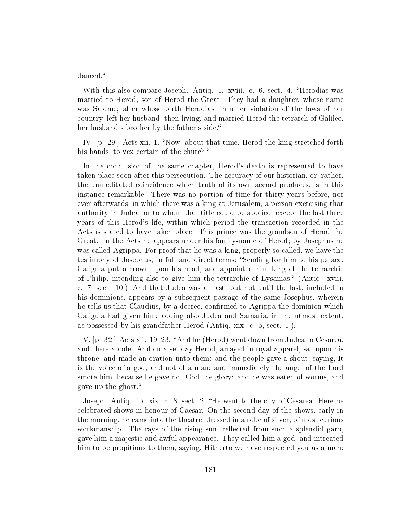danced.

With this also compare Joseph. Antiq. 1. xviii. c. 6, sect. 4. "Herodias was married to Herod, son of Herod the Great. They had a daughter, whose name was Salome; after whose birth Herodias, in utter violation of the laws of her country, left her husband, then living, and married Herod the tetrarch of Galilee, her husband's brother by the father's side.

IV. [p. 29.] Acts xii. 1. "Now, about that time, Herod the king stretched forth his hands, to vex certain of the church.

In the conclusion of the same chapter, Herod's death is represented to have taken place soon after this persecution. The accuracy of our historian, or, rather, the unmeditated coincidence which truth of its own accord produces, is in this instance remarkable. There was no portion of time for thirty years before, nor ever afterwards, in which there was a king at Jerusalem, a person exercising that authority in Judea, or to whom that title could be applied, except the last three years of this Herod's life, within which period the transaction recorded in the Acts is stated to have taken place. This prince was the grandson of Herod the Great. In the Acts he appears under his family-name of Herod; by Josephus he was called Agrippa. For proof that he was a king, properly so called, we have the testimony of Josephus, in full and direct terms:-"Sending for him to his palace, Caligula put a crown upon his head, and appointed him king of the tetrarchie of Philip, intending also to give him the tetrarchie of Lysanias. (Antiq. xviii. c. 7, sect. 10.) And that Judea was at last, but not until the last, included in his dominions, appears by a subsequent passage of the same Josephus, wherein he tells us that Claudius, by a decree, confirmed to Agrippa the dominion which Caligula had given him; adding also Judea and Samaria, in the utmost extent, as possessed by his grandfather Herod (Antiq. xix. c. 5, sect. 1.).

V. [p. 32.] Acts xii. 19–23. "And he (Herod) went down from Judea to Cesarea. and there abode. And on a set day Herod, arrayed in royal apparel, sat upon his throne, and made an oration unto them: and the people gave a shout, saying, It is the voice of a god, and not of a man; and immediately the angel of the Lord smote him, because he gave not God the glory: and he was eaten of worms, and gave up the ghost.

Joseph. Antiq. lib. xix. c. 8, sect. 2. "He went to the city of Cesarea. Here he celebrated shows in honour of Caesar. On the second day of the shows, early in the morning, he came into the theatre, dressed in a robe of silver, of most curious workmanship. The rays of the rising sun, reflected from such a splendid garb, gave him a majestic and awful appearance. They called him a god; and intreated him to be propitious to them, saying, Hitherto we have respected you as a man;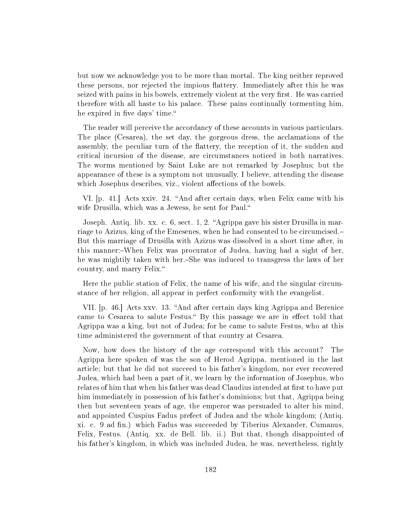but now we acknowledge you to be more than mortal. The king neither reproved these persons, nor rejected the impious flattery. Immediately after this he was seized with pains in his bowels, extremely violent at the very first. He was carried therefore with all haste to his palace. These pains continually tormenting him, he expired in five days' time."

The reader will perceive the accordancy of these accounts in various particulars. The place (Cesarea), the set day, the gorgeous dress, the acclamations of the assembly, the peculiar turn of the flattery, the reception of it, the sudden and critical incursion of the disease, are circumstances noticed in both narratives. The worms mentioned by Saint Luke are not remarked by Josephus; but the appearance of these is a symptom not unusually, I believe, attending the disease which Josephus describes, viz., violent affections of the bowels.

VI. [p. 41.] Acts xxiv. 24. "And after certain days, when Felix came with his wife Drusilla, which was a Jewess, he sent for Paul.

Joseph. Antiq. lib. xx. c. 6, sect. 1, 2. "Agrippa gave his sister Drusilla in marriage to Azizus, king of the Emesenes, when he had consented to be circumcised. But this marriage of Drusilla with Azizus was dissolved in a short time after, in this manner:-When Felix was procurator of Judea, having had a sight of her. he was mightily taken with her.–She was induced to transgress the laws of her country, and marry Felix.

Here the public station of Felix, the name of his wife, and the singular circumstance of her religion, all appear in perfect conformity with the evangelist.

VII. [p. 46.] Acts xxv. 13. "And after certain days king Agrippa and Berenice came to Cesarea to salute Festus." By this passage we are in effect told that Agrippa was a king, but not of Judea; for he came to salute Festus, who at this time administered the government of that country at Cesarea.

Now, how does the history of the age correspond with this account? The Agrippa here spoken of was the son of Herod Agrippa, mentioned in the last article; but that he did not succeed to his father's kingdom, nor ever recovered Judea, which had been a part of it, we learn by the information of Josephus, who relates of him that when his father was dead Claudius intended at first to have put him immediately in possession of his father's dominions; but that, Agrippa being then but seventeen years of age, the emperor was persuaded to alter his mind, and appointed Cuspius Fadus prefect of Judea and the whole kingdom; (Antiq. xi. c. 9 ad fin.) which Fadus was succeeded by Tiberius Alexander, Cumanus, Felix, Festus. (Antiq. xx. de Bell. lib. ii.) But that, though disappointed of his father's kingdom, in which was included Judea, he was, nevertheless, rightly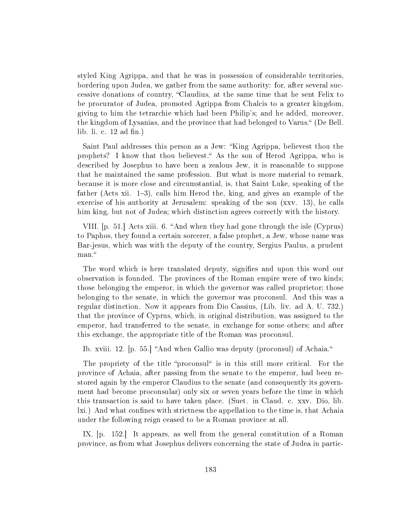styled King Agrippa, and that he was in possession of considerable territories, bordering upon Judea, we gather from the same authority: for, after several successive donations of country, Claudius, at the same time that he sent Felix to be procurator of Judea, promoted Agrippa from Chalcis to a greater kingdom, giving to him the tetrarchie which had been Philip's; and he added, moreover, the kingdom of Lysanias, and the province that had belonged to Varus. (De Bell. lib. li. c.  $12$  ad fin.)

Saint Paul addresses this person as a Jew: "King Agrippa, believest thou the prophets? I know that thou believest." As the son of Herod Agrippa, who is described by Josephus to have been a zealous Jew, it is reasonable to suppose that he maintained the same profession. But what is more material to remark, because it is more close and circumstantial, is, that Saint Luke, speaking of the father (Acts xii.  $1-3$ ), calls him Herod the, king, and gives an example of the exercise of his authority at Jerusalem: speaking of the son (xxv. 13), he calls him king, but not of Judea; which distinction agrees correctly with the history.

VIII. [p. 51.] Acts xiii. 6. "And when they had gone through the isle (Cyprus) to Paphos, they found a certain sorcerer, a false prophet, a Jew, whose name was Bar-jesus, which was with the deputy of the country, Sergius Paulus, a prudent man."

The word which is here translated deputy, signifies and upon this word our observation is founded. The provinces of the Roman empire were of two kinds; those belonging the emperor, in which the governor was called proprietor; those belonging to the senate, in which the governor was proconsul. And this was a regular distinction. Now it appears from Dio Cassius, (Lib. liv. ad A. U. 732.) that the province of Cyprus, which, in original distribution, was assigned to the emperor, had transferred to the senate, in exchange for some others; and after this exchange, the appropriate title of the Roman was proconsul.

Ib. xviii. 12. [p. 55.] "And when Gallio was deputy (proconsul) of Achaia."

The propriety of the title "proconsul" is in this still more critical. For the province of Achaia, after passing from the senate to the emperor, had been restored again by the emperor Claudius to the senate (and consequently its government had become proconsular) only six or seven years before the time in which this transaction is said to have taken place. (Suet. in Claud. c. xxv. Dio, lib. lxi.) And what confines with strictness the appellation to the time is, that Achaia under the following reign ceased to be a Roman province at all.

IX. [p. 152.] It appears, as well from the general constitution of a Roman province, as from what Josephus delivers concerning the state of Judea in partic-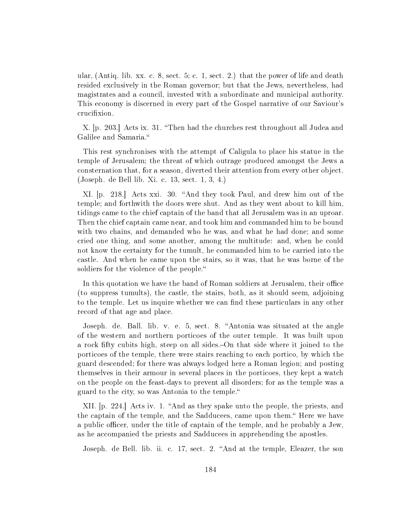ular, (Antiq. lib. xx. c. 8, sect. 5; c. 1, sect. 2.) that the power of life and death resided exclusively in the Roman governor; but that the Jews, nevertheless, had magistrates and a council, invested with a subordinate and municipal authority. This economy is discerned in every part of the Gospel narrative of our Saviour's crucifixion.

X. p. 203. Acts ix. 31. "Then had the churches rest throughout all Judea and Galilee and Samaria.

This rest synchronises with the attempt of Caligula to place his statue in the temple of Jerusalem; the threat of which outrage produced amongst the Jews a consternation that, for a season, diverted their attention from every other object. (Joseph. de Bell lib. Xi. c. 13, sect. 1, 3, 4.)

XI. [p. 218.] Acts xxi. 30. "And they took Paul, and drew him out of the temple; and forthwith the doors were shut. And as they went about to kill him, tidings came to the chief captain of the band that all Jerusalem was in an uproar. Then the chief captain came near, and took him and commanded him to be bound with two chains, and demanded who he was, and what he had done; and some cried one thing, and some another, among the multitude: and, when he could not know the certainty for the tumult, he commanded him to be carried into the castle. And when he came upon the stairs, so it was, that he was borne of the soldiers for the violence of the people."

In this quotation we have the band of Roman soldiers at Jerusalem, their office (to suppress tumults), the castle, the stairs, both, as it should seem, adjoining to the temple. Let us inquire whether we can find these particulars in any other record of that age and place.

Joseph. de. Ball. lib. v. e. 5, sect. 8. "Antonia was situated at the angle of the western and northern porticoes of the outer temple. It was built upon a rock fifty cubits high, steep on all sides.—On that side where it joined to the porticoes of the temple, there were stairs reaching to each portico, by which the guard descended; for there was always lodged here a Roman legion; and posting themselves in their armour in several places in the porticoes, they kept a watch on the people on the feast-days to prevent all disorders; for as the temple was a guard to the city, so was Antonia to the temple.

XII. [p. 224.] Acts iv. 1. "And as they spake unto the people, the priests, and the captain of the temple, and the Sadducees, came upon them. Here we have a public officer, under the title of captain of the temple, and he probably a Jew, as he accompanied the priests and Sadducees in apprehending the apostles.

Joseph. de Bell. lib. ii. c. 17, sect. 2. "And at the temple, Eleazer, the son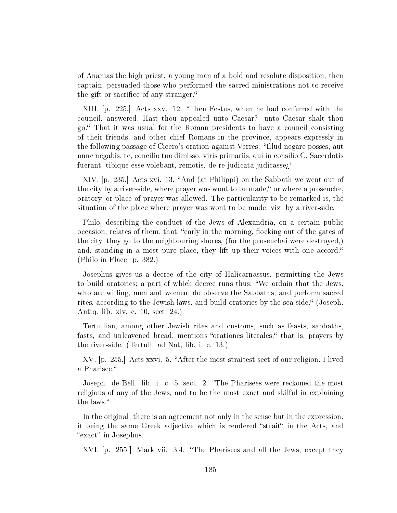of Ananias the high priest, a young man of a bold and resolute disposition, then captain, persuaded those who performed the sacred ministrations not to receive the gift or sacrifice of any stranger."

XIII. [p. 225.] Acts xxv. 12. Then Festus, when he had conferred with the council, answered, Hast thou appealed unto Caesar? unto Caesar shalt thou go. That it was usual for the Roman presidents to have a council consisting of their friends, and other chief Romans in the province, appears expressly in the following passage of Cicero's oration against Verres:—"Illud negare posses, aut nunc negabis, te, concilio tuo dimisso, viris primariis, qui in consilio C. Sacerdotis fuerant, tibique esse volebant, remotis, de re judicata judicasse;

 $XIV.$  [p. 235.] Acts xvi. 13. "And (at Philippi) on the Sabbath we went out of the city by a river-side, where prayer was wont to be made, "or where a proseuche. oratory, or place of prayer was allowed. The particularity to be remarked is, the situation of the place where prayer was wont to be made, viz. by a river-side.

Philo, describing the conduct of the Jews of Alexandria, on a certain public occasion, relates of them, that, "early in the morning, flocking out of the gates of the city, they go to the neighbouring shores, (for the proseuchai were destroyed,) and, standing in a most pure place, they lift up their voices with one accord. (Philo in Flacc. p. 382.)

Josephus gives us a decree of the city of Halicarnassus, permitting the Jews to build oratories; a part of which decree runs thus:—"We ordain that the Jews. who are willing, men and women, do observe the Sabbaths, and perform sacred rites, according to the Jewish laws, and build oratories by the sea-side. (Joseph. Antiq. lib. xiv. c. 10, sect, 24.)

Tertullian, among other Jewish rites and customs, such as feasts, sabbaths, fasts, and unleavened bread, mentions "orationes literales," that is, prayers by the river-side. (Tertull. ad Nat, lib. i. c. 13.)

XV. [p. 255.] Acts xxvi. 5. "After the most straitest sect of our religion, I lived a Pharisee.

Joseph. de Bell. lib. i. c. 5, sect. 2. "The Pharisees were reckoned the most religious of any of the Jews, and to be the most exact and skilful in explaining the laws.

In the original, there is an agreement not only in the sense but in the expression, it being the same Greek adjective which is rendered "strait" in the Acts, and "exact" in Josephus.

XVI. [p. 255.] Mark vii. 3,4. The Pharisees and all the Jews, except they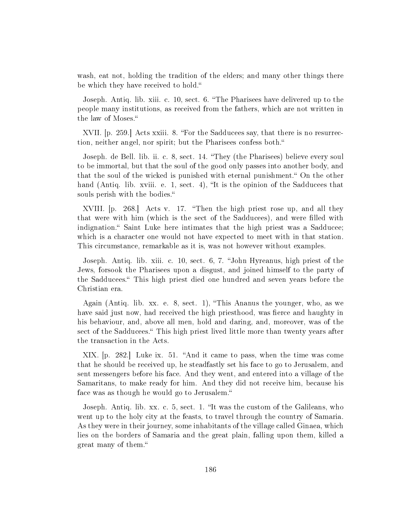wash, eat not, holding the tradition of the elders; and many other things there be which they have received to hold.

Joseph. Antiq. lib. xiii. c. 10, sect. 6. "The Pharisees have delivered up to the people many institutions, as received from the fathers, which are not written in the law of Moses.

XVII. p. 259. Acts xxiii. 8. "For the Sadducees say, that there is no resurrection, neither angel, nor spirit; but the Pharisees confess both.

Joseph. de Bell. lib. ii. c. 8, sect. 14. They (the Pharisees) believe every soul to be immortal, but that the soul of the good only passes into another body, and that the soul of the wicked is punished with eternal punishment. On the other hand (Antiq. lib. xviii. e. 1, sect. 4), "It is the opinion of the Sadducees that souls perish with the bodies."

XVIII. p. 268. Acts v. 17. "Then the high priest rose up, and all they that were with him (which is the sect of the Sadducees), and were filled with indignation. Saint Luke here intimates that the high priest was a Sadducee; which is a character one would not have expected to meet with in that station. This circumstance, remarkable as it is, was not however without examples.

Joseph. Antiq. lib. xiii. c. 10, sect. 6, 7. "John Hyreanus, high priest of the Jews, forsook the Pharisees upon a disgust, and joined himself to the party of the Sadducees. This high priest died one hundred and seven years before the Christian era.

Again (Antiq. lib. xx. e. 8, sect. 1), This Ananus the younger, who, as we have said just now, had received the high priesthood, was fierce and haughty in his behaviour, and, above all men, hold and daring, and, moreover, was of the sect of the Sadducees." This high priest lived little more than twenty years after the transaction in the Acts.

XIX. p. 282. Luke ix. 51. "And it came to pass, when the time was come that he should be received up, he steadfastly set his face to go to Jerusalem, and sent messengers before his face. And they went, and entered into a village of the Samaritans, to make ready for him. And they did not receive him, because his face was as though he would go to Jerusalem.

Joseph. Antiq. lib. xx. c. 5, sect. 1. "It was the custom of the Galileans, who went up to the holy city at the feasts, to travel through the country of Samaria. As they were in their journey, some inhabitants of the village called Ginaea, which lies on the borders of Samaria and the great plain, falling upon them, killed a great many of them.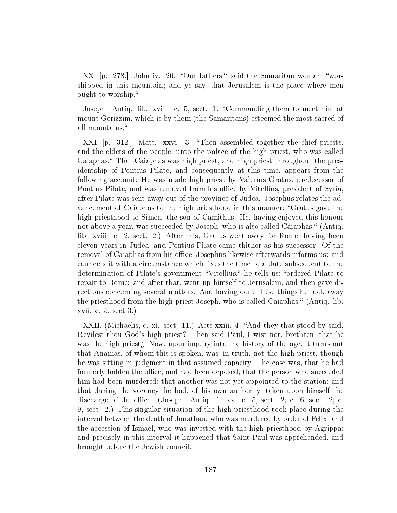XX. [p. 278.] John iv. 20. "Our fathers," said the Samaritan woman, "worshipped in this mountain; and ye say, that Jerusalem is the place where men ought to worship.

Joseph. Antiq. lib. xviii. c. 5, sect. 1. Commanding them to meet him at mount Gerizzim, which is by them (the Samaritans) esteemed the most sacred of all mountains.

XXI. [p. 312.] Matt. xxvi. 3. "Then assembled together the chief priests, and the elders of the people, unto the palace of the high priest, who was called Caiaphas. That Caiaphas was high priest, and high priest throughout the presidentship of Pontius Pilate, and consequently at this time, appears from the following account:-He was made high priest by Valerius Gratus, predecessor of Pontius Pilate, and was removed from his office by Vitellius, president of Syria. after Pilate was sent away out of the province of Judea. Josephus relates the advancement of Caiaphas to the high priesthood in this manner: "Gratus gave the high priesthood to Simon, the son of Camithus. He, having enjoyed this honour not above a year, was succeeded by Joseph, who is also called Caiaphas. (Antiq. lib. xviii. c. 2, sect. 2.) After this, Gratus went away for Rome, having been eleven years in Judea; and Pontius Pilate came thither as his successor. Of the removal of Caiaphas from his office, Josephus likewise afterwards informs us: and connects it with a circumstance which fixes the time to a date subsequent to the determination of Pilate's government-"Vitellius," he tells us; "ordered Pilate to repair to Rome: and after that, went up himself to Jerusalem, and then gave directions concerning several matters. And having done these things he took away the priesthood from the high priest Joseph, who is called Caiaphas." (Antiq. lib. xvii. c. 5, sect 3.)

XXII. (Michaelis, c. xi. sect. 11.) Acts xxiii. 4. "And they that stood by said. Revilest thou God's high priest? Then said Paul, I wist not, brethren, that he was the high priest $\chi^{\prime}$  Now, upon inquiry into the history of the age, it turns out that Ananias, of whom this is spoken, was, in truth, not the high priest, though he was sitting in judgment in that assumed capacity. The case was, that he had formerly holden the office, and had been deposed; that the person who succeeded him had been murdered; that another was not yet appointed to the station; and that during the vacancy, he had, of his own authority, taken upon himself the discharge of the office. (Joseph. Antiq. 1. xx. c. 5, sect. 2; c. 6, sect. 2; c. 9, sect. 2.) This singular situation of the high priesthood took place during the interval between the death of Jonathan, who was murdered by order of Felix, and the accession of Ismael, who was invested with the high priesthood by Agrippa; and precisely in this interval it happened that Saint Paul was apprehended, and brought before the Jewish council.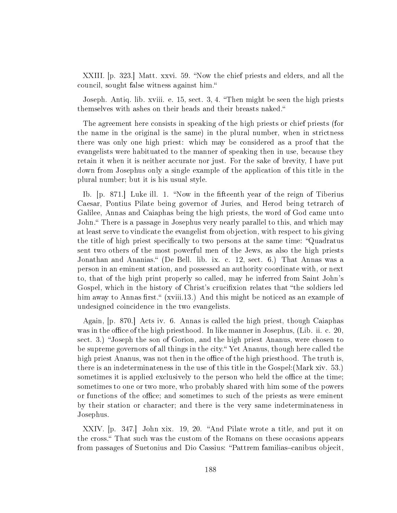XXIII. [p. 323.] Matt. xxvi. 59. "Now the chief priests and elders, and all the council, sought false witness against him.

Joseph. Antiq. lib. xviii. e. 15, sect. 3, 4. "Then might be seen the high priests themselves with ashes on their heads and their breasts naked.

The agreement here consists in speaking of the high priests or chief priests (for the name in the original is the same) in the plural number, when in strictness there was only one high priest: which may be considered as a proof that the evangelists were habituated to the manner of speaking then in use, because they retain it when it is neither accurate nor just. For the sake of brevity, I have put down from Josephus only a single example of the application of this title in the plural number; but it is his usual style.

Ib. [p. 871.] Luke ill. 1. "Now in the fifteenth year of the reign of Tiberius Caesar, Pontius Pilate being governor of Juries, and Herod being tetrarch of Galilee, Annas and Caiaphas being the high priests, the word of God came unto John." There is a passage in Josephus very nearly parallel to this, and which may at least serve to vindicate the evangelist from objection, with respect to his giving the title of high priest specifically to two persons at the same time: "Quadratus" sent two others of the most powerful men of the Jews, as also the high priests Jonathan and Ananias." (De Bell. lib. ix. c. 12, sect. 6.) That Annas was a person in an eminent station, and possessed an authority coordinate with, or next to, that of the high print properly so called, may he inferred from Saint John's Gospel, which in the history of Christ's crucifixion relates that "the soldiers led him away to Annas first." (xviii.13.) And this might be noticed as an example of undesigned coincidence in the two evangelists.

Again, [p. 870.] Acts iv. 6. Annas is called the high priest, though Caiaphas was in the office of the high priesthood. In like manner in Josephus, (Lib. ii. c. 20, sect. 3.) "Joseph the son of Gorion, and the high priest Ananus, were chosen to be supreme governors of all things in the city." Yet Ananus, though here called the high priest Ananus, was not then in the office of the high priesthood. The truth is, there is an indeterminateness in the use of this title in the Gospel:(Mark xiv. 53.) sometimes it is applied exclusively to the person who held the office at the time; sometimes to one or two more, who probably shared with him some of the powers or functions of the office; and sometimes to such of the priests as were eminent by their station or character; and there is the very same indeterminateness in Josephus.

XXIV. [p. 347.] John xix. 19, 20. "And Pilate wrote a title, and put it on the cross. That such was the custom of the Romans on these occasions appears from passages of Suetonius and Dio Cassius: "Pattrem familias-canibus objecit,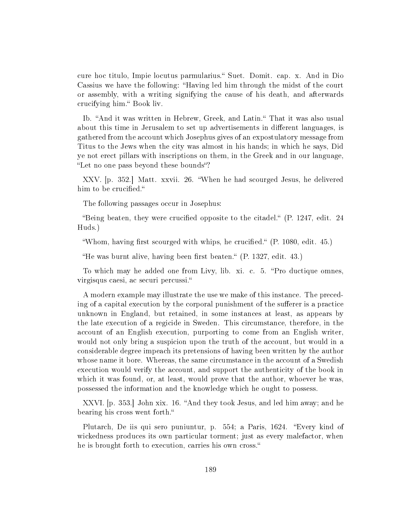cure hoc titulo, Impie locutus parmularius. Suet. Domit. cap. x. And in Dio Cassius we have the following: Having led him through the midst of the court or assembly, with a writing signifying the cause of his death, and afterwards crucifying him." Book liv.

Ib. "And it was written in Hebrew, Greek, and Latin." That it was also usual about this time in Jerusalem to set up advertisements in different languages, is gathered from the account which Josephus gives of an expostulatory message from Titus to the Jews when the city was almost in his hands; in which he says, Did ye not erect pillars with inscriptions on them, in the Greek and in our language, "Let no one pass beyond these bounds"?

XXV. [p. 352.] Matt. xxvii. 26. When he had scourged Jesus, he delivered him to be crucified."

The following passages occur in Josephus:

"Being beaten, they were crucified opposite to the citadel."  $(P. 1247,$  edit. 24 Huds.)

"Whom, having first scourged with whips, he crucified." (P. 1080, edit. 45.)

"He was burnt alive, having been first beaten."  $(P. 1327,$  edit.  $43.)$ 

To which may he added one from Livy, lib. xi. c. 5. "Pro ductique omnes, virgisqus caesi, ac securi percussi.

A modern example may illustrate the use we make of this instance. The preceding of a capital execution by the corporal punishment of the sufferer is a practice unknown in England, but retained, in some instances at least, as appears by the late execution of a regicide in Sweden. This circumstance, therefore, in the account of an English execution, purporting to come from an English writer, would not only bring a suspicion upon the truth of the account, but would in a considerable degree impeach its pretensions of having been written by the author whose name it bore. Whereas, the same circumstance in the account of a Swedish execution would verify the account, and support the authenticity of the book in which it was found, or, at least, would prove that the author, whoever he was, possessed the information and the knowledge which he ought to possess.

XXVI. p. 353. John xix. 16. "And they took Jesus, and led him away; and he bearing his cross went forth.

Plutarch, De iis qui sero puniuntur, p. 554; a Paris, 1624. "Every kind of wickedness produces its own particular torment; just as every malefactor, when he is brought forth to execution, carries his own cross.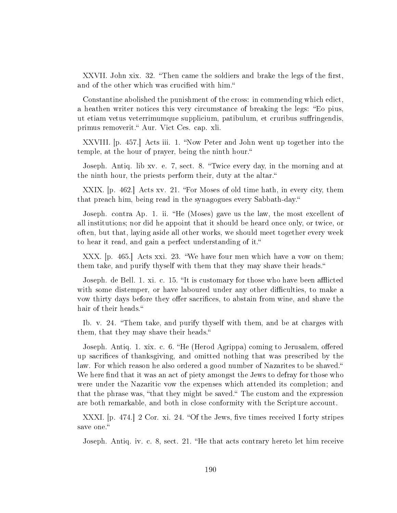XXVII. John xix. 32. "Then came the soldiers and brake the legs of the first, and of the other which was crucified with him."

Constantine abolished the punishment of the cross: in commending which edict, a heathen writer notices this very circumstance of breaking the legs: "Eo pius, ut etiam vetus veterrimumque supplicium, patibulum, et cruribus suringendis, primus removerit." Aur. Vict Ces. cap. xli.

XXVIII. [p. 457.] Acts iii. 1. "Now Peter and John went up together into the temple, at the hour of prayer, being the ninth hour.

Joseph. Antiq. lib xv. e. 7, sect. 8. Twice every day, in the morning and at the ninth hour, the priests perform their, duty at the altar.

XXIX. [p. 462.] Acts xv. 21. "For Moses of old time hath, in every city, them that preach him, being read in the synagogues every Sabbath-day.

Joseph. contra Ap. 1. ii. "He (Moses) gave us the law, the most excellent of all institutions; nor did he appoint that it should be heard once only, or twice, or often, but that, laying aside all other works, we should meet together every week to hear it read, and gain a perfect understanding of it.

XXX. [p. 465.] Acts xxi. 23. We have four men which have a vow on them; them take, and purify thyself with them that they may shave their heads.

Joseph. de Bell. 1. xi. c. 15. "It is customary for those who have been afflicted with some distemper, or have laboured under any other difficulties, to make a vow thirty days before they offer sacrifices, to abstain from wine, and shave the hair of their heads."

Ib. v. 24. "Them take, and purify thyself with them, and be at charges with them, that they may shave their heads.

Joseph. Antiq. 1. xix. c. 6. "He (Herod Agrippa) coming to Jerusalem, offered up sacrifices of thanksgiving, and omitted nothing that was prescribed by the law. For which reason he also ordered a good number of Nazarites to be shaved. We here find that it was an act of piety amongst the Jews to defray for those who were under the Nazaritic vow the expenses which attended its completion; and that the phrase was, "that they might be saved." The custom and the expression are both remarkable, and both in close conformity with the Scripture account.

XXXI.  $[p. 474]$  2 Cor. xi. 24. "Of the Jews, five times received I forty stripes save one."

Joseph. Antiq. iv. c. 8, sect. 21. "He that acts contrary hereto let him receive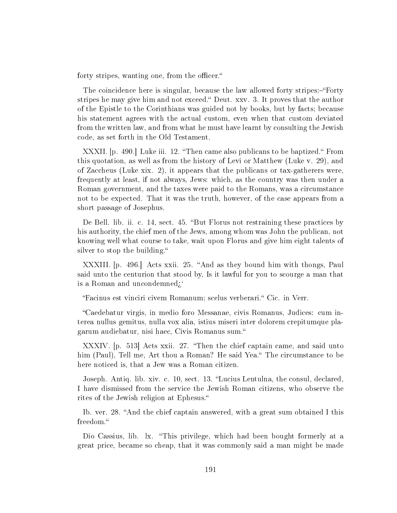forty stripes, wanting one, from the officer."

The coincidence here is singular, because the law allowed forty stripes:-"Forty stripes he may give him and not exceed." Deut. xxv. 3. It proves that the author of the Epistle to the Corinthians was guided not by books, but by facts; because his statement agrees with the actual custom, even when that custom deviated from the written law, and from what he must have learnt by consulting the Jewish code, as set forth in the Old Testament.

XXXII. p. 490. Luke iii. 12. "Then came also publicans to be baptized." From this quotation, as well as from the history of Levi or Matthew (Luke v. 29), and of Zaccheus (Luke xix. 2), it appears that the publicans or tax-gatherers were, frequently at least, if not always, Jews: which, as the country was then under a Roman government, and the taxes were paid to the Romans, was a circumstance not to be expected. That it was the truth, however, of the case appears from a short passage of Josephus.

De Bell. lib. ii. c. 14, sect. 45. "But Florus not restraining these practices by his authority, the chief men of the Jews, among whom was John the publican, not knowing well what course to take, wait upon Florus and give him eight talents of silver to stop the building."

XXXIII. [p. 496.] Acts xxii. 25. "And as they bound him with thongs, Paul said unto the centurion that stood by, Is it lawful for you to scourge a man that is a Roman and uncondemned;

Facinus est vinciri civem Romanum; scelus verberari. Cic. in Verr.

Caedebatur virgis, in medio foro Messanae, civis Romanus, Judices: cum interea nullus gemitus, nulla vox alia, istius miseri inter dolorem crepitumque plagarum audiebatur, nisi haec, Civis Romanus sum.

XXXIV. [p. 513] Acts xxii. 27. "Then the chief captain came, and said unto him (Paul), Tell me, Art thou a Roman? He said Yea." The circumstance to be here noticed is, that a Jew was a Roman citizen.

Joseph. Antiq. lib. xiv. c. 10, sect. 13. "Lucius Lentulna, the consul, declared, I have dismissed from the service the Jewish Roman citizens, who observe the rites of the Jewish religion at Ephesus.

Ib. ver. 28. "And the chief captain answered, with a great sum obtained I this freedom.

Dio Cassius, lib. lx. "This privilege, which had been bought formerly at a great price, became so cheap, that it was commonly said a man might be made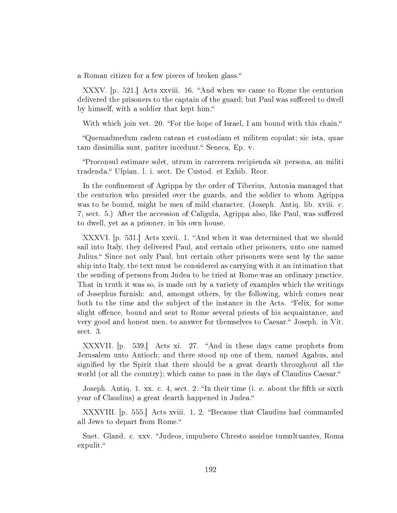a Roman citizen for a few pieces of broken glass.

XXXV.  $[p. 521]$  Acts xxviii. 16. "And when we came to Rome the centurion delivered the prisoners to the captain of the guard; but Paul was suffered to dwell by himself, with a soldier that kept him.

With which join vet. 20. "For the hope of Israel, I am bound with this chain."

Quemadmedum cadem catean et custodiam et militem copulat; sic ista, quae tam dissimilia sunt, pariter incedunt." Seneca, Ep. v.

Proconsul estimare solet, utrum in carcerera recipienda sit persona, an militi tradenda." Ulpian. l. i. sect. De Custod. et Exhib. Reor.

In the confinement of Agrippa by the order of Tiberius, Antonia managed that the centurion who presided over the guards, and the soldier to whom Agrippa was to be bound, might be men of mild character. (Joseph. Antiq. lib. xviii. c. 7, sect. 5.) After the accession of Caligula, Agrippa also, like Paul, was suffered to dwell, yet as a prisoner, in his own house.

XXXVI. p. 531. Acts xxvii. 1. "And when it was determined that we should sail into Italy, they delivered Paul, and certain other prisoners, unto one named Julius." Since not only Paul, but certain other prisoners were sent by the same ship into Italy, the text must be considered as carrying with it an intimation that the sending of persons from Judea to be tried at Rome was an ordinary practice. That in truth it was so, is made out by a variety of examples which the writings of Josephus furnish: and, amongst others, by the following, which comes near both to the time and the subject of the instance in the Acts. "Felix, for some slight offence, bound and sent to Rome several priests of his acquaintance, and very good and honest men, to answer for themselves to Caesar." Joseph. in Vit. sect. 3.

XXXVII.  $[p. 539]$  Acts xi. 27. "And in these days came prophets from Jerusalem unto Antioch; and there stood up one of them, named Agabus, and signied by the Spirit that there should be a great dearth throughout all the world (or all the country); which came to pass in the days of Claudius Caesar."

Joseph. Antiq. 1. xx. c. 4, sect. 2. "In their time (i. e. about the fifth or sixth year of Claudius) a great dearth happened in Judea.

XXXVIII. [p. 555.] Acts xviii. 1, 2. "Because that Claudius had commanded all Jews to depart from Rome.

Suet. Gland. c. xxv. Judeos, impulsero Chresto assidue tumultuantes, Roma expulit."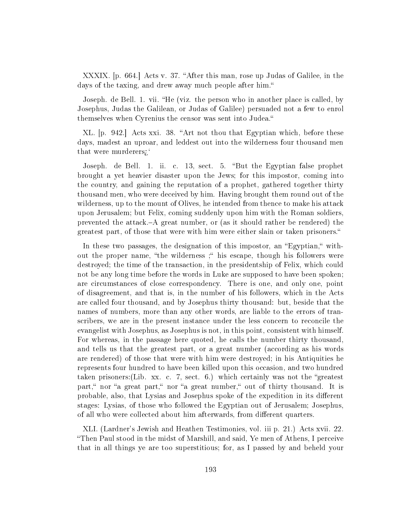XXXIX. [p. 664.] Acts v. 37. "After this man, rose up Judas of Galilee, in the days of the taxing, and drew away much people after him."

Joseph. de Bell. 1. vii. "He (viz. the person who in another place is called, by Josephus, Judas the Galilean, or Judas of Galilee) persuaded not a few to enrol themselves when Cyrenius the censor was sent into Judea.

XL. p. 942. Acts xxi. 38. "Art not thou that Egyptian which, before these days, madest an uproar, and leddest out into the wilderness four thousand men that were murderers<sup>?</sup>

Joseph. de Bell. 1. ii. c. 13, sect. 5. "But the Egyptian false prophet brought a yet heavier disaster upon the Jews; for this impostor, coming into the country, and gaining the reputation of a prophet, gathered together thirty thousand men, who were deceived by him. Having brought them round out of the wilderness, up to the mount of Olives, he intended from thence to make his attack upon Jerusalem; but Felix, coming suddenly upon him with the Roman soldiers, prevented the attack.A great number, or (as it should rather be rendered) the greatest part, of those that were with him were either slain or taken prisoners.

In these two passages, the designation of this impostor, an "Egyptian," without the proper name, "the wilderness ;" his escape, though his followers were destroyed; the time of the transaction, in the presidentship of Felix, which could not be any long time before the words in Luke are supposed to have been spoken; are circumstances of close correspondency. There is one, and only one, point of disagreement, and that is, in the number of his followers, which in the Acts are called four thousand, and by Josephus thirty thousand: but, beside that the names of numbers, more than any other words, are liable to the errors of transcribers, we are in the present instance under the less concern to reconcile the evangelist with Josephus, as Josephus is not, in this point, consistent with himself. For whereas, in the passage here quoted, he calls the number thirty thousand, and tells us that the greatest part, or a great number (according as his words are rendered) of those that were with him were destroyed; in his Antiquities he represents four hundred to have been killed upon this occasion, and two hundred taken prisoners: (Lib. xx. c. 7, sect. 6.) which certainly was not the "greatest" part," nor "a great part," nor "a great number," out of thirty thousand. It is probable, also, that Lysias and Josephus spoke of the expedition in its different stages: Lysias, of those who followed the Egyptian out of Jerusalem; Josephus, of all who were collected about him afterwards, from different quarters.

XLI. (Lardner's Jewish and Heathen Testimonies, vol. iii p. 21.) Acts xvii. 22. Then Paul stood in the midst of Marshill, and said, Ye men of Athens, I perceive that in all things ye are too superstitious; for, as I passed by and beheld your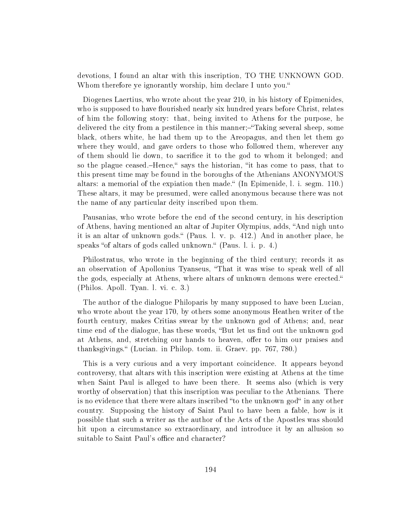devotions, I found an altar with this inscription, TO THE UNKNOWN GOD. Whom therefore ye ignorantly worship, him declare I unto you."

Diogenes Laertius, who wrote about the year 210, in his history of Epimenides, who is supposed to have flourished nearly six hundred years before Christ, relates of him the following story: that, being invited to Athens for the purpose, he delivered the city from a pestilence in this manner;—"Taking several sheep, some black, others white, he had them up to the Areopagus, and then let them go where they would, and gave orders to those who followed them, wherever any of them should lie down, to sacrifice it to the god to whom it belonged; and so the plague ceased.-Hence," says the historian, "it has come to pass, that to this present time may be found in the boroughs of the Athenians ANONYMOUS altars: a memorial of the expiation then made." (In Epimenide,  $l.$  i. segm. 110.) These altars, it may be presumed, were called anonymous because there was not the name of any particular deity inscribed upon them.

Pausanias, who wrote before the end of the second century, in his description of Athens, having mentioned an altar of Jupiter Olympius, adds, "And nigh unto it is an altar of unknown gods. (Paus. l. v. p. 412.) And in another place, he speaks "of altars of gods called unknown." (Paus. l. i. p. 4.)

Philostratus, who wrote in the beginning of the third century; records it as an observation of Apollonius Tyanseus, That it was wise to speak well of all the gods, especially at Athens, where altars of unknown demons were erected. (Philos. Apoll. Tyan. l. vi. c. 3.)

The author of the dialogue Philoparis by many supposed to have been Lucian, who wrote about the year 170, by others some anonymous Heathen writer of the fourth century, makes Critias swear by the unknown god of Athens; and, near time end of the dialogue, has these words, "But let us find out the unknown god at Athens, and, stretching our hands to heaven, offer to him our praises and thanksgivings. (Lucian. in Philop. tom. ii. Graev. pp. 767, 780.)

This is a very curious and a very important coincidence. It appears beyond controversy, that altars with this inscription were existing at Athens at the time when Saint Paul is alleged to have been there. It seems also (which is very worthy of observation) that this inscription was peculiar to the Athenians. There is no evidence that there were altars inscribed "to the unknown god" in any other country. Supposing the history of Saint Paul to have been a fable, how is it possible that such a writer as the author of the Acts of the Apostles was should hit upon a circumstance so extraordinary, and introduce it by an allusion so suitable to Saint Paul's office and character?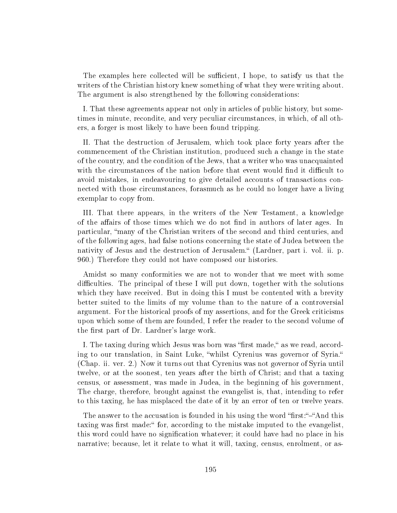The examples here collected will be sufficient, I hope, to satisfy us that the writers of the Christian history knew something of what they were writing about. The argument is also strengthened by the following considerations:

I. That these agreements appear not only in articles of public history, but sometimes in minute, recondite, and very peculiar circumstances, in which, of all others, a forger is most likely to have been found tripping.

II. That the destruction of Jerusalem, which took place forty years after the commencement of the Christian institution, produced such a change in the state of the country, and the condition of the Jews, that a writer who was unacquainted with the circumstances of the nation before that event would find it difficult to avoid mistakes, in endeavouring to give detailed accounts of transactions connected with those circumstances, forasmuch as he could no longer have a living exemplar to copy from.

III. That there appears, in the writers of the New Testament, a knowledge of the affairs of those times which we do not find in authors of later ages. In particular, many of the Christian writers of the second and third centuries, and of the following ages, had false notions concerning the state of Judea between the nativity of Jesus and the destruction of Jerusalem." (Lardner, part i. vol. ii. p. 960.) Therefore they could not have composed our histories.

Amidst so many conformities we are not to wonder that we meet with some difficulties. The principal of these I will put down, together with the solutions which they have received. But in doing this I must be contented with a brevity better suited to the limits of my volume than to the nature of a controversial argument. For the historical proofs of my assertions, and for the Greek criticisms upon which some of them are founded, I refer the reader to the second volume of the first part of Dr. Lardner's large work.

I. The taxing during which Jesus was born was "first made," as we read, according to our translation, in Saint Luke, whilst Cyrenius was governor of Syria. (Chap. ii. ver. 2.) Now it turns out that Cyrenius was not governor of Syria until twelve, or at the soonest, ten years after the birth of Christ; and that a taxing census, or assessment, was made in Judea, in the beginning of his government, The charge, therefore, brought against the evangelist is, that, intending to refer to this taxing, he has misplaced the date of it by an error of ten or twelve years.

The answer to the accusation is founded in his using the word "first:"-"And this taxing was first made: " for, according to the mistake imputed to the evangelist. this word could have no signication whatever; it could have had no place in his narrative; because, let it relate to what it will, taxing, census, enrolment, or as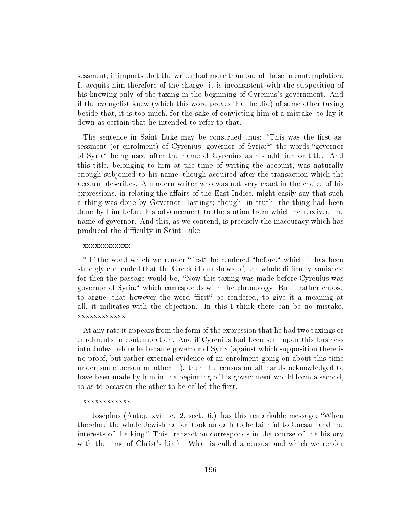sessment, it imports that the writer had more than one of those in contemplation. It acquits him therefore of the charge: it is inconsistent with the supposition of his knowing only of the taxing in the beginning of Cyrenius's government. And if the evangelist knew (which this word proves that he did) of some other taxing beside that, it is too much, for the sake of convicting him of a mistake, to lay it down as certain that he intended to refer to that.

The sentence in Saint Luke may be construed thus: "This was the first assessment (or enrolment) of Cyrenius, governor of Syria;"\* the words "governor of Syria being used after the name of Cyrenius as his addition or title. And this title, belonging to him at the time of writing the account, was naturally enough subjoined to his name, though acquired after the transaction which the account describes. A modern writer who was not very exact in the choice of his expressions, in relating the affairs of the East Indies, might easily say that such a thing was done by Governor Hastings; though, in truth, the thing had been done by him before his advancement to the station from which he received the name of governor. And this, as we contend, is precisely the inaccuracy which has produced the difficulty in Saint Luke.

### xxxxxxxxxxxx

\* If the word which we render "first" be rendered "before," which it has been strongly contended that the Greek idiom shows of, the whole difficulty vanishes: for then the passage would be, "Now this taxing was made before Cyreulus was governor of Syria;" which corresponds with the chronology. But I rather choose to argue, that however the word "first" be rendered, to give it a meaning at all, it militates with the objection. In this I think there can be no mistake. xxxxxxxxxxxx

At any rate it appears from the form of the expression that he had two taxings or enrolments in contemplation. And if Cyrenius had been sent upon this business into Judea before he became governor of Syria (against which supposition there is no proof, but rather external evidence of an enrolment going on about this time under some person or other  $+)$ , then the census on all hands acknowledged to have been made by him in the beginning of his government would form a second, so as to occasion the other to be called the first.

### xxxxxxxxxxxx

+ Josephus (Antiq. xvii. c. 2, sect. 6.) has this remarkable message: When therefore the whole Jewish nation took an oath to be faithful to Caesar, and the interests of the king." This transaction corresponds in the course of the history with the time of Christ's birth. What is called a census, and which we render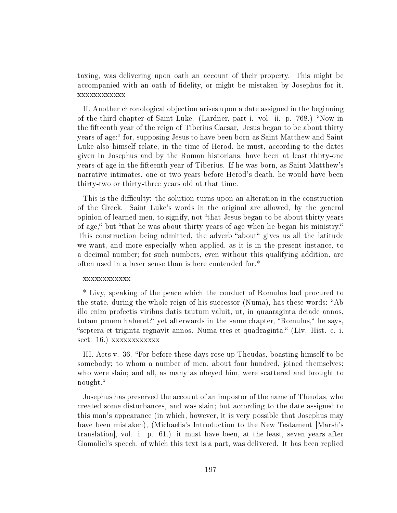taxing, was delivering upon oath an account of their property. This might be accompanied with an oath of delity, or might be mistaken by Josephus for it. xxxxxxxxxxxx

II. Another chronological objection arises upon a date assigned in the beginning of the third chapter of Saint Luke. (Lardner, part i. vol. ii. p. 768.) "Now in the fifteenth year of the reign of Tiberius Caesar,-Jesus began to be about thirty years of age: " for, supposing Jesus to have been born as Saint Matthew and Saint Luke also himself relate, in the time of Herod, he must, according to the dates given in Josephus and by the Roman historians, have been at least thirty-one years of age in the fifteenth year of Tiberius. If he was born, as Saint Matthew's narrative intimates, one or two years before Herod's death, he would have been thirty-two or thirty-three years old at that time.

This is the difficulty: the solution turns upon an alteration in the construction of the Greek. Saint Luke's words in the original are allowed, by the general opinion of learned men, to signify, not that Jesus began to be about thirty years of age," but "that he was about thirty years of age when he began his ministry." This construction being admitted, the adverb "about" gives us all the latitude we want, and more especially when applied, as it is in the present instance, to a decimal number; for such numbers, even without this qualifying addition, are often used in a laxer sense than is here contended for.\*

## xxxxxxxxxxxx

\* Livy, speaking of the peace which the conduct of Romulus had procured to the state, during the whole reign of his successor (Numa), has these words: "Ab illo enim profectis viribus datis tautum valuit, ut, in quaaraginta deiade annos, tutam proem haberet: "yet afterwards in the same chapter, "Romulus," he says, septera et triginta regnavit annos. Numa tres et quadraginta. (Liv. Hist. c. i. sect. 16.) xxxxxxxxxxxx

III. Acts v. 36. For before these days rose up Theudas, boasting himself to be somebody; to whom a number of men, about four hundred, joined themselves: who were slain; and all, as many as obeyed him, were scattered and brought to nought.

Josephus has preserved the account of an impostor of the name of Theudas, who created some disturbances, and was slain; but according to the date assigned to this man's appearance (in which, however, it is very possible that Josephus may have been mistaken), (Michaelis's Introduction to the New Testament [Marsh's translation], vol. i. p. 61.) it must have been, at the least, seven years after Gamaliel's speech, of which this text is a part, was delivered. It has been replied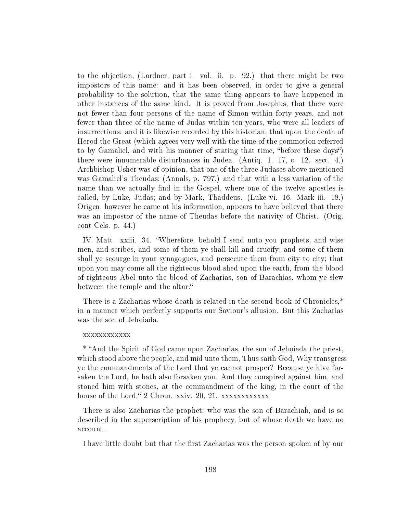to the objection, (Lardner, part i. vol. ii. p. 92.) that there might be two impostors of this name: and it has been observed, in order to give a general probability to the solution, that the same thing appears to have happened in other instances of the same kind. It is proved from Josephus, that there were not fewer than four persons of the name of Simon within forty years, and not fewer than three of the name of Judas within ten years, who were all leaders of insurrections: and it is likewise recorded by this historian, that upon the death of Herod the Great (which agrees very well with the time of the commotion referred to by Gamaliel, and with his manner of stating that time, "before these days") there were innumerable disturbances in Judea. (Antiq. 1. 17, c. 12. sect. 4.) Archbishop Usher was of opinion, that one of the three Judases above mentioned was Gamaliel's Theudas; (Annals, p. 797.) and that with a less variation of the name than we actually find in the Gospel, where one of the twelve apostles is called, by Luke, Judas; and by Mark, Thaddeus. (Luke vi. 16. Mark iii. 18.) Origen, however he came at his information, appears to have believed that there was an impostor of the name of Theudas before the nativity of Christ. (Orig. cont Cels. p. 44.)

IV. Matt. xxiii. 34. Wherefore, behold I send unto you prophets, and wise men, and scribes, and some of them ye shall kill and crucify; and some of them shall ye scourge in your synagogues, and persecute them from city to city; that upon you may come all the righteous blood shed upon the earth, from the blood of righteous Abel unto the blood of Zacharias, son of Barachias, whom ye slew between the temple and the altar.

There is a Zacharias whose death is related in the second book of Chronicles,\* in a manner which perfectly supports our Saviour's allusion. But this Zacharias was the son of Jehoiada.

### xxxxxxxxxxxx

\* And the Spirit of God came upon Zacharias, the son of Jehoiada the priest, which stood above the people, and mid unto them, Thus saith God, Why transgress ye the commandments of the Lord that ye cannot prosper? Because ye hive forsaken the Lord, he hath also forsaken you. And they conspired against him, and stoned him with stones, at the commandment of the king, in the court of the house of the Lord." 2 Chron. xxiv. 20, 21. xxxxxxxxxxxxx

There is also Zacharias the prophet; who was the son of Barachiah, and is so described in the superscription of his prophecy, but of whose death we have no account.

I have little doubt but that the first Zacharias was the person spoken of by our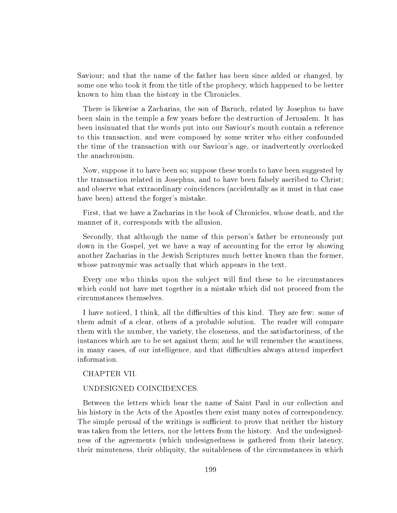Saviour; and that the name of the father has been since added or changed, by some one who took it from the title of the prophecy, which happened to be better known to him than the history in the Chronicles.

There is likewise a Zacharias, the son of Baruch, related by Josephus to have been slain in the temple a few years before the destruction of Jerusalem. It has been insinuated that the words put into our Saviour's mouth contain a reference to this transaction, and were composed by some writer who either confounded the time of the transaction with our Saviour's age, or inadvertently overlooked the anachronism.

Now, suppose it to have been so; suppose these words to have been suggested by the transaction related in Josephus, and to have been falsely ascribed to Christ; and observe what extraordinary coincidences (accidentally as it must in that case have been) attend the forger's mistake.

First, that we have a Zacharias in the book of Chronicles, whose death, and the manner of it, corresponds with the allusion.

Secondly, that although the name of this person's father be erroneously put down in the Gospel, yet we have a way of accounting for the error by showing another Zacharias in the Jewish Scriptures much better known than the former, whose patronymic was actually that which appears in the text.

Every one who thinks upon the subject will find these to be circumstances which could not have met together in a mistake which did not proceed from the circumstances themselves.

I have noticed, I think, all the difficulties of this kind. They are few: some of them admit of a clear, others of a probable solution. The reader will compare them with the number, the variety, the closeness, and the satisfactoriness, of the instances which are to be set against them; and he will remember the scantiness, in many cases, of our intelligence, and that difficulties always attend imperfect information.

## CHAPTER VII.

# UNDESIGNED COINCIDENCES.

Between the letters which bear the name of Saint Paul in our collection and his history in the Acts of the Apostles there exist many notes of correspondency. The simple perusal of the writings is sufficient to prove that neither the history was taken from the letters, nor the letters from the history. And the undesignedness of the agreements (which undesignedness is gathered from their latency, their minuteness, their obliquity, the suitableness of the circumstances in which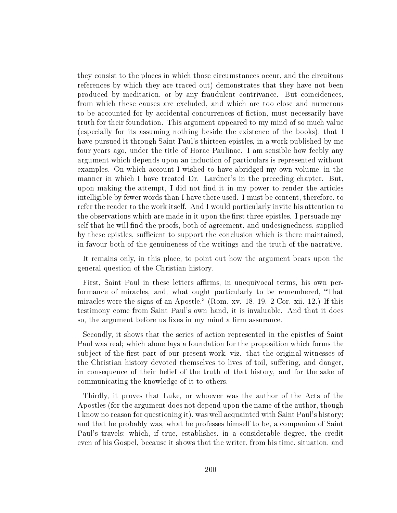they consist to the places in which those circumstances occur, and the circuitous references by which they are traced out) demonstrates that they have not been produced by meditation, or by any fraudulent contrivance. But coincidences, from which these causes are excluded, and which are too close and numerous to be accounted for by accidental concurrences of fiction, must necessarily have truth for their foundation. This argument appeared to my mind of so much value (especially for its assuming nothing beside the existence of the books), that I have pursued it through Saint Paul's thirteen epistles, in a work published by me four years ago, under the title of Horae Paulinae. I am sensible how feebly any argument which depends upon an induction of particulars is represented without examples. On which account I wished to have abridged my own volume, in the manner in which I have treated Dr. Lardner's in the preceding chapter. But, upon making the attempt, I did not find it in my power to render the articles intelligible by fewer words than I have there used. I must be content, therefore, to refer the reader to the work itself. And I would particularly invite his attention to the observations which are made in it upon the first three epistles. I persuade myself that he will find the proofs, both of agreement, and undesignedness, supplied by these epistles, sufficient to support the conclusion which is there maintained, in favour both of the genuineness of the writings and the truth of the narrative.

It remains only, in this place, to point out how the argument bears upon the general question of the Christian history.

First, Saint Paul in these letters affirms, in unequivocal terms, his own performance of miracles, and, what ought particularly to be remembered, That miracles were the signs of an Apostle." (Rom. xv. 18, 19. 2 Cor. xii. 12.) If this testimony come from Saint Paul's own hand, it is invaluable. And that it does so, the argument before us fixes in my mind a firm assurance.

Secondly, it shows that the series of action represented in the epistles of Saint Paul was real; which alone lays a foundation for the proposition which forms the subject of the first part of our present work, viz. that the original witnesses of the Christian history devoted themselves to lives of toil, suffering, and danger, in consequence of their belief of the truth of that history, and for the sake of communicating the knowledge of it to others.

Thirdly, it proves that Luke, or whoever was the author of the Acts of the Apostles (for the argument does not depend upon the name of the author, though I know no reason for questioning it), was well acquainted with Saint Paul's history; and that he probably was, what he professes himself to be, a companion of Saint Paul's travels; which, if true, establishes, in a considerable degree, the credit even of his Gospel, because it shows that the writer, from his time, situation, and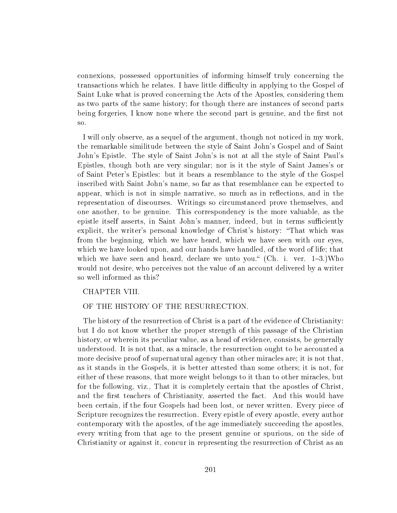connexions, possessed opportunities of informing himself truly concerning the transactions which he relates. I have little difficulty in applying to the Gospel of Saint Luke what is proved concerning the Acts of the Apostles, considering them as two parts of the same history; for though there are instances of second parts being forgeries, I know none where the second part is genuine, and the first not so.

I will only observe, as a sequel of the argument, though not noticed in my work, the remarkable similitude between the style of Saint John's Gospel and of Saint John's Epistle. The style of Saint John's is not at all the style of Saint Paul's Epistles, though both are very singular; nor is it the style of Saint James's or of Saint Peter's Epistles: but it bears a resemblance to the style of the Gospel inscribed with Saint John's name, so far as that resemblance can be expected to appear, which is not in simple narrative, so much as in reflections, and in the representation of discourses. Writings so circumstanced prove themselves, and one another, to be genuine. This correspondency is the more valuable, as the epistle itself asserts, in Saint John's manner, indeed, but in terms sufficiently explicit, the writer's personal knowledge of Christ's history: "That which was from the beginning, which we have heard, which we have seen with our eyes, which we have looked upon, and our hands have handled, of the word of life; that which we have seen and heard, declare we unto you."  $(Ch. i. ver. 1-3.)$ Who would not desire, who perceives not the value of an account delivered by a writer so well informed as this?

# CHAPTER VIII.

## OF THE HISTORY OF THE RESURRECTION.

The history of the resurrection of Christ is a part of the evidence of Christianity: but I do not know whether the proper strength of this passage of the Christian history, or wherein its peculiar value, as a head of evidence, consists, be generally understood. It is not that, as a miracle, the resurrection ought to be accounted a more decisive proof of supernatural agency than other miracles are; it is not that, as it stands in the Gospels, it is better attested than some others; it is not, for either of these reasons, that more weight belongs to it than to other miracles, but for the following, viz., That it is completely certain that the apostles of Christ, and the first teachers of Christianity, asserted the fact. And this would have been certain, if the four Gospels had been lost, or never written. Every piece of Scripture recognizes the resurrection. Every epistle of every apostle, every author contemporary with the apostles, of the age immediately succeeding the apostles, every writing from that age to the present genuine or spurious, on the side of Christianity or against it, concur in representing the resurrection of Christ as an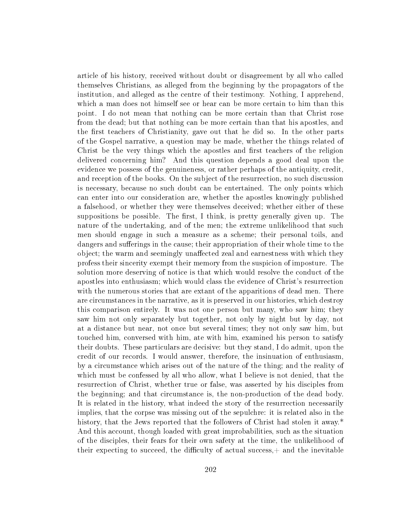article of his history, received without doubt or disagreement by all who called themselves Christians, as alleged from the beginning by the propagators of the institution, and alleged as the centre of their testimony. Nothing, I apprehend, which a man does not himself see or hear can be more certain to him than this point. I do not mean that nothing can be more certain than that Christ rose from the dead; but that nothing can be more certain than that his apostles, and the first teachers of Christianity, gave out that he did so. In the other parts of the Gospel narrative, a question may be made, whether the things related of Christ be the very things which the apostles and first teachers of the religion delivered concerning him? And this question depends a good deal upon the evidence we possess of the genuineness, or rather perhaps of the antiquity, credit, and reception of the books. On the subject of the resurrection, no such discussion is necessary, because no such doubt can be entertained. The only points which can enter into our consideration are, whether the apostles knowingly published a falsehood, or whether they were themselves deceived; whether either of these suppositions be possible. The first, I think, is pretty generally given up. The nature of the undertaking, and of the men; the extreme unlikelihood that such men should engage in such a measure as a scheme; their personal toils, and dangers and sufferings in the cause; their appropriation of their whole time to the object; the warm and seemingly unaffected zeal and earnestness with which they profess their sincerity exempt their memory from the suspicion of imposture. The solution more deserving of notice is that which would resolve the conduct of the apostles into enthusiasm; which would class the evidence of Christ's resurrection with the numerous stories that are extant of the apparitions of dead men. There are circumstances in the narrative, as it is preserved in our histories, which destroy this comparison entirely. It was not one person but many, who saw him; they saw him not only separately but together, not only by night but by day, not at a distance but near, not once but several times; they not only saw him, but touched him, conversed with him, ate with him, examined his person to satisfy their doubts. These particulars are decisive: but they stand, I do admit, upon the credit of our records. I would answer, therefore, the insinuation of enthusiasm, by a circumstance which arises out of the nature of the thing; and the reality of which must be confessed by all who allow, what I believe is not denied, that the resurrection of Christ, whether true or false, was asserted by his disciples from the beginning; and that circumstance is, the non-production of the dead body. It is related in the history, what indeed the story of the resurrection necessarily implies, that the corpse was missing out of the sepulchre: it is related also in the history, that the Jews reported that the followers of Christ had stolen it away.<sup>\*</sup> And this account, though loaded with great improbabilities, such as the situation of the disciples, their fears for their own safety at the time, the unlikelihood of their expecting to succeed, the difficulty of actual success, $+$  and the inevitable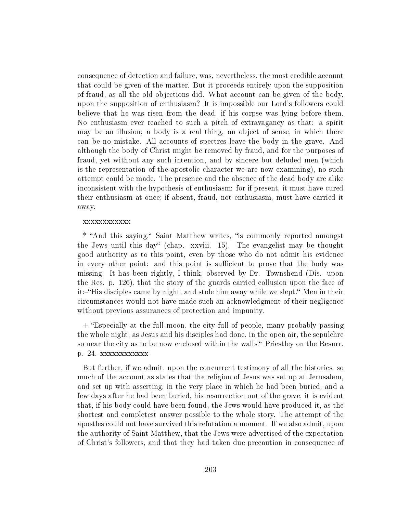consequence of detection and failure, was, nevertheless, the most credible account that could be given of the matter. But it proceeds entirely upon the supposition of fraud, as all the old objections did. What account can be given of the body, upon the supposition of enthusiasm? It is impossible our Lord's followers could believe that he was risen from the dead, if his corpse was lying before them. No enthusiasm ever reached to such a pitch of extravagancy as that: a spirit may be an illusion; a body is a real thing, an object of sense, in which there can be no mistake. All accounts of spectres leave the body in the grave. And although the body of Christ might be removed by fraud, and for the purposes of fraud, yet without any such intention, and by sincere but deluded men (which is the representation of the apostolic character we are now examining), no such attempt could be made. The presence and the absence of the dead body are alike inconsistent with the hypothesis of enthusiasm: for if present, it must have cured their enthusiasm at once; if absent, fraud, not enthusiasm, must have carried it away.

#### xxxxxxxxxxxx

\* "And this saying," Saint Matthew writes, "is commonly reported amongst the Jews until this day" (chap. xxviii. 15). The evangelist may be thought good authority as to this point, even by those who do not admit his evidence in every other point: and this point is sufficient to prove that the body was missing. It has been rightly, I think, observed by Dr. Townshend (Dis. upon the Res. p. 126), that the story of the guards carried collusion upon the face of it:—"His disciples came by night, and stole him away while we slept." Men in their circumstances would not have made such an acknowledgment of their negligence without previous assurances of protection and impunity.

 $+$  "Especially at the full moon, the city full of people, many probably passing the whole night, as Jesus and his disciples had done, in the open air, the sepulchre so near the city as to be now enclosed within the walls." Priestley on the Resurr. p. 24. xxxxxxxxxxxx

But further, if we admit, upon the concurrent testimony of all the histories, so much of the account as states that the religion of Jesus was set up at Jerusalem, and set up with asserting, in the very place in which he had been buried, and a few days after he had been buried, his resurrection out of the grave, it is evident that, if his body could have been found, the Jews would have produced it, as the shortest and completest answer possible to the whole story. The attempt of the apostles could not have survived this refutation a moment. If we also admit, upon the authority of Saint Matthew, that the Jews were advertised of the expectation of Christ's followers, and that they had taken due precaution in consequence of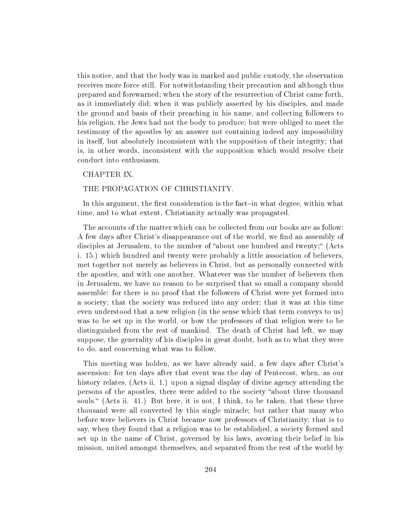this notice, and that the body was in marked and public custody, the observation receives more force still. For notwithstanding their precaution and although thus prepared and forewarned; when the story of the resurrection of Christ came forth, as it immediately did; when it was publicly asserted by his disciples, and made the ground and basis of their preaching in his name, and collecting followers to his religion, the Jews had not the body to produce; but were obliged to meet the testimony of the apostles by an answer not containing indeed any impossibility in itself, but absolutely inconsistent with the supposition of their integrity; that is, in other words, inconsistent with the supposition which would resolve their conduct into enthusiasm.

## CHAPTER IX.

## THE PROPAGATION OF CHRISTIANITY.

In this argument, the first consideration is the fact-in what degree, within what time, and to what extent, Christianity actually was propagated.

The accounts of the matter which can be collected from our books are as follow: A few days after Christ's disappearance out of the world, we find an assembly of disciples at Jerusalem, to the number of "about one hundred and twenty;" (Acts i. 15.) which hundred and twenty were probably a little association of believers, met together not merely as believers in Christ, but as personally connected with the apostles, and with one another. Whatever was the number of believers then in Jerusalem, we have no reason to be surprised that so small a company should assemble: for there is no proof that the followers of Christ were yet formed into a society; that the society was reduced into any order; that it was at this time even understood that a new religion (in the sense which that term conveys to us) was to be set up in the world, or how the professors of that religion were to be distinguished from the rest of mankind. The death of Christ had left, we may suppose, the generality of his disciples in great doubt, both as to what they were to do, and concerning what was to follow.

This meeting was holden, as we have already said, a few days after Christ's ascension: for ten days after that event was the day of Pentecost, when, as our history relates, (Acts ii. 1.) upon a signal display of divine agency attending the persons of the apostles, there were added to the society "about three thousand souls." (Acts ii. 41.) But here, it is not, I think, to be taken, that these three thousand were all converted by this single miracle; but rather that many who before were believers in Christ became now professors of Christianity; that is to say, when they found that a religion was to be established, a society formed and set up in the name of Christ, governed by his laws, avowing their belief in his mission, united amongst themselves, and separated from the rest of the world by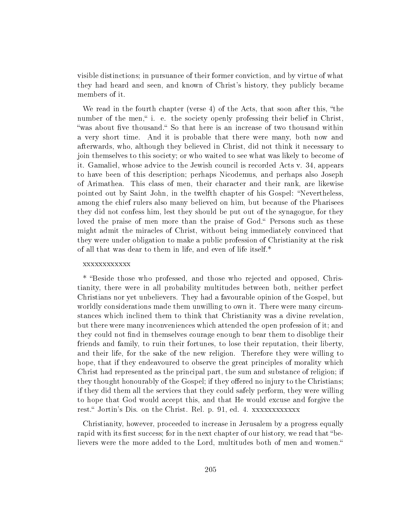visible distinctions; in pursuance of their former conviction, and by virtue of what they had heard and seen, and known of Christ's history, they publicly became members of it.

We read in the fourth chapter (verse  $4$ ) of the Acts, that soon after this, "the number of the men," i. e. the society openly professing their belief in Christ, "was about five thousand." So that here is an increase of two thousand within a very short time. And it is probable that there were many, both now and afterwards, who, although they believed in Christ, did not think it necessary to join themselves to this society; or who waited to see what was likely to become of it. Gamaliel, whose advice to the Jewish council is recorded Acts v. 34, appears to have been of this description; perhaps Nicodemus, and perhaps also Joseph of Arimathea. This class of men, their character and their rank, are likewise pointed out by Saint John, in the twelfth chapter of his Gospel: "Nevertheless, among the chief rulers also many believed on him, but because of the Pharisees they did not confess him, lest they should be put out of the synagogue, for they loved the praise of men more than the praise of God." Persons such as these might admit the miracles of Christ, without being immediately convinced that they were under obligation to make a public profession of Christianity at the risk of all that was dear to them in life, and even of life itself.\*

### xxxxxxxxxxxx

\* Beside those who professed, and those who rejected and opposed, Christianity, there were in all probability multitudes between both, neither perfect Christians nor yet unbelievers. They had a favourable opinion of the Gospel, but worldly considerations made them unwilling to own it. There were many circumstances which inclined them to think that Christianity was a divine revelation, but there were many inconveniences which attended the open profession of it; and they could not find in themselves courage enough to bear them to disoblige their friends and family, to ruin their fortunes, to lose their reputation, their liberty, and their life, for the sake of the new religion. Therefore they were willing to hope, that if they endeavoured to observe the great principles of morality which Christ had represented as the principal part, the sum and substance of religion; if they thought honourably of the Gospel; if they offered no injury to the Christians; if they did them all the services that they could safely perform, they were willing to hope that God would accept this, and that He would excuse and forgive the rest. Jortin's Dis. on the Christ. Rel. p. 91, ed. 4. xxxxxxxxxxxx

Christianity, however, proceeded to increase in Jerusalem by a progress equally rapid with its first success; for in the next chapter of our history, we read that "believers were the more added to the Lord, multitudes both of men and women.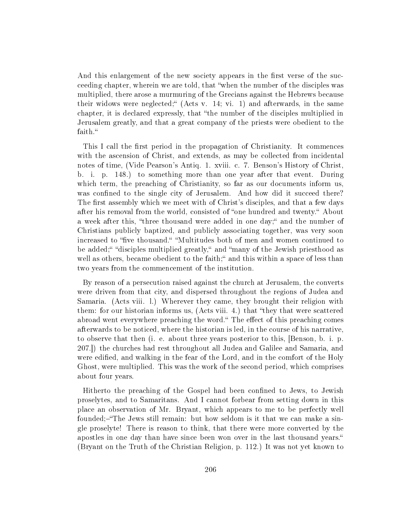And this enlargement of the new society appears in the first verse of the succeeding chapter, wherein we are told, that "when the number of the disciples was multiplied, there arose a murmuring of the Grecians against the Hebrews because their widows were neglected;  $(Acts v. 14; vi. 1)$  and afterwards, in the same chapter, it is declared expressly, that "the number of the disciples multiplied in Jerusalem greatly, and that a great company of the priests were obedient to the faith.

This I call the first period in the propagation of Christianity. It commences with the ascension of Christ, and extends, as may be collected from incidental notes of time, (Vide Pearson's Antiq. 1. xviii. c. 7. Benson's History of Christ, b. i. p. 148.) to something more than one year after that event. During which term, the preaching of Christianity, so far as our documents inform us, was confined to the single city of Jerusalem. And how did it succeed there? The first assembly which we meet with of Christ's disciples, and that a few days after his removal from the world, consisted of "one hundred and twenty." About a week after this, "three thousand were added in one day;" and the number of Christians publicly baptized, and publicly associating together, was very soon increased to "five thousand." "Multitudes both of men and women continued to be added;" "disciples multiplied greatly," and "many of the Jewish priesthood as well as others, became obedient to the faith;" and this within a space of less than two years from the commencement of the institution.

By reason of a persecution raised against the church at Jerusalem, the converts were driven from that city, and dispersed throughout the regions of Judea and Samaria. (Acts viii. l.) Wherever they came, they brought their religion with them: for our historian informs us, (Acts viii. 4.) that "they that were scattered abroad went everywhere preaching the word." The effect of this preaching comes afterwards to be noticed, where the historian is led, in the course of his narrative, to observe that then (i. e. about three years posterior to this, [Benson, b. i. p. 207.]) the churches had rest throughout all Judea and Galilee and Samaria, and were edified, and walking in the fear of the Lord, and in the comfort of the Holy Ghost, were multiplied. This was the work of the second period, which comprises about four years.

Hitherto the preaching of the Gospel had been confined to Jews, to Jewish proselytes, and to Samaritans. And I cannot forbear from setting down in this place an observation of Mr. Bryant, which appears to me to be perfectly well founded;-"The Jews still remain: but how seldom is it that we can make a single proselyte! There is reason to think, that there were more converted by the apostles in one day than have since been won over in the last thousand years. (Bryant on the Truth of the Christian Religion, p. 112.) It was not yet known to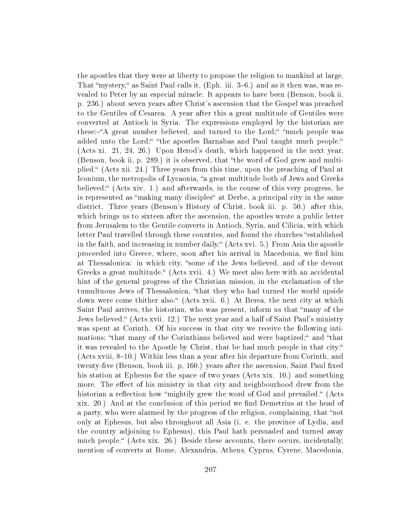the apostles that they were at liberty to propose the religion to mankind at large. That "mystery," as Saint Paul calls it, (Eph. iii. 3–6.) and as it then was, was revealed to Peter by an especial miracle. It appears to have been (Benson, book ii. p. 236.) about seven years after Christ's ascension that the Gospel was preached to the Gentiles of Cesarea. A year after this a great multitude of Gentiles were converted at Antioch in Syria. The expressions employed by the historian are these:—"A great number believed, and turned to the Lord;" "much people was added unto the Lord;" "the apostles Barnabas and Paul taught much people." (Acts xi. 21, 24, 26.) Upon Herod's death, which happened in the next year, (Benson, book ii, p. 289.) it is observed, that "the word of God grew and multiplied. (Acts xii. 24.) Three years from this time, upon the preaching of Paul at Iconium, the metropolis of Lycaonia, "a great multitude both of Jews and Greeks believed:" (Acts xiv. 1.) and afterwards, in the course of this very progress, he is represented as "making many disciples" at Derbe, a principal city in the same district. Three years (Benson's History of Christ, book iii. p. 50.) after this, which brings us to sixteen after the ascension, the apostles wrote a public letter from Jerusalem to the Gentile converts in Antioch, Syria, and Cilicia, with which letter Paul travelled through these countries, and found the churches "established in the faith, and increasing in number daily." (Acts xvi. 5.) From Asia the apostle proceeded into Greece, where, soon after his arrival in Macedonia, we find him at Thessalonica: in which city, "some of the Jews believed, and of the devout Greeks a great multitude. (Acts xvii. 4.) We meet also here with an accidental hint of the general progress of the Christian mission, in the exclamation of the tumultuous Jews of Thessalonica, "that they who had turned the world upside down were come thither also." (Acts xvii. 6.) At Berea, the next city at which Saint Paul arrives, the historian, who was present, inform us that "many of the Jews believed." (Acts xvii. 12.) The next year and a half of Saint Paul's ministry was spent at Corinth. Of his success in that city we receive the following intimations; "that many of the Corinthians believed and were baptized;" and "that it was revealed to the Apostle by Christ, that be had much people in that city. (Acts xviii,  $8-10$ .) Within less than a year after his departure from Corinth, and twenty-five (Benson, book iii. p, 160.) years after the ascension, Saint Paul fixed his station at Ephesus for the space of two years (Acts xix. 10.) and something more. The effect of his ministry in that city and neighbourhood drew from the historian a reflection how "mightily grew the word of God and prevailed." (Acts xix. 20.) And at the conclusion of this period we find Demetrius at the head of a party, who were alarmed by the progress of the religion, complaining, that "not only at Ephesus, but also throughout all Asia (i. e. the province of Lydia, and the country adjoining to Ephesus), this Paul hath persuaded and turned away much people. (Acts xix. 26.) Beside these accounts, there occurs, incidentally, mention of converts at Rome, Alexandria, Athens, Cyprus, Cyrene, Macedonia,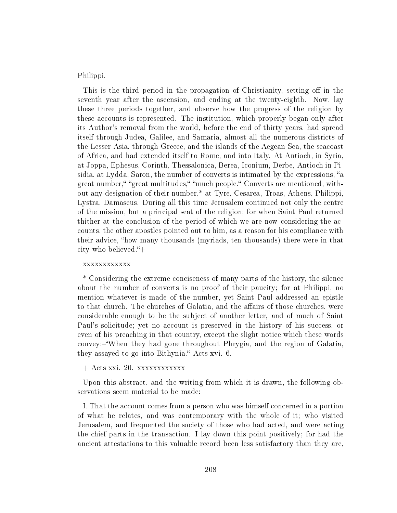Philippi.

This is the third period in the propagation of Christianity, setting off in the seventh year after the ascension, and ending at the twenty-eighth. Now, lay these three periods together, and observe how the progress of the religion by these accounts is represented. The institution, which properly began only after its Author's removal from the world, before the end of thirty years, had spread itself through Judea, Galilee, and Samaria, almost all the numerous districts of the Lesser Asia, through Greece, and the islands of the Aegean Sea, the seacoast of Africa, and had extended itself to Rome, and into Italy. At Antioch, in Syria, at Joppa, Ephesus, Corinth, Thessalonica, Berea, Iconium, Derbe, Antioch in Pisidia, at Lydda, Saron, the number of converts is intimated by the expressions, "a great number," "great multitudes," "much people." Converts are mentioned, without any designation of their number,\* at Tyre, Cesarea, Troas, Athens, Philippi, Lystra, Damascus. During all this time Jerusalem continued not only the centre of the mission, but a principal seat of the religion; for when Saint Paul returned thither at the conclusion of the period of which we are now considering the accounts, the other apostles pointed out to him, as a reason for his compliance with their advice, "how many thousands (myriads, ten thousands) there were in that city who believed. $+$ 

### xxxxxxxxxxxx

\* Considering the extreme conciseness of many parts of the history, the silence about the number of converts is no proof of their paucity; for at Philippi, no mention whatever is made of the number, yet Saint Paul addressed an epistle to that church. The churches of Galatia, and the affairs of those churches, were considerable enough to be the subject of another letter, and of much of Saint Paul's solicitude; yet no account is preserved in the history of his success, or even of his preaching in that country, except the slight notice which these words convey:-"When they had gone throughout Phrygia, and the region of Galatia, they assayed to go into Bithynia." Acts xvi. 6.

## + Acts xxi. 20. xxxxxxxxxxxx

Upon this abstract, and the writing from which it is drawn, the following observations seem material to be made:

I. That the account comes from a person who was himself concerned in a portion of what he relates, and was contemporary with the whole of it; who visited Jerusalem, and frequented the society of those who had acted, and were acting the chief parts in the transaction. I lay down this point positively; for had the ancient attestations to this valuable record been less satisfactory than they are,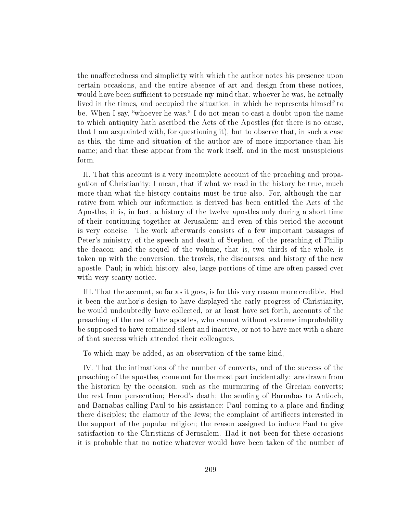the unaffectedness and simplicity with which the author notes his presence upon certain occasions, and the entire absence of art and design from these notices, would have been sufficient to persuade my mind that, whoever he was, he actually lived in the times, and occupied the situation, in which he represents himself to be. When I say, "whoever he was," I do not mean to cast a doubt upon the name to which antiquity hath ascribed the Acts of the Apostles (for there is no cause, that I am acquainted with, for questioning it), but to observe that, in such a case as this, the time and situation of the author are of more importance than his name; and that these appear from the work itself, and in the most unsuspicious form.

II. That this account is a very incomplete account of the preaching and propagation of Christianity; I mean, that if what we read in the history be true, much more than what the history contains must be true also. For, although the narrative from which our information is derived has been entitled the Acts of the Apostles, it is, in fact, a history of the twelve apostles only during a short time of their continuing together at Jerusalem; and even of this period the account is very concise. The work afterwards consists of a few important passages of Peter's ministry, of the speech and death of Stephen, of the preaching of Philip the deacon; and the sequel of the volume, that is, two thirds of the whole, is taken up with the conversion, the travels, the discourses, and history of the new apostle, Paul; in which history, also, large portions of time are often passed over with very scanty notice.

III. That the account, so far as it goes, is for this very reason more credible. Had it been the author's design to have displayed the early progress of Christianity, he would undoubtedly have collected, or at least have set forth, accounts of the preaching of the rest of the apostles, who cannot without extreme improbability be supposed to have remained silent and inactive, or not to have met with a share of that success which attended their colleagues.

To which may be added, as an observation of the same kind,

IV. That the intimations of the number of converts, and of the success of the preaching of the apostles, come out for the most part incidentally: are drawn from the historian by the occasion, such as the murmuring of the Grecian converts; the rest from persecution; Herod's death; the sending of Barnabas to Antioch, and Barnabas calling Paul to his assistance; Paul coming to a place and finding there disciples; the clamour of the Jews; the complaint of artificers interested in the support of the popular religion; the reason assigned to induce Paul to give satisfaction to the Christians of Jerusalem. Had it not been for these occasions it is probable that no notice whatever would have been taken of the number of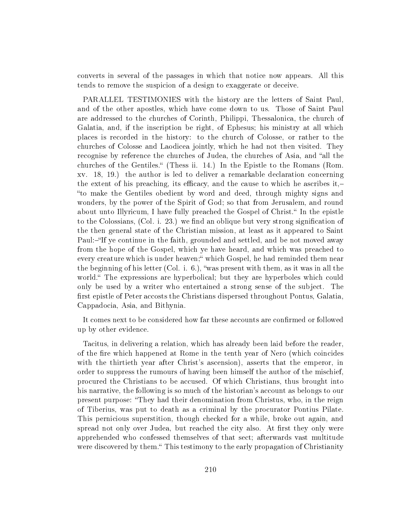converts in several of the passages in which that notice now appears. All this tends to remove the suspicion of a design to exaggerate or deceive.

PARALLEL TESTIMONIES with the history are the letters of Saint Paul, and of the other apostles, which have come down to us. Those of Saint Paul are addressed to the churches of Corinth, Philippi, Thessalonica, the church of Galatia, and, if the inscription be right, of Ephesus; his ministry at all which places is recorded in the history: to the church of Colosse, or rather to the churches of Colosse and Laodicea jointly, which he had not then visited. They recognise by reference the churches of Judea, the churches of Asia, and "all the churches of the Gentiles." (Thess ii. 14.) In the Epistle to the Romans (Rom. xv. 18, 19.) the author is led to deliver a remarkable declaration concerning the extent of his preaching, its efficacy, and the cause to which he ascribes it, to make the Gentiles obedient by word and deed, through mighty signs and wonders, by the power of the Spirit of God; so that from Jerusalem, and round about unto Illyricum, I have fully preached the Gospel of Christ." In the epistle to the Colossians,  $(Col. i. 23.)$  we find an oblique but very strong signification of the then general state of the Christian mission, at least as it appeared to Saint Paul:-"If ye continue in the faith, grounded and settled, and be not moved away from the hope of the Gospel, which ye have heard, and which was preached to every creature which is under heaven; which Gospel, he had reminded them near the beginning of his letter (Col. i. 6.), was present with them, as it was in all the world. The expressions are hyperbolical; but they are hyperboles which could only be used by a writer who entertained a strong sense of the subject. The first epistle of Peter accosts the Christians dispersed throughout Pontus, Galatia, Cappadocia, Asia, and Bithynia.

It comes next to be considered how far these accounts are confirmed or followed up by other evidence.

Tacitus, in delivering a relation, which has already been laid before the reader, of the re which happened at Rome in the tenth year of Nero (which coincides with the thirtieth year after Christ's ascension), asserts that the emperor, in order to suppress the rumours of having been himself the author of the mischief, procured the Christians to be accused. Of which Christians, thus brought into his narrative, the following is so much of the historian's account as belongs to our present purpose: They had their denomination from Christus, who, in the reign of Tiberius, was put to death as a criminal by the procurator Pontius Pilate. This pernicious superstition, though checked for a while, broke out again, and spread not only over Judea, but reached the city also. At first they only were apprehended who confessed themselves of that sect; afterwards vast multitude were discovered by them. This testimony to the early propagation of Christianity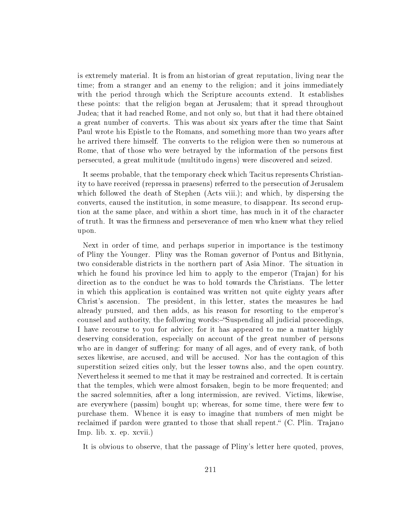is extremely material. It is from an historian of great reputation, living near the time; from a stranger and an enemy to the religion; and it joins immediately with the period through which the Scripture accounts extend. It establishes these points: that the religion began at Jerusalem; that it spread throughout Judea; that it had reached Rome, and not only so, but that it had there obtained a great number of converts. This was about six years after the time that Saint Paul wrote his Epistle to the Romans, and something more than two years after he arrived there himself. The converts to the religion were then so numerous at Rome, that of those who were betrayed by the information of the persons first persecuted, a great multitude (multitudo ingens) were discovered and seized.

It seems probable, that the temporary check which Tacitus represents Christianity to have received (repressa in praesens) referred to the persecution of Jerusalem which followed the death of Stephen (Acts viii.); and which, by dispersing the converts, caused the institution, in some measure, to disappear. Its second eruption at the same place, and within a short time, has much in it of the character of truth. It was the firmness and perseverance of men who knew what they relied upon.

Next in order of time, and perhaps superior in importance is the testimony of Pliny the Younger. Pliny was the Roman governor of Pontus and Bithynia, two considerable districts in the northern part of Asia Minor. The situation in which he found his province led him to apply to the emperor (Trajan) for his direction as to the conduct he was to hold towards the Christians. The letter in which this application is contained was written not quite eighty years after Christ's ascension. The president, in this letter, states the measures he had already pursued, and then adds, as his reason for resorting to the emperor's counsel and authority, the following words:-"Suspending all judicial proceedings, I have recourse to you for advice; for it has appeared to me a matter highly deserving consideration, especially on account of the great number of persons who are in danger of suffering: for many of all ages, and of every rank, of both sexes likewise, are accused, and will be accused. Nor has the contagion of this superstition seized cities only, but the lesser towns also, and the open country. Nevertheless it seemed to me that it may be restrained and corrected. It is certain that the temples, which were almost forsaken, begin to be more frequented; and the sacred solemnities, after a long intermission, are revived. Victims, likewise, are everywhere (passim) bought up; whereas, for some time, there were few to purchase them. Whence it is easy to imagine that numbers of men might be reclaimed if pardon were granted to those that shall repent." (C. Plin. Trajano Imp. lib. x. ep. xcvii.)

It is obvious to observe, that the passage of Pliny's letter here quoted, proves,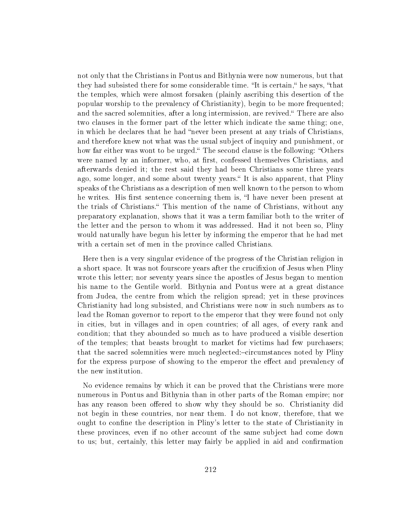not only that the Christians in Pontus and Bithynia were now numerous, but that they had subsisted there for some considerable time. "It is certain," he says, "that the temples, which were almost forsaken (plainly ascribing this desertion of the popular worship to the prevalency of Christianity), begin to be more frequented; and the sacred solemnities, after a long intermission, are revived. There are also two clauses in the former part of the letter which indicate the same thing; one, in which he declares that he had "never been present at any trials of Christians, and therefore knew not what was the usual subject of inquiry and punishment, or how far either was wont to be urged. The second clause is the following: "Others" were named by an informer, who, at first, confessed themselves Christians, and afterwards denied it; the rest said they had been Christians some three years ago, some longer, and some about twenty years." It is also apparent, that Pliny speaks of the Christians as a description of men well known to the person to whom he writes. His first sentence concerning them is, "I have never been present at the trials of Christians. This mention of the name of Christians, without any preparatory explanation, shows that it was a term familiar both to the writer of the letter and the person to whom it was addressed. Had it not been so, Pliny would naturally have begun his letter by informing the emperor that he had met with a certain set of men in the province called Christians.

Here then is a very singular evidence of the progress of the Christian religion in a short space. It was not fourscore years after the crucifixion of Jesus when Pliny wrote this letter; nor seventy years since the apostles of Jesus began to mention his name to the Gentile world. Bithynia and Pontus were at a great distance from Judea, the centre from which the religion spread; yet in these provinces Christianity had long subsisted, and Christians were now in such numbers as to lead the Roman governor to report to the emperor that they were found not only in cities, but in villages and in open countries; of all ages, of every rank and condition; that they abounded so much as to have produced a visible desertion of the temples; that beasts brought to market for victims had few purchasers; that the sacred solemnities were much neglected:-circumstances noted by Pliny for the express purpose of showing to the emperor the effect and prevalency of the new institution.

No evidence remains by which it can be proved that the Christians were more numerous in Pontus and Bithynia than in other parts of the Roman empire; nor has any reason been offered to show why they should be so. Christianity did not begin in these countries, nor near them. I do not know, therefore, that we ought to confine the description in Pliny's letter to the state of Christianity in these provinces, even if no other account of the same subject had come down to us; but, certainly, this letter may fairly be applied in aid and conrmation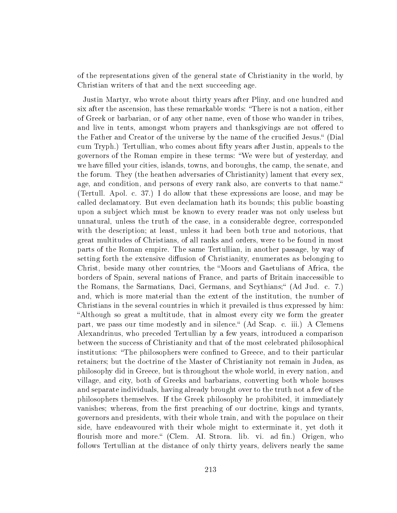of the representations given of the general state of Christianity in the world, by Christian writers of that and the next succeeding age.

Justin Martyr, who wrote about thirty years after Pliny, and one hundred and six after the ascension, has these remarkable words: There is not a nation, either of Greek or barbarian, or of any other name, even of those who wander in tribes, and live in tents, amongst whom prayers and thanksgivings are not offered to the Father and Creator of the universe by the name of the crucified Jesus." (Dial cum Tryph.) Tertullian, who comes about fty years after Justin, appeals to the governors of the Roman empire in these terms: We were but of yesterday, and we have filled your cities, islands, towns, and boroughs, the camp, the senate, and the forum. They (the heathen adversaries of Christianity) lament that every sex, age, and condition, and persons of every rank also, are converts to that name. (Tertull. Apol. c. 37.) I do allow that these expressions are loose, and may be called declamatory. But even declamation hath its bounds; this public boasting upon a subject which must be known to every reader was not only useless but unnatural, unless the truth of the case, in a considerable degree, corresponded with the description; at least, unless it had been both true and notorious, that great multitudes of Christians, of all ranks and orders, were to be found in most parts of the Roman empire. The same Tertullian, in another passage, by way of setting forth the extensive diffusion of Christianity, enumerates as belonging to Christ, beside many other countries, the "Moors and Gaetulians of Africa, the borders of Spain, several nations of France, and parts of Britain inaccessible to the Romans, the Sarmatians, Daci, Germans, and Scythians; (Ad Jud. c. 7.) and, which is more material than the extent of the institution, the number of Christians in the several countries in which it prevailed is thus expressed by him: Although so great a multitude, that in almost every city we form the greater part, we pass our time modestly and in silence." (Ad Scap. c. iii.) A Clemens Alexandrinus, who preceded Tertullian by a few years, introduced a comparison between the success of Christianity and that of the most celebrated philosophical institutions: "The philosophers were confined to Greece, and to their particular retainers; but the doctrine of the Master of Christianity not remain in Judea, as philosophy did in Greece, but is throughout the whole world, in every nation, and village, and city, both of Greeks and barbarians, converting both whole houses and separate individuals, having already brought over to the truth not a few of the philosophers themselves. If the Greek philosophy he prohibited, it immediately vanishes; whereas, from the first preaching of our doctrine, kings and tyrants, governors and presidents, with their whole train, and with the populace on their side, have endeavoured with their whole might to exterminate it, yet doth it flourish more and more. (Clem. AI. Strora. lib. vi. ad fin.) Origen, who follows Tertullian at the distance of only thirty years, delivers nearly the same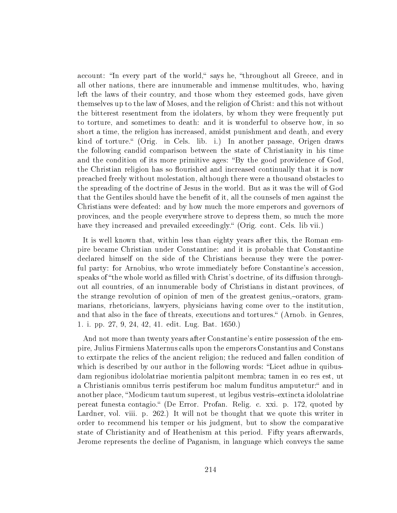account: "In every part of the world," says he, "throughout all Greece, and in all other nations, there are innumerable and immense multitudes, who, having left the laws of their country, and those whom they esteemed gods, have given themselves up to the law of Moses, and the religion of Christ: and this not without the bitterest resentment from the idolaters, by whom they were frequently put to torture, and sometimes to death: and it is wonderful to observe how, in so short a time, the religion has increased, amidst punishment and death, and every kind of torture." (Orig. in Cels. lib. i.) In another passage, Origen draws the following candid comparison between the state of Christianity in his time and the condition of its more primitive ages: "By the good providence of God, the Christian religion has so flourished and increased continually that it is now preached freely without molestation, although there were a thousand obstacles to the spreading of the doctrine of Jesus in the world. But as it was the will of God that the Gentiles should have the benefit of it, all the counsels of men against the Christians were defeated: and by how much the more emperors and governors of provinces, and the people everywhere strove to depress them, so much the more have they increased and prevailed exceedingly." (Orig. cont. Cels. lib vii.)

It is well known that, within less than eighty years after this, the Roman empire became Christian under Constantine: and it is probable that Constantine declared himself on the side of the Christians because they were the powerful party: for Arnobius, who wrote immediately before Constantine's accession, speaks of "the whole world as filled with Christ's doctrine, of its diffusion throughout all countries, of an innumerable body of Christians in distant provinces, of the strange revolution of opinion of men of the greatest genius,-orators, grammarians, rhetoricians, lawyers, physicians having come over to the institution, and that also in the face of threats, executions and tortures. (Arnob. in Genres, 1. i. pp. 27, 9, 24, 42, 41. edit. Lug. Bat. 1650.)

And not more than twenty years after Constantine's entire possession of the empire, Julius Firmiens Maternus calls upon the emperors Constantius and Constans to extirpate the relics of the ancient religion; the reduced and fallen condition of which is described by our author in the following words: "Licet adhue in quibusdam regionibus idololatriae morientia palpitont membra; tamen in eo res est, ut a Christianis omnibus terris pestiferum hoc malum funditus amputetur:" and in another place, "Modicum tautum superest, ut legibus vestris-extincta idololatriae pereat funesta contagio. (De Error. Profan. Relig. c. xxi. p. 172, quoted by Lardner, vol. viii. p. 262.) It will not be thought that we quote this writer in order to recommend his temper or his judgment, but to show the comparative state of Christianity and of Heathenism at this period. Fifty years afterwards, Jerome represents the decline of Paganism, in language which conveys the same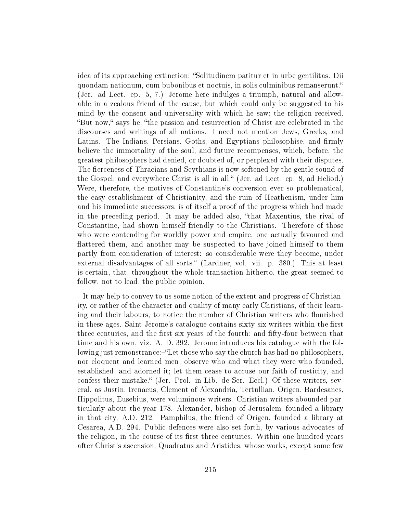idea of its approaching extinction: "Solitudinem patitur et in urbe gentilitas. Dii quondam nationum, cum bubonibus et noctuis, in solis culminibus remanserunt. (Jer. ad Lect. ep. 5, 7.) Jerome here indulges a triumph, natural and allowable in a zealous friend of the cause, but which could only be suggested to his mind by the consent and universality with which he saw; the religion received. "But now," says he, "the passion and resurrection of Christ are celebrated in the discourses and writings of all nations. I need not mention Jews, Greeks, and Latins. The Indians, Persians, Goths, and Egyptians philosophise, and firmly believe the immortality of the soul, and future recompenses, which, before, the greatest philosophers had denied, or doubted of, or perplexed with their disputes. The fierceness of Thracians and Scythians is now softened by the gentle sound of the Gospel; and everywhere Christ is all in all. (Jer. ad Lect. ep. 8, ad Heliod.) Were, therefore, the motives of Constantine's conversion ever so problematical, the easy establishment of Christianity, and the ruin of Heathenism, under him and his immediate successors, is of itself a proof of the progress which had made in the preceding period. It may be added also, "that Maxentius, the rival of Constantine, had shown himself friendly to the Christians. Therefore of those who were contending for worldly power and empire, one actually favoured and attered them, and another may be suspected to have joined himself to them partly from consideration of interest: so considerable were they become, under external disadvantages of all sorts." (Lardner, vol. vii. p. 380.) This at least is certain, that, throughout the whole transaction hitherto, the great seemed to follow, not to lead, the public opinion.

It may help to convey to us some notion of the extent and progress of Christianity, or rather of the character and quality of many early Christians, of their learning and their labours, to notice the number of Christian writers who flourished in these ages. Saint Jerome's catalogue contains sixty-six writers within the first three centuries, and the first six years of the fourth; and fifty-four between that time and his own, viz. A. D. 392. Jerome introduces his catalogue with the following just remonstrance:—"Let those who say the church has had no philosophers, nor eloquent and learned men, observe who and what they were who founded, established, and adorned it; let them cease to accuse our faith of rusticity, and confess their mistake. (Jer. Prol. in Lib. de Ser. Eccl.) Of these writers, several, as Justin, Irenaeus, Clement of Alexandria, Tertullian, Origen, Bardesanes, Hippolitus, Eusebius, were voluminous writers. Christian writers abounded particularly about the year 178. Alexander, bishop of Jerusalem, founded a library in that city, A.D. 212. Pamphilus, the friend of Origen, founded a library at Cesarea, A.D. 294. Public defences were also set forth, by various advocates of the religion, in the course of its first three centuries. Within one hundred years after Christ's ascension, Quadratus and Aristides, whose works, except some few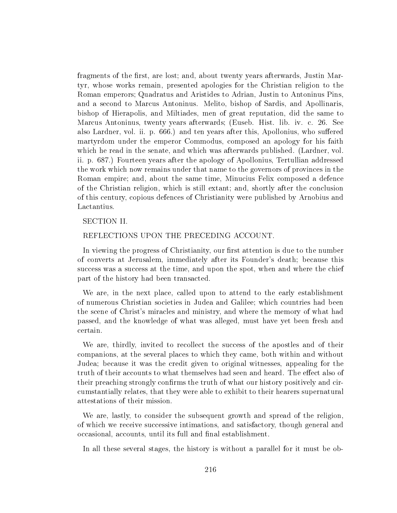fragments of the first, are lost; and, about twenty years afterwards, Justin Martyr, whose works remain, presented apologies for the Christian religion to the Roman emperors; Quadratus and Aristides to Adrian, Justin to Antoninus Pins, and a second to Marcus Antoninus. Melito, bishop of Sardis, and Apollinaris, bishop of Hierapolis, and Miltiades, men of great reputation, did the same to Marcus Antoninus, twenty years afterwards; (Euseb. Hist. lib. iv. c. 26. See also Lardner, vol. ii. p. 666.) and ten years after this, Apollonius, who suffered martyrdom under the emperor Commodus, composed an apology for his faith which he read in the senate, and which was afterwards published. (Lardner, vol. ii. p. 687.) Fourteen years after the apology of Apollonius, Tertullian addressed the work which now remains under that name to the governors of provinces in the Roman empire; and, about the same time, Minucius Felix composed a defence of the Christian religion, which is still extant; and, shortly after the conclusion of this century, copious defences of Christianity were published by Arnobius and Lactantius.

### SECTION II.

## REFLECTIONS UPON THE PRECEDING ACCOUNT.

In viewing the progress of Christianity, our first attention is due to the number of converts at Jerusalem, immediately after its Founder's death; because this success was a success at the time, and upon the spot, when and where the chief part of the history had been transacted.

We are, in the next place, called upon to attend to the early establishment of numerous Christian societies in Judea and Galilee; which countries had been the scene of Christ's miracles and ministry, and where the memory of what had passed, and the knowledge of what was alleged, must have yet been fresh and certain.

We are, thirdly, invited to recollect the success of the apostles and of their companions, at the several places to which they came, both within and without Judea; because it was the credit given to original witnesses, appealing for the truth of their accounts to what themselves had seen and heard. The effect also of their preaching strongly confirms the truth of what our history positively and circumstantially relates, that they were able to exhibit to their hearers supernatural attestations of their mission.

We are, lastly, to consider the subsequent growth and spread of the religion, of which we receive successive intimations, and satisfactory, though general and occasional, accounts, until its full and final establishment.

In all these several stages, the history is without a parallel for it must be ob-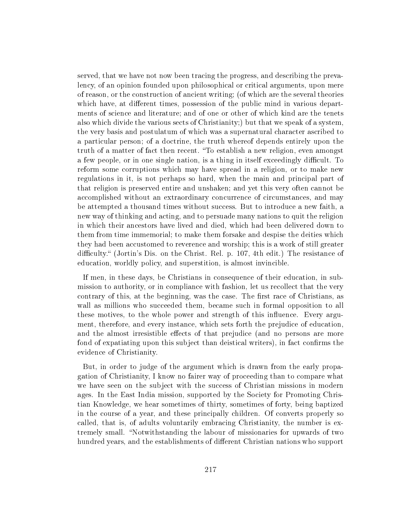served, that we have not now been tracing the progress, and describing the prevalency, of an opinion founded upon philosophical or critical arguments, upon mere of reason, or the construction of ancient writing; (of which are the several theories which have, at different times, possession of the public mind in various departments of science and literature; and of one or other of which kind are the tenets also which divide the various sects of Christianity;) but that we speak of a system, the very basis and postulatum of which was a supernatural character ascribed to a particular person; of a doctrine, the truth whereof depends entirely upon the truth of a matter of fact then recent. "To establish a new religion, even amongst a few people, or in one single nation, is a thing in itself exceedingly difficult. To reform some corruptions which may have spread in a religion, or to make new regulations in it, is not perhaps so hard, when the main and principal part of that religion is preserved entire and unshaken; and yet this very often cannot be accomplished without an extraordinary concurrence of circumstances, and may be attempted a thousand times without success. But to introduce a new faith, a new way of thinking and acting, and to persuade many nations to quit the religion in which their ancestors have lived and died, which had been delivered down to them from time immemorial; to make them forsake and despise the deities which they had been accustomed to reverence and worship; this is a work of still greater difficulty. (Jortin's Dis. on the Christ. Rel. p. 107, 4th edit.) The resistance of education, worldly policy, and superstition, is almost invincible.

If men, in these days, be Christians in consequence of their education, in submission to authority, or in compliance with fashion, let us recollect that the very contrary of this, at the beginning, was the case. The first race of Christians, as wall as millions who succeeded them, became such in formal opposition to all these motives, to the whole power and strength of this influence. Every argument, therefore, and every instance, which sets forth the prejudice of education, and the almost irresistible effects of that prejudice (and no persons are more fond of expatiating upon this subject than deistical writers), in fact confirms the evidence of Christianity.

But, in order to judge of the argument which is drawn from the early propagation of Christianity, I know no fairer way of proceeding than to compare what we have seen on the subject with the success of Christian missions in modern ages. In the East India mission, supported by the Society for Promoting Christian Knowledge, we hear sometimes of thirty, sometimes of forty, being baptized in the course of a year, and these principally children. Of converts properly so called, that is, of adults voluntarily embracing Christianity, the number is extremely small. "Notwithstanding the labour of missionaries for upwards of two hundred years, and the establishments of different Christian nations who support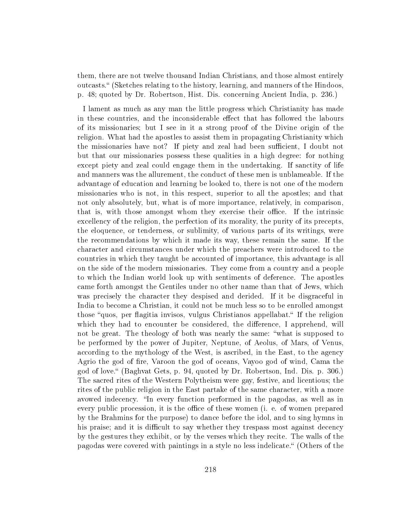them, there are not twelve thousand Indian Christians, and those almost entirely outcasts." (Sketches relating to the history, learning, and manners of the Hindoos, p. 48; quoted by Dr. Robertson, Hist. Dis. concerning Ancient India, p. 236.)

I lament as much as any man the little progress which Christianity has made in these countries, and the inconsiderable effect that has followed the labours of its missionaries; but I see in it a strong proof of the Divine origin of the religion. What had the apostles to assist them in propagating Christianity which the missionaries have not? If piety and zeal had been sufficient, I doubt not but that our missionaries possess these qualities in a high degree: for nothing except piety and zeal could engage them in the undertaking. If sanctity of life and manners was the allurement, the conduct of these men is unblameable. If the advantage of education and learning be looked to, there is not one of the modern missionaries who is not, in this respect, superior to all the apostles; and that not only absolutely, but, what is of more importance, relatively, in comparison, that is, with those amongst whom they exercise their office. If the intrinsic excellency of the religion, the perfection of its morality, the purity of its precepts, the eloquence, or tenderness, or sublimity, of various parts of its writings, were the recommendations by which it made its way, these remain the same. If the character and circumstances under which the preachers were introduced to the countries in which they taught be accounted of importance, this advantage is all on the side of the modern missionaries. They come from a country and a people to which the Indian world look up with sentiments of deference. The apostles came forth amongst the Gentiles under no other name than that of Jews, which was precisely the character they despised and derided. If it be disgraceful in India to become a Christian, it could not be much less so to be enrolled amongst those "quos, per flagitia invisos, vulgus Christianos appellabat." If the religion which they had to encounter be considered, the difference, I apprehend, will not be great. The theology of both was nearly the same: "what is supposed to be performed by the power of Jupiter, Neptune, of Aeolus, of Mars, of Venus, according to the mythology of the West, is ascribed, in the East, to the agency Agrio the god of fire, Varoon the god of oceans, Vayoo god of wind, Cama the god of love. (Baghvat Gets, p. 94, quoted by Dr. Robertson, Ind. Dis. p. 306.) The sacred rites of the Western Polytheism were gay, festive, and licentious; the rites of the public religion in the East partake of the same character, with a more avowed indecency. "In every function performed in the pagodas, as well as in every public procession, it is the office of these women (i. e. of women prepared by the Brahmins for the purpose) to dance before the idol, and to sing hymns in his praise; and it is difficult to say whether they trespass most against decency by the gestures they exhibit, or by the verses which they recite. The walls of the pagodas were covered with paintings in a style no less indelicate. (Others of the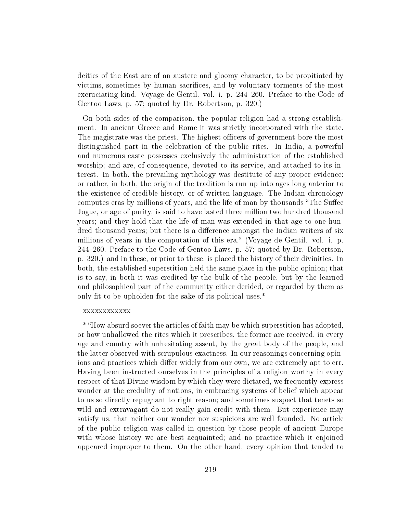deities of the East are of an austere and gloomy character, to be propitiated by victims, sometimes by human sacrifices, and by voluntary torments of the most excruciating kind. Voyage de Gentil. vol. i. p. 244–260. Preface to the Code of Gentoo Laws, p. 57; quoted by Dr. Robertson, p. 320.)

On both sides of the comparison, the popular religion had a strong establishment. In ancient Greece and Rome it was strictly incorporated with the state. The magistrate was the priest. The highest officers of government bore the most distinguished part in the celebration of the public rites. In India, a powerful and numerous caste possesses exclusively the administration of the established worship; and are, of consequence, devoted to its service, and attached to its interest. In both, the prevailing mythology was destitute of any proper evidence: or rather, in both, the origin of the tradition is run up into ages long anterior to the existence of credible history, or of written language. The Indian chronology computes eras by millions of years, and the life of man by thousands "The Suffec Jogue, or age of purity, is said to have lasted three million two hundred thousand years; and they hold that the life of man was extended in that age to one hundred thousand years; but there is a difference amongst the Indian writers of six millions of years in the computation of this era." (Voyage de Gentil. vol. i. p. 244-260. Preface to the Code of Gentoo Laws, p. 57; quoted by Dr. Robertson. p. 320.) and in these, or prior to these, is placed the history of their divinities. In both, the established superstition held the same place in the public opinion; that is to say, in both it was credited by the bulk of the people, but by the learned and philosophical part of the community either derided, or regarded by them as only fit to be upholden for the sake of its political uses. $*$ 

#### xxxxxxxxxxxx

\* How absurd soever the articles of faith may be which superstition has adopted, or how unhallowed the rites which it prescribes, the former are received, in every age and country with unhesitating assent, by the great body of the people, and the latter observed with scrupulous exactness. In our reasonings concerning opinions and practices which differ widely from our own, we are extremely apt to err. Having been instructed ourselves in the principles of a religion worthy in every respect of that Divine wisdom by which they were dictated, we frequently express wonder at the credulity of nations, in embracing systems of belief which appear to us so directly repugnant to right reason; and sometimes suspect that tenets so wild and extravagant do not really gain credit with them. But experience may satisfy us, that neither our wonder nor suspicions are well founded. No article of the public religion was called in question by those people of ancient Europe with whose history we are best acquainted; and no practice which it enjoined appeared improper to them. On the other hand, every opinion that tended to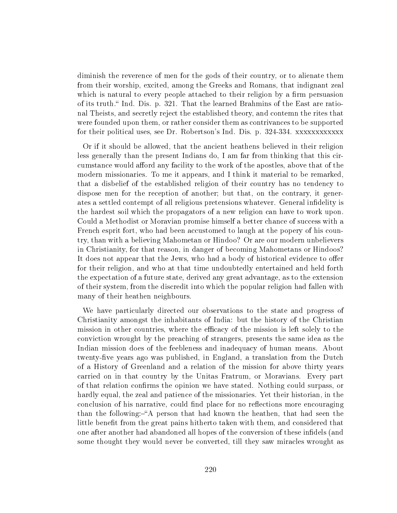diminish the reverence of men for the gods of their country, or to alienate them from their worship, excited, among the Greeks and Romans, that indignant zeal which is natural to every people attached to their religion by a firm persuasion of its truth. Ind. Dis. p. 321. That the learned Brahmins of the East are rational Theists, and secretly reject the established theory, and contemn the rites that were founded upon them, or rather consider them as contrivances to be supported for their political uses, see Dr. Robertson's Ind. Dis. p. 324-334. xxxxxxxxxxxx

Or if it should be allowed, that the ancient heathens believed in their religion less generally than the present Indians do, I am far from thinking that this circumstance would afford any facility to the work of the apostles, above that of the modern missionaries. To me it appears, and I think it material to be remarked, that a disbelief of the established religion of their country has no tendency to dispose men for the reception of another; but that, on the contrary, it generates a settled contempt of all religious pretensions whatever. General indelity is the hardest soil which the propagators of a new religion can have to work upon. Could a Methodist or Moravian promise himself a better chance of success with a French esprit fort, who had been accustomed to laugh at the popery of his country, than with a believing Mahometan or Hindoo? Or are our modern unbelievers in Christianity, for that reason, in danger of becoming Mahometans or Hindoos? It does not appear that the Jews, who had a body of historical evidence to offer for their religion, and who at that time undoubtedly entertained and held forth the expectation of a future state, derived any great advantage, as to the extension of their system, from the discredit into which the popular religion had fallen with many of their heathen neighbours.

We have particularly directed our observations to the state and progress of Christianity amongst the inhabitants of India: but the history of the Christian mission in other countries, where the efficacy of the mission is left solely to the conviction wrought by the preaching of strangers, presents the same idea as the Indian mission does of the feebleness and inadequacy of human means. About twenty-five years ago was published, in England, a translation from the Dutch of a History of Greenland and a relation of the mission for above thirty years carried on in that country by the Unitas Fratrum, or Moravians. Every part of that relation confirms the opinion we have stated. Nothing could surpass, or hardly equal, the zeal and patience of the missionaries. Yet their historian, in the conclusion of his narrative, could find place for no reflections more encouraging than the following:—"A person that had known the heathen, that had seen the little benefit from the great pains hitherto taken with them, and considered that one after another had abandoned all hopes of the conversion of these infidels (and some thought they would never be converted, till they saw miracles wrought as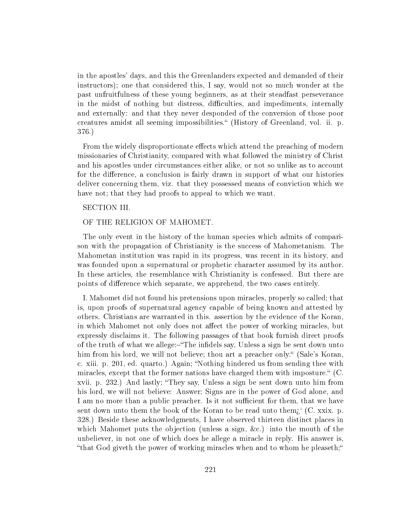in the apostles' days, and this the Greenlanders expected and demanded of their instructors); one that considered this, I say, would not so much wonder at the past unfruitfulness of these young beginners, as at their steadfast perseverance in the midst of nothing but distress, difficulties, and impediments, internally and externally: and that they never desponded of the conversion of those poor creatures amidst all seeming impossibilities. (History of Greenland, vol. ii. p. 376.)

From the widely disproportionate effects which attend the preaching of modern missionaries of Christianity, compared with what followed the ministry of Christ and his apostles under circumstances either alike, or not so unlike as to account for the difference, a conclusion is fairly drawn in support of what our histories deliver concerning them, viz. that they possessed means of conviction which we have not; that they had proofs to appeal to which we want.

## SECTION III.

#### OF THE RELIGION OF MAHOMET.

The only event in the history of the human species which admits of comparison with the propagation of Christianity is the success of Mahometanism. The Mahometan institution was rapid in its progress, was recent in its history, and was founded upon a supernatural or prophetic character assumed by its author. In these articles, the resemblance with Christianity is confessed. But there are points of difference which separate, we apprehend, the two cases entirely.

I. Mahomet did not found his pretensions upon miracles, properly so called; that is, upon proofs of supernatural agency capable of being known and attested by others. Christians are warranted in this. assertion by the evidence of the Koran, in which Mahomet not only does not affect the power of working miracles, but expressly disclaims it. The following passages of that book furnish direct proofs of the truth of what we allege:—"The infidels say, Unless a sign be sent down unto him from his lord, we will not believe; thou art a preacher only." (Sale's Koran, c. xiii. p. 201, ed. quarto.) Again; "Nothing hindered us from sending thee with miracles, except that the former nations have charged them with imposture.  $\mathcal{C}$ . xvii. p. 232.) And lastly; They say, Unless a sign be sent down unto him from his lord, we will not believe: Answer; Signs are in the power of God alone, and I am no more than a public preacher. Is it not sufficient for them, that we have sent down unto them the book of the Koran to be read unto them;  $(C. x$ xix. p. 328.) Beside these acknowledgments, I have observed thirteen distinct places in which Mahomet puts the objection (unless a sign, &c.) into the mouth of the unbeliever, in not one of which does he allege a miracle in reply. His answer is, "that God giveth the power of working miracles when and to whom he pleaseth;"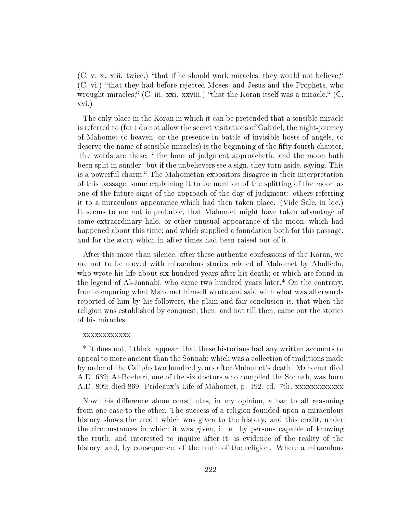$(C. v. x. xiii. twice.)$  "that if he should work miracles, they would not believe;" (C. vi.) that they had before rejected Moses, and Jesus and the Prophets, who wrought miracles; "(C. iii. xxi. xxviii.) "that the Koran itself was a miracle." (C. xvi.)

The only place in the Koran in which it can be pretended that a sensible miracle is referred to (for I do not allow the secret visitations of Gabriel, the night-journey of Mahomet to heaven, or the presence in battle of invisible hosts of angels, to deserve the name of sensible miracles) is the beginning of the fty-fourth chapter. The words are these:—"The hour of judgment approacheth, and the moon hath been split in sunder: but if the unbelievers see a sign, they turn aside, saying, This is a powerful charm." The Mahometan expositors disagree in their interpretation of this passage; some explaining it to be mention of the splitting of the moon as one of the future signs of the approach of the day of judgment: others referring it to a miraculous appearance which had then taken place. (Vide Sale, in loc.) It seems to me not improbable, that Mahomet might have taken advantage of some extraordinary halo, or other unusual appearance of the moon, which had happened about this time; and which supplied a foundation both for this passage, and for the story which in after times had been raised out of it.

After this more than silence, after these authentic confessions of the Koran, we are not to be moved with miraculous stories related of Mahomet by Abulfeda, who wrote his life about six hundred years after his death; or which are found in the legend of Al-Jannabi, who came two hundred years later.\* On the contrary, from comparing what Mahomet himself wrote and said with what was afterwards reported of him by his followers, the plain and fair conclusion is, that when the religion was established by conquest, then, and not till then, came out the stories of his miracles.

## xxxxxxxxxxxx

\* It does not, I think, appear, that these historians had any written accounts to appeal to more ancient than the Sonnah; which was a collection of traditions made by order of the Caliphs two hundred years after Mahomet's death. Mahomet died A.D. 632; Al-Bochari, one of the six doctors who compiled the Sonnah, was born A.D. 809; died 869. Prideaux's Life of Mahomet, p. 192, ed. 7th. xxxxxxxxxxxx

Now this difference alone constitutes, in my opinion, a bar to all reasoning from one case to the other. The success of a religion founded upon a miraculous history shows the credit which was given to the history; and this credit, under the circumstances in which it was given, i. e. by persons capable of knowing the truth, and interested to inquire after it, is evidence of the reality of the history, and, by consequence, of the truth of the religion. Where a miraculous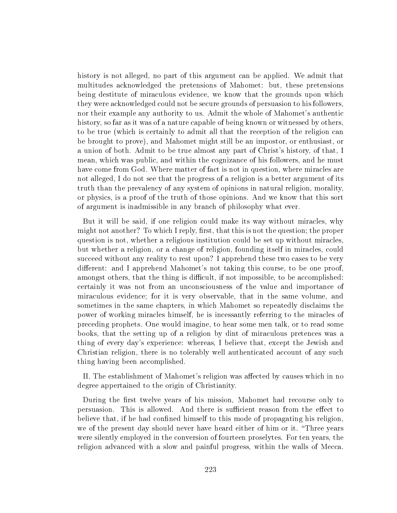history is not alleged, no part of this argument can be applied. We admit that multitudes acknowledged the pretensions of Mahomet: but, these pretensions being destitute of miraculous evidence, we know that the grounds upon which they were acknowledged could not be secure grounds of persuasion to his followers, nor their example any authority to us. Admit the whole of Mahomet's authentic history, so far as it was of a nature capable of being known or witnessed by others, to be true (which is certainly to admit all that the reception of the religion can be brought to prove), and Mahomet might still be an impostor, or enthusiast, or a union of both. Admit to be true almost any part of Christ's history, of that, I mean, which was public, and within the cognizance of his followers, and he must have come from God. Where matter of fact is not in question, where miracles are not alleged, I do not see that the progress of a religion is a better argument of its truth than the prevalency of any system of opinions in natural religion, morality, or physics, is a proof of the truth of those opinions. And we know that this sort of argument is inadmissible in any branch of philosophy what ever.

But it will be said, if one religion could make its way without miracles, why might not another? To which I reply, first, that this is not the question; the proper question is not, whether a religious institution could be set up without miracles, but whether a religion, or a change of religion, founding itself in miracles, could succeed without any reality to rest upon? I apprehend these two cases to be very different: and I apprehend Mahomet's not taking this course, to be one proof, amongst others, that the thing is difficult, if not impossible, to be accomplished: certainly it was not from an unconsciousness of the value and importance of miraculous evidence; for it is very observable, that in the same volume, and sometimes in the same chapters, in which Mahomet so repeatedly disclaims the power of working miracles himself, he is incessantly referring to the miracles of preceding prophets. One would imagine, to hear some men talk, or to read some books, that the setting up of a religion by dint of miraculous pretences was a thing of every day's experience: whereas, I believe that, except the Jewish and Christian religion, there is no tolerably well authenticated account of any such thing having been accomplished.

II. The establishment of Mahomet's religion was affected by causes which in no degree appertained to the origin of Christianity.

During the first twelve years of his mission, Mahomet had recourse only to persuasion. This is allowed. And there is sufficient reason from the effect to believe that, if he had confined himself to this mode of propagating his religion, we of the present day should never have heard either of him or it. "Three years" were silently employed in the conversion of fourteen proselytes. For ten years, the religion advanced with a slow and painful progress, within the walls of Mecca.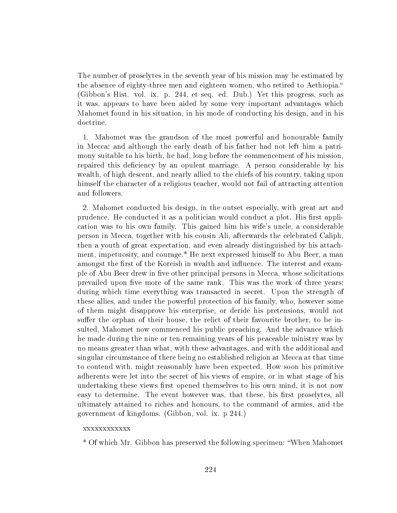The number of proselytes in the seventh year of his mission may be estimated by the absence of eighty-three men and eighteen women, who retired to Aethiopia. (Gibbon's Hist. vol. ix. p. 244, et seq. ed. Dub.) Yet this progress, such as it was, appears to have been aided by some very important advantages which Mahomet found in his situation, in his mode of conducting his design, and in his doctrine.

1. Mahomet was the grandson of the most powerful and honourable family in Mecca; and although the early death of his father had not left him a patrimony suitable to his birth, he had, long before the commencement of his mission, repaired this deficiency by an opulent marriage. A person considerable by his wealth, of high descent, and nearly allied to the chiefs of his country, taking upon himself the character of a religious teacher, would not fail of attracting attention and followers.

2. Mahomet conducted his design, in the outset especially, with great art and prudence. He conducted it as a politician would conduct a plot. His first application was to his own family. This gained him his wife's uncle, a considerable person in Mecca, together with his cousin Ali, afterwards the celebrated Caliph, then a youth of great expectation, and even already distinguished by his attachment, impetuosity, and courage.\* He next expressed himself to Abu Beer, a man amongst the first of the Koreish in wealth and influence. The interest and example of Abu Beer drew in five other principal persons in Mecca, whose solicitations prevailed upon five more of the same rank. This was the work of three years; during which time everything was transacted in secret. Upon the strength of these allies, and under the powerful protection of his family, who, however some of them might disapprove his enterprise, or deride his pretensions, would not suffer the orphan of their house, the relict of their favourite brother, to be insulted, Mahomet now commenced his public preaching. And the advance which he made during the nine or ten remaining years of his peaceable ministry was by no means greater than what, with these advantages, and with the additional and singular circumstance of there being no established religion at Mecca at that time to contend with, might reasonably have been expected. How soon his primitive adherents were let into the secret of his views of empire, or in what stage of his undertaking these views first opened themselves to his own mind, it is not now easy to determine. The event however was, that these, his first proselytes, all ultimately attained to riches and honours, to the command of armies, and the government of kingdoms. (Gibbon, vol. ix. p 244.)

## xxxxxxxxxxxx

\* Of which Mr. Gibbon has preserved the following specimen: When Mahomet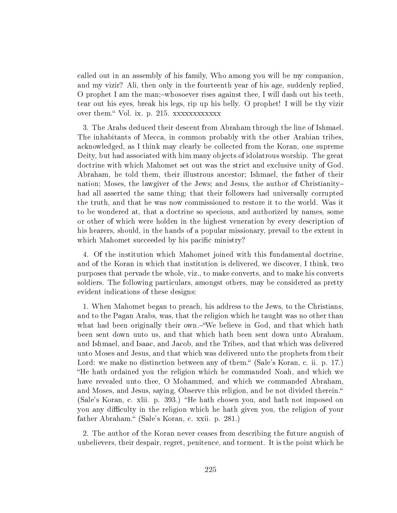called out in an assembly of his family, Who among you will be my companion, and my vizir? Ali, then only in the fourteenth year of his age, suddenly replied, O prophet I am the man;-whosoever rises against thee, I will dash out his teeth, tear out his eyes, break his legs, rip up his belly. O prophet! I will be thy vizir over them. Vol. ix. p. 215. xxxxxxxxxxxx

3. The Arabs deduced their descent from Abraham through the line of Ishmael. The inhabitants of Mecca, in common probably with the other Arabian tribes, acknowledged, as I think may clearly be collected from the Koran, one supreme Deity, but had associated with him many objects of idolatrous worship. The great doctrine with which Mahomet set out was the strict and exclusive unity of God. Abraham, he told them, their illustrous ancestor; Ishmael, the father of their nation; Moses, the lawgiver of the Jews; and Jesus, the author of Christianity had all asserted the same thing; that their followers had universally corrupted the truth, and that he was now commissioned to restore it to the world. Was it to be wondered at, that a doctrine so specious, and authorized by names, some or other of which were holden in the highest veneration by every description of his hearers, should, in the hands of a popular missionary, prevail to the extent in which Mahomet succeeded by his pacific ministry?

4. Of the institution which Mahomet joined with this fundamental doctrine, and of the Koran in which that institution is delivered, we discover, I think, two purposes that pervade the whole, viz., to make converts, and to make his converts soldiers. The following particulars, amongst others, may be considered as pretty evident indications of these designs:

1. When Mahomet began to preach, his address to the Jews, to the Christians, and to the Pagan Arabs, was, that the religion which he taught was no other than what had been originally their own.—"We believe in God, and that which hath been sent down unto us, and that which hath been sent down unto Abraham, and Ishmael, and Isaac, and Jacob, and the Tribes, and that which was delivered unto Moses and Jesus, and that which was delivered unto the prophets from their Lord: we make no distinction between any of them." (Sale's Koran, c. ii. p. 17.) He hath ordained you the religion which he commanded Noah, and which we have revealed unto thee, O Mohammed, and which we commanded Abraham, and Moses, and Jesus, saying, Observe this religion, and be not divided therein. (Sale's Koran, c. xlii. p. 393.) "He hath chosen you, and hath not imposed on you any difficulty in the religion which he hath given you, the religion of your father Abraham." (Sale's Koran, c. xxii. p. 281.)

2. The author of the Koran never ceases from describing the future anguish of unbelievers, their despair, regret, penitence, and torment. It is the point which he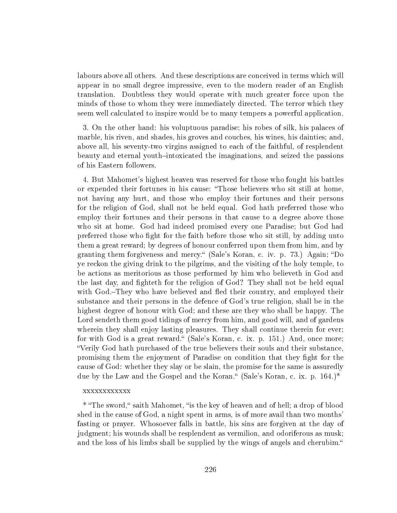labours above all others. And these descriptions are conceived in terms which will appear in no small degree impressive, even to the modern reader of an English translation. Doubtless they would operate with much greater force upon the minds of those to whom they were immediately directed. The terror which they seem well calculated to inspire would be to many tempers a powerful application.

3. On the other hand: his voluptuous paradise; his robes of silk, his palaces of marble, his riven, and shades, his groves and couches, his wines, his dainties; and, above all, his seventy-two virgins assigned to each of the faithful, of resplendent beauty and eternal youth-intoxicated the imaginations, and seized the passions of his Eastern followers.

4. But Mahomet's highest heaven was reserved for those who fought his battles or expended their fortunes in his cause: Those believers who sit still at home, not having any hurt, and those who employ their fortunes and their persons for the religion of God, shall not be held equal. God hath preferred those who employ their fortunes and their persons in that cause to a degree above those who sit at home. God had indeed promised every one Paradise; but God had preferred those who ght for the faith before those who sit still, by adding unto them a great reward; by degrees of honour conferred upon them from him, and by granting them forgiveness and mercy. "(Sale's Koran, c. iv. p. 73.) Again; "Do ye reckon the giving drink to the pilgrims, and the visiting of the holy temple, to be actions as meritorious as those performed by him who believeth in God and the last day, and fighteth for the religion of God? They shall not be held equal with God.–They who have believed and fled their country, and employed their substance and their persons in the defence of God's true religion, shall be in the highest degree of honour with God; and these are they who shall be happy. The Lord sendeth them good tidings of mercy from him, and good will, and of gardens wherein they shall enjoy lasting pleasures. They shall continue therein for ever; for with God is a great reward. (Sale's Koran, c. ix. p. 151.) And, once more; Verily God hath purchased of the true believers their souls and their substance, promising them the enjoyment of Paradise on condition that they ght for the cause of God: whether they slay or be slain, the promise for the same is assuredly due by the Law and the Gospel and the Koran." (Sale's Koran, c. ix. p.  $164.$ )\*

#### xxxxxxxxxxxx

\* "The sword," saith Mahomet, "is the key of heaven and of hell; a drop of blood shed in the cause of God, a night spent in arms, is of more avail than two months' fasting or prayer. Whosoever falls in battle, his sins are forgiven at the day of judgment; his wounds shall be resplendent as vermilion, and odoriferous as musk; and the loss of his limbs shall be supplied by the wings of angels and cherubim.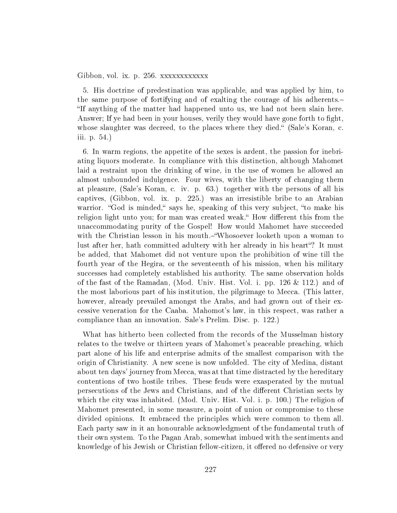Gibbon, vol. ix. p. 256. xxxxxxxxxxxx

5. His doctrine of predestination was applicable, and was applied by him, to the same purpose of fortifying and of exalting the courage of his adherents. If anything of the matter had happened unto us, we had not been slain here. Answer; If ye had been in your houses, verily they would have gone forth to fight, whose slaughter was decreed, to the places where they died." (Sale's Koran, c. iii. p. 54.)

6. In warm regions, the appetite of the sexes is ardent, the passion for inebriating liquors moderate. In compliance with this distinction, although Mahomet laid a restraint upon the drinking of wine, in the use of women he allowed an almost unbounded indulgence. Four wives, with the liberty of changing them at pleasure, (Sale's Koran, c. iv. p. 63.) together with the persons of all his captives, (Gibbon, vol. ix. p. 225.) was an irresistible bribe to an Arabian warrior. "God is minded," says he, speaking of this very subject, "to make his religion light unto you; for man was created weak." How different this from the unaccommodating purity of the Gospel! How would Mahomet have succeeded with the Christian lesson in his mouth.—"Whosoever looketh upon a woman to lust after her, hath committed adultery with her already in his heart"? It must be added, that Mahomet did not venture upon the prohibition of wine till the fourth year of the Hegira, or the seventeenth of his mission, when his military successes had completely established his authority. The same observation holds of the fast of the Ramadan, (Mod. Univ. Hist. Vol. i. pp. 126 & 112.) and of the most laborious part of his institution, the pilgrimage to Mecca. (This latter, however, already prevailed amongst the Arabs, and had grown out of their excessive veneration for the Caaba. Mahomot's law, in this respect, was rather a compliance than an innovation. Sale's Prelim. Disc. p. 122.)

What has hitherto been collected from the records of the Musselman history relates to the twelve or thirteen years of Mahomet's peaceable preaching, which part alone of his life and enterprise admits of the smallest comparison with the origin of Christianity. A new scene is now unfolded. The city of Medina, distant about ten days' journey from Mecca, was at that time distracted by the hereditary contentions of two hostile tribes. These feuds were exasperated by the mutual persecutions of the Jews and Christians, and of the different Christian sects by which the city was inhabited. (Mod. Univ. Hist. Vol. i. p. 100.) The religion of Mahomet presented, in some measure, a point of union or compromise to these divided opinions. It embraced the principles which were common to them all. Each party saw in it an honourable acknowledgment of the fundamental truth of their own system. To the Pagan Arab, somewhat imbued with the sentiments and knowledge of his Jewish or Christian fellow-citizen, it offered no defensive or very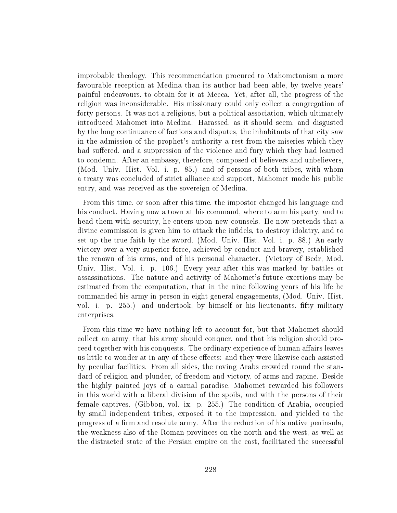improbable theology. This recommendation procured to Mahometanism a more favourable reception at Medina than its author had been able, by twelve years' painful endeavours, to obtain for it at Mecca. Yet, after all, the progress of the religion was inconsiderable. His missionary could only collect a congregation of forty persons. It was not a religious, but a political association, which ultimately introduced Mahomet into Medina. Harassed, as it should seem, and disgusted by the long continuance of factions and disputes, the inhabitants of that city saw in the admission of the prophet's authority a rest from the miseries which they had suffered, and a suppression of the violence and fury which they had learned to condemn. After an embassy, therefore, composed of believers and unbelievers, (Mod. Univ. Hist. Vol. i. p. 85.) and of persons of both tribes, with whom a treaty was concluded of strict alliance and support, Mahomet made his public entry, and was received as the sovereign of Medina.

From this time, or soon after this time, the impostor changed his language and his conduct. Having now a town at his command, where to arm his party, and to head them with security, he enters upon new counsels. He now pretends that a divine commission is given him to attack the indels, to destroy idolatry, and to set up the true faith by the sword. (Mod. Univ. Hist. Vol. i. p. 88.) An early victory over a very superior force, achieved by conduct and bravery, established the renown of his arms, and of his personal character. (Victory of Bedr, Mod. Univ. Hist. Vol. i. p. 106.) Every year after this was marked by battles or assassinations. The nature and activity of Mahomet's future exertions may be estimated from the computation, that in the nine following years of his life he commanded his army in person in eight general engagements, (Mod. Univ. Hist. vol. i. p. 255.) and undertook, by himself or his lieutenants, fifty military enterprises.

From this time we have nothing left to account for, but that Mahomet should collect an army, that his army should conquer, and that his religion should proceed together with his conquests. The ordinary experience of human affairs leaves us little to wonder at in any of these effects: and they were likewise each assisted by peculiar facilities. From all sides, the roving Arabs crowded round the standard of religion and plunder, of freedom and victory, of arms and rapine. Beside the highly painted joys of a carnal paradise, Mahomet rewarded his followers in this world with a liberal division of the spoils, and with the persons of their female captives. (Gibbon, vol. ix. p. 255.) The condition of Arabia, occupied by small independent tribes, exposed it to the impression, and yielded to the progress of a firm and resolute army. After the reduction of his native peninsula, the weakness also of the Roman provinces on the north and the west, as well as the distracted state of the Persian empire on the east, facilitated the successful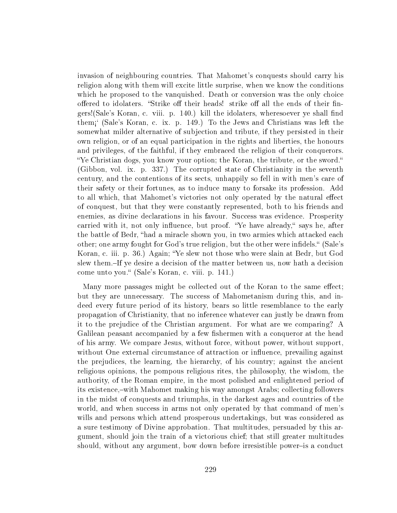invasion of neighbouring countries. That Mahomet's conquests should carry his religion along with them will excite little surprise, when we know the conditions which he proposed to the vanquished. Death or conversion was the only choice offered to idolaters. "Strike off their heads! strike off all the ends of their fingers!(Sale's Koran, c. viii. p. 140.) kill the idolaters, wheresoever ye shall find them½` (Sale's Koran, c. ix. p. 149.) To the Jews and Christians was left the somewhat milder alternative of subjection and tribute, if they persisted in their own religion, or of an equal participation in the rights and liberties, the honours and privileges, of the faithful, if they embraced the religion of their conquerors. "Ye Christian dogs, you know your option; the Koran, the tribute, or the sword." (Gibbon, vol. ix. p. 337.) The corrupted state of Christianity in the seventh century, and the contentions of its sects, unhappily so fell in with men's care of their safety or their fortunes, as to induce many to forsake its profession. Add to all which, that Mahomet's victories not only operated by the natural effect of conquest, but that they were constantly represented, both to his friends and enemies, as divine declarations in his favour. Success was evidence. Prosperity carried with it, not only influence, but proof. "Ye have already," says he, after the battle of Bedr, "had a miracle shown you, in two armies which attacked each other; one army fought for God's true religion, but the other were infidels. "(Sale's Koran, c. iii. p. 36.) Again; Ye slew not those who were slain at Bedr, but God slew them.-If ye desire a decision of the matter between us, now hath a decision come unto you." (Sale's Koran, c. viii. p. 141.)

Many more passages might be collected out of the Koran to the same effect; but they are unnecessary. The success of Mahometanism during this, and indeed every future period of its history, bears so little resemblance to the early propagation of Christianity, that no inference whatever can justly be drawn from it to the prejudice of the Christian argument. For what are we comparing? A Galilean peasant accompanied by a few fishermen with a conqueror at the head of his army. We compare Jesus, without force, without power, without support, without One external circumstance of attraction or influence, prevailing against the prejudices, the learning, the hierarchy, of his country; against the ancient religious opinions, the pompous religious rites, the philosophy, the wisdom, the authority, of the Roman empire, in the most polished and enlightened period of its existence,—with Mahomet making his way amongst Arabs; collecting followers in the midst of conquests and triumphs, in the darkest ages and countries of the world, and when success in arms not only operated by that command of men's wills and persons which attend prosperous undertakings, but was considered as a sure testimony of Divine approbation. That multitudes, persuaded by this argument, should join the train of a victorious chief; that still greater multitudes should, without any argument, bow down before irresistible power-is a conduct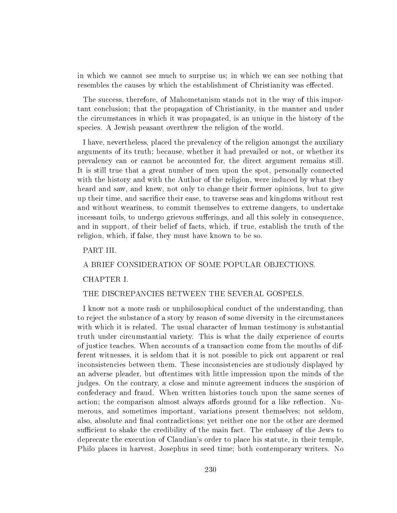in which we cannot see much to surprise us; in which we can see nothing that resembles the causes by which the establishment of Christianity was effected.

The success, therefore, of Mahometanism stands not in the way of this important conclusion; that the propagation of Christianity, in the manner and under the circumstances in which it was propagated, is an unique in the history of the species. A Jewish peasant overthrew the religion of the world.

I have, nevertheless, placed the prevalency of the religion amongst the auxiliary arguments of its truth; because, whether it had prevailed or not, or whether its prevalency can or cannot be accounted for, the direct argument remains still. It is still true that a great number of men upon the spot, personally connected with the history and with the Author of the religion, were induced by what they heard and saw, and knew, not only to change their former opinions, but to give up their time, and sacrice their ease, to traverse seas and kingdoms without rest and without weariness, to commit themselves to extreme dangers, to undertake incessant toils, to undergo grievous sufferings, and all this solely in consequence, and in support, of their belief of facts, which, if true, establish the truth of the religion, which, if false, they must have known to be so.

# PART III.

## A BRIEF CONSIDERATION OF SOME POPULAR OBJECTIONS.

## CHAPTER I.

#### THE DISCREPANCIES BETWEEN THE SEVERAL GOSPELS.

I know not a more rash or unphilosophical conduct of the understanding, than to reject the substance of a story by reason of some diversity in the circumstances with which it is related. The usual character of human testimony is substantial truth under circumstantial variety. This is what the daily experience of courts of justice teaches. When accounts of a transaction come from the mouths of different witnesses, it is seldom that it is not possible to pick out apparent or real inconsistencies between them. These inconsistencies are studiously displayed by an adverse pleader, but oftentimes with little impression upon the minds of the judges. On the contrary, a close and minute agreement induces the suspicion of confederacy and fraud. When written histories touch upon the same scenes of action; the comparison almost always affords ground for a like reflection. Numerous, and sometimes important, variations present themselves; not seldom, also, absolute and final contradictions; yet neither one nor the other are deemed sufficient to shake the credibility of the main fact. The embassy of the Jews to deprecate the execution of Claudian's order to place his statute, in their temple, Philo places in harvest, Josephus in seed time; both contemporary writers. No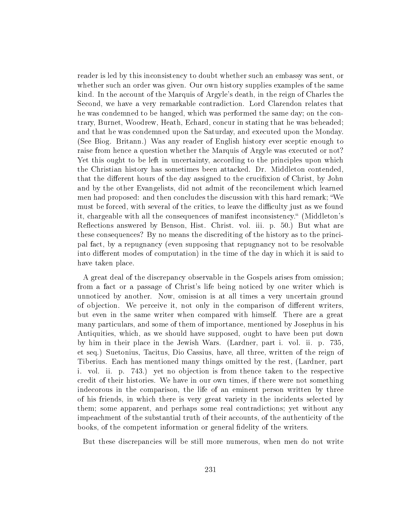reader is led by this inconsistency to doubt whether such an embassy was sent, or whether such an order was given. Our own history supplies examples of the same kind. In the account of the Marquis of Argyle's death, in the reign of Charles the Second, we have a very remarkable contradiction. Lord Clarendon relates that he was condemned to be hanged, which was performed the same day; on the contrary, Burnet, Woodrew, Heath, Echard, concur in stating that he was beheaded; and that he was condemned upon the Saturday, and executed upon the Monday. (See Biog. Britann.) Was any reader of English history ever sceptic enough to raise from hence a question whether the Marquis of Argyle was executed or not? Yet this ought to be left in uncertainty, according to the principles upon which the Christian history has sometimes been attacked. Dr. Middleton contended, that the different hours of the day assigned to the crucifixion of Christ, by John and by the other Evangelists, did not admit of the reconcilement which learned men had proposed: and then concludes the discussion with this hard remark; We must be forced, with several of the critics, to leave the difficulty just as we found it, chargeable with all the consequences of manifest inconsistency. (Middleton's Reflections answered by Benson, Hist. Christ. vol. iii. p. 50.) But what are these consequences? By no means the discrediting of the history as to the principal fact, by a repugnancy (even supposing that repugnancy not to be resolvable into different modes of computation) in the time of the day in which it is said to have taken place.

A great deal of the discrepancy observable in the Gospels arises from omission; from a fact or a passage of Christ's life being noticed by one writer which is unnoticed by another. Now, omission is at all times a very uncertain ground of objection. We perceive it, not only in the comparison of different writers. but even in the same writer when compared with himself. There are a great many particulars, and some of them of importance, mentioned by Josephus in his Antiquities, which, as we should have supposed, ought to have been put down by him in their place in the Jewish Wars. (Lardner, part i. vol. ii. p. 735, et seq.) Suetonius, Tacitus, Dio Cassius, have, all three, written of the reign of Tiberius. Each has mentioned many things omitted by the rest, (Lardner, part i. vol. ii. p. 743.) yet no objection is from thence taken to the respective credit of their histories. We have in our own times, if there were not something indecorous in the comparison, the life of an eminent person written by three of his friends, in which there is very great variety in the incidents selected by them; some apparent, and perhaps some real contradictions; yet without any impeachment of the substantial truth of their accounts, of the authenticity of the books, of the competent information or general fidelity of the writers.

But these discrepancies will be still more numerous, when men do not write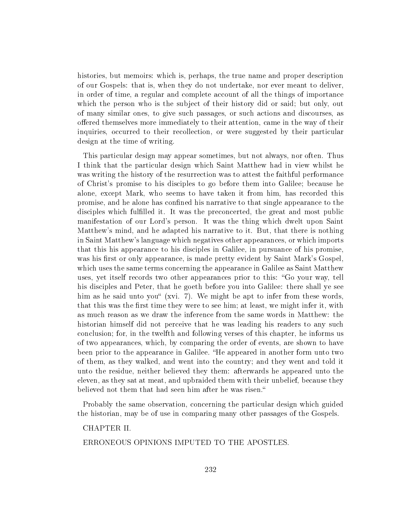histories, but memoirs: which is, perhaps, the true name and proper description of our Gospels: that is, when they do not undertake, nor ever meant to deliver, in order of time, a regular and complete account of all the things of importance which the person who is the subject of their history did or said; but only, out of many similar ones, to give such passages, or such actions and discourses, as offered themselves more immediately to their attention, came in the way of their inquiries, occurred to their recollection, or were suggested by their particular design at the time of writing.

This particular design may appear sometimes, but not always, nor often. Thus I think that the particular design which Saint Matthew had in view whilst he was writing the history of the resurrection was to attest the faithful performance of Christ's promise to his disciples to go before them into Galilee; because he alone, except Mark, who seems to have taken it from him, has recorded this promise, and he alone has confined his narrative to that single appearance to the disciples which fullled it. It was the preconcerted, the great and most public manifestation of our Lord's person. It was the thing which dwelt upon Saint Matthew's mind, and he adapted his narrative to it. But, that there is nothing in Saint Matthew's language which negatives other appearances, or which imports that this his appearance to his disciples in Galilee, in pursuance of his promise, was his first or only appearance, is made pretty evident by Saint Mark's Gospel, which uses the same terms concerning the appearance in Galilee as Saint Matthew uses, yet itself records two other appearances prior to this: "Go your way, tell his disciples and Peter, that he goeth before you into Galilee: there shall ye see him as he said unto you  $(xvi. 7)$ . We might be apt to infer from these words, that this was the first time they were to see him; at least, we might infer it, with as much reason as we draw the inference from the same words in Matthew: the historian himself did not perceive that he was leading his readers to any such conclusion; for, in the twelfth and following verses of this chapter, he informs us of two appearances, which, by comparing the order of events, are shown to have been prior to the appearance in Galilee. "He appeared in another form unto two of them, as they walked, and went into the country; and they went and told it unto the residue, neither believed they them: afterwards he appeared unto the eleven, as they sat at meat, and upbraided them with their unbelief, because they believed not them that had seen him after he was risen.

Probably the same observation, concerning the particular design which guided the historian, may be of use in comparing many other passages of the Gospels.

## CHAPTER II.

#### ERRONEOUS OPINIONS IMPUTED TO THE APOSTLES.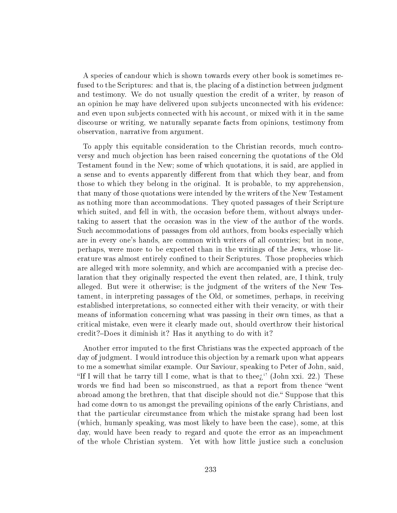A species of candour which is shown towards every other book is sometimes refused to the Scriptures: and that is, the placing of a distinction between judgment and testimony. We do not usually question the credit of a writer, by reason of an opinion he may have delivered upon subjects unconnected with his evidence: and even upon subjects connected with his account, or mixed with it in the same discourse or writing, we naturally separate facts from opinions, testimony from observation, narrative from argument.

To apply this equitable consideration to the Christian records, much controversy and much objection has been raised concerning the quotations of the Old Testament found in the New; some of which quotations, it is said, are applied in a sense and to events apparently different from that which they bear, and from those to which they belong in the original. It is probable, to my apprehension, that many of those quotations were intended by the writers of the New Testament as nothing more than accommodations. They quoted passages of their Scripture which suited, and fell in with, the occasion before them, without always undertaking to assert that the occasion was in the view of the author of the words. Such accommodations of passages from old authors, from books especially which are in every one's hands, are common with writers of all countries; but in none, perhaps, were more to be expected than in the writings of the Jews, whose literature was almost entirely confined to their Scriptures. Those prophecies which are alleged with more solemnity, and which are accompanied with a precise declaration that they originally respected the event then related, are, I think, truly alleged. But were it otherwise; is the judgment of the writers of the New Testament, in interpreting passages of the Old, or sometimes, perhaps, in receiving established interpretations, so connected either with their veracity, or with their means of information concerning what was passing in their own times, as that a critical mistake, even were it clearly made out, should overthrow their historical credit?–Does it diminish it? Has it anything to do with it?

Another error imputed to the first Christians was the expected approach of the day of judgment. I would introduce this objection by a remark upon what appears to me a somewhat similar example. Our Saviour, speaking to Peter of John, said, "If I will that he tarry till I come, what is that to thee $i'$  (John xxi. 22.) These words we find had been so misconstrued, as that a report from thence "went" abroad among the brethren, that that disciple should not die." Suppose that this had come down to us amongst the prevailing opinions of the early Christians, and that the particular circumstance from which the mistake sprang had been lost (which, humanly speaking, was most likely to have been the case), some, at this day, would have been ready to regard and quote the error as an impeachment of the whole Christian system. Yet with how little justice such a conclusion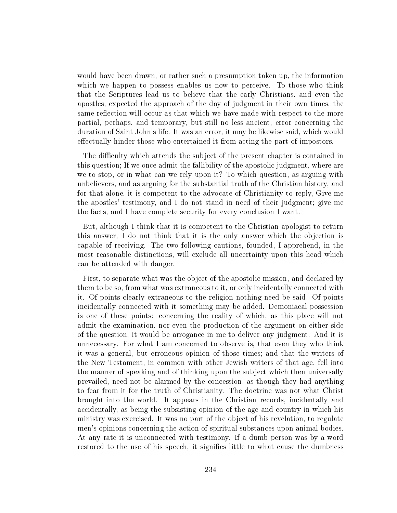would have been drawn, or rather such a presumption taken up, the information which we happen to possess enables us now to perceive. To those who think that the Scriptures lead us to believe that the early Christians, and even the apostles, expected the approach of the day of judgment in their own times, the same reflection will occur as that which we have made with respect to the more partial, perhaps, and temporary, but still no less ancient, error concerning the duration of Saint John's life. It was an error, it may be likewise said, which would effectually hinder those who entertained it from acting the part of impostors.

The difficulty which attends the subject of the present chapter is contained in this question; If we once admit the fallibility of the apostolic judgment, where are we to stop, or in what can we rely upon it? To which question, as arguing with unbelievers, and as arguing for the substantial truth of the Christian history, and for that alone, it is competent to the advocate of Christianity to reply, Give me the apostles' testimony, and I do not stand in need of their judgment; give me the facts, and I have complete security for every conclusion I want.

But, although I think that it is competent to the Christian apologist to return this answer, I do not think that it is the only answer which the objection is capable of receiving. The two following cautions, founded, I apprehend, in the most reasonable distinctions, will exclude all uncertainty upon this head which can be attended with danger.

First, to separate what was the object of the apostolic mission, and declared by them to be so, from what was extraneous to it, or only incidentally connected with it. Of points clearly extraneous to the religion nothing need be said. Of points incidentally connected with it something may be added. Demoniacal possession is one of these points: concerning the reality of which, as this place will not admit the examination, nor even the production of the argument on either side of the question, it would be arrogance in me to deliver any judgment. And it is unnecessary. For what I am concerned to observe is, that even they who think it was a general, but erroneous opinion of those times; and that the writers of the New Testament, in common with other Jewish writers of that age, fell into the manner of speaking and of thinking upon the subject which then universally prevailed, need not be alarmed by the concession, as though they had anything to fear from it for the truth of Christianity. The doctrine was not what Christ brought into the world. It appears in the Christian records, incidentally and accidentally, as being the subsisting opinion of the age and country in which his ministry was exercised. It was no part of the object of his revelation, to regulate men's opinions concerning the action of spiritual substances upon animal bodies. At any rate it is unconnected with testimony. If a dumb person was by a word restored to the use of his speech, it signies little to what cause the dumbness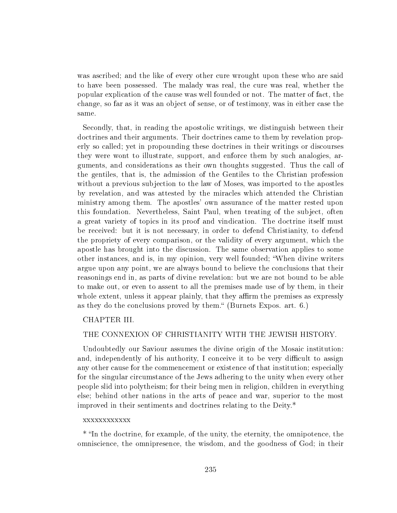was ascribed; and the like of every other cure wrought upon these who are said to have been possessed. The malady was real, the cure was real, whether the popular explication of the cause was well founded or not. The matter of fact, the change, so far as it was an object of sense, or of testimony, was in either case the same.

Secondly, that, in reading the apostolic writings, we distinguish between their doctrines and their arguments. Their doctrines came to them by revelation properly so called; yet in propounding these doctrines in their writings or discourses they were wont to illustrate, support, and enforce them by such analogies, arguments, and considerations as their own thoughts suggested. Thus the call of the gentiles, that is, the admission of the Gentiles to the Christian profession without a previous subjection to the law of Moses, was imported to the apostles by revelation, and was attested by the miracles which attended the Christian ministry among them. The apostles' own assurance of the matter rested upon this foundation. Nevertheless, Saint Paul, when treating of the subject, often a great variety of topics in its proof and vindication. The doctrine itself must be received: but it is not necessary, in order to defend Christianity, to defend the propriety of every comparison, or the validity of every argument, which the apostle has brought into the discussion. The same observation applies to some other instances, and is, in my opinion, very well founded; When divine writers argue upon any point, we are always bound to believe the conclusions that their reasonings end in, as parts of divine revelation: but we are not bound to be able to make out, or even to assent to all the premises made use of by them, in their whole extent, unless it appear plainly, that they affirm the premises as expressly as they do the conclusions proved by them." (Burnets Expos. art. 6.)

# CHAPTER III.

# THE CONNEXION OF CHRISTIANITY WITH THE JEWISH HISTORY.

Undoubtedly our Saviour assumes the divine origin of the Mosaic institution: and, independently of his authority, I conceive it to be very difficult to assign any other cause for the commencement or existence of that institution; especially for the singular circumstance of the Jews adhering to the unity when every other people slid into polytheism; for their being men in religion, children in everything else; behind other nations in the arts of peace and war, superior to the most improved in their sentiments and doctrines relating to the Deity.\*

#### xxxxxxxxxxxx

\* In the doctrine, for example, of the unity, the eternity, the omnipotence, the omniscience, the omnipresence, the wisdom, and the goodness of God; in their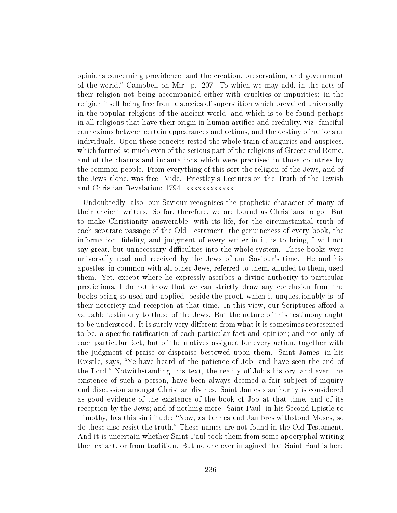opinions concerning providence, and the creation, preservation, and government of the world. Campbell on Mir. p. 207. To which we may add, in the acts of their religion not being accompanied either with cruelties or impurities: in the religion itself being free from a species of superstition which prevailed universally in the popular religions of the ancient world, and which is to be found perhaps in all religions that have their origin in human artifice and credulity, viz. fanciful connexions between certain appearances and actions, and the destiny of nations or individuals. Upon these conceits rested the whole train of auguries and auspices, which formed so much even of the serious part of the religions of Greece and Rome, and of the charms and incantations which were practised in those countries by the common people. From everything of this sort the religion of the Jews, and of the Jews alone, was free. Vide. Priestley's Lectures on the Truth of the Jewish and Christian Revelation; 1794. xxxxxxxxxxxx

Undoubtedly, also, our Saviour recognises the prophetic character of many of their ancient writers. So far, therefore, we are bound as Christians to go. But to make Christianity answerable, with its life, for the circumstantial truth of each separate passage of the Old Testament, the genuineness of every book, the information, delity, and judgment of every writer in it, is to bring, I will not say great, but unnecessary difficulties into the whole system. These books were universally read and received by the Jews of our Saviour's time. He and his apostles, in common with all other Jews, referred to them, alluded to them, used them. Yet, except where he expressly ascribes a divine authority to particular predictions, I do not know that we can strictly draw any conclusion from the books being so used and applied, beside the proof, which it unquestionably is, of their notoriety and reception at that time. In this view, our Scriptures afford a valuable testimony to those of the Jews. But the nature of this testimony ought to be understood. It is surely very different from what it is sometimes represented to be, a specific ratification of each particular fact and opinion; and not only of each particular fact, but of the motives assigned for every action, together with the judgment of praise or dispraise bestowed upon them. Saint James, in his Epistle, says, Ye have heard of the patience of Job, and have seen the end of the Lord. Notwithstanding this text, the reality of Job's history, and even the existence of such a person, have been always deemed a fair subject of inquiry and discussion amongst Christian divines. Saint James's authority is considered as good evidence of the existence of the book of Job at that time, and of its reception by the Jews; and of nothing more. Saint Paul, in his Second Epistle to Timothy, has this similitude: "Now, as Jannes and Jambres withstood Moses, so do these also resist the truth." These names are not found in the Old Testament. And it is uncertain whether Saint Paul took them from some apocryphal writing then extant, or from tradition. But no one ever imagined that Saint Paul is here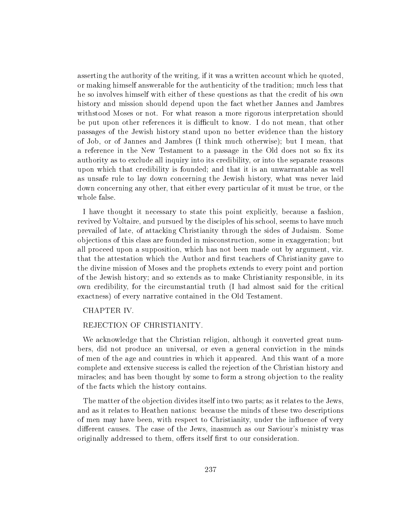asserting the authority of the writing, if it was a written account which he quoted, or making himself answerable for the authenticity of the tradition; much less that he so involves himself with either of these questions as that the credit of his own history and mission should depend upon the fact whether Jannes and Jambres withstood Moses or not. For what reason a more rigorous interpretation should be put upon other references it is difficult to know. I do not mean, that other passages of the Jewish history stand upon no better evidence than the history of Job, or of Jannes and Jambres (I think much otherwise); but I mean, that a reference in the New Testament to a passage in the Old does not so fix its authority as to exclude all inquiry into its credibility, or into the separate reasons upon which that credibility is founded; and that it is an unwarrantable as well as unsafe rule to lay down concerning the Jewish history, what was never laid down concerning any other, that either every particular of it must be true, or the whole false.

I have thought it necessary to state this point explicitly, because a fashion, revived by Voltaire, and pursued by the disciples of his school, seems to have much prevailed of late, of attacking Christianity through the sides of Judaism. Some objections of this class are founded in misconstruction, some in exaggeration; but all proceed upon a supposition, which has not been made out by argument, viz. that the attestation which the Author and first teachers of Christianity gave to the divine mission of Moses and the prophets extends to every point and portion of the Jewish history; and so extends as to make Christianity responsible, in its own credibility, for the circumstantial truth (I had almost said for the critical exactness) of every narrative contained in the Old Testament.

# CHAPTER IV.

# REJECTION OF CHRISTIANITY.

We acknowledge that the Christian religion, although it converted great numbers, did not produce an universal, or even a general conviction in the minds of men of the age and countries in which it appeared. And this want of a more complete and extensive success is called the rejection of the Christian history and miracles; and has been thought by some to form a strong objection to the reality of the facts which the history contains.

The matter of the objection divides itself into two parts; as it relates to the Jews, and as it relates to Heathen nations: because the minds of these two descriptions of men may have been, with respect to Christianity, under the influence of very different causes. The case of the Jews, inasmuch as our Saviour's ministry was originally addressed to them, offers itself first to our consideration.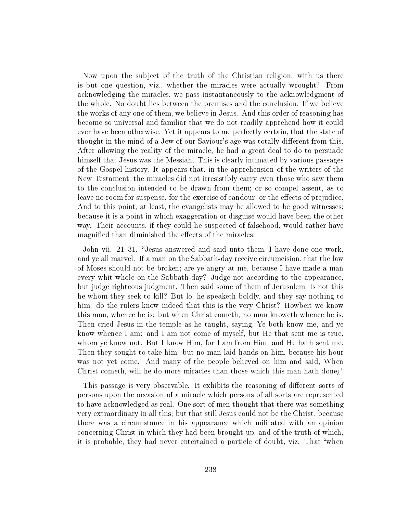Now upon the subject of the truth of the Christian religion; with us there is but one question, viz., whether the miracles were actually wrought? From acknowledging the miracles, we pass instantaneously to the acknowledgment of the whole. No doubt lies between the premises and the conclusion. If we believe the works of any one of them, we believe in Jesus. And this order of reasoning has become so universal and familiar that we do not readily apprehend how it could ever have been otherwise. Yet it appears to me perfectly certain, that the state of thought in the mind of a Jew of our Saviour's age was totally different from this. After allowing the reality of the miracle, he had a great deal to do to persuade himself that Jesus was the Messiah. This is clearly intimated by various passages of the Gospel history. It appears that, in the apprehension of the writers of the New Testament, the miracles did not irresistibly carry even those who saw them to the conclusion intended to be drawn from them; or so compel assent, as to leave no room for suspense, for the exercise of candour, or the effects of prejudice. And to this point, at least, the evangelists may he allowed to be good witnesses; because it is a point in which exaggeration or disguise would have been the other way. Their accounts, if they could he suspected of falsehood, would rather have magnified than diminished the effects of the miracles.

John vii. 21-31. "Jesus answered and said unto them, I have done one work, and ye all marvel.–If a man on the Sabbath-day receive circumcision, that the law of Moses should not be broken; are ye angry at me, because I have made a man every whit whole on the Sabbath-day? Judge not according to the appearance, but judge righteous judgment. Then said some of them of Jerusalem, Is not this he whom they seek to kill? But lo, he speaketh boldly, and they say nothing to him: do the rulers know indeed that this is the very Christ? Howbeit we know this man, whence he is: but when Christ cometh, no man knoweth whence he is. Then cried Jesus in the temple as he taught, saying, Ye both know me, and ye know whence I am: and I am not come of myself, but He that sent me is true, whom ye know not. But I know Him, for I am from Him, and He hath sent me. Then they sought to take him: but no man laid hands on him, because his hour was not yet come. And many of the people believed on him and said, When Christ cometh, will he do more miracles than those which this man hath done<sub> $i$ </sub>.

This passage is very observable. It exhibits the reasoning of different sorts of persons upon the occasion of a miracle which persons of all sorts are represented to have acknowledged as real. One sort of men thought that there was something very extraordinary in all this; but that still Jesus could not be the Christ, because there was a circumstance in his appearance which militated with an opinion concerning Christ in which they had been brought up, and of the truth of which, it is probable, they had never entertained a particle of doubt, viz. That "when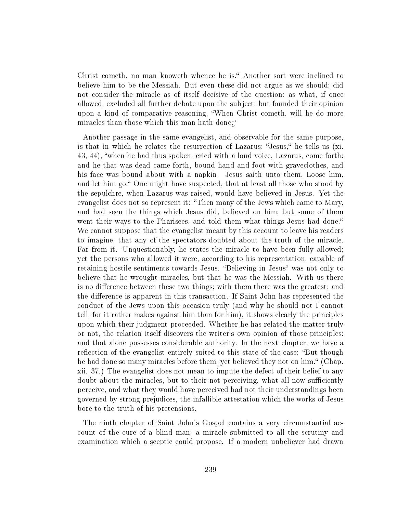Christ cometh, no man knoweth whence he is." Another sort were inclined to believe him to be the Messiah. But even these did not argue as we should; did not consider the miracle as of itself decisive of the question; as what, if once allowed, excluded all further debate upon the subject; but founded their opinion upon a kind of comparative reasoning, When Christ cometh, will he do more miracles than those which this man hath done;

Another passage in the same evangelist, and observable for the same purpose, is that in which he relates the resurrection of Lazarus; "Jesus," he tells us (xi. 43, 44), when he had thus spoken, cried with a loud voice, Lazarus, come forth: and he that was dead came forth, bound hand and foot with graveclothes, and his face was bound about with a napkin. Jesus saith unto them, Loose him, and let him go." One might have suspected, that at least all those who stood by the sepulchre, when Lazarus was raised, would have believed in Jesus. Yet the evangelist does not so represent it:-"Then many of the Jews which came to Mary, and had seen the things which Jesus did, believed on him; but some of them went their ways to the Pharisees, and told them what things Jesus had done." We cannot suppose that the evangelist meant by this account to leave his readers to imagine, that any of the spectators doubted about the truth of the miracle. Far from it. Unquestionably, he states the miracle to have been fully allowed; yet the persons who allowed it were, according to his representation, capable of retaining hostile sentiments towards Jesus. "Believing in Jesus" was not only to believe that he wrought miracles, but that he was the Messiah. With us there is no difference between these two things; with them there was the greatest; and the difference is apparent in this transaction. If Saint John has represented the conduct of the Jews upon this occasion truly (and why he should not I cannot tell, for it rather makes against him than for him), it shows clearly the principles upon which their judgment proceeded. Whether he has related the matter truly or not, the relation itself discovers the writer's own opinion of those principles: and that alone possesses considerable authority. In the next chapter, we have a reflection of the evangelist entirely suited to this state of the case: "But though he had done so many miracles before them, yet believed they not on him." (Chap. xii. 37.) The evangelist does not mean to impute the defect of their belief to any doubt about the miracles, but to their not perceiving, what all now sufficiently perceive, and what they would have perceived had not their understandings been governed by strong prejudices, the infallible attestation which the works of Jesus bore to the truth of his pretensions.

The ninth chapter of Saint John's Gospel contains a very circumstantial account of the cure of a blind man; a miracle submitted to all the scrutiny and examination which a sceptic could propose. If a modern unbeliever had drawn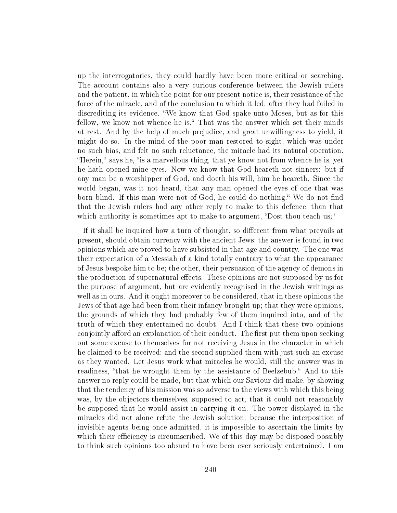up the interrogatories, they could hardly have been more critical or searching. The account contains also a very curious conference between the Jewish rulers and the patient, in which the point for our present notice is, their resistance of the force of the miracle, and of the conclusion to which it led, after they had failed in discrediting its evidence. We know that God spake unto Moses, but as for this fellow, we know not whence he is." That was the answer which set their minds at rest. And by the help of much prejudice, and great unwillingness to yield, it might do so. In the mind of the poor man restored to sight, which was under no such bias, and felt no such reluctance, the miracle had its natural operation. "Herein," says he, "is a marvellous thing, that ye know not from whence he is, yet he hath opened mine eyes. Now we know that God heareth not sinners: but if any man be a worshipper of God, and doeth his will, him he heareth. Since the world began, was it not heard, that any man opened the eyes of one that was born blind. If this man were not of God, he could do nothing. We do not find that the Jewish rulers had any other reply to make to this defence, than that which authority is sometimes apt to make to argument, "Dost thou teach us $i'$ 

If it shall be inquired how a turn of thought, so different from what prevails at present, should obtain currency with the ancient Jews; the answer is found in two opinions which are proved to have subsisted in that age and country. The one was their expectation of a Messiah of a kind totally contrary to what the appearance of Jesus bespoke him to be; the other, their persuasion of the agency of demons in the production of supernatural effects. These opinions are not supposed by us for the purpose of argument, but are evidently recognised in the Jewish writings as well as in ours. And it ought moreover to be considered, that in these opinions the Jews of that age had been from their infancy brought up; that they were opinions, the grounds of which they had probably few of them inquired into, and of the truth of which they entertained no doubt. And I think that these two opinions conjointly afford an explanation of their conduct. The first put them upon seeking out some excuse to themselves for not receiving Jesus in the character in which he claimed to be received; and the second supplied them with just such an excuse as they wanted. Let Jesus work what miracles he would, still the answer was in readiness, "that he wrought them by the assistance of Beelzebub." And to this answer no reply could be made, but that which our Saviour did make, by showing that the tendency of his mission was so adverse to the views with which this being was, by the objectors themselves, supposed to act, that it could not reasonably be supposed that he would assist in carrying it on. The power displayed in the miracles did not alone refute the Jewish solution, because the interposition of invisible agents being once admitted, it is impossible to ascertain the limits by which their efficiency is circumscribed. We of this day may be disposed possibly to think such opinions too absurd to have been ever seriously entertained. I am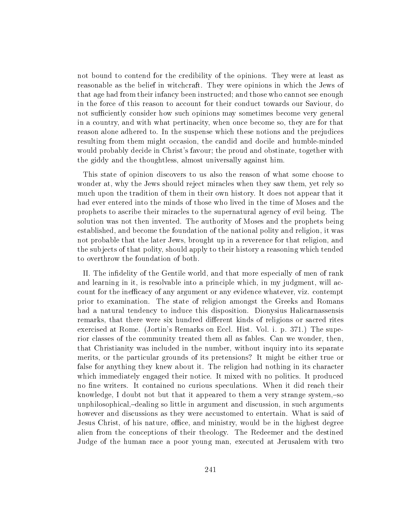not bound to contend for the credibility of the opinions. They were at least as reasonable as the belief in witchcraft. They were opinions in which the Jews of that age had from their infancy been instructed; and those who cannot see enough in the force of this reason to account for their conduct towards our Saviour, do not sufficiently consider how such opinions may sometimes become very general in a country, and with what pertinacity, when once become so, they are for that reason alone adhered to. In the suspense which these notions and the prejudices resulting from them might occasion, the candid and docile and humble-minded would probably decide in Christ's favour; the proud and obstinate, together with the giddy and the thoughtless, almost universally against him.

This state of opinion discovers to us also the reason of what some choose to wonder at, why the Jews should reject miracles when they saw them, yet rely so much upon the tradition of them in their own history. It does not appear that it had ever entered into the minds of those who lived in the time of Moses and the prophets to ascribe their miracles to the supernatural agency of evil being. The solution was not then invented. The authority of Moses and the prophets being established, and become the foundation of the national polity and religion, it was not probable that the later Jews, brought up in a reverence for that religion, and the subjects of that polity, should apply to their history a reasoning which tended to overthrow the foundation of both.

II. The indelity of the Gentile world, and that more especially of men of rank and learning in it, is resolvable into a principle which, in my judgment, will account for the inefficacy of any argument or any evidence whatever, viz. contempt prior to examination. The state of religion amongst the Greeks and Romans had a natural tendency to induce this disposition. Dionysius Halicarnassensis remarks, that there were six hundred different kinds of religions or sacred rites exercised at Rome. (Jortin's Remarks on Eccl. Hist. Vol. i. p. 371.) The superior classes of the community treated them all as fables. Can we wonder, then, that Christianity was included in the number, without inquiry into its separate merits, or the particular grounds of its pretensions? It might be either true or false for anything they knew about it. The religion had nothing in its character which immediately engaged their notice. It mixed with no politics. It produced no fine writers. It contained no curious speculations. When it did reach their knowledge, I doubt not but that it appeared to them a very strange system, $-$ so unphilosophical,–dealing so little in argument and discussion, in such arguments however and discussions as they were accustomed to entertain. What is said of Jesus Christ, of his nature, office, and ministry, would be in the highest degree alien from the conceptions of their theology. The Redeemer and the destined Judge of the human race a poor young man, executed at Jerusalem with two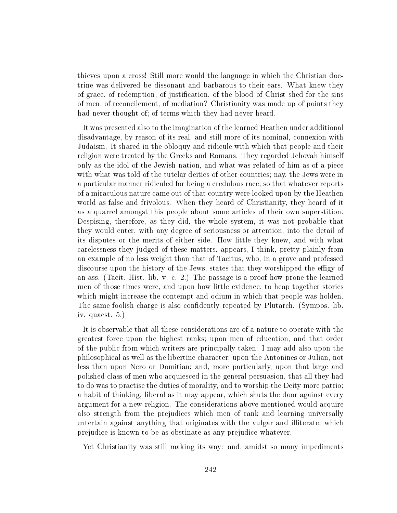thieves upon a cross! Still more would the language in which the Christian doctrine was delivered be dissonant and barbarous to their ears. What knew they of grace, of redemption, of justication, of the blood of Christ shed for the sins of men, of reconcilement, of mediation? Christianity was made up of points they had never thought of; of terms which they had never heard.

It was presented also to the imagination of the learned Heathen under additional disadvantage, by reason of its real, and still more of its nominal, connexion with Judaism. It shared in the obloquy and ridicule with which that people and their religion were treated by the Greeks and Romans. They regarded Jehovah himself only as the idol of the Jewish nation, and what was related of him as of a piece with what was told of the tutelar deities of other countries; nay, the Jews were in a particular manner ridiculed for being a credulous race; so that whatever reports of a miraculous nature came out of that country were looked upon by the Heathen world as false and frivolous. When they heard of Christianity, they heard of it as a quarrel amongst this people about some articles of their own superstition. Despising, therefore, as they did, the whole system, it was not probable that they would enter, with any degree of seriousness or attention, into the detail of its disputes or the merits of either side. How little they knew, and with what carelessness they judged of these matters, appears, I think, pretty plainly from an example of no less weight than that of Tacitus, who, in a grave and professed discourse upon the history of the Jews, states that they worshipped the effigy of an ass. (Tacit. Hist. lib. v. c. 2.) The passage is a proof how prone the learned men of those times were, and upon how little evidence, to heap together stories which might increase the contempt and odium in which that people was holden. The same foolish charge is also confidently repeated by Plutarch. (Sympos. lib. iv. quaest. 5.)

It is observable that all these considerations are of a nature to operate with the greatest force upon the highest ranks; upon men of education, and that order of the public from which writers are principally taken: I may add also upon the philosophical as well as the libertine character; upon the Antonines or Julian, not less than upon Nero or Domitian; and, more particularly, upon that large and polished class of men who acquiesced in the general persuasion, that all they had to do was to practise the duties of morality, and to worship the Deity more patrio; a habit of thinking, liberal as it may appear, which shuts the door against every argument for a new religion. The considerations above mentioned would acquire also strength from the prejudices which men of rank and learning universally entertain against anything that originates with the vulgar and illiterate; which prejudice is known to be as obstinate as any prejudice whatever.

Yet Christianity was still making its way: and, amidst so many impediments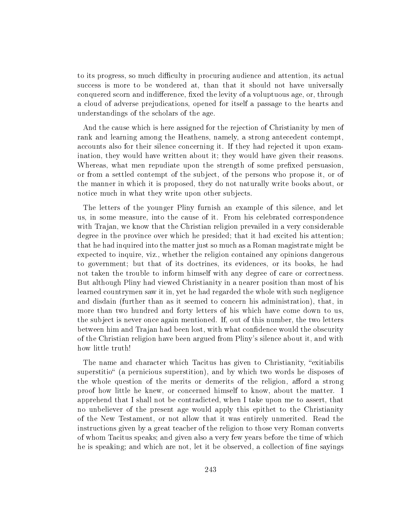to its progress, so much difficulty in procuring audience and attention, its actual success is more to be wondered at, than that it should not have universally conquered scorn and indifference, fixed the levity of a voluptuous age, or, through a cloud of adverse prejudications, opened for itself a passage to the hearts and understandings of the scholars of the age.

And the cause which is here assigned for the rejection of Christianity by men of rank and learning among the Heathens, namely, a strong antecedent contempt, accounts also for their silence concerning it. If they had rejected it upon examination, they would have written about it; they would have given their reasons. Whereas, what men repudiate upon the strength of some prefixed persuasion, or from a settled contempt of the subject, of the persons who propose it, or of the manner in which it is proposed, they do not naturally write books about, or notice much in what they write upon other subjects.

The letters of the younger Pliny furnish an example of this silence, and let us, in some measure, into the cause of it. From his celebrated correspondence with Trajan, we know that the Christian religion prevailed in a very considerable degree in the province over which he presided; that it had excited his attention; that he had inquired into the matter just so much as a Roman magistrate might be expected to inquire, viz., whether the religion contained any opinions dangerous to government; but that of its doctrines, its evidences, or its books, he had not taken the trouble to inform himself with any degree of care or correctness. But although Pliny had viewed Christianity in a nearer position than most of his learned countrymen saw it in, yet he had regarded the whole with such negligence and disdain (further than as it seemed to concern his administration), that, in more than two hundred and forty letters of his which have come down to us, the subject is never once again mentioned. If, out of this number, the two letters between him and Trajan had been lost, with what confidence would the obscurity of the Christian religion have been argued from Pliny's silence about it, and with how little truth!

The name and character which Tacitus has given to Christianity, "exitiabilis" superstitio" (a pernicious superstition), and by which two words he disposes of the whole question of the merits or demerits of the religion, afford a strong proof how little he knew, or concerned himself to know, about the matter. I apprehend that I shall not be contradicted, when I take upon me to assert, that no unbeliever of the present age would apply this epithet to the Christianity of the New Testament, or not allow that it was entirely unmerited. Read the instructions given by a great teacher of the religion to those very Roman converts of whom Tacitus speaks; and given also a very few years before the time of which he is speaking; and which are not, let it be observed, a collection of fine sayings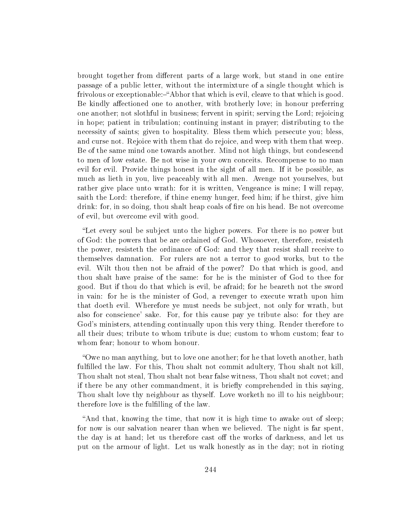brought together from different parts of a large work, but stand in one entire passage of a public letter, without the intermixture of a single thought which is frivolous or exceptionable:—"Abhor that which is evil, cleave to that which is good. Be kindly affectioned one to another, with brotherly love; in honour preferring one another; not slothful in business; fervent in spirit; serving the Lord; rejoicing in hope; patient in tribulation; continuing instant in prayer; distributing to the necessity of saints; given to hospitality. Bless them which persecute you; bless, and curse not. Rejoice with them that do rejoice, and weep with them that weep. Be of the same mind one towards another. Mind not high things, but condescend to men of low estate. Be not wise in your own conceits. Recompense to no man evil for evil. Provide things honest in the sight of all men. If it be possible, as much as lieth in you, live peaceably with all men. Avenge not yourselves, but rather give place unto wrath: for it is written, Vengeance is mine; I will repay, saith the Lord: therefore, if thine enemy hunger, feed him; if he thirst, give him drink: for, in so doing, thou shalt heap coals of fire on his head. Be not overcome of evil, but overcome evil with good.

Let every soul be subject unto the higher powers. For there is no power but of God: the powers that be are ordained of God. Whosoever, therefore, resisteth the power, resisteth the ordinance of God: and they that resist shall receive to themselves damnation. For rulers are not a terror to good works, but to the evil. Wilt thou then not be afraid of the power? Do that which is good, and thou shalt have praise of the same: for he is the minister of God to thee for good. But if thou do that which is evil, be afraid; for he beareth not the sword in vain: for he is the minister of God, a revenger to execute wrath upon him that doeth evil. Wherefore ye must needs be subject, not only for wrath, but also for conscience' sake. For, for this cause pay ye tribute also: for they are God's ministers, attending continually upon this very thing. Render therefore to all their dues; tribute to whom tribute is due; custom to whom custom; fear to whom fear; honour to whom honour.

Owe no man anything, but to love one another; for he that loveth another, hath fulfilled the law. For this, Thou shalt not commit adultery, Thou shalt not kill. Thou shalt not steal, Thou shalt not bear false witness, Thou shalt not covet; and if there be any other commandment, it is briefly comprehended in this saying. Thou shalt love thy neighbour as thyself. Love worketh no ill to his neighbour; therefore love is the fulfilling of the law.

And that, knowing the time, that now it is high time to awake out of sleep; for now is our salvation nearer than when we believed. The night is far spent, the day is at hand; let us therefore cast off the works of darkness, and let us put on the armour of light. Let us walk honestly as in the day; not in rioting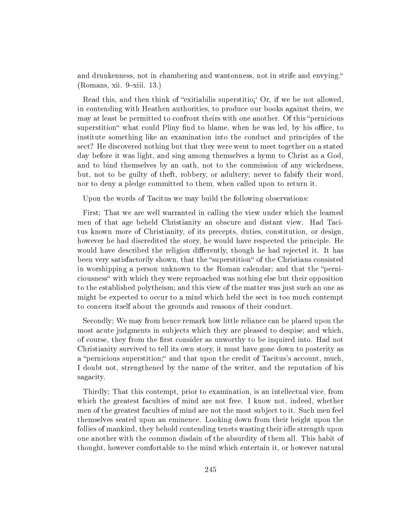and drunkenness, not in chambering and wantonness, not in strife and envying.  $(Romans, xii. 9-xiii. 13.)$ 

Read this, and then think of "exitiabilis superstitio;" Or, if we be not allowed, in contending with Heathen authorities, to produce our books against theirs, we may at least be permitted to confront theirs with one another. Of this "pernicious" superstition" what could Pliny find to blame, when he was led, by his office, to institute something like an examination into the conduct and principles of the sect? He discovered nothing but that they were went to meet together on a stated day before it was light, and sing among themselves a hymn to Christ as a God, and to bind themselves by an oath, not to the commission of any wickedness, but, not to be guilty of theft, robbery, or adultery; never to falsify their word, nor to deny a pledge committed to them, when called upon to return it.

Upon the words of Tacitus we may build the following observations:

First; That we are well warranted in calling the view under which the learned men of that age beheld Christianity an obscure and distant view. Had Tacitus known more of Christianity, of its precepts, duties, constitution, or design, however he had discredited the story, he would have respected the principle. He would have described the religion differently, though he had rejected it. It has been very satisfactorily shown, that the "superstition" of the Christians consisted in worshipping a person unknown to the Roman calendar; and that the "perniciousness" with which they were reproached was nothing else but their opposition to the established polytheism; and this view of the matter was just such an one as might be expected to occur to a mind which held the sect in too much contempt to concern itself about the grounds and reasons of their conduct.

Secondly; We may from hence remark how little reliance can be placed upon the most acute judgments in subjects which they are pleased to despise; and which, of course, they from the first consider as unworthy to be inquired into. Had not Christianity survived to tell its own story, it must have gone down to posterity as a "pernicious superstition;" and that upon the credit of Tacitus's account, much, I doubt not, strengthened by the name of the writer, and the reputation of his sagacity.

Thirdly; That this contempt, prior to examination, is an intellectual vice, from which the greatest faculties of mind are not free. I know not, indeed, whether men of the greatest faculties of mind are not the most subject to it. Such men feel themselves seated upon an eminence. Looking down from their height upon the follies of mankind, they behold contending tenets wasting their idle strength upon one another with the common disdain of the absurdity of them all. This habit of thought, however comfortable to the mind which entertain it, or however natural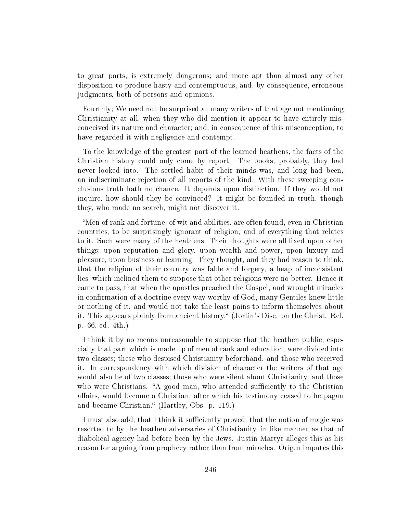to great parts, is extremely dangerous; and more apt than almost any other disposition to produce hasty and contemptuous, and, by consequence, erroneous judgments, both of persons and opinions.

Fourthly; We need not be surprised at many writers of that age not mentioning Christianity at all, when they who did mention it appear to have entirely misconceived its nature and character; and, in consequence of this misconception, to have regarded it with negligence and contempt.

To the knowledge of the greatest part of the learned heathens, the facts of the Christian history could only come by report. The books, probably, they had never looked into. The settled habit of their minds was, and long had been, an indiscriminate rejection of all reports of the kind. With these sweeping conclusions truth hath no chance. It depends upon distinction. If they would not inquire, how should they be convinced? It might be founded in truth, though they, who made no search, might not discover it.

Men of rank and fortune, of wit and abilities, are often found, even in Christian countries, to be surprisingly ignorant of religion, and of everything that relates to it. Such were many of the heathens. Their thoughts were all fixed upon other things; upon reputation and glory, upon wealth and power, upon luxury and pleasure, upon business or learning. They thought, and they had reason to think, that the religion of their country was fable and forgery, a heap of inconsistent lies; which inclined them to suppose that other religions were no better. Hence it came to pass, that when the apostles preached the Gospel, and wrought miracles in confirmation of a doctrine every way worthy of God, many Gentiles knew little or nothing of it, and would not take the least pains to inform themselves about it. This appears plainly from ancient history. (Jortin's Disc. on the Christ. Rel. p. 66, ed. 4th.)

I think it by no means unreasonable to suppose that the heathen public, especially that part which is made up of men of rank and education, were divided into two classes; these who despised Christianity beforehand, and those who received it. In correspondency with which division of character the writers of that age would also be of two classes; those who were silent about Christianity, and those who were Christians. "A good man, who attended sufficiently to the Christian affairs, would become a Christian; after which his testimony ceased to be pagan and became Christian." (Hartley, Obs. p. 119.)

I must also add, that I think it sufficiently proved, that the notion of magic was resorted to by the heathen adversaries of Christianity, in like manner as that of diabolical agency had before been by the Jews. Justin Martyr alleges this as his reason for arguing from prophecy rather than from miracles. Origen imputes this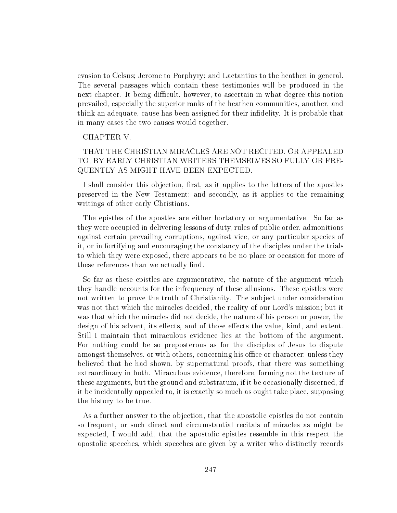evasion to Celsus; Jerome to Porphyry; and Lactantius to the heathen in general. The several passages which contain these testimonies will be produced in the next chapter. It being difficult, however, to ascertain in what degree this notion prevailed, especially the superior ranks of the heathen communities, another, and think an adequate, cause has been assigned for their indelity. It is probable that in many cases the two causes would together.

## CHAPTER V.

# THAT THE CHRISTIAN MIRACLES ARE NOT RECITED, OR APPEALED TO, BY EARLY CHRISTIAN WRITERS THEMSELVES SO FULLY OR FRE-QUENTLY AS MIGHT HAVE BEEN EXPECTED.

I shall consider this objection, first, as it applies to the letters of the apostles preserved in the New Testament; and secondly, as it applies to the remaining writings of other early Christians.

The epistles of the apostles are either hortatory or argumentative. So far as they were occupied in delivering lessons of duty, rules of public order, admonitions against certain prevailing corruptions, against vice, or any particular species of it, or in fortifying and encouraging the constancy of the disciples under the trials to which they were exposed, there appears to be no place or occasion for more of these references than we actually find.

So far as these epistles are argumentative, the nature of the argument which they handle accounts for the infrequency of these allusions. These epistles were not written to prove the truth of Christianity. The subject under consideration was not that which the miracles decided, the reality of our Lord's mission; but it was that which the miracles did not decide, the nature of his person or power, the design of his advent, its effects, and of those effects the value, kind, and extent. Still I maintain that miraculous evidence lies at the bottom of the argument. For nothing could be so preposterous as for the disciples of Jesus to dispute amongst themselves, or with others, concerning his office or character; unless they believed that he had shown, by supernatural proofs, that there was something extraordinary in both. Miraculous evidence, therefore, forming not the texture of these arguments, but the ground and substratum, if it be occasionally discerned, if it be incidentally appealed to, it is exactly so much as ought take place, supposing the history to be true.

As a further answer to the objection, that the apostolic epistles do not contain so frequent, or such direct and circumstantial recitals of miracles as might be expected, I would add, that the apostolic epistles resemble in this respect the apostolic speeches, which speeches are given by a writer who distinctly records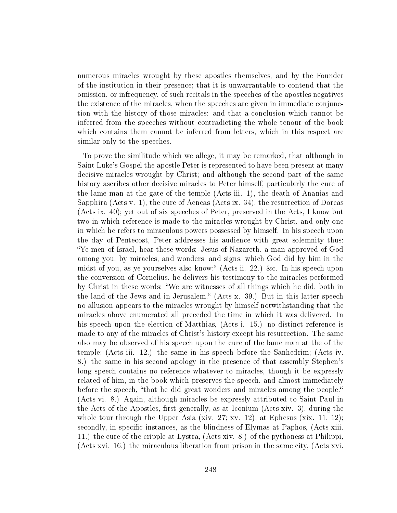numerous miracles wrought by these apostles themselves, and by the Founder of the institution in their presence; that it is unwarrantable to contend that the omission, or infrequency, of such recitals in the speeches of the apostles negatives the existence of the miracles, when the speeches are given in immediate conjunction with the history of those miracles: and that a conclusion which cannot be inferred from the speeches without contradicting the whole tenour of the book which contains them cannot be inferred from letters, which in this respect are similar only to the speeches.

To prove the similitude which we allege, it may be remarked, that although in Saint Luke's Gospel the apostle Peter is represented to have been present at many decisive miracles wrought by Christ; and although the second part of the same history ascribes other decisive miracles to Peter himself, particularly the cure of the lame man at the gate of the temple (Acts iii. 1), the death of Ananias and Sapphira (Acts v. 1), the cure of Aeneas (Acts ix. 34), the resurrection of Dorcas (Acts ix. 40); yet out of six speeches of Peter, preserved in the Acts, I know but two in which reference is made to the miracles wrought by Christ, and only one in which he refers to miraculous powers possessed by himself. In his speech upon the day of Pentecost, Peter addresses his audience with great solemnity thus: Ye men of Israel, hear these words: Jesus of Nazareth, a man approved of God among you, by miracles, and wonders, and signs, which God did by him in the midst of you, as ye yourselves also know: (Acts ii. 22.) &c. In his speech upon the conversion of Cornelius, he delivers his testimony to the miracles performed by Christ in these words: We are witnesses of all things which he did, both in the land of the Jews and in Jerusalem. (Acts x. 39.) But in this latter speech no allusion appears to the miracles wrought by himself notwithstanding that the miracles above enumerated all preceded the time in which it was delivered. In his speech upon the election of Matthias, (Acts i. 15.) no distinct reference is made to any of the miracles of Christ's history except his resurrection. The same also may be observed of his speech upon the cure of the lame man at the of the temple; (Acts iii. 12.) the same in his speech before the Sanhedrim; (Acts iv. 8.) the same in his second apology in the presence of that assembly Stephen's long speech contains no reference whatever to miracles, though it be expressly related of him, in the book which preserves the speech, and almost immediately before the speech, "that he did great wonders and miracles among the people." (Acts vi. 8.) Again, although miracles be expressly attributed to Saint Paul in the Acts of the Apostles, first generally, as at Iconium (Acts xiv. 3), during the whole tour through the Upper Asia (xiv. 27; xv. 12), at Ephesus (xix. 11, 12); secondly, in specific instances, as the blindness of Elymas at Paphos, (Acts xiii. 11.) the cure of the cripple at Lystra, (Acts xiv. 8.) of the pythoness at Philippi, (Acts xvi. 16.) the miraculous liberation from prison in the same city, (Acts xvi.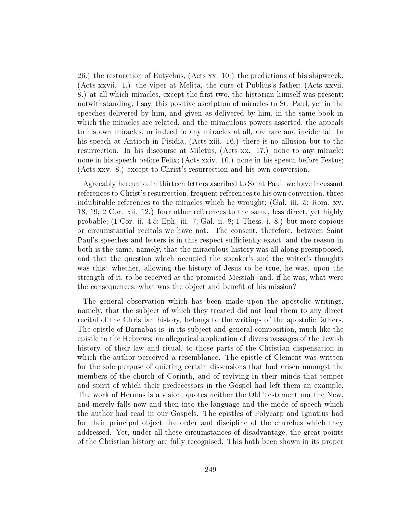26.) the restoration of Eutychus, (Acts xx. 10.) the predictions of his shipwreck, (Acts xxvii. 1.) the viper at Melita, the cure of Publius's father; (Acts xxvii. 8.) at all which miracles, except the first two, the historian himself was present: notwithstanding, I say, this positive ascription of miracles to St. Paul, yet in the speeches delivered by him, and given as delivered by him, in the same book in which the miracles are related, and the miraculous powers asserted, the appeals to his own miracles, or indeed to any miracles at all, are rare and incidental. In his speech at Antioch in Pisidia, (Acts xiii. 16.) there is no allusion but to the resurrection. In his discourse at Miletus, (Acts xx. 17.) none to any miracle: none in his speech before Felix; (Acts xxiv. 10.) none in his speech before Festus; (Acts xxv. 8.) except to Christ's resurrection and his own conversion.

Agreeably hereunto, in thirteen letters ascribed to Saint Paul, we have incessant references to Christ's resurrection, frequent references to his own conversion, three indubitable references to the miracles which he wrought; (Gal. iii. 5; Rom. xv. 18, 19; 2 Cor. xii. 12.) four other references to the same, less direct, yet highly probable; (1 Cor. ii. 4,5; Eph. iii. 7; Gal. ii. 8; 1 Thess. i. 8.) but more copious or circumstantial recitals we have not. The consent, therefore, between Saint Paul's speeches and letters is in this respect sufficiently exact; and the reason in both is the same, namely, that the miraculous history was all along presupposed, and that the question which occupied the speaker's and the writer's thoughts was this: whether, allowing the history of Jesus to be true, he was, upon the strength of it, to be received as the promised Messiah; and, if he was, what were the consequences, what was the object and benefit of his mission?

The general observation which has been made upon the apostolic writings, namely, that the subject of which they treated did not lead them to any direct recital of the Christian history, belongs to the writings of the apostolic fathers. The epistle of Barnabas is, in its subject and general composition, much like the epistle to the Hebrews; an allegorical application of divers passages of the Jewish history, of their law and ritual, to those parts of the Christian dispensation in which the author perceived a resemblance. The epistle of Clement was written for the sole purpose of quieting certain dissensions that had arisen amongst the members of the church of Corinth, and of reviving in their minds that temper and spirit of which their predecessors in the Gospel had left them an example. The work of Hermas is a vision; quotes neither the Old Testament nor the New, and merely falls now and then into the language and the mode of speech which the author had read in our Gospels. The epistles of Polycarp and Ignatius had for their principal object the order and discipline of the churches which they addressed. Yet, under all these circumstances of disadvantage, the great points of the Christian history are fully recognised. This hath been shown in its proper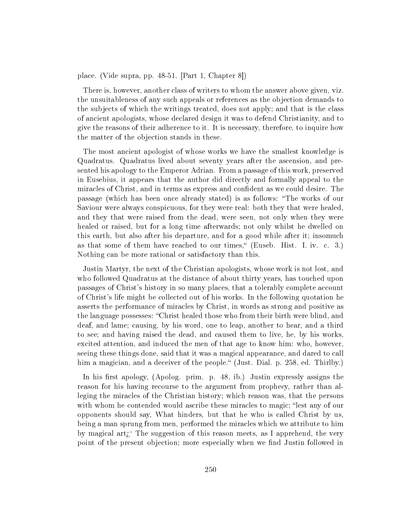place. (Vide supra, pp. 48-51. [Part 1, Chapter 8])

There is, however, another class of writers to whom the answer above given, viz. the unsuitableness of any such appeals or references as the objection demands to the subjects of which the writings treated, does not apply; and that is the class of ancient apologists, whose declared design it was to defend Christianity, and to give the reasons of their adherence to it. It is necessary, therefore, to inquire how the matter of the objection stands in these.

The most ancient apologist of whose works we have the smallest knowledge is Quadratus. Quadratus lived about seventy years after the ascension, and presented his apology to the Emperor Adrian. From a passage of this work, preserved in Eusebius, it appears that the author did directly and formally appeal to the miracles of Christ, and in terms as express and confident as we could desire. The passage (which has been once already stated) is as follows: The works of our Saviour were always conspicuous, for they were real: both they that were healed, and they that were raised from the dead, were seen, not only when they were healed or raised, but for a long time afterwards; not only whilst he dwelled on this earth, but also after his departure, and for a good while after it; insomuch as that some of them have reached to our times," (Euseb. Hist. I. iv. c. 3.) Nothing can be more rational or satisfactory than this.

Justin Martyr, the next of the Christian apologists, whose work is not lost, and who followed Quadratus at the distance of about thirty years, has touched upon passages of Christ's history in so many places, that a tolerably complete account of Christ's life might be collected out of his works. In the following quotation he asserts the performance of miracles by Christ, in words as strong and positive as the language possesses: "Christ healed those who from their birth were blind, and deaf, and lame; causing, by his word, one to leap, another to hear, and a third to see; and having raised the dead, and caused them to live, he, by his works, excited attention, and induced the men of that age to know him: who, however, seeing these things done, said that it was a magical appearance, and dared to call him a magician, and a deceiver of the people." (Just. Dial. p. 258, ed. Thirlby.)

In his first apology, (Apolog. prim. p. 48, ib.) Justin expressly assigns the reason for his having recourse to the argument from prophecy, rather than alleging the miracles of the Christian history; which reason was, that the persons with whom he contended would ascribe these miracles to magic; "lest any of our opponents should say, What hinders, but that he who is called Christ by us, being a man sprung from men, performed the miracles which we attribute to him by magical art $\zeta$ <sup>\*</sup> The suggestion of this reason meets, as I apprehend, the very point of the present objection; more especially when we find Justin followed in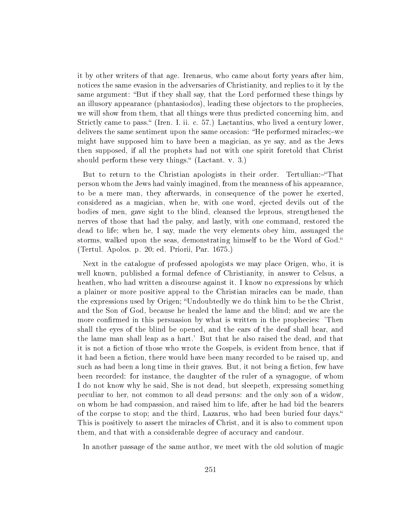it by other writers of that age. Irenaeus, who came about forty years after him, notices the same evasion in the adversaries of Christianity, and replies to it by the same argument: "But if they shall say, that the Lord performed these things by an illusory appearance (phantasiodos), leading these objectors to the prophecies, we will show from them, that all things were thus predicted concerning him, and Strictly came to pass. (Iren. I. ii. c. 57.) Lactantius, who lived a century lower. delivers the same sentiment upon the same occasion: "He performed miracles;-we might have supposed him to have been a magician, as ye say, and as the Jews then supposed, if all the prophets had not with one spirit foretold that Christ should perform these very things." (Lactant. v. 3.)

But to return to the Christian apologists in their order. Tertullian:-"That person whom the Jews had vainly imagined, from the meanness of his appearance, to be a mere man, they afterwards, in consequence of the power he exerted, considered as a magician, when he, with one word, ejected devils out of the bodies of men, gave sight to the blind, cleansed the leprous, strengthened the nerves of those that had the palsy, and lastly, with one command, restored the dead to life; when he, I say, made the very elements obey him, assuaged the storms, walked upon the seas, demonstrating himself to be the Word of God. (Tertul. Apolos. p. 20; ed. Priorii, Par. 1675.)

Next in the catalogue of professed apologists we may place Origen, who, it is well known, published a formal defence of Christianity, in answer to Celsus, a heathen, who had written a discourse against it. I know no expressions by which a plainer or more positive appeal to the Christian miracles can be made, than the expressions used by Origen; Undoubtedly we do think him to be the Christ, and the Son of God, because he healed the lame and the blind; and we are the more confirmed in this persuasion by what is written in the prophecies: 'Then shall the eyes of the blind be opened, and the ears of the deaf shall hear, and the lame man shall leap as a hart.' But that he also raised the dead, and that it is not a fiction of those who wrote the Gospels, is evident from hence, that if it had been a fiction, there would have been many recorded to be raised up, and such as had been a long time in their graves. But, it not being a fiction, few have been recorded: for instance, the daughter of the ruler of a synagogue, of whom I do not know why he said, She is not dead, but sleepeth, expressing something peculiar to her, not common to all dead persons: and the only son of a widow, on whom he had compassion, and raised him to life, after he had bid the bearers of the corpse to stop; and the third, Lazarus, who had been buried four days. This is positively to assert the miracles of Christ, and it is also to comment upon them, and that with a considerable degree of accuracy and candour.

In another passage of the same author, we meet with the old solution of magic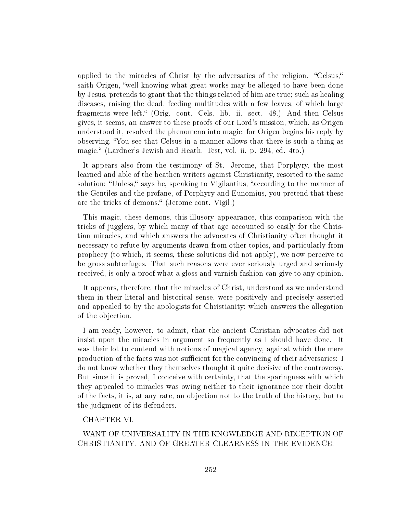applied to the miracles of Christ by the adversaries of the religion. "Celsus," saith Origen, "well knowing what great works may be alleged to have been done by Jesus, pretends to grant that the things related of him are true; such as healing diseases, raising the dead, feeding multitudes with a few leaves, of which large fragments were left. (Orig. cont. Cels. lib. ii. sect. 48.) And then Celsus gives, it seems, an answer to these proofs of our Lord's mission, which, as Origen understood it, resolved the phenomena into magic; for Origen begins his reply by observing, You see that Celsus in a manner allows that there is such a thing as magic." (Lardner's Jewish and Heath. Test, vol. ii. p. 294, ed. 4to.)

It appears also from the testimony of St. Jerome, that Porphyry, the most learned and able of the heathen writers against Christianity, resorted to the same solution: "Unless," says he, speaking to Vigilantius, "according to the manner of the Gentiles and the profane, of Porphyry and Eunomius, you pretend that these are the tricks of demons." (Jerome cont. Vigil.)

This magic, these demons, this illusory appearance, this comparison with the tricks of jugglers, by which many of that age accounted so easily for the Christian miracles, and which answers the advocates of Christianity often thought it necessary to refute by arguments drawn from other topics, and particularly from prophecy (to which, it seems, these solutions did not apply), we now perceive to be gross subterfuges. That such reasons were ever seriously urged and seriously received, is only a proof what a gloss and varnish fashion can give to any opinion.

It appears, therefore, that the miracles of Christ, understood as we understand them in their literal and historical sense, were positively and precisely asserted and appealed to by the apologists for Christianity; which answers the allegation of the objection.

I am ready, however, to admit, that the ancient Christian advocates did not insist upon the miracles in argument so frequently as I should have done. It was their lot to contend with notions of magical agency, against which the mere production of the facts was not sufficient for the convincing of their adversaries: I do not know whether they themselves thought it quite decisive of the controversy. But since it is proved, I conceive with certainty, that the sparingness with which they appealed to miracles was owing neither to their ignorance nor their doubt of the facts, it is, at any rate, an objection not to the truth of the history, but to the judgment of its defenders.

## CHAPTER VI.

WANT OF UNIVERSALITY IN THE KNOWLEDGE AND RECEPTION OF CHRISTIANITY, AND OF GREATER CLEARNESS IN THE EVIDENCE.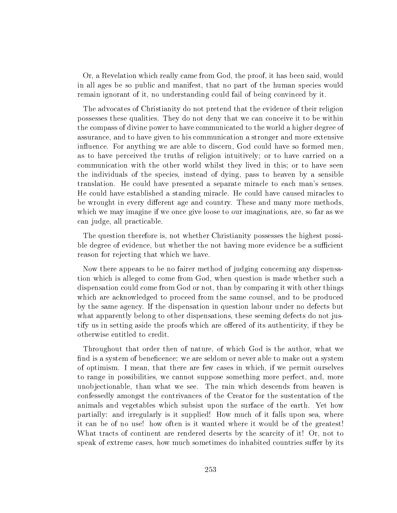Or, a Revelation which really came from God, the proof, it has been said, would in all ages be so public and manifest, that no part of the human species would remain ignorant of it, no understanding could fail of being convinced by it.

The advocates of Christianity do not pretend that the evidence of their religion possesses these qualities. They do not deny that we can conceive it to be within the compass of divine power to have communicated to the world a higher degree of assurance, and to have given to his communication a stronger and more extensive influence. For anything we are able to discern, God could have so formed men, as to have perceived the truths of religion intuitively; or to have carried on a communication with the other world whilst they lived in this; or to have seen the individuals of the species, instead of dying, pass to heaven by a sensible translation. He could have presented a separate miracle to each man's senses. He could have established a standing miracle. He could have caused miracles to be wrought in every different age and country. These and many more methods, which we may imagine if we once give loose to our imaginations, are, so far as we can judge, all practicable.

The question therefore is, not whether Christianity possesses the highest possible degree of evidence, but whether the not having more evidence be a sufficient reason for rejecting that which we have.

Now there appears to be no fairer method of judging concerning any dispensation which is alleged to come from God, when question is made whether such a dispensation could come from God or not, than by comparing it with other things which are acknowledged to proceed from the same counsel, and to be produced by the same agency. If the dispensation in question labour under no defects but what apparently belong to other dispensations, these seeming defects do not justify us in setting aside the proofs which are offered of its authenticity, if they be otherwise entitled to credit.

Throughout that order then of nature, of which God is the author, what we find is a system of beneficence: we are seldom or never able to make out a system of optimism. I mean, that there are few cases in which, if we permit ourselves to range in possibilities, we cannot suppose something more perfect, and, more unobjectionable, than what we see. The rain which descends from heaven is confessedly amongst the contrivances of the Creator for the sustentation of the animals and vegetables which subsist upon the surface of the earth. Yet how partially: and irregularly is it supplied! How much of it falls upon sea, where it can be of no use! how often is it wanted where it would be of the greatest! What tracts of continent are rendered deserts by the scarcity of it! Or, not to speak of extreme cases, how much sometimes do inhabited countries suffer by its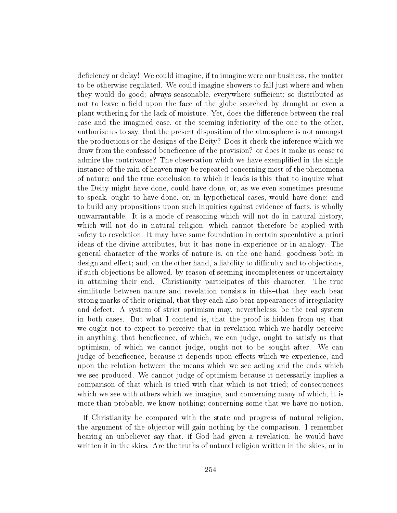deficiency or delay!–We could imagine, if to imagine were our business, the matter to be otherwise regulated. We could imagine showers to fall just where and when they would do good; always seasonable, everywhere sufficient; so distributed as not to leave a field upon the face of the globe scorched by drought or even a plant withering for the lack of moisture. Yet, does the difference between the real case and the imagined case, or the seeming inferiority of the one to the other, authorise us to say, that the present disposition of the atmosphere is not amongst the productions or the designs of the Deity? Does it check the inference which we draw from the confessed beneficence of the provision? or does it make us cease to admire the contrivance? The observation which we have exemplied in the single instance of the rain of heaven may be repeated concerning most of the phenomena of nature; and the true conclusion to which it leads is this-that to inquire what the Deity might have done, could have done, or, as we even sometimes presume to speak, ought to have done, or, in hypothetical cases, would have done; and to build any propositions upon such inquiries against evidence of facts, is wholly unwarrantable. It is a mode of reasoning which will not do in natural history, which will not do in natural religion, which cannot therefore be applied with safety to revelation. It may have same foundation in certain speculative a priori ideas of the divine attributes, but it has none in experience or in analogy. The general character of the works of nature is, on the one hand, goodness both in design and effect; and, on the other hand, a liability to difficulty and to objections, if such objections be allowed, by reason of seeming incompleteness or uncertainty in attaining their end. Christianity participates of this character. The true similitude between nature and revelation consists in this-that they each bear strong marks of their original, that they each also bear appearances of irregularity and defect. A system of strict optimism may, nevertheless, be the real system in both cases. But what I contend is, that the proof is hidden from us; that we ought not to expect to perceive that in revelation which we hardly perceive in anything; that beneficence, of which, we can judge, ought to satisfy us that optimism, of which we cannot judge, ought not to be sought after. We can judge of beneficence, because it depends upon effects which we experience, and upon the relation between the means which we see acting and the ends which we see produced. We cannot judge of optimism because it necessarily implies a comparison of that which is tried with that which is not tried; of consequences which we see with others which we imagine, and concerning many of which, it is more than probable, we know nothing; concerning some that we have no notion.

If Christianity be compared with the state and progress of natural religion, the argument of the objector will gain nothing by the comparison. I remember hearing an unbeliever say that, if God had given a revelation, he would have written it in the skies. Are the truths of natural religion written in the skies, or in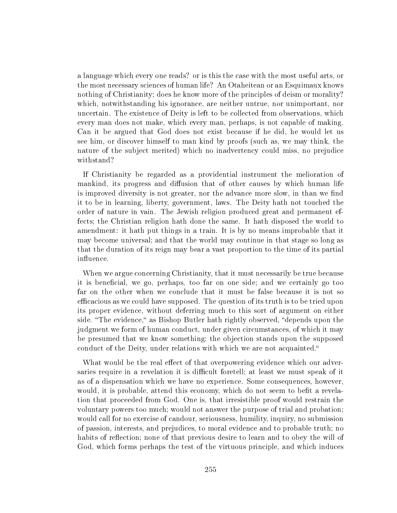a language which every one reads? or is this the case with the most useful arts, or the most necessary sciences of human life? An Otaheitean or an Esquimaux knows nothing of Christianity; does he know more of the principles of deism or morality? which, notwithstanding his ignorance, are neither untrue, nor unimportant, nor uncertain. The existence of Deity is left to be collected from observations, which every man does not make, which every man, perhaps, is not capable of making. Can it be argued that God does not exist because if he did, he would let us see him, or discover himself to man kind by proofs (such as, we may think, the nature of the subject merited) which no inadvertency could miss, no prejudice withstand?

If Christianity be regarded as a providential instrument the melioration of mankind, its progress and diffusion that of other causes by which human life is improved diversity is not greater, nor the advance more slow, in than we find it to be in learning, liberty, government, laws. The Deity hath not touched the order of nature in vain. The Jewish religion produced great and permanent effects; the Christian religion hath done the same. It hath disposed the world to amendment: it hath put things in a train. It is by no means improbable that it may become universal; and that the world may continue in that stage so long as that the duration of its reign may bear a vast proportion to the time of its partial influence.

When we argue concerning Christianity, that it must necessarily be true because it is beneficial, we go, perhaps, too far on one side; and we certainly go too far on the other when we conclude that it must be false because it is not so efficacious as we could have supposed. The question of its truth is to be tried upon its proper evidence, without deferring much to this sort of argument on either side. "The evidence," as Bishop Butler hath rightly observed, "depends upon the judgment we form of human conduct, under given circumstances, of which it may be presumed that we know something; the objection stands upon the supposed conduct of the Deity, under relations with which we are not acquainted.

What would be the real effect of that overpowering evidence which our adversaries require in a revelation it is difficult foretell; at least we must speak of it as of a dispensation which we have no experience. Some consequences, however, would, it is probable, attend this economy, which do not seem to befit a revelation that proceeded from God. One is, that irresistible proof would restrain the voluntary powers too much; would not answer the purpose of trial and probation; would call for no exercise of candour, seriousness, humility, inquiry, no submission of passion, interests, and prejudices, to moral evidence and to probable truth; no habits of reflection; none of that previous desire to learn and to obey the will of God, which forms perhaps the test of the virtuous principle, and which induces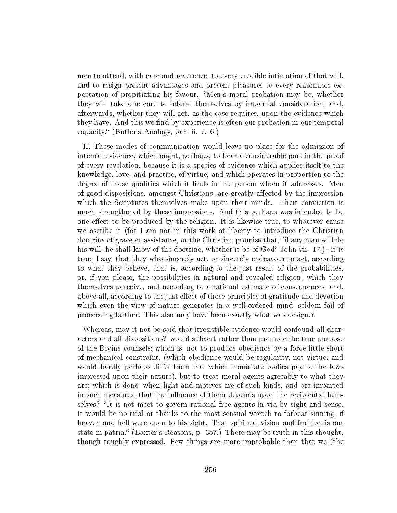men to attend, with care and reverence, to every credible intimation of that will, and to resign present advantages and present pleasures to every reasonable expectation of propitiating his favour. Men's moral probation may be, whether they will take due care to inform themselves by impartial consideration; and, afterwards, whether they will act, as the case requires, upon the evidence which they have. And this we find by experience is often our probation in our temporal capacity. (Butler's Analogy, part ii. c. 6.)

II. These modes of communication would leave no place for the admission of internal evidence; which ought, perhaps, to bear a considerable part in the proof of every revelation, because it is a species of evidence which applies itself to the knowledge, love, and practice, of virtue, and which operates in proportion to the degree of those qualities which it finds in the person whom it addresses. Men of good dispositions, amongst Christians, are greatly affected by the impression which the Scriptures themselves make upon their minds. Their conviction is much strengthened by these impressions. And this perhaps was intended to be one effect to be produced by the religion. It is likewise true, to whatever cause we ascribe it (for I am not in this work at liberty to introduce the Christian doctrine of grace or assistance, or the Christian promise that, "if any man will do his will, he shall know of the doctrine, whether it be of  $God<sup>4</sup>$  John vii. 17.), $-it$  is true, I say, that they who sincerely act, or sincerely endeavour to act, according to what they believe, that is, according to the just result of the probabilities, or, if you please, the possibilities in natural and revealed religion, which they themselves perceive, and according to a rational estimate of consequences, and, above all, according to the just effect of those principles of gratitude and devotion which even the view of nature generates in a well-ordered mind, seldom fail of proceeding farther. This also may have been exactly what was designed.

Whereas, may it not be said that irresistible evidence would confound all characters and all dispositions? would subvert rather than promote the true purpose of the Divine counsels; which is, not to produce obedience by a force little short of mechanical constraint, (which obedience would be regularity, not virtue, and would hardly perhaps differ from that which inanimate bodies pay to the laws impressed upon their nature), but to treat moral agents agreeably to what they are; which is done, when light and motives are of such kinds, and are imparted in such measures, that the influence of them depends upon the recipients themselves? "It is not meet to govern rational free agents in via by sight and sense. It would be no trial or thanks to the most sensual wretch to forbear sinning, if heaven and hell were open to his sight. That spiritual vision and fruition is our state in patria." (Baxter's Reasons, p. 357.) There may be truth in this thought, though roughly expressed. Few things are more improbable than that we (the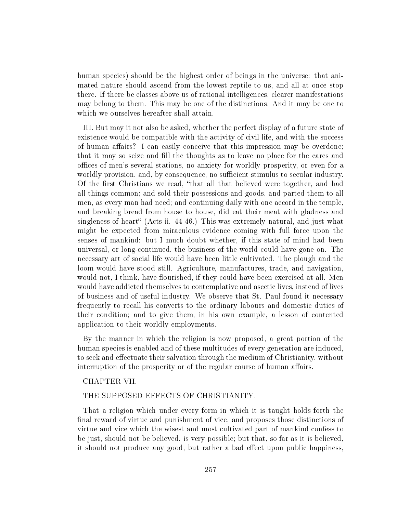human species) should be the highest order of beings in the universe: that animated nature should ascend from the lowest reptile to us, and all at once stop there. If there be classes above us of rational intelligences, clearer manifestations may belong to them. This may be one of the distinctions. And it may be one to which we ourselves hereafter shall attain.

III. But may it not also be asked, whether the perfect display of a future state of existence would be compatible with the activity of civil life, and with the success of human affairs? I can easily conceive that this impression may be overdone; that it may so seize and fill the thoughts as to leave no place for the cares and offices of men's several stations, no anxiety for worldly prosperity, or even for a worldly provision, and, by consequence, no sufficient stimulus to secular industry. Of the first Christians we read, "that all that believed were together, and had all things common; and sold their possessions and goods, and parted them to all men, as every man had need; and continuing daily with one accord in the temple, and breaking bread from house to house, did eat their meat with gladness and singleness of heart (Acts ii.  $44-46$ .) This was extremely natural, and just what might be expected from miraculous evidence coming with full force upon the senses of mankind: but I much doubt whether, if this state of mind had been universal, or long-continued, the business of the world could have gone on. The necessary art of social life would have been little cultivated. The plough and the loom would have stood still. Agriculture, manufactures, trade, and navigation, would not, I think, have flourished, if they could have been exercised at all. Men would have addicted themselves to contemplative and ascetic lives, instead of lives of business and of useful industry. We observe that St. Paul found it necessary frequently to recall his converts to the ordinary labours and domestic duties of their condition; and to give them, in his own example, a lesson of contented application to their worldly employments.

By the manner in which the religion is now proposed, a great portion of the human species is enabled and of these multitudes of every generation are induced, to seek and effectuate their salvation through the medium of Christianity, without interruption of the prosperity or of the regular course of human affairs.

# CHAPTER VII.

## THE SUPPOSED EFFECTS OF CHRISTIANITY.

That a religion which under every form in which it is taught holds forth the final reward of virtue and punishment of vice, and proposes those distinctions of virtue and vice which the wisest and most cultivated part of mankind confess to be just, should not be believed, is very possible; but that, so far as it is believed, it should not produce any good, but rather a bad effect upon public happiness,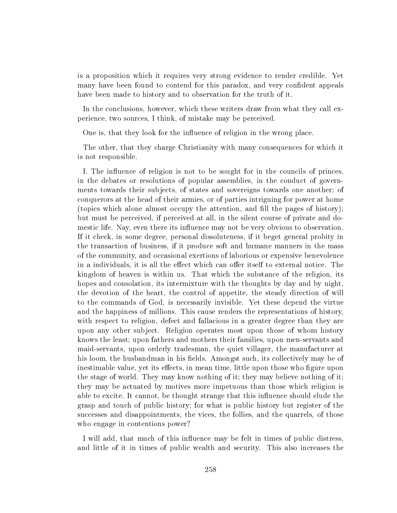is a proposition which it requires very strong evidence to render credible. Yet many have been found to contend for this paradox, and very confident appeals have been made to history and to observation for the truth of it.

In the conclusions, however, which these writers draw from what they call experience, two sources, I think, of mistake may be perceived.

One is, that they look for the influence of religion in the wrong place.

The other, that they charge Christianity with many consequences for which it is not responsible.

I. The influence of religion is not to be sought for in the councils of princes, in the debates or resolutions of popular assemblies, in the conduct of governments towards their subjects, of states and sovereigns towards one another; of conquerors at the head of their armies, or of parties intriguing for power at home (topics which alone almost occupy the attention, and fill the pages of history); but must be perceived, if perceived at all, in the silent course of private and domestic life. Nay, even there its influence may not be very obvious to observation. If it check, in some degree, personal dissoluteness, if it beget general probity in the transaction of business, if it produce soft and humane manners in the mass of the community, and occasional exertions of laborious or expensive benevolence in a individuals, it is all the effect which can offer itself to external notice. The kingdom of heaven is within us. That which the substance of the religion, its hopes and consolation, its intermixture with the thoughts by day and by night, the devotion of the heart, the control of appetite, the steady direction of will to the commands of God, is necessarily invisible. Yet these depend the virtue and the happiness of millions. This cause renders the representations of history, with respect to religion, defect and fallacious in a greater degree than they are upon any other subject. Religion operates most upon those of whom history knows the least; upon fathers and mothers their families, upon men-servants and maid-servants, upon orderly tradesman, the quiet villager, the manufacturer at his loom, the husbandman in his fields. Amongst such, its collectively may be of inestimable value, yet its effects, in mean time, little upon those who figure upon the stage of world. They may know nothing of it; they may believe nothing of it; they may be actuated by motives more impetuous than those which religion is able to excite. It cannot, be thought strange that this influence should elude the grasp and touch of public history; for what is public history but register of the successes and disappointments, the vices, the follies, and the quarrels, of those who engage in contentions power?

I will add, that much of this influence may be felt in times of public distress. and little of it in times of public wealth and security. This also increases the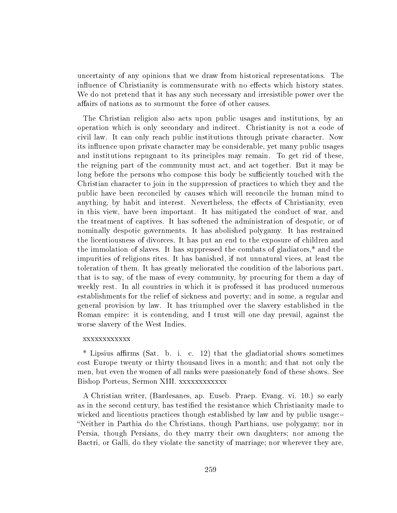uncertainty of any opinions that we draw from historical representations. The influence of Christianity is commensurate with no effects which history states. We do not pretend that it has any such necessary and irresistible power over the affairs of nations as to surmount the force of other causes.

The Christian religion also acts upon public usages and institutions, by an operation which is only secondary and indirect. Christianity is not a code of civil law. It can only reach public institutions through private character. Now its influence upon private character may be considerable, yet many public usages and institutions repugnant to its principles may remain. To get rid of these, the reigning part of the community must act, and act together. But it may be long before the persons who compose this body be sufficiently touched with the Christian character to join in the suppression of practices to which they and the public have been reconciled by causes which will reconcile the human mind to anything, by habit and interest. Nevertheless, the effects of Christianity, even in this view, have been important. It has mitigated the conduct of war, and the treatment of captives. It has softened the administration of despotic, or of nominally despotic governments. It has abolished polygamy. It has restrained the licentiousness of divorces. It has put an end to the exposure of children and the immolation of slaves. It has suppressed the combats of gladiators,\* and the impurities of religions rites. It has banished, if not unnatural vices, at least the toleration of them. It has greatly meliorated the condition of the laborious part, that is to say, of the mass of every community, by procuring for them a day of weekly rest. In all countries in which it is professed it has produced numerous establishments for the relief of sickness and poverty; and in some, a regular and general provision by law. It has triumphed over the slavery established in the Roman empire: it is contending, and I trust will one day prevail, against the worse slavery of the West Indies.

## xxxxxxxxxxxx

 $*$  Lipsius affirms (Sat. b. i. c. 12) that the gladiatorial shows sometimes cost Europe twenty or thirty thousand lives in a month; and that not only the men, but even the women of all ranks were passionately fond of these shows. See Bishop Porteus, Sermon XIII. xxxxxxxxxxxx

A Christian writer, (Bardesanes, ap. Euseb. Praep. Evang. vi. 10.) so early as in the second century, has testied the resistance which Christianity made to wicked and licentious practices though established by law and by public usage: Neither in Parthia do the Christians, though Parthians, use polygamy; nor in Persia, though Persians, do they marry their own daughters; nor among the Bactri, or Galli, do they violate the sanctity of marriage; nor wherever they are,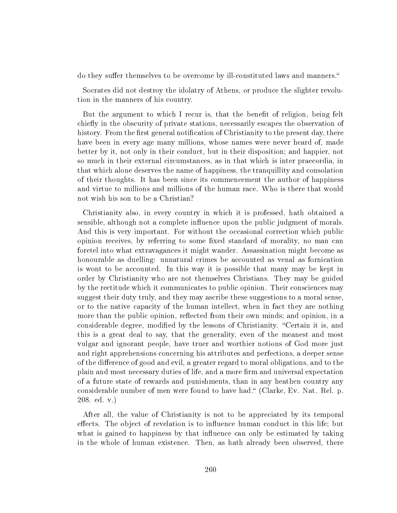do they suffer themselves to be overcome by ill-constituted laws and manners."

Socrates did not destroy the idolatry of Athens, or produce the slighter revolution in the manners of his country.

But the argument to which I recur is, that the benefit of religion, being felt chiefly in the obscurity of private stations, necessarily escapes the observation of history. From the first general notification of Christianity to the present day, there have been in every age many millions, whose names were never heard of, made better by it, not only in their conduct, but in their disposition; and happier, not so much in their external circumstances, as in that which is inter praecordia, in that which alone deserves the name of happiness, the tranquillity and consolation of their thoughts. It has been since its commencement the author of happiness and virtue to millions and millions of the human race. Who is there that would not wish his son to be a Christian?

Christianity also, in every country in which it is professed, hath obtained a sensible, although not a complete influence upon the public judgment of morals. And this is very important. For without the occasional correction which public opinion receives, by referring to some fixed standard of morality, no man can foretel into what extravagances it might wander. Assassination might become as honourable as duelling: unnatural crimes be accounted as venal as fornication is wont to be accounted. In this way it is possible that many may be kept in order by Christianity who are not themselves Christians. They may be guided by the rectitude which it communicates to public opinion. Their consciences may suggest their duty truly, and they may ascribe these suggestions to a moral sense, or to the native capacity of the human intellect, when in fact they are nothing more than the public opinion, reflected from their own minds; and opinion, in a considerable degree, modified by the lessons of Christianity. "Certain it is, and this is a great deal to say, that the generality, even of the meanest and most vulgar and ignorant people, have truer and worthier notions of God more just and right apprehensions concerning his attributes and perfections, a deeper sense of the difference of good and evil, a greater regard to moral obligations, and to the plain and most necessary duties of life, and a more firm and universal expectation of a future state of rewards and punishments, than in any heathen country any considerable number of men were found to have had." (Clarke, Ev. Nat. Rel. p. 208. ed. v.)

After all, the value of Christianity is not to be appreciated by its temporal effects. The object of revelation is to influence human conduct in this life; but what is gained to happiness by that influence can only be estimated by taking in the whole of human existence. Then, as hath already been observed, there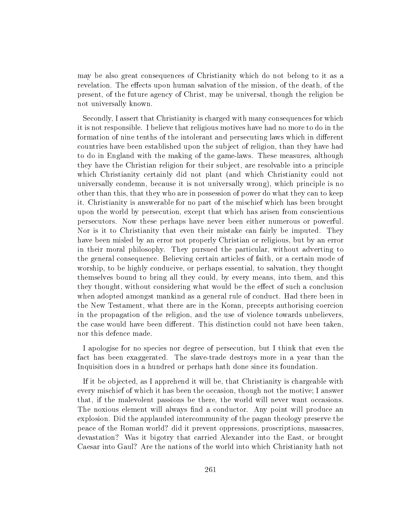may be also great consequences of Christianity which do not belong to it as a revelation. The effects upon human salvation of the mission, of the death, of the present, of the future agency of Christ, may be universal, though the religion be not universally known.

Secondly, I assert that Christianity is charged with many consequences for which it is not responsible. I believe that religious motives have had no more to do in the formation of nine tenths of the intolerant and persecuting laws which in different countries have been established upon the subject of religion, than they have had to do in England with the making of the game-laws. These measures, although they have the Christian religion for their subject, are resolvable into a principle which Christianity certainly did not plant (and which Christianity could not universally condemn, because it is not universally wrong), which principle is no other than this, that they who are in possession of power do what they can to keep it. Christianity is answerable for no part of the mischief which has been brought upon the world by persecution, except that which has arisen from conscientious persecutors. Now these perhaps have never been either numerous or powerful. Nor is it to Christianity that even their mistake can fairly be imputed. They have been misled by an error not properly Christian or religious, but by an error in their moral philosophy. They pursued the particular, without adverting to the general consequence. Believing certain articles of faith, or a certain mode of worship, to be highly conducive, or perhaps essential, to salvation, they thought themselves bound to bring all they could, by every means, into them, and this they thought, without considering what would be the effect of such a conclusion when adopted amongst mankind as a general rule of conduct. Had there been in the New Testament, what there are in the Koran, precepts authorising coercion in the propagation of the religion, and the use of violence towards unbelievers, the case would have been different. This distinction could not have been taken, nor this defence made.

I apologise for no species nor degree of persecution, but I think that even the fact has been exaggerated. The slave-trade destroys more in a year than the Inquisition does in a hundred or perhaps hath done since its foundation.

If it be objected, as I apprehend it will be, that Christianity is chargeable with every mischief of which it has been the occasion, though not the motive; I answer that, if the malevolent passions be there, the world will never want occasions. The noxious element will always find a conductor. Any point will produce an explosion. Did the applauded intercommunity of the pagan theology preserve the peace of the Roman world? did it prevent oppressions, proscriptions, massacres, devastation? Was it bigotry that carried Alexander into the East, or brought Caesar into Gaul? Are the nations of the world into which Christianity hath not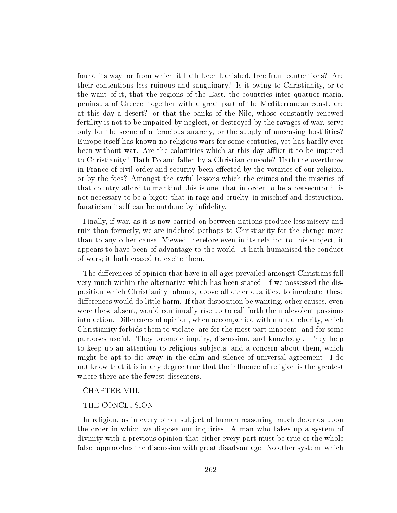found its way, or from which it hath been banished, free from contentions? Are their contentions less ruinous and sanguinary? Is it owing to Christianity, or to the want of it, that the regions of the East, the countries inter quatuor maria, peninsula of Greece, together with a great part of the Mediterranean coast, are at this day a desert? or that the banks of the Nile, whose constantly renewed fertility is not to be impaired by neglect, or destroyed by the ravages of war, serve only for the scene of a ferocious anarchy, or the supply of unceasing hostilities? Europe itself has known no religious wars for some centuries, yet has hardly ever been without war. Are the calamities which at this day afflict it to be imputed to Christianity? Hath Poland fallen by a Christian crusade? Hath the overthrow in France of civil order and security been effected by the votaries of our religion, or by the foes? Amongst the awful lessons which the crimes and the miseries of that country afford to mankind this is one; that in order to be a persecutor it is not necessary to be a bigot: that in rage and cruelty, in mischief and destruction, fanaticism itself can be outdone by infidelity.

Finally, if war, as it is now carried on between nations produce less misery and ruin than formerly, we are indebted perhaps to Christianity for the change more than to any other cause. Viewed therefore even in its relation to this subject, it appears to have been of advantage to the world. It hath humanised the conduct of wars; it hath ceased to excite them.

The differences of opinion that have in all ages prevailed amongst Christians fall very much within the alternative which has been stated. If we possessed the disposition which Christianity labours, above all other qualities, to inculcate, these differences would do little harm. If that disposition be wanting, other causes, even were these absent, would continually rise up to call forth the malevolent passions into action. Differences of opinion, when accompanied with mutual charity, which Christianity forbids them to violate, are for the most part innocent, and for some purposes useful. They promote inquiry, discussion, and knowledge. They help to keep up an attention to religious subjects, and a concern about them, which might be apt to die away in the calm and silence of universal agreement. I do not know that it is in any degree true that the influence of religion is the greatest where there are the fewest dissenters.

## CHAPTER VIII.

#### THE CONCLUSION,

In religion, as in every other subject of human reasoning, much depends upon the order in which we dispose our inquiries. A man who takes up a system of divinity with a previous opinion that either every part must be true or the whole false, approaches the discussion with great disadvantage. No other system, which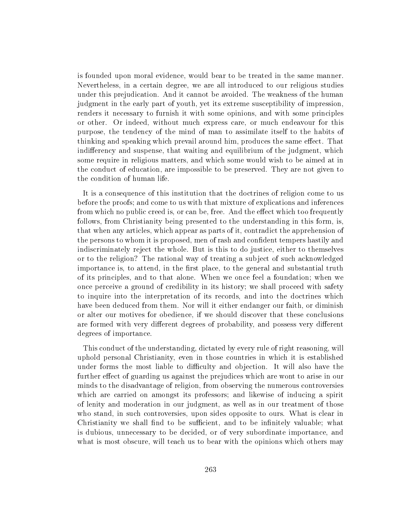is founded upon moral evidence, would bear to be treated in the same manner. Nevertheless, in a certain degree, we are all introduced to our religious studies under this prejudication. And it cannot be avoided. The weakness of the human judgment in the early part of youth, yet its extreme susceptibility of impression, renders it necessary to furnish it with some opinions, and with some principles or other. Or indeed, without much express care, or much endeavour for this purpose, the tendency of the mind of man to assimilate itself to the habits of thinking and speaking which prevail around him, produces the same effect. That indifferency and suspense, that waiting and equilibrium of the judgment, which some require in religious matters, and which some would wish to be aimed at in the conduct of education, are impossible to be preserved. They are not given to the condition of human life.

It is a consequence of this institution that the doctrines of religion come to us before the proofs; and come to us with that mixture of explications and inferences from which no public creed is, or can be, free. And the effect which too frequently follows, from Christianity being presented to the understanding in this form, is, that when any articles, which appear as parts of it, contradict the apprehension of the persons to whom it is proposed, men of rash and confident tempers hastily and indiscriminately reject the whole. But is this to do justice, either to themselves or to the religion? The rational way of treating a subject of such acknowledged importance is, to attend, in the first place, to the general and substantial truth of its principles, and to that alone. When we once feel a foundation; when we once perceive a ground of credibility in its history; we shall proceed with safety to inquire into the interpretation of its records, and into the doctrines which have been deduced from them. Nor will it either endanger our faith, or diminish or alter our motives for obedience, if we should discover that these conclusions are formed with very different degrees of probability, and possess very different degrees of importance.

This conduct of the understanding, dictated by every rule of right reasoning, will uphold personal Christianity, even in those countries in which it is established under forms the most liable to difficulty and objection. It will also have the further effect of guarding us against the prejudices which are wont to arise in our minds to the disadvantage of religion, from observing the numerous controversies which are carried on amongst its professors; and likewise of inducing a spirit of lenity and moderation in our judgment, as well as in our treatment of those who stand, in such controversies, upon sides opposite to ours. What is clear in Christianity we shall find to be sufficient, and to be infinitely valuable; what is dubious, unnecessary to be decided, or of very subordinate importance, and what is most obscure, will teach us to bear with the opinions which others may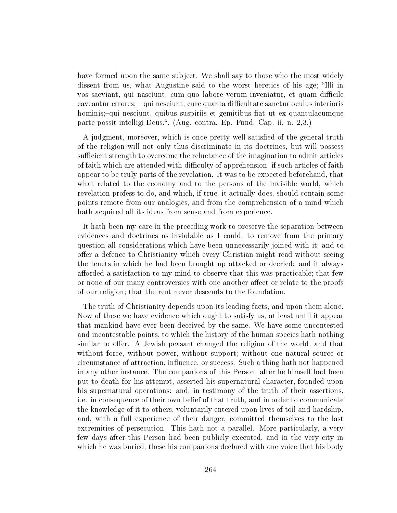have formed upon the same subject. We shall say to those who the most widely dissent from us, what Augustine said to the worst heretics of his age; "Illi in vos saeviant, qui nasciunt, cum quo labore verum inveniatur, et quam difficile caveantur errores;—qui nesciunt, cure quanta difficultate sanetur oculus interioris hominis;-qui nesciunt, quibus suspiriis et gemitibus fiat ut ex quantulacumque parte possit intelligi Deus.. (Aug. contra. Ep. Fund. Cap. ii. n. 2,3.)

A judgment, moreover, which is once pretty well satisfied of the general truth of the religion will not only thus discriminate in its doctrines, but will possess sufficient strength to overcome the reluctance of the imagination to admit articles of faith which are attended with difficulty of apprehension, if such articles of faith appear to be truly parts of the revelation. It was to be expected beforehand, that what related to the economy and to the persons of the invisible world, which revelation profess to do, and which, if true, it actually does, should contain some points remote from our analogies, and from the comprehension of a mind which hath acquired all its ideas from sense and from experience.

It hath been my care in the preceding work to preserve the separation between evidences and doctrines as inviolable as I could; to remove from the primary question all considerations which have been unnecessarily joined with it; and to offer a defence to Christianity which every Christian might read without seeing the tenets in which he had been brought up attacked or decried: and it always afforded a satisfaction to my mind to observe that this was practicable; that few or none of our many controversies with one another affect or relate to the proofs of our religion; that the rent never descends to the foundation.

The truth of Christianity depends upon its leading facts, and upon them alone. Now of these we have evidence which ought to satisfy us, at least until it appear that mankind have ever been deceived by the same. We have some uncontested and incontestable points, to which the history of the human species hath nothing similar to offer. A Jewish peasant changed the religion of the world, and that without force, without power, without support; without one natural source or circumstance of attraction, influence, or success. Such a thing hath not happened in any other instance. The companions of this Person, after he himself had been put to death for his attempt, asserted his supernatural character, founded upon his supernatural operations: and, in testimony of the truth of their assertions, i.e. in consequence of their own belief of that truth, and in order to communicate the knowledge of it to others, voluntarily entered upon lives of toil and hardship, and, with a full experience of their danger, committed themselves to the last extremities of persecution. This hath not a parallel. More particularly, a very few days after this Person had been publicly executed, and in the very city in which he was buried, these his companions declared with one voice that his body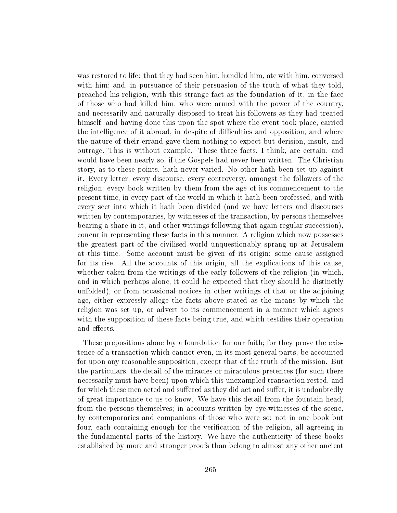was restored to life: that they had seen him, handled him, ate with him, conversed with him; and, in pursuance of their persuasion of the truth of what they told, preached his religion, with this strange fact as the foundation of it, in the face of those who had killed him, who were armed with the power of the country, and necessarily and naturally disposed to treat his followers as they had treated himself; and having done this upon the spot where the event took place, carried the intelligence of it abroad, in despite of difficulties and opposition, and where the nature of their errand gave them nothing to expect but derision, insult, and outrage.This is without example. These three facts, I think, are certain, and would have been nearly so, if the Gospels had never been written. The Christian story, as to these points, hath never varied. No other hath been set up against it. Every letter, every discourse, every controversy, amongst the followers of the religion; every book written by them from the age of its commencement to the present time, in every part of the world in which it hath been professed, and with every sect into which it hath been divided (and we have letters and discourses written by contemporaries, by witnesses of the transaction, by persons themselves bearing a share in it, and other writings following that again regular succession), concur in representing these facts in this manner. A religion which now possesses the greatest part of the civilised world unquestionably sprang up at Jerusalem at this time. Some account must be given of its origin; some cause assigned for its rise. All the accounts of this origin, all the explications of this cause, whether taken from the writings of the early followers of the religion (in which, and in which perhaps alone, it could he expected that they should he distinctly unfolded), or from occasional notices in other writings of that or the adjoining age, either expressly allege the facts above stated as the means by which the religion was set up, or advert to its commencement in a manner which agrees with the supposition of these facts being true, and which testifies their operation and effects.

These prepositions alone lay a foundation for our faith; for they prove the existence of a transaction which cannot even, in its most general parts, be accounted for upon any reasonable supposition, except that of the truth of the mission. But the particulars, the detail of the miracles or miraculous pretences (for such there necessarily must have been) upon which this unexampled transaction rested, and for which these men acted and suffered as they did act and suffer, it is undoubtedly of great importance to us to know. We have this detail from the fountain-head, from the persons themselves; in accounts written by eye-witnesses of the scene, by contemporaries and companions of those who were so; not in one book but four, each containing enough for the verification of the religion, all agreeing in the fundamental parts of the history. We have the authenticity of these books established by more and stronger proofs than belong to almost any other ancient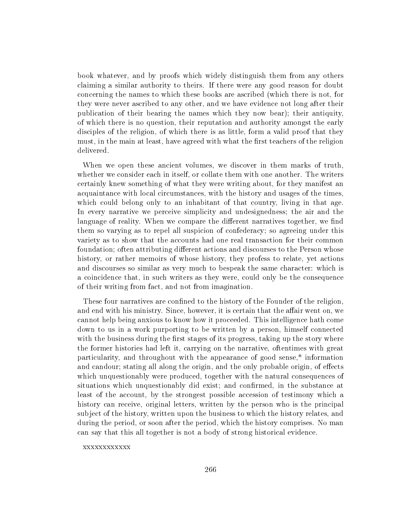book whatever, and by proofs which widely distinguish them from any others claiming a similar authority to theirs. If there were any good reason for doubt concerning the names to which these books are ascribed (which there is not, for they were never ascribed to any other, and we have evidence not long after their publication of their bearing the names which they now bear); their antiquity, of which there is no question, their reputation and authority amongst the early disciples of the religion, of which there is as little, form a valid proof that they must, in the main at least, have agreed with what the first teachers of the religion delivered.

When we open these ancient volumes, we discover in them marks of truth, whether we consider each in itself, or collate them with one another. The writers certainly knew something of what they were writing about, for they manifest an acquaintance with local circumstances, with the history and usages of the times, which could belong only to an inhabitant of that country, living in that age. In every narrative we perceive simplicity and undesignedness; the air and the language of reality. When we compare the different narratives together, we find them so varying as to repel all suspicion of confederacy; so agreeing under this variety as to show that the accounts had one real transaction for their common foundation; often attributing different actions and discourses to the Person whose history, or rather memoirs of whose history, they profess to relate, yet actions and discourses so similar as very much to bespeak the same character: which is a coincidence that, in such writers as they were, could only be the consequence of their writing from fact, and not from imagination.

These four narratives are confined to the history of the Founder of the religion, and end with his ministry. Since, however, it is certain that the affair went on, we cannot help being anxious to know how it proceeded. This intelligence hath come down to us in a work purporting to be written by a person, himself connected with the business during the first stages of its progress, taking up the story where the former histories had left it, carrying on the narrative, oftentimes with great particularity, and throughout with the appearance of good sense,\* information and candour; stating all along the origin, and the only probable origin, of effects which unquestionably were produced, together with the natural consequences of situations which unquestionably did exist; and confirmed, in the substance at least of the account, by the strongest possible accession of testimony which a history can receive, original letters, written by the person who is the principal subject of the history, written upon the business to which the history relates, and during the period, or soon after the period, which the history comprises. No man can say that this all together is not a body of strong historical evidence.

xxxxxxxxxxxx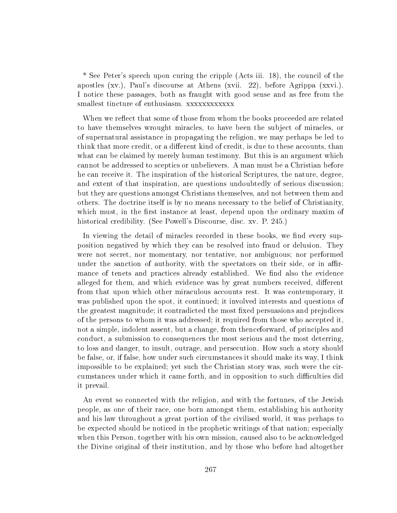\* See Peter's speech upon curing the cripple (Acts iii. 18), the council of the apostles (xv.), Paul's discourse at Athens (xvii. 22), before Agrippa (xxvi.). I notice these passages, both as fraught with good sense and as free from the smallest tincture of enthusiasm. xxxxxxxxxxxx

When we reflect that some of those from whom the books proceeded are related to have themselves wrought miracles, to have been the subject of miracles, or of supernatural assistance in propagating the religion, we may perhaps be led to think that more credit, or a different kind of credit, is due to these accounts, than what can be claimed by merely human testimony. But this is an argument which cannot be addressed to sceptics or unbelievers. A man must be a Christian before he can receive it. The inspiration of the historical Scriptures, the nature, degree, and extent of that inspiration, are questions undoubtedly of serious discussion; but they are questions amongst Christians themselves, and not between them and others. The doctrine itself is by no means necessary to the belief of Christianity, which must, in the first instance at least, depend upon the ordinary maxim of historical credibility. (See Powell's Discourse, disc. xv. P. 245.)

In viewing the detail of miracles recorded in these books, we find every supposition negatived by which they can be resolved into fraud or delusion. They were not secret, nor momentary, nor tentative, nor ambiguous; nor performed under the sanction of authority, with the spectators on their side, or in affirmance of tenets and practices already established. We find also the evidence alleged for them, and which evidence was by great numbers received, different from that upon which other miraculous accounts rest. It was contemporary, it was published upon the spot, it continued; it involved interests and questions of the greatest magnitude; it contradicted the most fixed persuasions and prejudices of the persons to whom it was addressed; it required from those who accepted it, not a simple, indolent assent, but a change, from thenceforward, of principles and conduct, a submission to consequences the most serious and the most deterring, to loss and danger, to insult, outrage, and persecution. How such a story should be false, or, if false, how under such circumstances it should make its way, I think impossible to be explained; yet such the Christian story was, such were the circumstances under which it came forth, and in opposition to such difficulties did it prevail.

An event so connected with the religion, and with the fortunes, of the Jewish people, as one of their race, one born amongst them, establishing his authority and his law throughout a great portion of the civilised world, it was perhaps to be expected should be noticed in the prophetic writings of that nation; especially when this Person, together with his own mission, caused also to be acknowledged the Divine original of their institution, and by those who before had altogether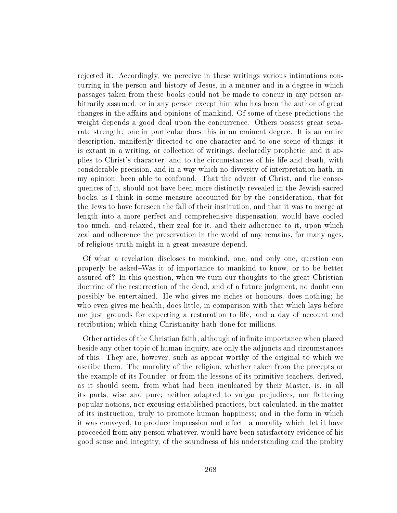rejected it. Accordingly, we perceive in these writings various intimations concurring in the person and history of Jesus, in a manner and in a degree in which passages taken from these books could not be made to concur in any person arbitrarily assumed, or in any person except him who has been the author of great changes in the affairs and opinions of mankind. Of some of these predictions the weight depends a good deal upon the concurrence. Others possess great separate strength: one in particular does this in an eminent degree. It is an entire description, manifestly directed to one character and to one scene of things; it is extant in a writing, or collection of writings, declaredly prophetic; and it applies to Christ's character, and to the circumstances of his life and death, with considerable precision, and in a way which no diversity of interpretation hath, in my opinion, been able to confound. That the advent of Christ, and the consequences of it, should not have been more distinctly revealed in the Jewish sacred books, is I think in some measure accounted for by the consideration, that for the Jews to have foreseen the fall of their institution, and that it was to merge at length into a more perfect and comprehensive dispensation, would have cooled too much, and relaxed, their zeal for it, and their adherence to it, upon which zeal and adherence the preservation in the world of any remains, for many ages, of religious truth might in a great measure depend.

Of what a revelation discloses to mankind, one, and only one, question can properly be asked–Was it of importance to mankind to know, or to be better assured of? In this question, when we turn our thoughts to the great Christian doctrine of the resurrection of the dead, and of a future judgment, no doubt can possibly be entertained. He who gives me riches or honours, does nothing; he who even gives me health, does little, in comparison with that which lays before me just grounds for expecting a restoration to life, and a day of account and retribution; which thing Christianity hath done for millions.

Other articles of the Christian faith, although of infinite importance when placed beside any other topic of human inquiry, are only the adjuncts and circumstances of this. They are, however, such as appear worthy of the original to which we ascribe them. The morality of the religion, whether taken from the precepts or the example of its Founder, or from the lessons of its primitive teachers, derived, as it should seem, from what had been inculcated by their Master, is, in all its parts, wise and pure; neither adapted to vulgar prejudices, nor flattering popular notions, nor excusing established practices, but calculated, in the matter of its instruction, truly to promote human happiness; and in the form in which it was conveyed, to produce impression and effect: a morality which, let it have proceeded from any person whatever, would have been satisfactory evidence of his good sense and integrity, of the soundness of his understanding and the probity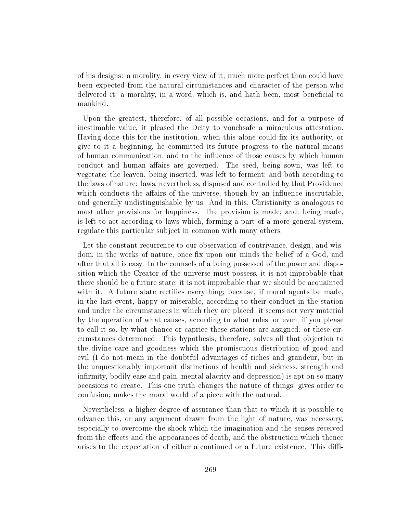of his designs: a morality, in every view of it, much more perfect than could have been expected from the natural circumstances and character of the person who delivered it; a morality, in a word, which is, and hath been, most beneficial to mankind.

Upon the greatest, therefore, of all possible occasions, and for a purpose of inestimable value, it pleased the Deity to vouchsafe a miraculous attestation. Having done this for the institution, when this alone could fix its authority, or give to it a beginning, he committed its future progress to the natural means of human communication, and to the influence of those causes by which human conduct and human affairs are governed. The seed, being sown, was left to vegetate; the leaven, being inserted, was left to ferment; and both according to the laws of nature: laws, nevertheless, disposed and controlled by that Providence which conducts the affairs of the universe, though by an influence inscrutable, and generally undistinguishable by us. And in this, Christianity is analogous to most other provisions for happiness. The provision is made; and; being made, is left to act according to laws which, forming a part of a more general system, regulate this particular subject in common with many others.

Let the constant recurrence to our observation of contrivance, design, and wisdom, in the works of nature, once fix upon our minds the belief of a God, and after that all is easy. In the counsels of a being possessed of the power and disposition which the Creator of the universe must possess, it is not improbable that there should be a future state; it is not improbable that we should be acquainted with it. A future state rectifies everything; because, if moral agents be made, in the last event, happy or miserable, according to their conduct in the station and under the circumstances in which they are placed, it seems not very material by the operation of what causes, according to what rules, or even, if you please to call it so, by what chance or caprice these stations are assigned, or these circumstances determined. This hypothesis, therefore, solves all that objection to the divine care and goodness which the promiscuous distribution of good and evil (I do not mean in the doubtful advantages of riches and grandeur, but in the unquestionably important distinctions of health and sickness, strength and infirmity, bodily ease and pain, mental alacrity and depression) is apt on so many occasions to create. This one truth changes the nature of things; gives order to confusion; makes the moral world of a piece with the natural.

Nevertheless, a higher degree of assurance than that to which it is possible to advance this, or any argument drawn from the light of nature, was necessary, especially to overcome the shock which the imagination and the senses received from the effects and the appearances of death, and the obstruction which thence arises to the expectation of either a continued or a future existence. This diffi-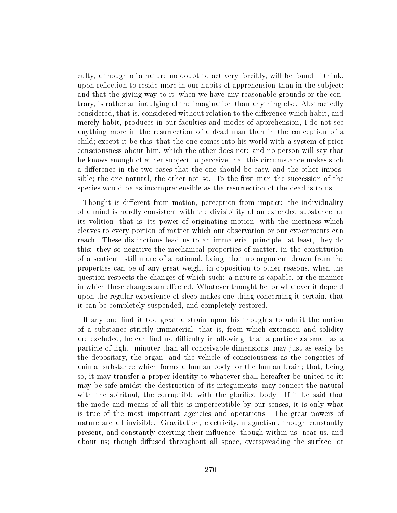culty, although of a nature no doubt to act very forcibly, will be found, I think, upon reflection to reside more in our habits of apprehension than in the subject: and that the giving way to it, when we have any reasonable grounds or the contrary, is rather an indulging of the imagination than anything else. Abstractedly considered, that is, considered without relation to the difference which habit, and merely habit, produces in our faculties and modes of apprehension, I do not see anything more in the resurrection of a dead man than in the conception of a child; except it be this, that the one comes into his world with a system of prior consciousness about him, which the other does not: and no person will say that he knows enough of either subject to perceive that this circumstance makes such a difference in the two cases that the one should be easy, and the other impossible; the one natural, the other not so. To the first man the succession of the species would be as incomprehensible as the resurrection of the dead is to us.

Thought is different from motion, perception from impact: the individuality of a mind is hardly consistent with the divisibility of an extended substance; or its volition, that is, its power of originating motion, with the inertness which cleaves to every portion of matter which our observation or our experiments can reach. These distinctions lead us to an immaterial principle: at least, they do this: they so negative the mechanical properties of matter, in the constitution of a sentient, still more of a rational, being, that no argument drawn from the properties can be of any great weight in opposition to other reasons, when the question respects the changes of which such: a nature is capable, or the manner in which these changes am effected. Whatever thought be, or whatever it depend upon the regular experience of sleep makes one thing concerning it certain, that it can be completely suspended, and completely restored.

If any one find it too great a strain upon his thoughts to admit the notion of a substance strictly immaterial, that is, from which extension and solidity are excluded, he can find no difficulty in allowing, that a particle as small as a particle of light, minuter than all conceivable dimensions, may just as easily be the depositary, the organ, and the vehicle of consciousness as the congeries of animal substance which forms a human body, or the human brain; that, being so, it may transfer a proper identity to whatever shall hereafter be united to it; may be safe amidst the destruction of its integuments; may connect the natural with the spiritual, the corruptible with the glorified body. If it be said that the mode and means of all this is imperceptible by our senses, it is only what is true of the most important agencies and operations. The great powers of nature are all invisible. Gravitation, electricity, magnetism, though constantly present, and constantly exerting their influence; though within us, near us, and about us; though diffused throughout all space, overspreading the surface, or